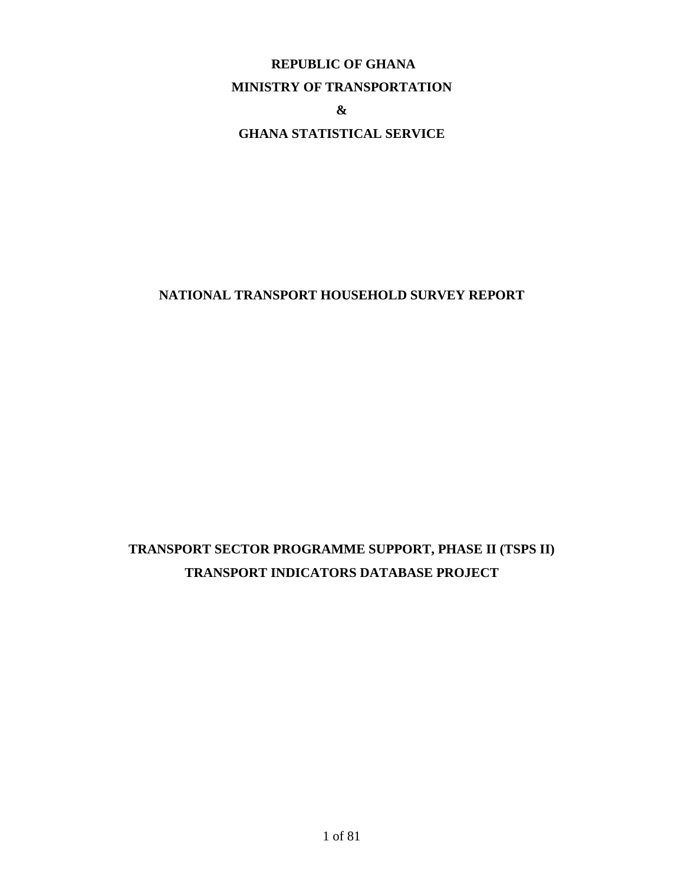# **REPUBLIC OF GHANA**

#### **MINISTRY OF TRANSPORTATION**

**&**

# **GHANA STATISTICAL SERVICE**

# **NATIONAL TRANSPORT HOUSEHOLD SURVEY REPORT**

# **TRANSPORT SECTOR PROGRAMME SUPPORT, PHASE II (TSPS II) TRANSPORT INDICATORS DATABASE PROJECT**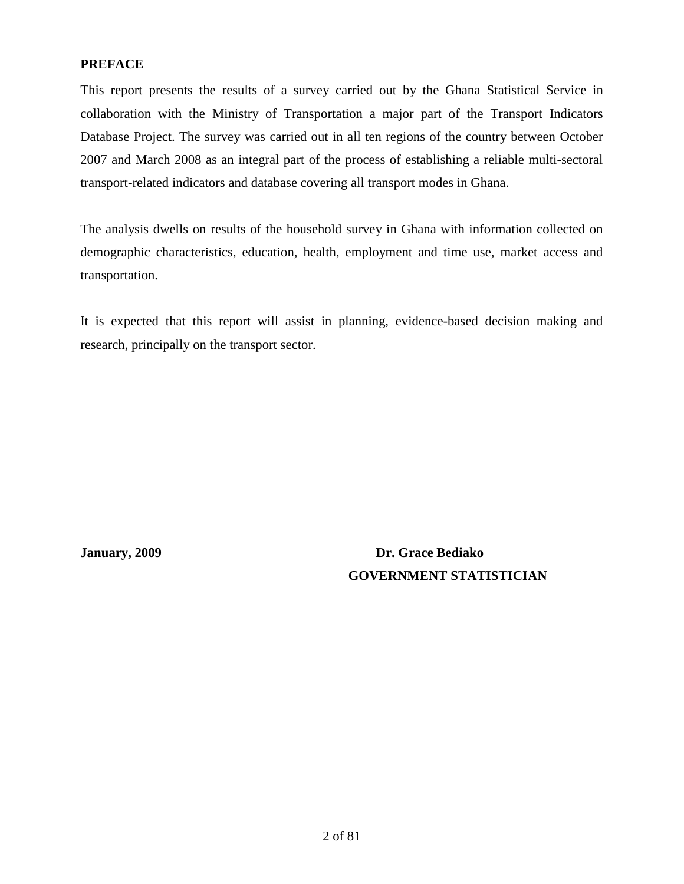# <span id="page-1-0"></span>**PREFACE**

This report presents the results of a survey carried out by the Ghana Statistical Service in collaboration with the Ministry of Transportation a major part of the Transport Indicators Database Project. The survey was carried out in all ten regions of the country between October 2007 and March 2008 as an integral part of the process of establishing a reliable multi-sectoral transport-related indicators and database covering all transport modes in Ghana.

The analysis dwells on results of the household survey in Ghana with information collected on demographic characteristics, education, health, employment and time use, market access and transportation.

It is expected that this report will assist in planning, evidence-based decision making and research, principally on the transport sector.

**January, 2009 Dr. Grace Bediako GOVERNMENT STATISTICIAN**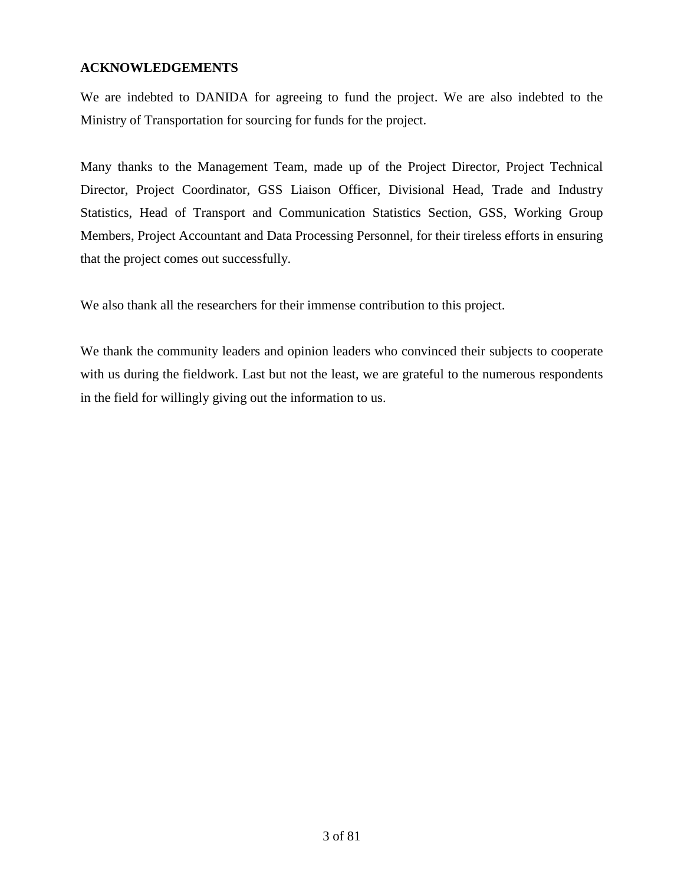# <span id="page-2-0"></span>**ACKNOWLEDGEMENTS**

We are indebted to DANIDA for agreeing to fund the project. We are also indebted to the Ministry of Transportation for sourcing for funds for the project.

Many thanks to the Management Team, made up of the Project Director, Project Technical Director, Project Coordinator, GSS Liaison Officer, Divisional Head, Trade and Industry Statistics, Head of Transport and Communication Statistics Section, GSS, Working Group Members, Project Accountant and Data Processing Personnel, for their tireless efforts in ensuring that the project comes out successfully.

We also thank all the researchers for their immense contribution to this project.

We thank the community leaders and opinion leaders who convinced their subjects to cooperate with us during the fieldwork. Last but not the least, we are grateful to the numerous respondents in the field for willingly giving out the information to us.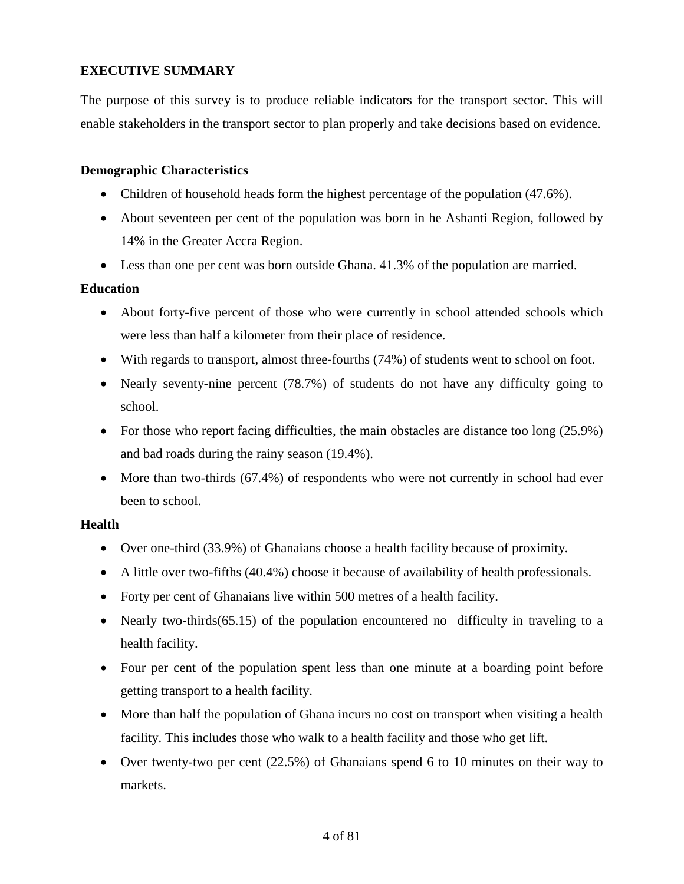# <span id="page-3-0"></span>**EXECUTIVE SUMMARY**

The purpose of this survey is to produce reliable indicators for the transport sector. This will enable stakeholders in the transport sector to plan properly and take decisions based on evidence.

# **Demographic Characteristics**

- Children of household heads form the highest percentage of the population (47.6%).
- About seventeen per cent of the population was born in he Ashanti Region, followed by 14% in the Greater Accra Region.
- Less than one per cent was born outside Ghana. 41.3% of the population are married.

#### **Education**

- About forty-five percent of those who were currently in school attended schools which were less than half a kilometer from their place of residence.
- With regards to transport, almost three-fourths (74%) of students went to school on foot.
- Nearly seventy-nine percent (78.7%) of students do not have any difficulty going to school.
- For those who report facing difficulties, the main obstacles are distance too long (25.9%) and bad roads during the rainy season (19.4%).
- More than two-thirds (67.4%) of respondents who were not currently in school had ever been to school.

#### **Health**

- Over one-third (33.9%) of Ghanaians choose a health facility because of proximity.
- A little over two-fifths (40.4%) choose it because of availability of health professionals.
- Forty per cent of Ghanaians live within 500 metres of a health facility.
- Nearly two-thirds(65.15) of the population encountered no difficulty in traveling to a health facility.
- Four per cent of the population spent less than one minute at a boarding point before getting transport to a health facility.
- More than half the population of Ghana incurs no cost on transport when visiting a health facility. This includes those who walk to a health facility and those who get lift.
- Over twenty-two per cent (22.5%) of Ghanaians spend 6 to 10 minutes on their way to markets.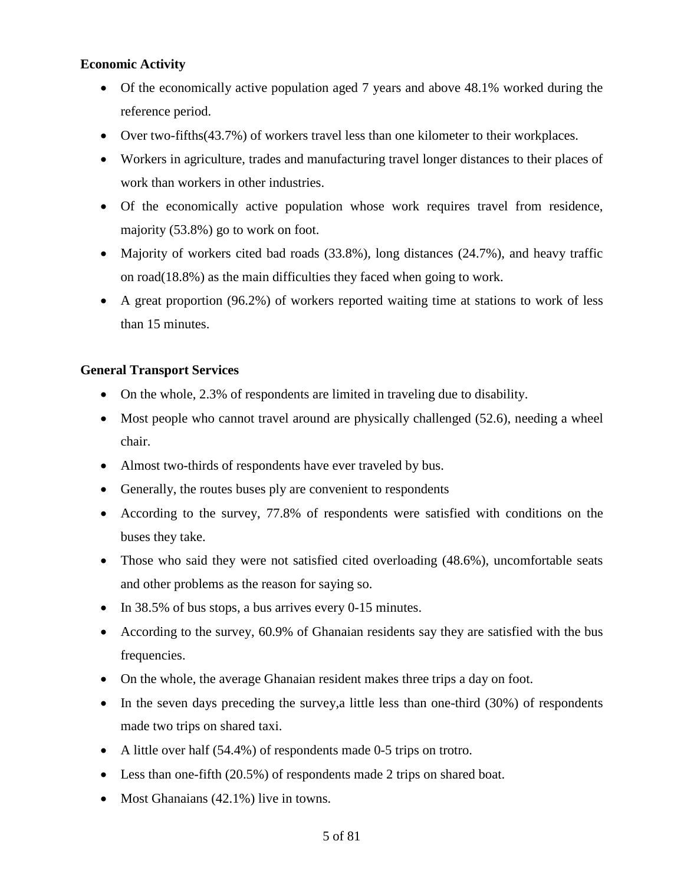# **Economic Activity**

- Of the economically active population aged 7 years and above 48.1% worked during the reference period.
- Over two-fifths (43.7%) of workers travel less than one kilometer to their workplaces.
- Workers in agriculture, trades and manufacturing travel longer distances to their places of work than workers in other industries.
- Of the economically active population whose work requires travel from residence, majority (53.8%) go to work on foot.
- Majority of workers cited bad roads (33.8%), long distances (24.7%), and heavy traffic on road(18.8%) as the main difficulties they faced when going to work.
- A great proportion (96.2%) of workers reported waiting time at stations to work of less than 15 minutes.

# **General Transport Services**

- On the whole, 2.3% of respondents are limited in traveling due to disability.
- Most people who cannot travel around are physically challenged (52.6), needing a wheel chair.
- Almost two-thirds of respondents have ever traveled by bus.
- Generally, the routes buses ply are convenient to respondents
- According to the survey, 77.8% of respondents were satisfied with conditions on the buses they take.
- Those who said they were not satisfied cited overloading (48.6%), uncomfortable seats and other problems as the reason for saying so.
- In 38.5% of bus stops, a bus arrives every 0-15 minutes.
- According to the survey, 60.9% of Ghanaian residents say they are satisfied with the bus frequencies.
- On the whole, the average Ghanaian resident makes three trips a day on foot.
- In the seven days preceding the survey, a little less than one-third (30%) of respondents made two trips on shared taxi.
- A little over half (54.4%) of respondents made 0-5 trips on trotro.
- Less than one-fifth (20.5%) of respondents made 2 trips on shared boat.
- Most Ghanaians (42.1%) live in towns.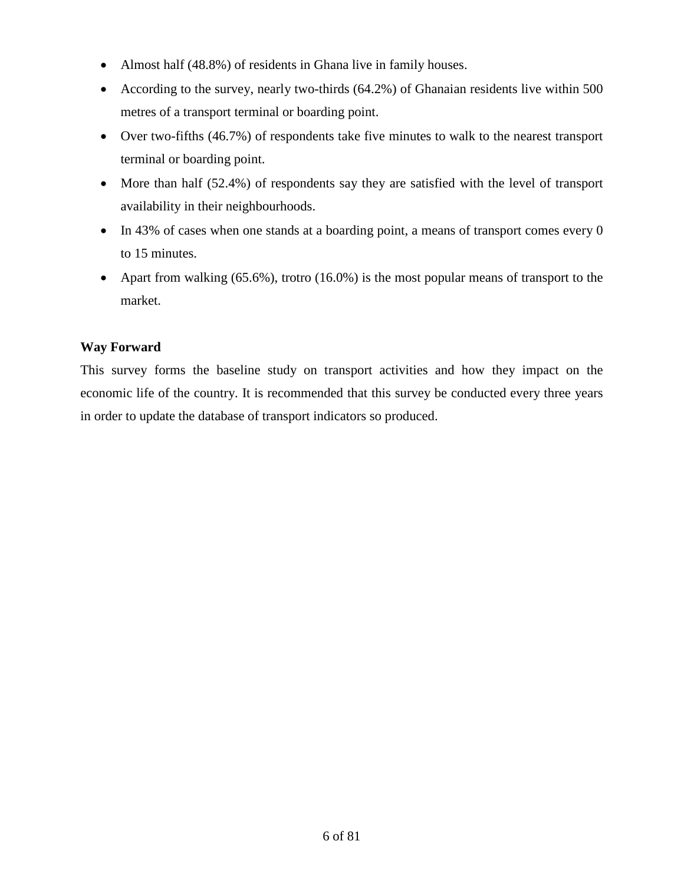- Almost half (48.8%) of residents in Ghana live in family houses.
- According to the survey, nearly two-thirds (64.2%) of Ghanaian residents live within 500 metres of a transport terminal or boarding point.
- Over two-fifths (46.7%) of respondents take five minutes to walk to the nearest transport terminal or boarding point.
- More than half (52.4%) of respondents say they are satisfied with the level of transport availability in their neighbourhoods.
- In 43% of cases when one stands at a boarding point, a means of transport comes every 0 to 15 minutes.
- Apart from walking  $(65.6\%)$ , trotro  $(16.0\%)$  is the most popular means of transport to the market.

# **Way Forward**

This survey forms the baseline study on transport activities and how they impact on the economic life of the country. It is recommended that this survey be conducted every three years in order to update the database of transport indicators so produced.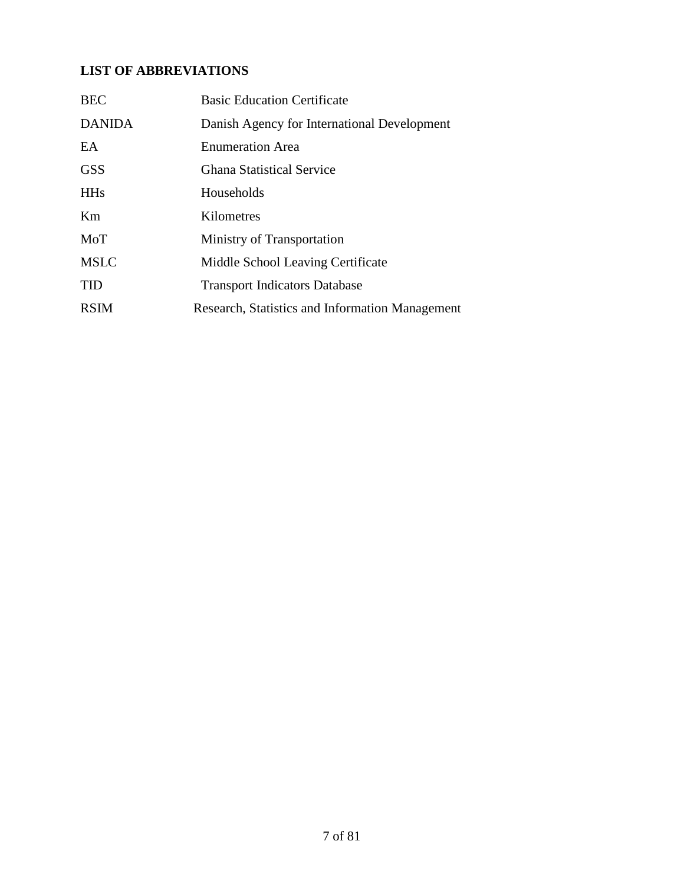# <span id="page-6-0"></span>**LIST OF ABBREVIATIONS**

| <b>BEC</b>    | <b>Basic Education Certificate</b>              |
|---------------|-------------------------------------------------|
| <b>DANIDA</b> | Danish Agency for International Development     |
| EA            | <b>Enumeration Area</b>                         |
| <b>GSS</b>    | <b>Ghana Statistical Service</b>                |
| <b>HHs</b>    | Households                                      |
| Km            | Kilometres                                      |
| MoT           | Ministry of Transportation                      |
| <b>MSLC</b>   | Middle School Leaving Certificate               |
| <b>TID</b>    | <b>Transport Indicators Database</b>            |
| <b>RSIM</b>   | Research, Statistics and Information Management |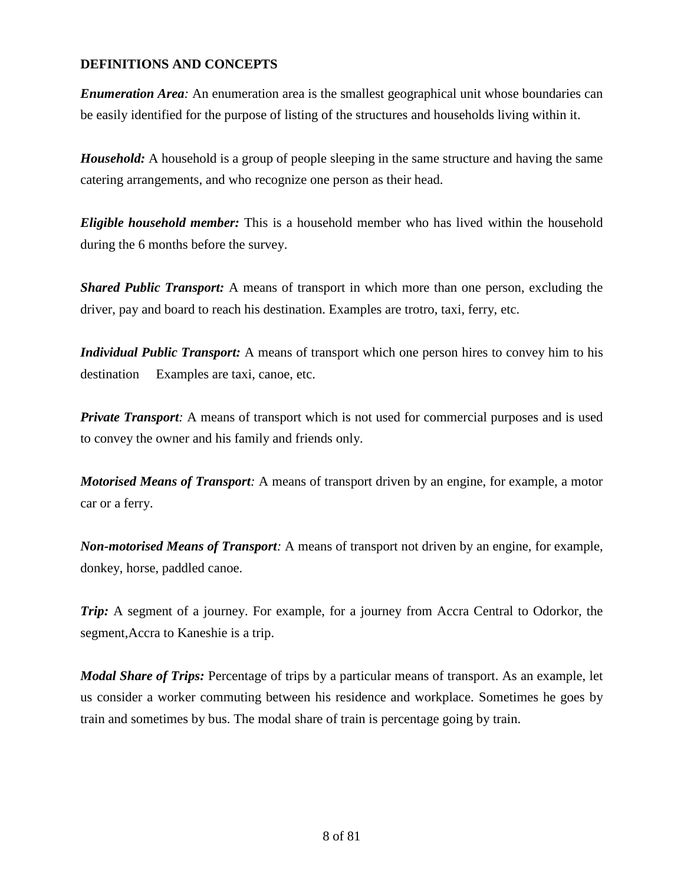# <span id="page-7-0"></span>**DEFINITIONS AND CONCEPTS**

*Enumeration Area:* An enumeration area is the smallest geographical unit whose boundaries can be easily identified for the purpose of listing of the structures and households living within it.

*Household:* A household is a group of people sleeping in the same structure and having the same catering arrangements, and who recognize one person as their head.

*Eligible household member:* This is a household member who has lived within the household during the 6 months before the survey.

*Shared Public Transport:* A means of transport in which more than one person, excluding the driver, pay and board to reach his destination. Examples are trotro, taxi, ferry, etc.

*Individual Public Transport:* A means of transport which one person hires to convey him to his destination Examples are taxi, canoe, etc.

*Private Transport:* A means of transport which is not used for commercial purposes and is used to convey the owner and his family and friends only.

*Motorised Means of Transport:* A means of transport driven by an engine, for example, a motor car or a ferry.

*Non-motorised Means of Transport:* A means of transport not driven by an engine, for example, donkey, horse, paddled canoe.

*Trip:* A segment of a journey. For example, for a journey from Accra Central to Odorkor, the segment,Accra to Kaneshie is a trip.

*Modal Share of Trips:* Percentage of trips by a particular means of transport. As an example, let us consider a worker commuting between his residence and workplace. Sometimes he goes by train and sometimes by bus. The modal share of train is percentage going by train.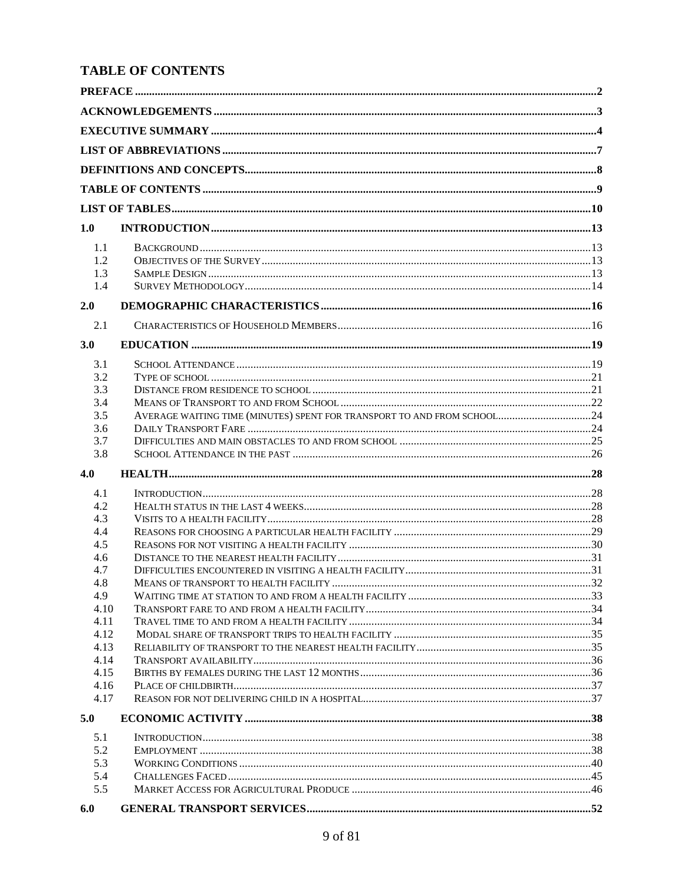# <span id="page-8-0"></span>**TABLE OF CONTENTS**

| 1.0          |                                                                         |  |
|--------------|-------------------------------------------------------------------------|--|
|              |                                                                         |  |
| 1.1<br>1.2   |                                                                         |  |
| 1.3          |                                                                         |  |
| 1.4          |                                                                         |  |
|              |                                                                         |  |
| 2.0          |                                                                         |  |
| 2.1          |                                                                         |  |
| 3.0          |                                                                         |  |
| 3.1          |                                                                         |  |
| 3.2          |                                                                         |  |
| 3.3          |                                                                         |  |
| 3.4          |                                                                         |  |
| 3.5          | AVERAGE WAITING TIME (MINUTES) SPENT FOR TRANSPORT TO AND FROM SCHOOL24 |  |
| 3.6          |                                                                         |  |
| 3.7<br>3.8   |                                                                         |  |
| 4.0          |                                                                         |  |
|              |                                                                         |  |
| 4.1          |                                                                         |  |
| 4.2          |                                                                         |  |
| 4.3<br>4.4   |                                                                         |  |
| 4.5          |                                                                         |  |
| 4.6          |                                                                         |  |
| 4.7          |                                                                         |  |
| 4.8          |                                                                         |  |
| 4.9          |                                                                         |  |
| 4.10         |                                                                         |  |
| 4.11         |                                                                         |  |
| 4.12         |                                                                         |  |
| 4.13         |                                                                         |  |
| 4.14<br>4.15 |                                                                         |  |
| 4.16         |                                                                         |  |
| 4.17         |                                                                         |  |
| 5.0          |                                                                         |  |
| 5.1          |                                                                         |  |
| 5.2          |                                                                         |  |
| 5.3          |                                                                         |  |
| 5.4          |                                                                         |  |
| 5.5          |                                                                         |  |
| 6.0          |                                                                         |  |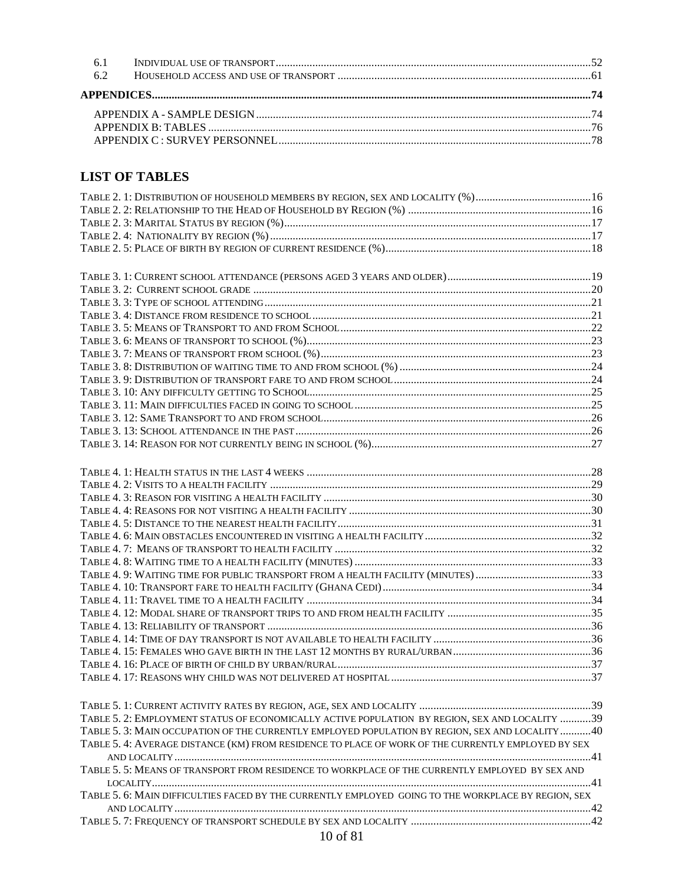| 6.2 |  |
|-----|--|
|     |  |
|     |  |
|     |  |
|     |  |

# <span id="page-9-0"></span>**LIST OF TABLES**

| TABLE 2. 1: DISTRIBUTION OF HOUSEHOLD MEMBERS BY REGION, SEX AND LOCALITY (%)16                     |  |
|-----------------------------------------------------------------------------------------------------|--|
|                                                                                                     |  |
|                                                                                                     |  |
|                                                                                                     |  |
|                                                                                                     |  |
|                                                                                                     |  |
|                                                                                                     |  |
|                                                                                                     |  |
|                                                                                                     |  |
|                                                                                                     |  |
|                                                                                                     |  |
|                                                                                                     |  |
|                                                                                                     |  |
|                                                                                                     |  |
|                                                                                                     |  |
|                                                                                                     |  |
|                                                                                                     |  |
|                                                                                                     |  |
|                                                                                                     |  |
|                                                                                                     |  |
|                                                                                                     |  |
|                                                                                                     |  |
|                                                                                                     |  |
|                                                                                                     |  |
|                                                                                                     |  |
|                                                                                                     |  |
|                                                                                                     |  |
|                                                                                                     |  |
|                                                                                                     |  |
| TABLE 4. 9: WAITING TIME FOR PUBLIC TRANSPORT FROM A HEALTH FACILITY (MINUTES) 33                   |  |
|                                                                                                     |  |
|                                                                                                     |  |
|                                                                                                     |  |
|                                                                                                     |  |
|                                                                                                     |  |
|                                                                                                     |  |
|                                                                                                     |  |
|                                                                                                     |  |
|                                                                                                     |  |
|                                                                                                     |  |
|                                                                                                     |  |
| TABLE 5. 2: EMPLOYMENT STATUS OF ECONOMICALLY ACTIVE POPULATION BY REGION, SEX AND LOCALITY 39      |  |
| TABLE 5.3: MAIN OCCUPATION OF THE CURRENTLY EMPLOYED POPULATION BY REGION, SEX AND LOCALITY 40      |  |
| TABLE 5. 4: AVERAGE DISTANCE (KM) FROM RESIDENCE TO PLACE OF WORK OF THE CURRENTLY EMPLOYED BY SEX  |  |
|                                                                                                     |  |
| TABLE 5. 5: MEANS OF TRANSPORT FROM RESIDENCE TO WORKPLACE OF THE CURRENTLY EMPLOYED BY SEX AND     |  |
|                                                                                                     |  |
| TABLE 5. 6: MAIN DIFFICULTIES FACED BY THE CURRENTLY EMPLOYED GOING TO THE WORKPLACE BY REGION, SEX |  |
|                                                                                                     |  |
|                                                                                                     |  |
| 0.01                                                                                                |  |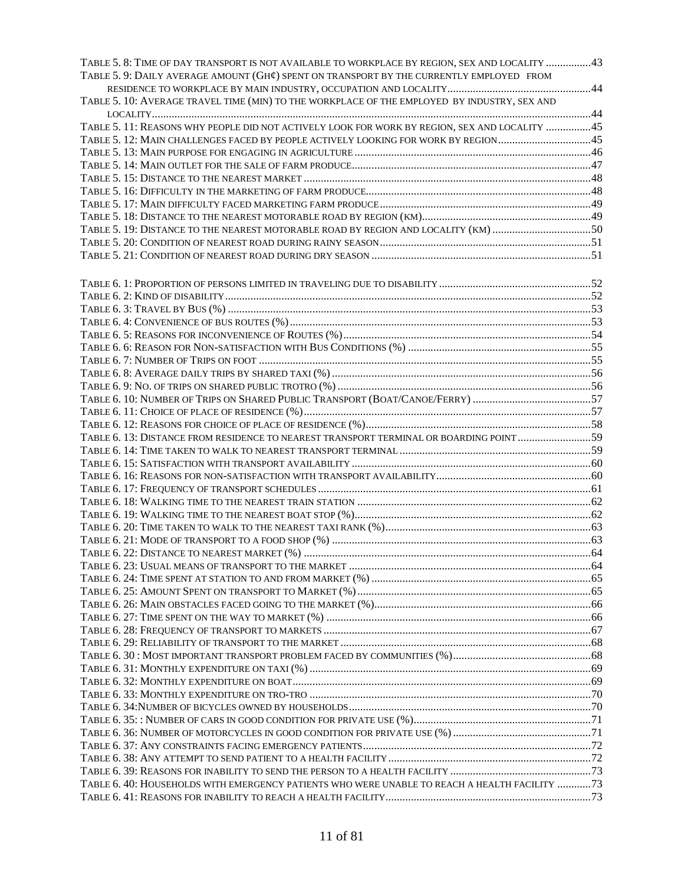| TABLE 5. 8: TIME OF DAY TRANSPORT IS NOT AVAILABLE TO WORKPLACE BY REGION, SEX AND LOCALITY 43 |  |
|------------------------------------------------------------------------------------------------|--|
| TABLE 5. 9: DAILY AVERAGE AMOUNT (GH¢) SPENT ON TRANSPORT BY THE CURRENTLY EMPLOYED FROM       |  |
|                                                                                                |  |
| TABLE 5. 10: AVERAGE TRAVEL TIME (MIN) TO THE WORKPLACE OF THE EMPLOYED BY INDUSTRY, SEX AND   |  |
|                                                                                                |  |
| TABLE 5. 11: REASONS WHY PEOPLE DID NOT ACTIVELY LOOK FOR WORK BY REGION, SEX AND LOCALITY 45  |  |
| TABLE 5. 12: MAIN CHALLENGES FACED BY PEOPLE ACTIVELY LOOKING FOR WORK BY REGION 45            |  |
|                                                                                                |  |
|                                                                                                |  |
|                                                                                                |  |
|                                                                                                |  |
|                                                                                                |  |
|                                                                                                |  |
| TABLE 5. 19: DISTANCE TO THE NEAREST MOTORABLE ROAD BY REGION AND LOCALITY (KM) 50             |  |
|                                                                                                |  |
|                                                                                                |  |
|                                                                                                |  |
|                                                                                                |  |
|                                                                                                |  |
|                                                                                                |  |
|                                                                                                |  |
|                                                                                                |  |
|                                                                                                |  |
|                                                                                                |  |
|                                                                                                |  |
|                                                                                                |  |
|                                                                                                |  |
|                                                                                                |  |
|                                                                                                |  |
| TABLE 6. 13: DISTANCE FROM RESIDENCE TO NEAREST TRANSPORT TERMINAL OR BOARDING POINT 59        |  |
|                                                                                                |  |
|                                                                                                |  |
|                                                                                                |  |
|                                                                                                |  |
|                                                                                                |  |
|                                                                                                |  |
|                                                                                                |  |
|                                                                                                |  |
|                                                                                                |  |
|                                                                                                |  |
|                                                                                                |  |
|                                                                                                |  |
|                                                                                                |  |
|                                                                                                |  |
|                                                                                                |  |
|                                                                                                |  |
|                                                                                                |  |
|                                                                                                |  |
|                                                                                                |  |
|                                                                                                |  |
|                                                                                                |  |
|                                                                                                |  |
|                                                                                                |  |
|                                                                                                |  |
|                                                                                                |  |
|                                                                                                |  |
| TABLE 6.40: HOUSEHOLDS WITH EMERGENCY PATIENTS WHO WERE UNABLE TO REACH A HEALTH FACILITY 73   |  |
|                                                                                                |  |
|                                                                                                |  |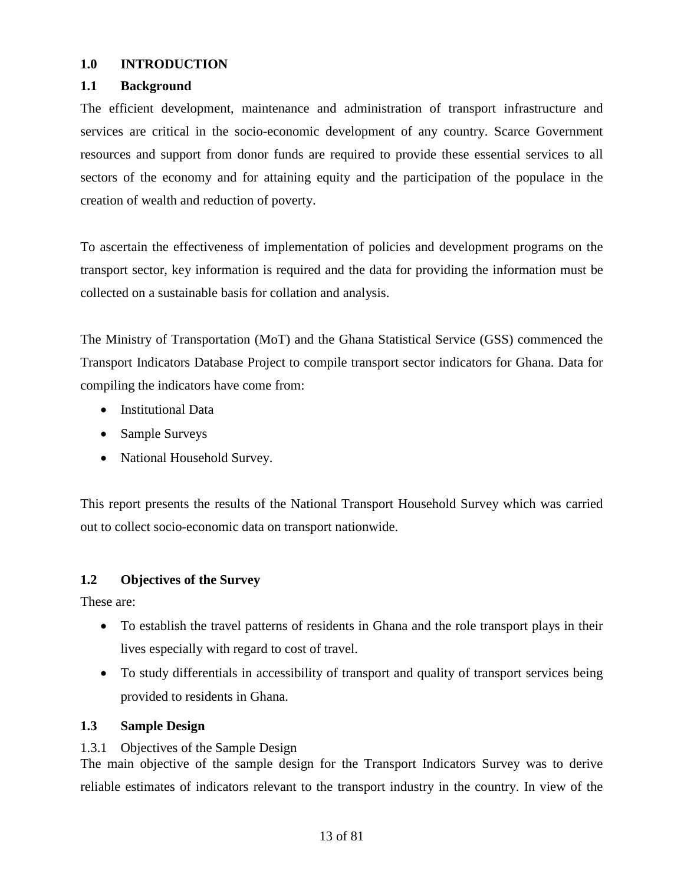### <span id="page-12-0"></span>**1.0 INTRODUCTION**

### <span id="page-12-1"></span>**1.1 Background**

The efficient development, maintenance and administration of transport infrastructure and services are critical in the socio-economic development of any country. Scarce Government resources and support from donor funds are required to provide these essential services to all sectors of the economy and for attaining equity and the participation of the populace in the creation of wealth and reduction of poverty.

To ascertain the effectiveness of implementation of policies and development programs on the transport sector, key information is required and the data for providing the information must be collected on a sustainable basis for collation and analysis.

The Ministry of Transportation (MoT) and the Ghana Statistical Service (GSS) commenced the Transport Indicators Database Project to compile transport sector indicators for Ghana. Data for compiling the indicators have come from:

- Institutional Data
- Sample Surveys
- National Household Survey.

This report presents the results of the National Transport Household Survey which was carried out to collect socio-economic data on transport nationwide.

# <span id="page-12-2"></span>**1.2 Objectives of the Survey**

These are:

- To establish the travel patterns of residents in Ghana and the role transport plays in their lives especially with regard to cost of travel.
- To study differentials in accessibility of transport and quality of transport services being provided to residents in Ghana.

# <span id="page-12-3"></span>**1.3 Sample Design**

# 1.3.1 Objectives of the Sample Design

The main objective of the sample design for the Transport Indicators Survey was to derive reliable estimates of indicators relevant to the transport industry in the country. In view of the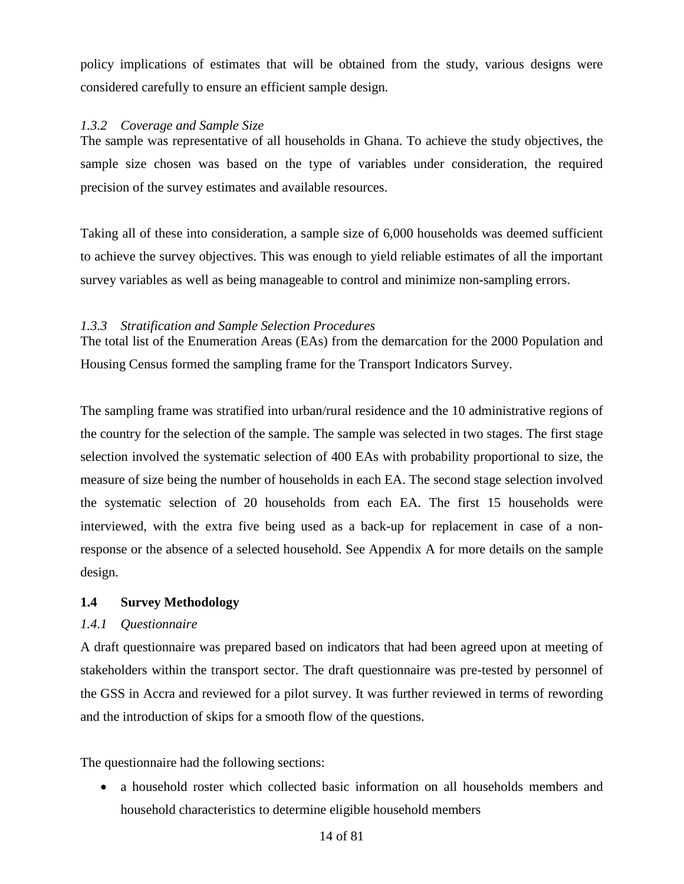policy implications of estimates that will be obtained from the study, various designs were considered carefully to ensure an efficient sample design.

# *1.3.2 Coverage and Sample Size*

The sample was representative of all households in Ghana. To achieve the study objectives, the sample size chosen was based on the type of variables under consideration, the required precision of the survey estimates and available resources.

Taking all of these into consideration, a sample size of 6,000 households was deemed sufficient to achieve the survey objectives. This was enough to yield reliable estimates of all the important survey variables as well as being manageable to control and minimize non-sampling errors.

# *1.3.3 Stratification and Sample Selection Procedures*

The total list of the Enumeration Areas (EAs) from the demarcation for the 2000 Population and Housing Census formed the sampling frame for the Transport Indicators Survey.

The sampling frame was stratified into urban/rural residence and the 10 administrative regions of the country for the selection of the sample. The sample was selected in two stages. The first stage selection involved the systematic selection of 400 EAs with probability proportional to size, the measure of size being the number of households in each EA. The second stage selection involved the systematic selection of 20 households from each EA. The first 15 households were interviewed, with the extra five being used as a back-up for replacement in case of a nonresponse or the absence of a selected household. See Appendix A for more details on the sample design.

# <span id="page-13-0"></span>**1.4 Survey Methodology**

# *1.4.1 Questionnaire*

A draft questionnaire was prepared based on indicators that had been agreed upon at meeting of stakeholders within the transport sector. The draft questionnaire was pre-tested by personnel of the GSS in Accra and reviewed for a pilot survey. It was further reviewed in terms of rewording and the introduction of skips for a smooth flow of the questions.

The questionnaire had the following sections:

• a household roster which collected basic information on all households members and household characteristics to determine eligible household members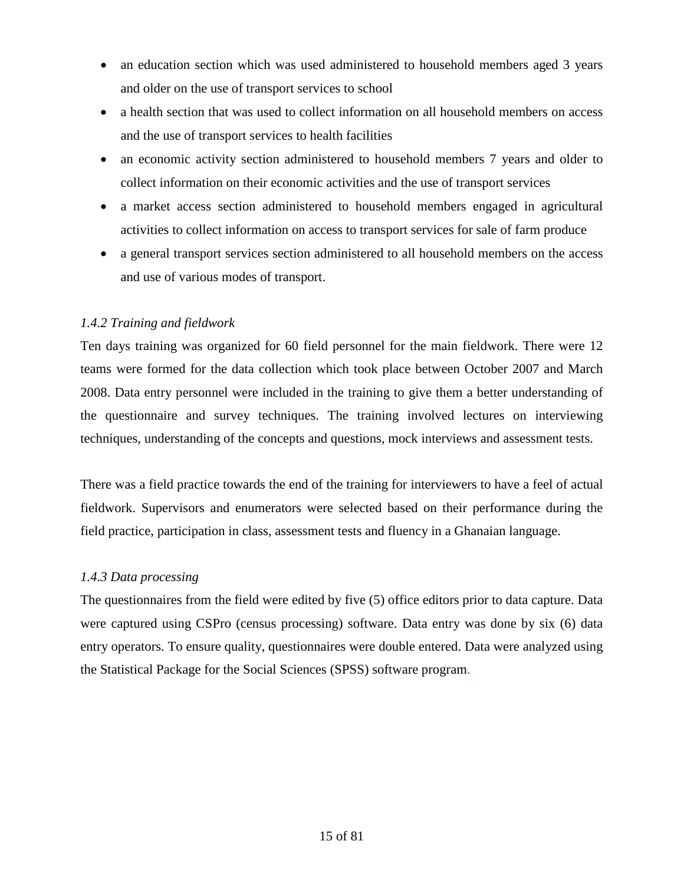- an education section which was used administered to household members aged 3 years and older on the use of transport services to school
- a health section that was used to collect information on all household members on access and the use of transport services to health facilities
- an economic activity section administered to household members 7 years and older to collect information on their economic activities and the use of transport services
- a market access section administered to household members engaged in agricultural activities to collect information on access to transport services for sale of farm produce
- a general transport services section administered to all household members on the access and use of various modes of transport.

# *1.4.2 Training and fieldwork*

Ten days training was organized for 60 field personnel for the main fieldwork. There were 12 teams were formed for the data collection which took place between October 2007 and March 2008. Data entry personnel were included in the training to give them a better understanding of the questionnaire and survey techniques. The training involved lectures on interviewing techniques, understanding of the concepts and questions, mock interviews and assessment tests.

There was a field practice towards the end of the training for interviewers to have a feel of actual fieldwork. Supervisors and enumerators were selected based on their performance during the field practice, participation in class, assessment tests and fluency in a Ghanaian language.

# *1.4.3 Data processing*

The questionnaires from the field were edited by five (5) office editors prior to data capture. Data were captured using CSPro (census processing) software. Data entry was done by six (6) data entry operators. To ensure quality, questionnaires were double entered. Data were analyzed using the Statistical Package for the Social Sciences (SPSS) software program.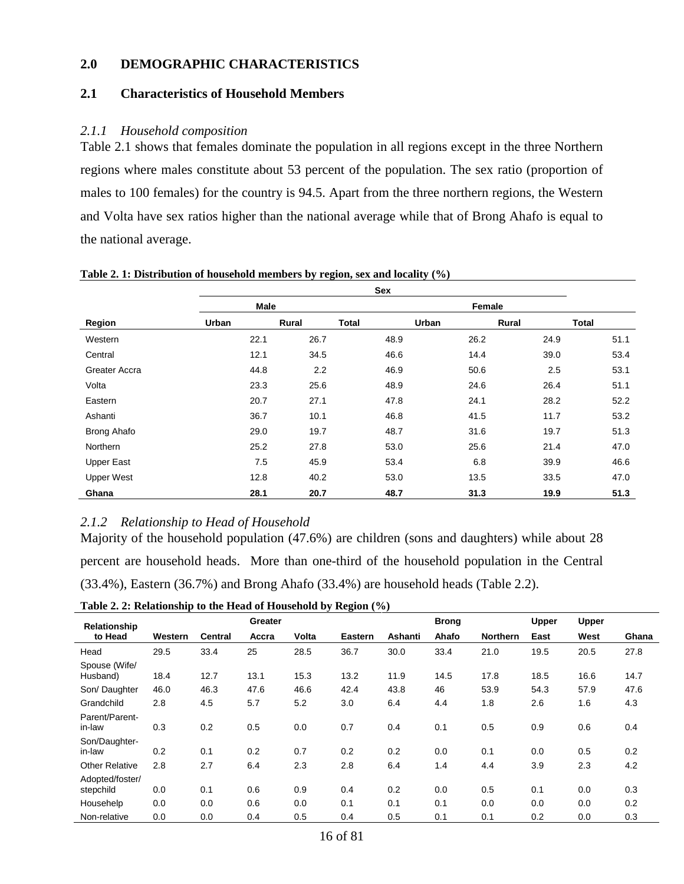### <span id="page-15-0"></span>**2.0 DEMOGRAPHIC CHARACTERISTICS**

### <span id="page-15-1"></span>**2.1 Characteristics of Household Members**

#### *2.1.1 Household composition*

Table 2.1 shows that females dominate the population in all regions except in the three Northern regions where males constitute about 53 percent of the population. The sex ratio (proportion of males to 100 females) for the country is 94.5. Apart from the three northern regions, the Western and Volta have sex ratios higher than the national average while that of Brong Ahafo is equal to the national average.

|                   | Male  |       |              | Female |       |              |
|-------------------|-------|-------|--------------|--------|-------|--------------|
| Region            | Urban | Rural | <b>Total</b> | Urban  | Rural | <b>Total</b> |
| Western           | 22.1  | 26.7  | 48.9         | 26.2   | 24.9  | 51.1         |
| Central           | 12.1  | 34.5  | 46.6         | 14.4   | 39.0  | 53.4         |
| Greater Accra     | 44.8  | 2.2   | 46.9         | 50.6   | 2.5   | 53.1         |
| Volta             | 23.3  | 25.6  | 48.9         | 24.6   | 26.4  | 51.1         |
| Eastern           | 20.7  | 27.1  | 47.8         | 24.1   | 28.2  | 52.2         |
| Ashanti           | 36.7  | 10.1  | 46.8         | 41.5   | 11.7  | 53.2         |
| Brong Ahafo       | 29.0  | 19.7  | 48.7         | 31.6   | 19.7  | 51.3         |
| <b>Northern</b>   | 25.2  | 27.8  | 53.0         | 25.6   | 21.4  | 47.0         |
| <b>Upper East</b> | 7.5   | 45.9  | 53.4         | 6.8    | 39.9  | 46.6         |
| <b>Upper West</b> | 12.8  | 40.2  | 53.0         | 13.5   | 33.5  | 47.0         |
| Ghana             | 28.1  | 20.7  | 48.7         | 31.3   | 19.9  | 51.3         |

#### <span id="page-15-2"></span>**Table 2. 1: Distribution of household members by region, sex and locality (%)**

### *2.1.2 Relationship to Head of Household*

Majority of the household population (47.6%) are children (sons and daughters) while about 28 percent are household heads. More than one-third of the household population in the Central (33.4%), Eastern (36.7%) and Brong Ahafo (33.4%) are household heads (Table 2.2).

<span id="page-15-3"></span>**Table 2. 2: Relationship to the Head of Household by Region (%)**

| Relationship                 |         |                | Greater |       |         |         | <b>Brong</b> |                 | <b>Upper</b> | Upper |       |
|------------------------------|---------|----------------|---------|-------|---------|---------|--------------|-----------------|--------------|-------|-------|
| to Head                      | Western | <b>Central</b> | Accra   | Volta | Eastern | Ashanti | Ahafo        | <b>Northern</b> | East         | West  | Ghana |
| Head                         | 29.5    | 33.4           | 25      | 28.5  | 36.7    | 30.0    | 33.4         | 21.0            | 19.5         | 20.5  | 27.8  |
| Spouse (Wife/<br>Husband)    | 18.4    | 12.7           | 13.1    | 15.3  | 13.2    | 11.9    | 14.5         | 17.8            | 18.5         | 16.6  | 14.7  |
| Son/Daughter                 | 46.0    | 46.3           | 47.6    | 46.6  | 42.4    | 43.8    | 46           | 53.9            | 54.3         | 57.9  | 47.6  |
| Grandchild                   | 2.8     | 4.5            | 5.7     | 5.2   | 3.0     | 6.4     | 4.4          | 1.8             | 2.6          | 1.6   | 4.3   |
| Parent/Parent-<br>in-law     | 0.3     | 0.2            | 0.5     | 0.0   | 0.7     | 0.4     | 0.1          | 0.5             | 0.9          | 0.6   | 0.4   |
| Son/Daughter-<br>in-law      | 0.2     | 0.1            | 0.2     | 0.7   | 0.2     | 0.2     | 0.0          | 0.1             | 0.0          | 0.5   | 0.2   |
| <b>Other Relative</b>        | 2.8     | 2.7            | 6.4     | 2.3   | 2.8     | 6.4     | 1.4          | 4.4             | 3.9          | 2.3   | 4.2   |
| Adopted/foster/<br>stepchild | 0.0     | 0.1            | 0.6     | 0.9   | 0.4     | 0.2     | 0.0          | 0.5             | 0.1          | 0.0   | 0.3   |
| Househelp                    | 0.0     | 0.0            | 0.6     | 0.0   | 0.1     | 0.1     | 0.1          | 0.0             | 0.0          | 0.0   | 0.2   |
| Non-relative                 | 0.0     | 0.0            | 0.4     | 0.5   | 0.4     | 0.5     | 0.1          | 0.1             | 0.2          | 0.0   | 0.3   |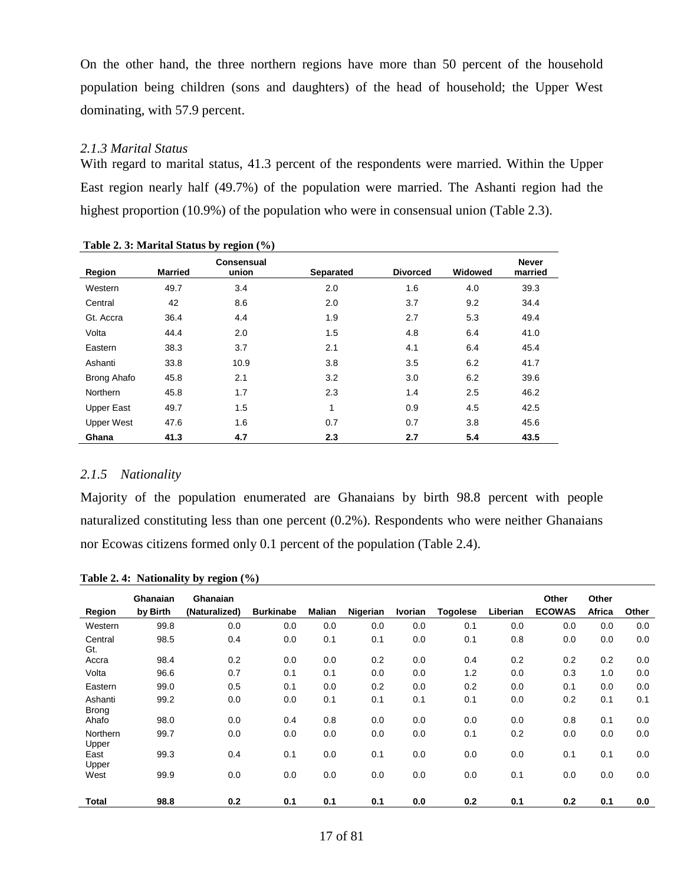On the other hand, the three northern regions have more than 50 percent of the household population being children (sons and daughters) of the head of household; the Upper West dominating, with 57.9 percent.

#### *2.1.3 Marital Status*

With regard to marital status, 41.3 percent of the respondents were married. Within the Upper East region nearly half (49.7%) of the population were married. The Ashanti region had the highest proportion (10.9%) of the population who were in consensual union (Table 2.3).

|                    |                | Tubic 2. $\sigma$ , married builds by Tegron (70) |                  |                 |         |                         |
|--------------------|----------------|---------------------------------------------------|------------------|-----------------|---------|-------------------------|
| Region             | <b>Married</b> | <b>Consensual</b><br>union                        | <b>Separated</b> | <b>Divorced</b> | Widowed | <b>Never</b><br>married |
| Western            | 49.7           | 3.4                                               | 2.0              | 1.6             | 4.0     | 39.3                    |
| Central            | 42             | 8.6                                               | 2.0              | 3.7             | 9.2     | 34.4                    |
| Gt. Accra          | 36.4           | 4.4                                               | 1.9              | 2.7             | 5.3     | 49.4                    |
| Volta              | 44.4           | 2.0                                               | 1.5              | 4.8             | 6.4     | 41.0                    |
| Eastern            | 38.3           | 3.7                                               | 2.1              | 4.1             | 6.4     | 45.4                    |
| Ashanti            | 33.8           | 10.9                                              | 3.8              | 3.5             | 6.2     | 41.7                    |
| <b>Brong Ahafo</b> | 45.8           | 2.1                                               | 3.2              | 3.0             | 6.2     | 39.6                    |
| Northern           | 45.8           | 1.7                                               | 2.3              | 1.4             | 2.5     | 46.2                    |
| Upper East         | 49.7           | 1.5                                               | 1                | 0.9             | 4.5     | 42.5                    |
| <b>Upper West</b>  | 47.6           | 1.6                                               | 0.7              | 0.7             | 3.8     | 45.6                    |
| Ghana              | 41.3           | 4.7                                               | 2.3              | 2.7             | 5.4     | 43.5                    |

<span id="page-16-0"></span>**Table 2. 3: Marital Status by region (%)**

#### *2.1.5 Nationality*

Majority of the population enumerated are Ghanaians by birth 98.8 percent with people naturalized constituting less than one percent (0.2%). Respondents who were neither Ghanaians nor Ecowas citizens formed only 0.1 percent of the population (Table 2.4).

|                          | Ghanaian | Ghanaian      |                  |        |          |         |                 |          | Other         | Other  |       |
|--------------------------|----------|---------------|------------------|--------|----------|---------|-----------------|----------|---------------|--------|-------|
| Region                   | by Birth | (Naturalized) | <b>Burkinabe</b> | Malian | Nigerian | Ivorian | <b>Togolese</b> | Liberian | <b>ECOWAS</b> | Africa | Other |
| Western                  | 99.8     | 0.0           | 0.0              | 0.0    | 0.0      | 0.0     | 0.1             | 0.0      | 0.0           | 0.0    | 0.0   |
| Central<br>Gt.           | 98.5     | 0.4           | 0.0              | 0.1    | 0.1      | 0.0     | 0.1             | 0.8      | 0.0           | 0.0    | 0.0   |
| Accra                    | 98.4     | 0.2           | 0.0              | 0.0    | 0.2      | 0.0     | 0.4             | 0.2      | 0.2           | 0.2    | 0.0   |
| Volta                    | 96.6     | 0.7           | 0.1              | 0.1    | 0.0      | 0.0     | 1.2             | 0.0      | 0.3           | 1.0    | 0.0   |
| Eastern                  | 99.0     | 0.5           | 0.1              | 0.0    | 0.2      | 0.0     | 0.2             | 0.0      | 0.1           | 0.0    | 0.0   |
| Ashanti<br><b>Brong</b>  | 99.2     | 0.0           | 0.0              | 0.1    | 0.1      | 0.1     | 0.1             | 0.0      | 0.2           | 0.1    | 0.1   |
| Ahafo                    | 98.0     | 0.0           | 0.4              | 0.8    | 0.0      | 0.0     | 0.0             | 0.0      | 0.8           | 0.1    | 0.0   |
| <b>Northern</b><br>Upper | 99.7     | 0.0           | 0.0              | 0.0    | 0.0      | 0.0     | 0.1             | 0.2      | 0.0           | 0.0    | 0.0   |
| East<br>Upper            | 99.3     | 0.4           | 0.1              | 0.0    | 0.1      | 0.0     | 0.0             | 0.0      | 0.1           | 0.1    | 0.0   |
| West                     | 99.9     | 0.0           | 0.0              | 0.0    | 0.0      | 0.0     | 0.0             | 0.1      | 0.0           | 0.0    | 0.0   |
| <b>Total</b>             | 98.8     | 0.2           | 0.1              | 0.1    | 0.1      | 0.0     | 0.2             | 0.1      | 0.2           | 0.1    | 0.0   |

<span id="page-16-1"></span>**Table 2. 4: Nationality by region (%)**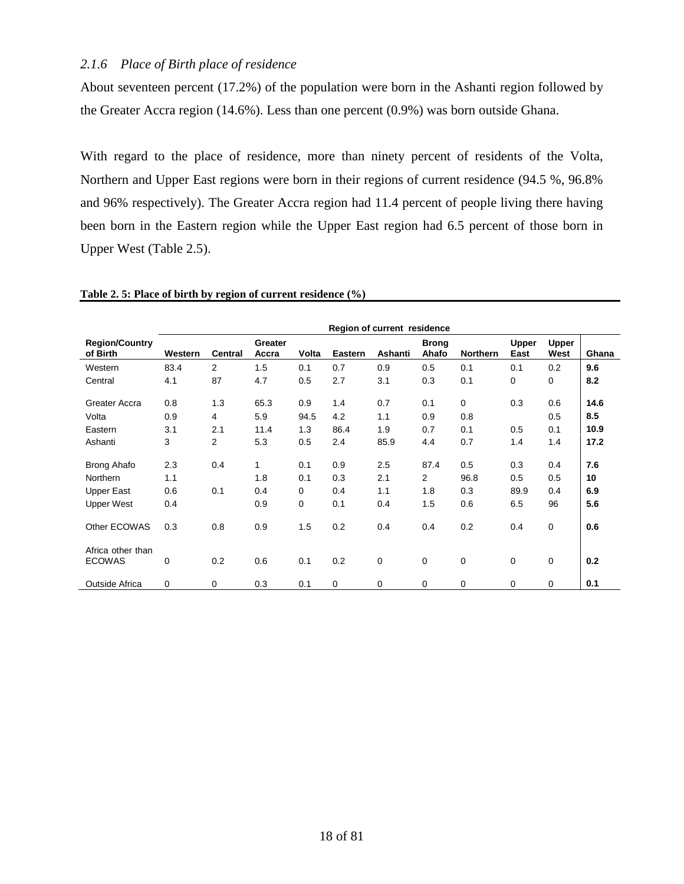### *2.1.6 Place of Birth place of residence*

About seventeen percent (17.2%) of the population were born in the Ashanti region followed by the Greater Accra region (14.6%). Less than one percent (0.9%) was born outside Ghana.

With regard to the place of residence, more than ninety percent of residents of the Volta, Northern and Upper East regions were born in their regions of current residence (94.5 %, 96.8% and 96% respectively). The Greater Accra region had 11.4 percent of people living there having been born in the Eastern region while the Upper East region had 6.5 percent of those born in Upper West (Table 2.5).

|                                    | Region of current residence |                |                  |             |                |             |                       |                 |                      |                      |       |
|------------------------------------|-----------------------------|----------------|------------------|-------------|----------------|-------------|-----------------------|-----------------|----------------------|----------------------|-------|
| <b>Region/Country</b><br>of Birth  | Western                     | <b>Central</b> | Greater<br>Accra | Volta       | <b>Eastern</b> | Ashanti     | <b>Brong</b><br>Ahafo | <b>Northern</b> | <b>Upper</b><br>East | <b>Upper</b><br>West | Ghana |
| Western                            | 83.4                        | $\overline{2}$ | 1.5              | 0.1         | 0.7            | 0.9         | 0.5                   | 0.1             | 0.1                  | 0.2                  | 9.6   |
| Central                            | 4.1                         | 87             | 4.7              | 0.5         | 2.7            | 3.1         | 0.3                   | 0.1             | 0                    | $\mathbf 0$          | 8.2   |
| Greater Accra                      | 0.8                         | 1.3            | 65.3             | 0.9         | 1.4            | 0.7         | 0.1                   | $\mathbf 0$     | 0.3                  | 0.6                  | 14.6  |
| Volta                              | 0.9                         | 4              | 5.9              | 94.5        | 4.2            | 1.1         | 0.9                   | 0.8             |                      | 0.5                  | 8.5   |
| Eastern                            | 3.1                         | 2.1            | 11.4             | 1.3         | 86.4           | 1.9         | 0.7                   | 0.1             | 0.5                  | 0.1                  | 10.9  |
| Ashanti                            | 3                           | 2              | 5.3              | 0.5         | 2.4            | 85.9        | 4.4                   | 0.7             | 1.4                  | 1.4                  | 17.2  |
| <b>Brong Ahafo</b>                 | 2.3                         | 0.4            | 1                | 0.1         | 0.9            | 2.5         | 87.4                  | 0.5             | 0.3                  | 0.4                  | 7.6   |
| <b>Northern</b>                    | 1.1                         |                | 1.8              | 0.1         | 0.3            | 2.1         | $\overline{2}$        | 96.8            | 0.5                  | 0.5                  | 10    |
| <b>Upper East</b>                  | 0.6                         | 0.1            | 0.4              | 0           | 0.4            | 1.1         | 1.8                   | 0.3             | 89.9                 | 0.4                  | 6.9   |
| <b>Upper West</b>                  | 0.4                         |                | 0.9              | $\mathbf 0$ | 0.1            | 0.4         | 1.5                   | 0.6             | 6.5                  | 96                   | 5.6   |
| Other ECOWAS                       | 0.3                         | 0.8            | 0.9              | 1.5         | 0.2            | 0.4         | 0.4                   | 0.2             | 0.4                  | $\mathbf 0$          | 0.6   |
| Africa other than<br><b>ECOWAS</b> | 0                           | 0.2            | 0.6              | 0.1         | 0.2            | $\mathbf 0$ | $\mathbf 0$           | 0               | $\mathbf 0$          | $\mathbf 0$          | 0.2   |
| Outside Africa                     | 0                           | 0              | 0.3              | 0.1         | 0              | 0           | 0                     | 0               | 0                    | 0                    | 0.1   |

<span id="page-17-0"></span>**Table 2. 5: Place of birth by region of current residence (%)**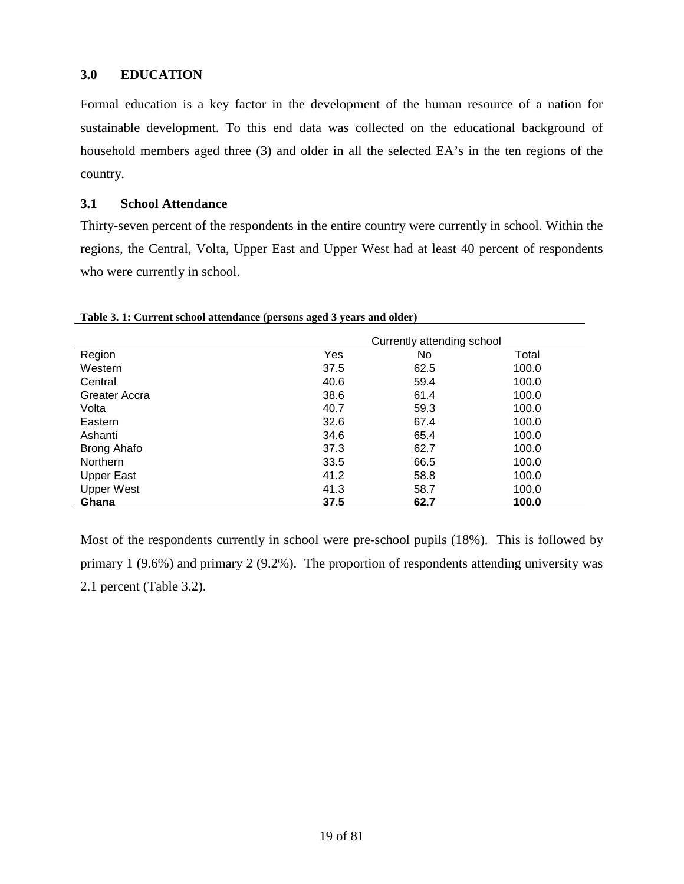# <span id="page-18-0"></span>**3.0 EDUCATION**

Formal education is a key factor in the development of the human resource of a nation for sustainable development. To this end data was collected on the educational background of household members aged three (3) and older in all the selected EA's in the ten regions of the country.

#### <span id="page-18-1"></span>**3.1 School Attendance**

Thirty-seven percent of the respondents in the entire country were currently in school. Within the regions, the Central, Volta, Upper East and Upper West had at least 40 percent of respondents who were currently in school.

|                    |      | Currently attending school |       |
|--------------------|------|----------------------------|-------|
| Region             | Yes  | No                         | Total |
| Western            | 37.5 | 62.5                       | 100.0 |
| Central            | 40.6 | 59.4                       | 100.0 |
| Greater Accra      | 38.6 | 61.4                       | 100.0 |
| Volta              | 40.7 | 59.3                       | 100.0 |
| Eastern            | 32.6 | 67.4                       | 100.0 |
| Ashanti            | 34.6 | 65.4                       | 100.0 |
| <b>Brong Ahafo</b> | 37.3 | 62.7                       | 100.0 |
| Northern           | 33.5 | 66.5                       | 100.0 |
| <b>Upper East</b>  | 41.2 | 58.8                       | 100.0 |
| <b>Upper West</b>  | 41.3 | 58.7                       | 100.0 |
| Ghana              | 37.5 | 62.7                       | 100.0 |

<span id="page-18-2"></span>**Table 3. 1: Current school attendance (persons aged 3 years and older)**

Most of the respondents currently in school were pre-school pupils (18%). This is followed by primary 1 (9.6%) and primary 2 (9.2%). The proportion of respondents attending university was 2.1 percent (Table 3.2).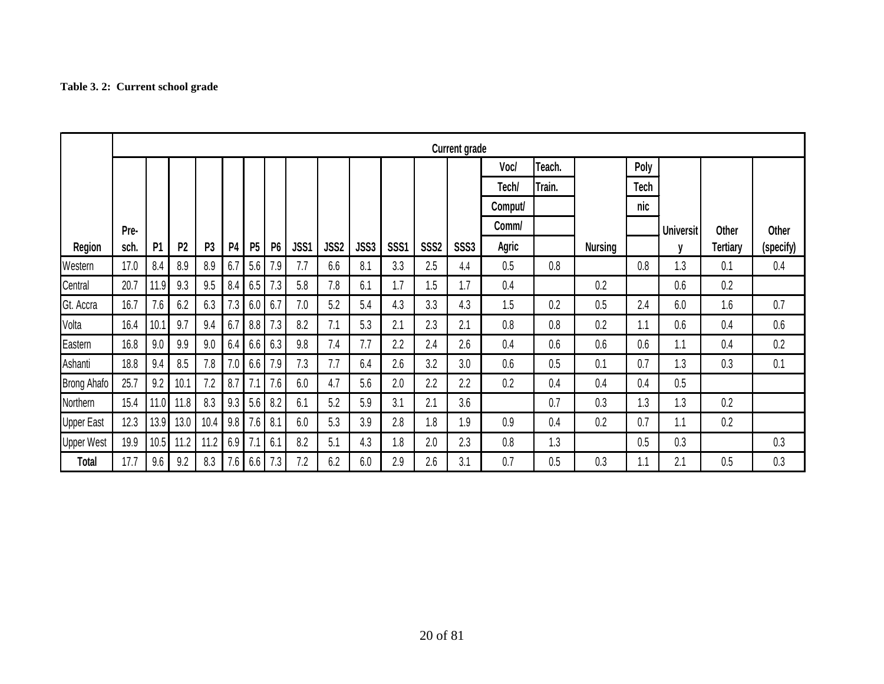# **Table 3. 2: Current school grade**

<span id="page-19-0"></span>

|                    | <b>Current grade</b> |                |                |                |                |                |           |      |                  |      |                  |                  |             |         |        |                |             |                  |              |           |
|--------------------|----------------------|----------------|----------------|----------------|----------------|----------------|-----------|------|------------------|------|------------------|------------------|-------------|---------|--------|----------------|-------------|------------------|--------------|-----------|
|                    |                      |                |                |                |                |                |           |      |                  |      |                  |                  |             | Voc/    | Teach. |                | Poly        |                  |              |           |
|                    |                      |                |                |                |                |                |           |      |                  |      |                  |                  |             | Tech/   | Train. |                | <b>Tech</b> |                  |              |           |
|                    |                      |                |                |                |                |                |           |      |                  |      |                  |                  |             | Comput/ |        |                | nic         |                  |              |           |
|                    | Pre-                 |                |                |                |                |                |           |      |                  |      |                  |                  |             | Comm/   |        |                |             | <b>Universit</b> | <b>Other</b> | Other     |
| <b>Region</b>      | sch.                 | P <sub>1</sub> | P <sub>2</sub> | P <sub>3</sub> | P <sub>4</sub> | P <sub>5</sub> | <b>P6</b> | JSS1 | JSS <sub>2</sub> | JSS3 | SSS <sub>1</sub> | SSS <sub>2</sub> | <b>SSS3</b> | Agric   |        | <b>Nursing</b> |             | V                | Tertiary     | (specify) |
| Western            | 17.0                 | 8.4            | 8.9            | 8.9            | 6.7            | 5.6            | 7.9       | 7.7  | 6.6              | 8.1  | 3.3              | 2.5              | 4.4         | 0.5     | 0.8    |                | 0.8         | 1.3              | 0.1          | 0.4       |
| Central            | 20.7                 | 11.9           | 9.3            | 9.5            | 8.4            | 6.5            | 7.3       | 5.8  | 7.8              | 6.1  | 1.7              | 1.5              | 1.7         | 0.4     |        | 0.2            |             | 0.6              | 0.2          |           |
| Gt. Accra          | 16.7                 | 7.6            | 6.2            | 6.3            | 7.3            | 6.0            | 6.7       | 7.0  | 5.2              | 5.4  | 4.3              | 3.3              | 4.3         | 1.5     | 0.2    | 0.5            | 2.4         | 6.0              | 1.6          | 0.7       |
| Volta              | 16.4                 | 10.1           | 9.7            | 9.4            | 6.7            | 8.8            | 7.3       | 8.2  | 7.1              | 5.3  | 2.1              | 2.3              | 2.1         | 0.8     | 0.8    | 0.2            | 1.1         | 0.6              | 0.4          | 0.6       |
| Eastern            | 16.8                 | 9.0            | 9.9            | 9.0            | 6.4            | 6.6            | 6.3       | 9.8  | 7.4              | 7.7  | 2.2              | 2.4              | 2.6         | 0.4     | 0.6    | 0.6            | 0.6         | 1.1              | 0.4          | 0.2       |
| Ashanti            | 18.8                 | 9.4            | 8.5            | 7.8            | 7.0            | 6.6            | 7.9       | 7.3  | 7.7              | 6.4  | 2.6              | 3.2              | 3.0         | 0.6     | 0.5    | 0.1            | 0.7         | 1.3              | 0.3          | 0.1       |
| <b>Brong Ahafo</b> | 25.7                 | 9.2            | 10.1           | 7.2            | 8.7            | 7.1            | 7.6       | 6.0  | 4.7              | 5.6  | 2.0              | 2.2              | 2.2         | 0.2     | 0.4    | 0.4            | 0.4         | 0.5              |              |           |
| Northern           | 15.4                 | 11.0           | 11.8           | 8.3            | 9.3            | 5.6            | 8.2       | 6.1  | 5.2              | 5.9  | 3.1              | 2.1              | 3.6         |         | 0.7    | 0.3            | 1.3         | 1.3              | 0.2          |           |
| <b>Upper East</b>  | 12.3                 | 13.9           | 13.0           | 10.4           | 9.8            | 7.6            | 8.1       | 6.0  | 5.3              | 3.9  | 2.8              | 1.8              | 1.9         | 0.9     | 0.4    | 0.2            | 0.7         | 1.1              | 0.2          |           |
| <b>Upper West</b>  | 19.9                 | 10.5           | 11.2           | 11.2           | 6.9            | 7.1            | 6.1       | 8.2  | 5.1              | 4.3  | 1.8              | 2.0              | 2.3         | 0.8     | 1.3    |                | 0.5         | 0.3              |              | 0.3       |
| <b>Total</b>       | 17.7                 | 9.6            | 9.2            | 8.3            | 7.6            | 6.6            | 7.3       | 7.2  | 6.2              | 6.0  | 2.9              | 2.6              | 3.1         | 0.7     | 0.5    | 0.3            | 1.1         | 2.1              | 0.5          | 0.3       |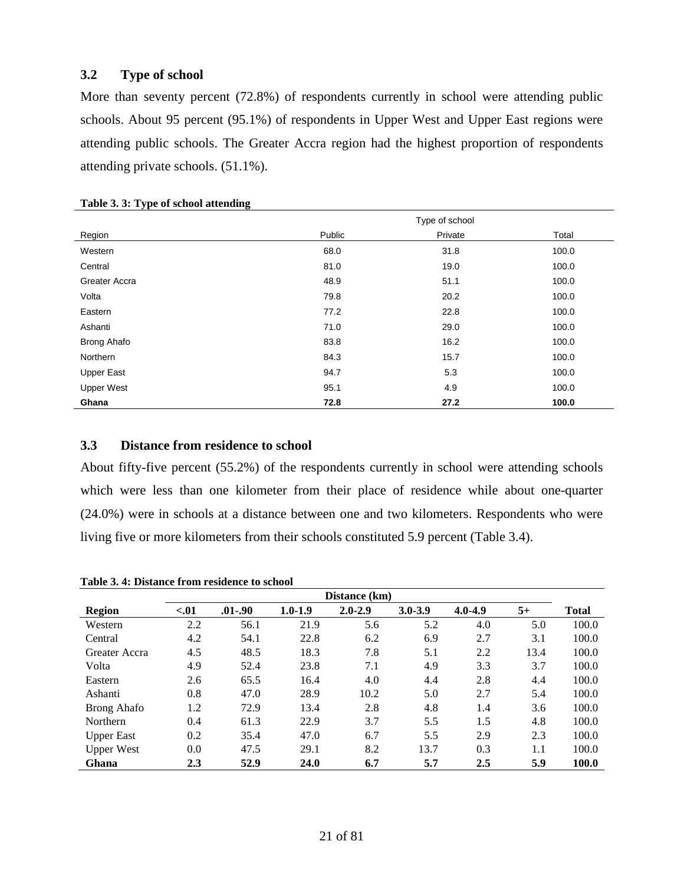### <span id="page-20-0"></span>**3.2 Type of school**

More than seventy percent (72.8%) of respondents currently in school were attending public schools. About 95 percent (95.1%) of respondents in Upper West and Upper East regions were attending public schools. The Greater Accra region had the highest proportion of respondents attending private schools. (51.1%).

|                    |        | Type of school |       |
|--------------------|--------|----------------|-------|
| Region             | Public | Private        | Total |
| Western            | 68.0   | 31.8           | 100.0 |
| Central            | 81.0   | 19.0           | 100.0 |
| Greater Accra      | 48.9   | 51.1           | 100.0 |
| Volta              | 79.8   | 20.2           | 100.0 |
| Eastern            | 77.2   | 22.8           | 100.0 |
| Ashanti            | 71.0   | 29.0           | 100.0 |
| <b>Brong Ahafo</b> | 83.8   | 16.2           | 100.0 |
| Northern           | 84.3   | 15.7           | 100.0 |
| <b>Upper East</b>  | 94.7   | 5.3            | 100.0 |
| <b>Upper West</b>  | 95.1   | 4.9            | 100.0 |
| Ghana              | 72.8   | 27.2           | 100.0 |

#### <span id="page-20-2"></span>**Table 3. 3: Type of school attending**

#### <span id="page-20-1"></span>**3.3 Distance from residence to school**

About fifty-five percent (55.2%) of the respondents currently in school were attending schools which were less than one kilometer from their place of residence while about one-quarter (24.0%) were in schools at a distance between one and two kilometers. Respondents who were living five or more kilometers from their schools constituted 5.9 percent (Table 3.4).

<span id="page-20-3"></span>**Table 3. 4: Distance from residence to school**

|                   |      |             |             | Distance (km) |             |             |      |              |
|-------------------|------|-------------|-------------|---------------|-------------|-------------|------|--------------|
| Region            | < 01 | $.01 - .90$ | $1.0 - 1.9$ | $2.0 - 2.9$   | $3.0 - 3.9$ | $4.0 - 4.9$ | $5+$ | <b>Total</b> |
| Western           | 2.2  | 56.1        | 21.9        | 5.6           | 5.2         | 4.0         | 5.0  | 100.0        |
| Central           | 4.2  | 54.1        | 22.8        | 6.2           | 6.9         | 2.7         | 3.1  | 100.0        |
| Greater Accra     | 4.5  | 48.5        | 18.3        | 7.8           | 5.1         | 2.2         | 13.4 | 100.0        |
| Volta             | 4.9  | 52.4        | 23.8        | 7.1           | 4.9         | 3.3         | 3.7  | 100.0        |
| Eastern           | 2.6  | 65.5        | 16.4        | 4.0           | 4.4         | 2.8         | 4.4  | 100.0        |
| Ashanti           | 0.8  | 47.0        | 28.9        | 10.2          | 5.0         | 2.7         | 5.4  | 100.0        |
| Brong Ahafo       | 1.2  | 72.9        | 13.4        | 2.8           | 4.8         | 1.4         | 3.6  | 100.0        |
| Northern          | 0.4  | 61.3        | 22.9        | 3.7           | 5.5         | 1.5         | 4.8  | 100.0        |
| <b>Upper East</b> | 0.2  | 35.4        | 47.0        | 6.7           | 5.5         | 2.9         | 2.3  | 100.0        |
| <b>Upper West</b> | 0.0  | 47.5        | 29.1        | 8.2           | 13.7        | 0.3         | 1.1  | 100.0        |
| Ghana             | 2.3  | 52.9        | 24.0        | 6.7           | 5.7         | 2.5         | 5.9  | 100.0        |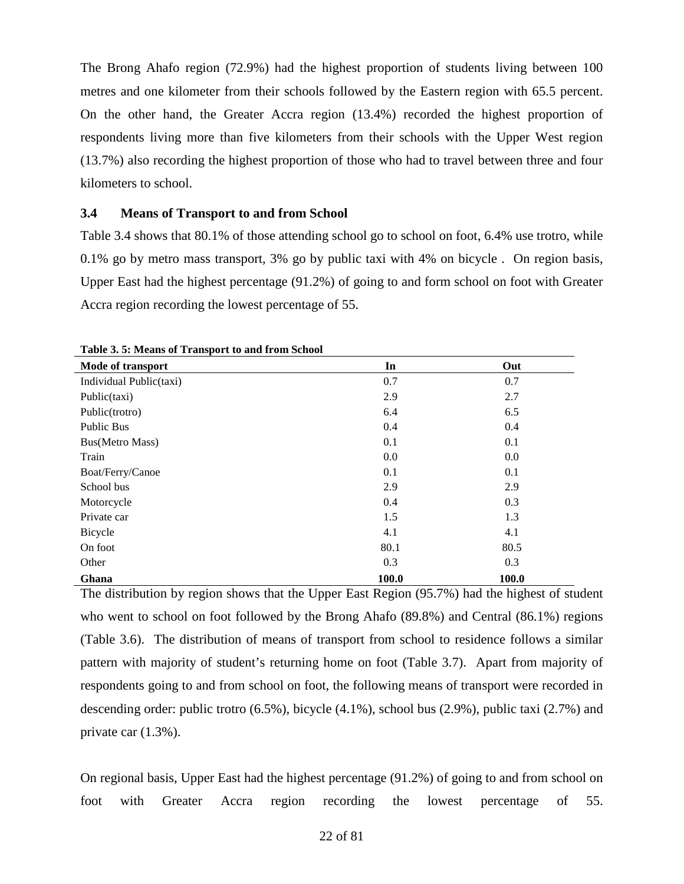The Brong Ahafo region (72.9%) had the highest proportion of students living between 100 metres and one kilometer from their schools followed by the Eastern region with 65.5 percent. On the other hand, the Greater Accra region (13.4%) recorded the highest proportion of respondents living more than five kilometers from their schools with the Upper West region (13.7%) also recording the highest proportion of those who had to travel between three and four kilometers to school.

#### <span id="page-21-0"></span>**3.4 Means of Transport to and from School**

Table 3.4 shows that 80.1% of those attending school go to school on foot, 6.4% use trotro, while 0.1% go by metro mass transport, 3% go by public taxi with 4% on bicycle . On region basis, Upper East had the highest percentage (91.2%) of going to and form school on foot with Greater Accra region recording the lowest percentage of 55.

| Mode of transport       | In    | Out   |
|-------------------------|-------|-------|
| Individual Public(taxi) | 0.7   | 0.7   |
| Public(taxi)            | 2.9   | 2.7   |
| Public(trotro)          | 6.4   | 6.5   |
| Public Bus              | 0.4   | 0.4   |
| Bus(Metro Mass)         | 0.1   | 0.1   |
| Train                   | 0.0   | 0.0   |
| Boat/Ferry/Canoe        | 0.1   | 0.1   |
| School bus              | 2.9   | 2.9   |
| Motorcycle              | 0.4   | 0.3   |
| Private car             | 1.5   | 1.3   |
| Bicycle                 | 4.1   | 4.1   |
| On foot                 | 80.1  | 80.5  |
| Other                   | 0.3   | 0.3   |
| Ghana                   | 100.0 | 100.0 |

<span id="page-21-1"></span>**Table 3. 5: Means of Transport to and from School**

The distribution by region shows that the Upper East Region (95.7%) had the highest of student who went to school on foot followed by the Brong Ahafo (89.8%) and Central (86.1%) regions (Table 3.6). The distribution of means of transport from school to residence follows a similar pattern with majority of student's returning home on foot (Table 3.7). Apart from majority of respondents going to and from school on foot, the following means of transport were recorded in descending order: public trotro (6.5%), bicycle (4.1%), school bus (2.9%), public taxi (2.7%) and private car (1.3%).

On regional basis, Upper East had the highest percentage (91.2%) of going to and from school on foot with Greater Accra region recording the lowest percentage of 55.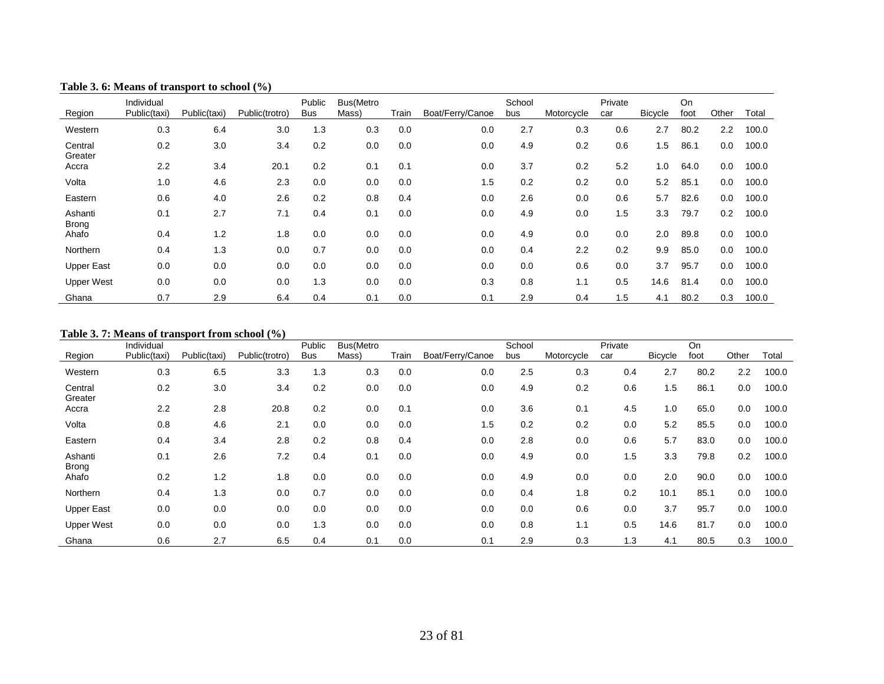| Region                  | Individual<br>Public(taxi) | Public(taxi) | Public(trotro) | Public<br><b>Bus</b> | Bus(Metro<br>Mass) | Train | Boat/Ferry/Canoe | School<br>bus | Motorcycle | Private<br>car | <b>Bicycle</b> | On<br>foot | Other | Total |
|-------------------------|----------------------------|--------------|----------------|----------------------|--------------------|-------|------------------|---------------|------------|----------------|----------------|------------|-------|-------|
| Western                 | 0.3                        | 6.4          | 3.0            | 1.3                  | 0.3                | 0.0   | 0.0              | 2.7           | 0.3        | 0.6            | 2.7            | 80.2       | 2.2   | 100.0 |
| Central<br>Greater      | 0.2                        | 3.0          | 3.4            | 0.2                  | 0.0                | 0.0   | 0.0              | 4.9           | 0.2        | 0.6            | 1.5            | 86.1       | 0.0   | 100.0 |
| Accra                   | 2.2                        | 3.4          | 20.1           | 0.2                  | 0.1                | 0.1   | 0.0              | 3.7           | 0.2        | 5.2            | 1.0            | 64.0       | 0.0   | 100.0 |
| Volta                   | 1.0                        | 4.6          | 2.3            | 0.0                  | 0.0                | 0.0   | 1.5              | 0.2           | 0.2        | 0.0            | 5.2            | 85.1       | 0.0   | 100.0 |
| Eastern                 | 0.6                        | 4.0          | 2.6            | 0.2                  | 0.8                | 0.4   | 0.0              | 2.6           | 0.0        | 0.6            | 5.7            | 82.6       | 0.0   | 100.0 |
| Ashanti<br><b>Brong</b> | 0.1                        | 2.7          | 7.1            | 0.4                  | 0.1                | 0.0   | 0.0              | 4.9           | 0.0        | 1.5            | 3.3            | 79.7       | 0.2   | 100.0 |
| Ahafo                   | 0.4                        | 1.2          | 1.8            | 0.0                  | 0.0                | 0.0   | 0.0              | 4.9           | 0.0        | 0.0            | 2.0            | 89.8       | 0.0   | 100.0 |
| Northern                | 0.4                        | 1.3          | 0.0            | 0.7                  | 0.0                | 0.0   | 0.0              | 0.4           | 2.2        | 0.2            | 9.9            | 85.0       | 0.0   | 100.0 |
| <b>Upper East</b>       | 0.0                        | 0.0          | 0.0            | 0.0                  | 0.0                | 0.0   | 0.0              | 0.0           | 0.6        | 0.0            | 3.7            | 95.7       | 0.0   | 100.0 |
| <b>Upper West</b>       | 0.0                        | 0.0          | 0.0            | 1.3                  | 0.0                | 0.0   | 0.3              | 0.8           | 1.1        | 0.5            | 14.6           | 81.4       | 0.0   | 100.0 |
| Ghana                   | 0.7                        | 2.9          | 6.4            | 0.4                  | 0.1                | 0.0   | 0.1              | 2.9           | 0.4        | 1.5            | 4.1            | 80.2       | 0.3   | 100.0 |

#### **Table 3. 6: Means of transport to school (%)**

#### <span id="page-22-0"></span>**Table 3. 7: Means of transport from school (%)**

<span id="page-22-1"></span>

|                         | Individual   |              |                | Public     | Bus(Metro |       |                  | School |            | Private |         | On   |       |       |
|-------------------------|--------------|--------------|----------------|------------|-----------|-------|------------------|--------|------------|---------|---------|------|-------|-------|
| Region                  | Public(taxi) | Public(taxi) | Public(trotro) | <b>Bus</b> | Mass)     | Train | Boat/Ferry/Canoe | bus    | Motorcycle | car     | Bicycle | foot | Other | Total |
| Western                 | 0.3          | 6.5          | 3.3            | 1.3        | 0.3       | 0.0   | 0.0              | 2.5    | 0.3        | 0.4     | 2.7     | 80.2 | 2.2   | 100.0 |
| Central<br>Greater      | 0.2          | 3.0          | 3.4            | 0.2        | 0.0       | 0.0   | 0.0              | 4.9    | 0.2        | 0.6     | 1.5     | 86.1 | 0.0   | 100.0 |
| Accra                   | 2.2          | 2.8          | 20.8           | 0.2        | 0.0       | 0.1   | 0.0              | 3.6    | 0.1        | 4.5     | 1.0     | 65.0 | 0.0   | 100.0 |
| Volta                   | 0.8          | 4.6          | 2.1            | 0.0        | 0.0       | 0.0   | 1.5              | 0.2    | 0.2        | 0.0     | 5.2     | 85.5 | 0.0   | 100.0 |
| Eastern                 | 0.4          | 3.4          | 2.8            | 0.2        | 0.8       | 0.4   | 0.0              | 2.8    | 0.0        | 0.6     | 5.7     | 83.0 | 0.0   | 100.0 |
| Ashanti<br><b>Brong</b> | 0.1          | 2.6          | 7.2            | 0.4        | 0.1       | 0.0   | 0.0              | 4.9    | 0.0        | 1.5     | 3.3     | 79.8 | 0.2   | 100.0 |
| Ahafo                   | 0.2          | 1.2          | 1.8            | 0.0        | 0.0       | 0.0   | 0.0              | 4.9    | 0.0        | 0.0     | 2.0     | 90.0 | 0.0   | 100.0 |
| Northern                | 0.4          | 1.3          | 0.0            | 0.7        | 0.0       | 0.0   | 0.0              | 0.4    | 1.8        | 0.2     | 10.1    | 85.1 | 0.0   | 100.0 |
| <b>Upper East</b>       | 0.0          | 0.0          | 0.0            | 0.0        | 0.0       | 0.0   | 0.0              | 0.0    | 0.6        | 0.0     | 3.7     | 95.7 | 0.0   | 100.0 |
| <b>Upper West</b>       | 0.0          | 0.0          | 0.0            | 1.3        | 0.0       | 0.0   | 0.0              | 0.8    | 1.1        | 0.5     | 14.6    | 81.7 | 0.0   | 100.0 |
| Ghana                   | 0.6          | 2.7          | 6.5            | 0.4        | 0.1       | 0.0   | 0.1              | 2.9    | 0.3        | 1.3     | 4.1     | 80.5 | 0.3   | 100.0 |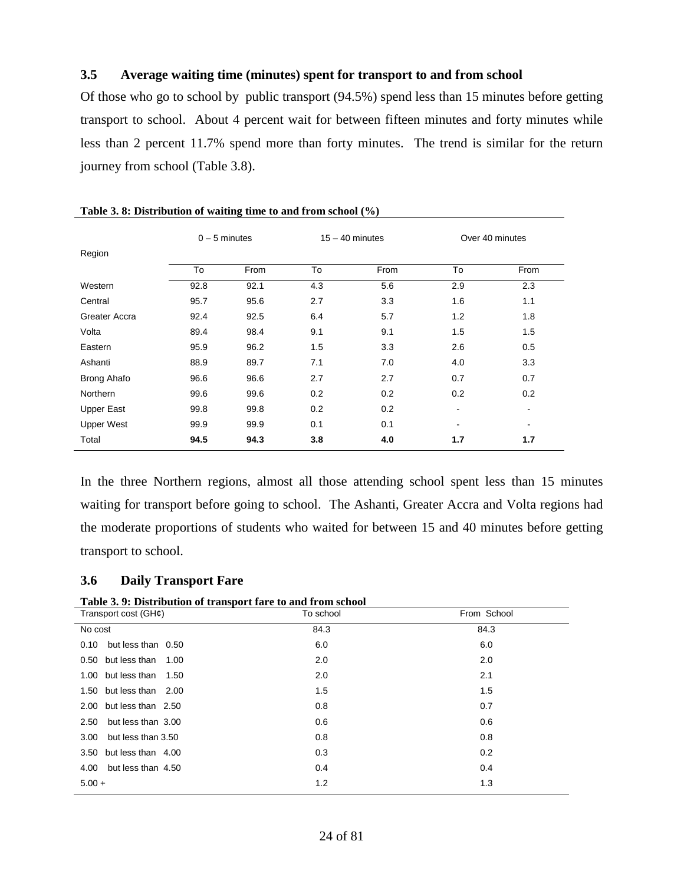#### <span id="page-23-0"></span>**3.5 Average waiting time (minutes) spent for transport to and from school**

Of those who go to school by public transport (94.5%) spend less than 15 minutes before getting transport to school. About 4 percent wait for between fifteen minutes and forty minutes while less than 2 percent 11.7% spend more than forty minutes. The trend is similar for the return journey from school (Table 3.8).

|                    | $0 - 5$ minutes |      |     | $15 - 40$ minutes |                | Over 40 minutes |
|--------------------|-----------------|------|-----|-------------------|----------------|-----------------|
| Region             |                 |      |     |                   |                |                 |
|                    | To              | From | To  | From              | To             | From            |
| Western            | 92.8            | 92.1 | 4.3 | 5.6               | 2.9            | 2.3             |
| Central            | 95.7            | 95.6 | 2.7 | 3.3               | 1.6            | 1.1             |
| Greater Accra      | 92.4            | 92.5 | 6.4 | 5.7               | 1.2            | 1.8             |
| Volta              | 89.4            | 98.4 | 9.1 | 9.1               | 1.5            | 1.5             |
| Eastern            | 95.9            | 96.2 | 1.5 | 3.3               | 2.6            | 0.5             |
| Ashanti            | 88.9            | 89.7 | 7.1 | 7.0               | 4.0            | 3.3             |
| <b>Brong Ahafo</b> | 96.6            | 96.6 | 2.7 | 2.7               | 0.7            | 0.7             |
| <b>Northern</b>    | 99.6            | 99.6 | 0.2 | 0.2               | 0.2            | 0.2             |
| <b>Upper East</b>  | 99.8            | 99.8 | 0.2 | 0.2               | $\blacksquare$ |                 |
| <b>Upper West</b>  | 99.9            | 99.9 | 0.1 | 0.1               | $\,$           | $\blacksquare$  |
| Total              | 94.5            | 94.3 | 3.8 | 4.0               | 1.7            | 1.7             |

<span id="page-23-2"></span>

|  | Table 3.8: Distribution of waiting time to and from school $(\%)$ |  |  |  |  |  |  |
|--|-------------------------------------------------------------------|--|--|--|--|--|--|
|--|-------------------------------------------------------------------|--|--|--|--|--|--|

In the three Northern regions, almost all those attending school spent less than 15 minutes waiting for transport before going to school. The Ashanti, Greater Accra and Volta regions had the moderate proportions of students who waited for between 15 and 40 minutes before getting transport to school.

#### <span id="page-23-1"></span>**3.6 Daily Transport Fare**

<span id="page-23-3"></span>**Table 3. 9: Distribution of transport fare to and from school**

| Transport cost (GH¢)       | To school | From School |
|----------------------------|-----------|-------------|
| No cost                    | 84.3      | 84.3        |
| but less than 0.50<br>0.10 | 6.0       | 6.0         |
| 0.50 but less than 1.00    | 2.0       | 2.0         |
| 1.00 but less than 1.50    | 2.0       | 2.1         |
| 1.50 but less than 2.00    | 1.5       | 1.5         |
| 2.00 but less than 2.50    | 0.8       | 0.7         |
| but less than 3.00<br>2.50 | 0.6       | 0.6         |
| but less than 3.50<br>3.00 | 0.8       | 0.8         |
| 3.50 but less than 4.00    | 0.3       | 0.2         |
| but less than 4.50<br>4.00 | 0.4       | 0.4         |
| $5.00 +$                   | 1.2       | 1.3         |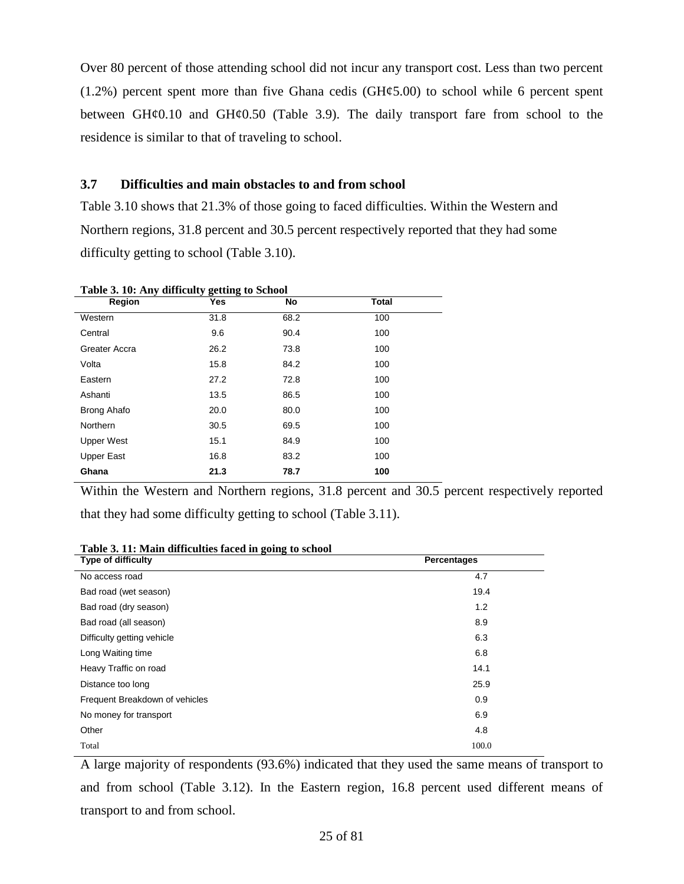Over 80 percent of those attending school did not incur any transport cost. Less than two percent  $(1.2%)$  percent spent more than five Ghana cedis  $(H\varphi 5.00)$  to school while 6 percent spent between  $GH\varphi0.10$  and  $GH\varphi0.50$  (Table 3.9). The daily transport fare from school to the residence is similar to that of traveling to school.

## <span id="page-24-0"></span>**3.7 Difficulties and main obstacles to and from school**

Table 3.10 shows that 21.3% of those going to faced difficulties. Within the Western and Northern regions, 31.8 percent and 30.5 percent respectively reported that they had some difficulty getting to school (Table 3.10).

| Table 5. To. Any unneally getting to School<br>Region | Yes  | No   | <b>Total</b> |  |
|-------------------------------------------------------|------|------|--------------|--|
|                                                       |      |      |              |  |
| Western                                               | 31.8 | 68.2 | 100          |  |
| Central                                               | 9.6  | 90.4 | 100          |  |
| Greater Accra                                         | 26.2 | 73.8 | 100          |  |
| Volta                                                 | 15.8 | 84.2 | 100          |  |
| Eastern                                               | 27.2 | 72.8 | 100          |  |
| Ashanti                                               | 13.5 | 86.5 | 100          |  |
| Brong Ahafo                                           | 20.0 | 80.0 | 100          |  |
| Northern                                              | 30.5 | 69.5 | 100          |  |
| <b>Upper West</b>                                     | 15.1 | 84.9 | 100          |  |
| <b>Upper East</b>                                     | 16.8 | 83.2 | 100          |  |
| Ghana                                                 | 21.3 | 78.7 | 100          |  |

<span id="page-24-1"></span>**Table 3. 10: Any difficulty getting to School**

Within the Western and Northern regions, 31.8 percent and 30.5 percent respectively reported that they had some difficulty getting to school (Table 3.11).

| Tubic of The Main unnealthes faced in going to school |             |
|-------------------------------------------------------|-------------|
| <b>Type of difficulty</b>                             | Percentages |
| No access road                                        | 4.7         |
| Bad road (wet season)                                 | 19.4        |
| Bad road (dry season)                                 | 1.2         |
| Bad road (all season)                                 | 8.9         |
| Difficulty getting vehicle                            | 6.3         |
| Long Waiting time                                     | 6.8         |
| Heavy Traffic on road                                 | 14.1        |
| Distance too long                                     | 25.9        |
| Frequent Breakdown of vehicles                        | 0.9         |
| No money for transport                                | 6.9         |
| Other                                                 | 4.8         |
| Total                                                 | 100.0       |

<span id="page-24-2"></span>**Table 3. 11: Main difficulties faced in going to school**

A large majority of respondents (93.6%) indicated that they used the same means of transport to and from school (Table 3.12). In the Eastern region, 16.8 percent used different means of transport to and from school.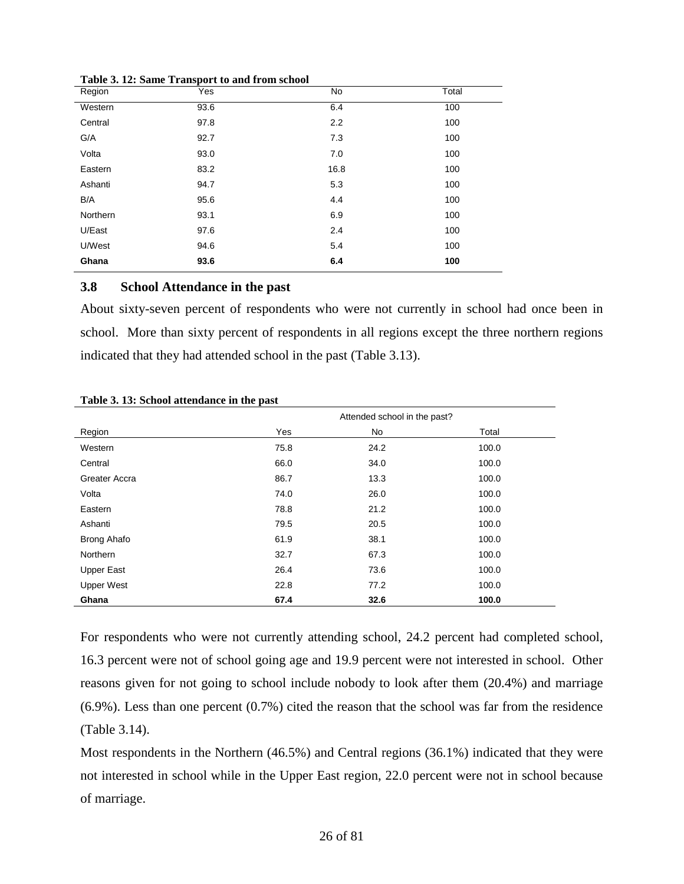| Region   | Yes  | No   | Total |
|----------|------|------|-------|
| Western  | 93.6 | 6.4  | 100   |
| Central  | 97.8 | 2.2  | 100   |
| G/A      | 92.7 | 7.3  | 100   |
| Volta    | 93.0 | 7.0  | 100   |
| Eastern  | 83.2 | 16.8 | 100   |
| Ashanti  | 94.7 | 5.3  | 100   |
| B/A      | 95.6 | 4.4  | 100   |
| Northern | 93.1 | 6.9  | 100   |
| U/East   | 97.6 | 2.4  | 100   |
| U/West   | 94.6 | 5.4  | 100   |
| Ghana    | 93.6 | 6.4  | 100   |

<span id="page-25-1"></span>**Table 3. 12: Same Transport to and from school**

#### <span id="page-25-0"></span>**3.8 School Attendance in the past**

About sixty-seven percent of respondents who were not currently in school had once been in school. More than sixty percent of respondents in all regions except the three northern regions indicated that they had attended school in the past (Table 3.13).

|                    | Attended school in the past? |      |       |  |  |  |  |  |
|--------------------|------------------------------|------|-------|--|--|--|--|--|
| Region             | Yes                          | No   | Total |  |  |  |  |  |
| Western            | 75.8                         | 24.2 | 100.0 |  |  |  |  |  |
| Central            | 66.0                         | 34.0 | 100.0 |  |  |  |  |  |
| Greater Accra      | 86.7                         | 13.3 | 100.0 |  |  |  |  |  |
| Volta              | 74.0                         | 26.0 | 100.0 |  |  |  |  |  |
| Eastern            | 78.8                         | 21.2 | 100.0 |  |  |  |  |  |
| Ashanti            | 79.5                         | 20.5 | 100.0 |  |  |  |  |  |
| <b>Brong Ahafo</b> | 61.9                         | 38.1 | 100.0 |  |  |  |  |  |
| <b>Northern</b>    | 32.7                         | 67.3 | 100.0 |  |  |  |  |  |
| <b>Upper East</b>  | 26.4                         | 73.6 | 100.0 |  |  |  |  |  |
| <b>Upper West</b>  | 22.8                         | 77.2 | 100.0 |  |  |  |  |  |
| Ghana              | 67.4                         | 32.6 | 100.0 |  |  |  |  |  |

#### <span id="page-25-2"></span>**Table 3. 13: School attendance in the past**

For respondents who were not currently attending school, 24.2 percent had completed school, 16.3 percent were not of school going age and 19.9 percent were not interested in school. Other reasons given for not going to school include nobody to look after them (20.4%) and marriage (6.9%). Less than one percent (0.7%) cited the reason that the school was far from the residence (Table 3.14).

Most respondents in the Northern (46.5%) and Central regions (36.1%) indicated that they were not interested in school while in the Upper East region, 22.0 percent were not in school because of marriage.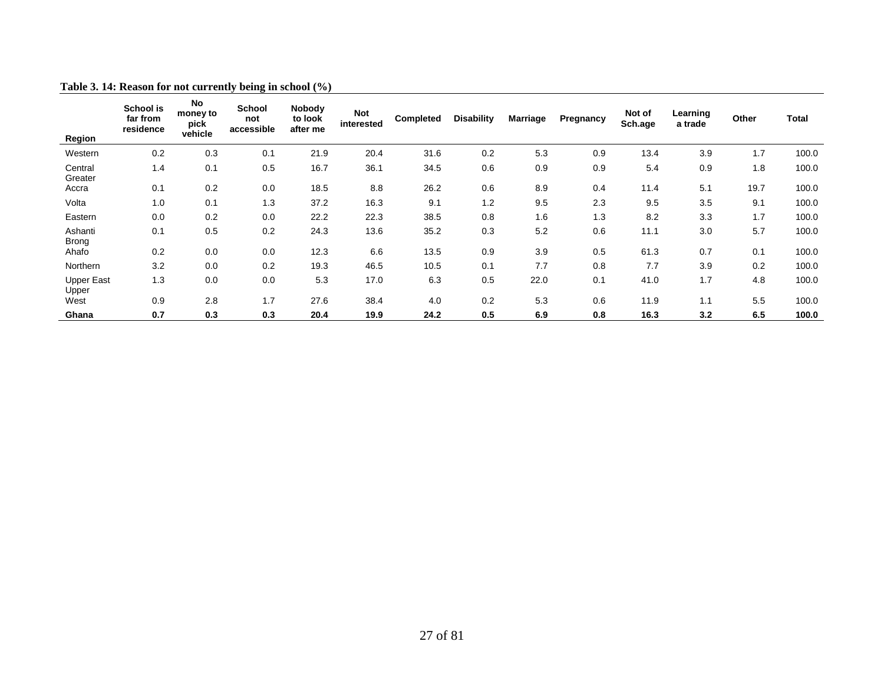<span id="page-26-0"></span>

| <b>Region</b>              | School is<br>far from<br>residence | No<br>money to<br>pick<br>vehicle | <b>School</b><br>not<br>accessible | Nobody<br>to look<br>after me | Not<br>interested | <b>Completed</b> | <b>Disability</b> | <b>Marriage</b> | Pregnancy | Not of<br>Sch.age | Learning<br>a trade | Other | <b>Total</b> |
|----------------------------|------------------------------------|-----------------------------------|------------------------------------|-------------------------------|-------------------|------------------|-------------------|-----------------|-----------|-------------------|---------------------|-------|--------------|
| Western                    | 0.2                                | 0.3                               | 0.1                                | 21.9                          | 20.4              | 31.6             | 0.2               | 5.3             | 0.9       | 13.4              | 3.9                 | 1.7   | 100.0        |
| Central<br>Greater         | 1.4                                | 0.1                               | 0.5                                | 16.7                          | 36.1              | 34.5             | 0.6               | 0.9             | 0.9       | 5.4               | 0.9                 | 1.8   | 100.0        |
| Accra                      | 0.1                                | 0.2                               | 0.0                                | 18.5                          | 8.8               | 26.2             | 0.6               | 8.9             | 0.4       | 11.4              | 5.1                 | 19.7  | 100.0        |
| Volta                      | 1.0                                | 0.1                               | 1.3                                | 37.2                          | 16.3              | 9.1              | 1.2               | 9.5             | 2.3       | 9.5               | 3.5                 | 9.1   | 100.0        |
| Eastern                    | 0.0                                | 0.2                               | 0.0                                | 22.2                          | 22.3              | 38.5             | 0.8               | 1.6             | 1.3       | 8.2               | 3.3                 | 1.7   | 100.0        |
| Ashanti<br><b>Brong</b>    | 0.1                                | 0.5                               | 0.2                                | 24.3                          | 13.6              | 35.2             | 0.3               | 5.2             | 0.6       | 11.1              | 3.0                 | 5.7   | 100.0        |
| Ahafo                      | 0.2                                | 0.0                               | 0.0                                | 12.3                          | 6.6               | 13.5             | 0.9               | 3.9             | 0.5       | 61.3              | 0.7                 | 0.1   | 100.0        |
| Northern                   | 3.2                                | 0.0                               | 0.2                                | 19.3                          | 46.5              | 10.5             | 0.1               | 7.7             | 0.8       | 7.7               | 3.9                 | 0.2   | 100.0        |
| <b>Upper East</b><br>Upper | 1.3                                | 0.0                               | 0.0                                | 5.3                           | 17.0              | 6.3              | 0.5               | 22.0            | 0.1       | 41.0              | 1.7                 | 4.8   | 100.0        |
| West                       | 0.9                                | 2.8                               | 1.7                                | 27.6                          | 38.4              | 4.0              | 0.2               | 5.3             | 0.6       | 11.9              | 1.1                 | 5.5   | 100.0        |
| Ghana                      | 0.7                                | 0.3                               | 0.3                                | 20.4                          | 19.9              | 24.2             | 0.5               | 6.9             | 0.8       | 16.3              | 3.2                 | 6.5   | 100.0        |

#### **Table 3. 14: Reason for not currently being in school (%)**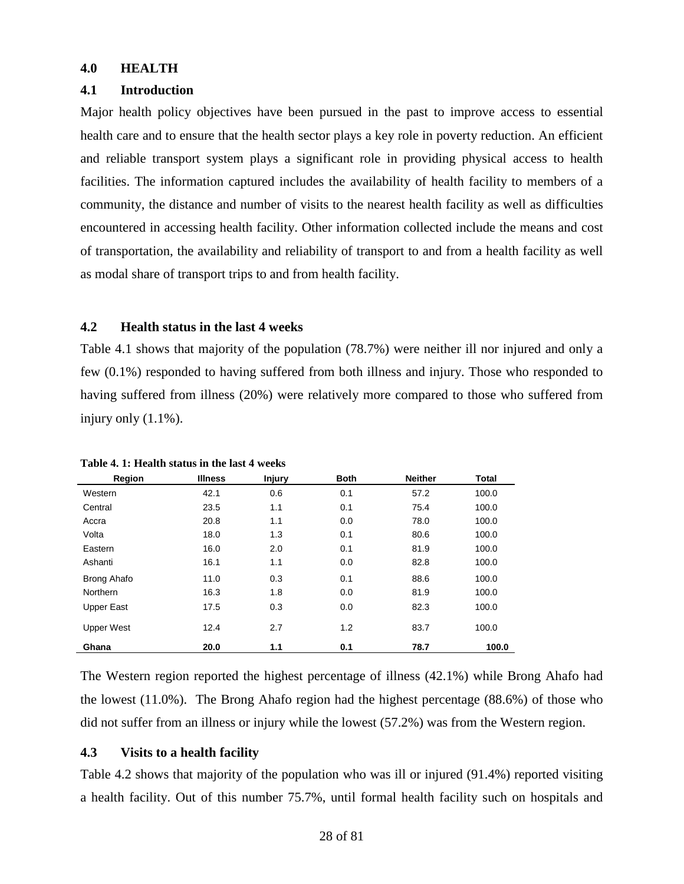#### <span id="page-27-0"></span>**4.0 HEALTH**

#### <span id="page-27-1"></span>**4.1 Introduction**

Major health policy objectives have been pursued in the past to improve access to essential health care and to ensure that the health sector plays a key role in poverty reduction. An efficient and reliable transport system plays a significant role in providing physical access to health facilities. The information captured includes the availability of health facility to members of a community, the distance and number of visits to the nearest health facility as well as difficulties encountered in accessing health facility. Other information collected include the means and cost of transportation, the availability and reliability of transport to and from a health facility as well as modal share of transport trips to and from health facility.

# <span id="page-27-2"></span>**4.2 Health status in the last 4 weeks**

Table 4.1 shows that majority of the population (78.7%) were neither ill nor injured and only a few (0.1%) responded to having suffered from both illness and injury. Those who responded to having suffered from illness (20%) were relatively more compared to those who suffered from injury only (1.1%).

| Region             | <b>Illness</b> | <b>Injury</b> | <b>Both</b> | <b>Neither</b> | <b>Total</b> |
|--------------------|----------------|---------------|-------------|----------------|--------------|
| Western            | 42.1           | 0.6           | 0.1         | 57.2           | 100.0        |
| Central            | 23.5           | 1.1           | 0.1         | 75.4           | 100.0        |
| Accra              | 20.8           | 1.1           | 0.0         | 78.0           | 100.0        |
| Volta              | 18.0           | 1.3           | 0.1         | 80.6           | 100.0        |
| Eastern            | 16.0           | 2.0           | 0.1         | 81.9           | 100.0        |
| Ashanti            | 16.1           | 1.1           | 0.0         | 82.8           | 100.0        |
| <b>Brong Ahafo</b> | 11.0           | 0.3           | 0.1         | 88.6           | 100.0        |
| Northern           | 16.3           | 1.8           | 0.0         | 81.9           | 100.0        |
| <b>Upper East</b>  | 17.5           | 0.3           | 0.0         | 82.3           | 100.0        |
| <b>Upper West</b>  | 12.4           | 2.7           | 1.2         | 83.7           | 100.0        |
| Ghana              | 20.0           | 1.1           | 0.1         | 78.7           | 100.0        |

<span id="page-27-4"></span>**Table 4. 1: Health status in the last 4 weeks**

The Western region reported the highest percentage of illness (42.1%) while Brong Ahafo had the lowest (11.0%). The Brong Ahafo region had the highest percentage (88.6%) of those who did not suffer from an illness or injury while the lowest (57.2%) was from the Western region.

#### <span id="page-27-3"></span>**4.3 Visits to a health facility**

Table 4.2 shows that majority of the population who was ill or injured (91.4%) reported visiting a health facility. Out of this number 75.7%, until formal health facility such on hospitals and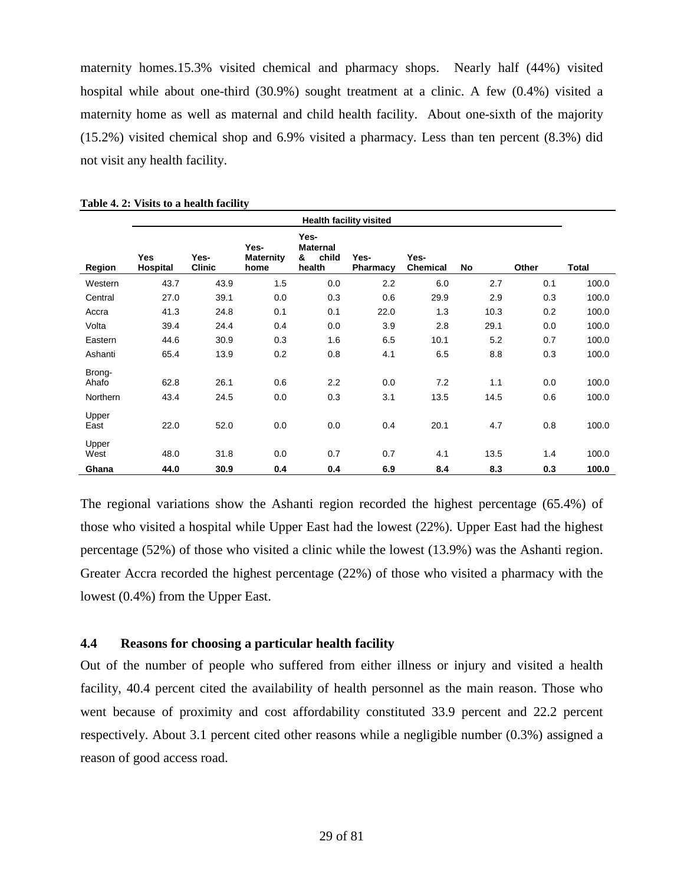maternity homes.15.3% visited chemical and pharmacy shops. Nearly half (44%) visited hospital while about one-third (30.9%) sought treatment at a clinic. A few (0.4%) visited a maternity home as well as maternal and child health facility. About one-sixth of the majority (15.2%) visited chemical shop and 6.9% visited a pharmacy. Less than ten percent (8.3%) did not visit any health facility.

|                                    | <b>Health facility visited</b> |                       |                                  |                                                 |                  |                         |             |            |                |  |  |  |  |  |
|------------------------------------|--------------------------------|-----------------------|----------------------------------|-------------------------------------------------|------------------|-------------------------|-------------|------------|----------------|--|--|--|--|--|
| Region                             | <b>Yes</b><br>Hospital         | Yes-<br><b>Clinic</b> | Yes-<br><b>Maternity</b><br>home | Yes-<br><b>Maternal</b><br>child<br>&<br>health | Yes-<br>Pharmacy | Yes-<br><b>Chemical</b> | No          | Other      | Total          |  |  |  |  |  |
| Western                            | 43.7                           | 43.9                  | 1.5                              | 0.0                                             | 2.2              | 6.0                     | 2.7         | 0.1        | 100.0          |  |  |  |  |  |
| Central                            | 27.0                           | 39.1                  | 0.0                              | 0.3                                             | 0.6              | 29.9                    | 2.9         | 0.3        | 100.0          |  |  |  |  |  |
| Accra                              | 41.3                           | 24.8                  | 0.1                              | 0.1                                             | 22.0             | 1.3                     | 10.3        | 0.2        | 100.0          |  |  |  |  |  |
| Volta                              | 39.4                           | 24.4                  | 0.4                              | 0.0                                             | 3.9              | 2.8                     | 29.1        | 0.0        | 100.0          |  |  |  |  |  |
| Eastern                            | 44.6                           | 30.9                  | 0.3                              | 1.6                                             | 6.5              | 10.1                    | 5.2         | 0.7        | 100.0          |  |  |  |  |  |
| Ashanti                            | 65.4                           | 13.9                  | 0.2                              | 0.8                                             | 4.1              | 6.5                     | 8.8         | 0.3        | 100.0          |  |  |  |  |  |
| Brong-<br>Ahafo<br><b>Northern</b> | 62.8<br>43.4                   | 26.1<br>24.5          | 0.6<br>0.0                       | 2.2<br>0.3                                      | 0.0<br>3.1       | 7.2<br>13.5             | 1.1<br>14.5 | 0.0<br>0.6 | 100.0<br>100.0 |  |  |  |  |  |
| Upper<br>East                      | 22.0                           | 52.0                  | 0.0                              | 0.0                                             | 0.4              | 20.1                    | 4.7         | 0.8        | 100.0          |  |  |  |  |  |
| Upper<br>West                      | 48.0                           | 31.8                  | 0.0                              | 0.7                                             | 0.7              | 4.1                     | 13.5        | 1.4        | 100.0          |  |  |  |  |  |
| Ghana                              | 44.0                           | 30.9                  | 0.4                              | 0.4                                             | 6.9              | 8.4                     | 8.3         | 0.3        | 100.0          |  |  |  |  |  |

<span id="page-28-1"></span>

| Table 4. 2: Visits to a health facility |  |  |  |  |  |  |
|-----------------------------------------|--|--|--|--|--|--|
|-----------------------------------------|--|--|--|--|--|--|

The regional variations show the Ashanti region recorded the highest percentage (65.4%) of those who visited a hospital while Upper East had the lowest (22%). Upper East had the highest percentage (52%) of those who visited a clinic while the lowest (13.9%) was the Ashanti region. Greater Accra recorded the highest percentage (22%) of those who visited a pharmacy with the lowest (0.4%) from the Upper East.

#### <span id="page-28-0"></span>**4.4 Reasons for choosing a particular health facility**

Out of the number of people who suffered from either illness or injury and visited a health facility, 40.4 percent cited the availability of health personnel as the main reason. Those who went because of proximity and cost affordability constituted 33.9 percent and 22.2 percent respectively. About 3.1 percent cited other reasons while a negligible number (0.3%) assigned a reason of good access road.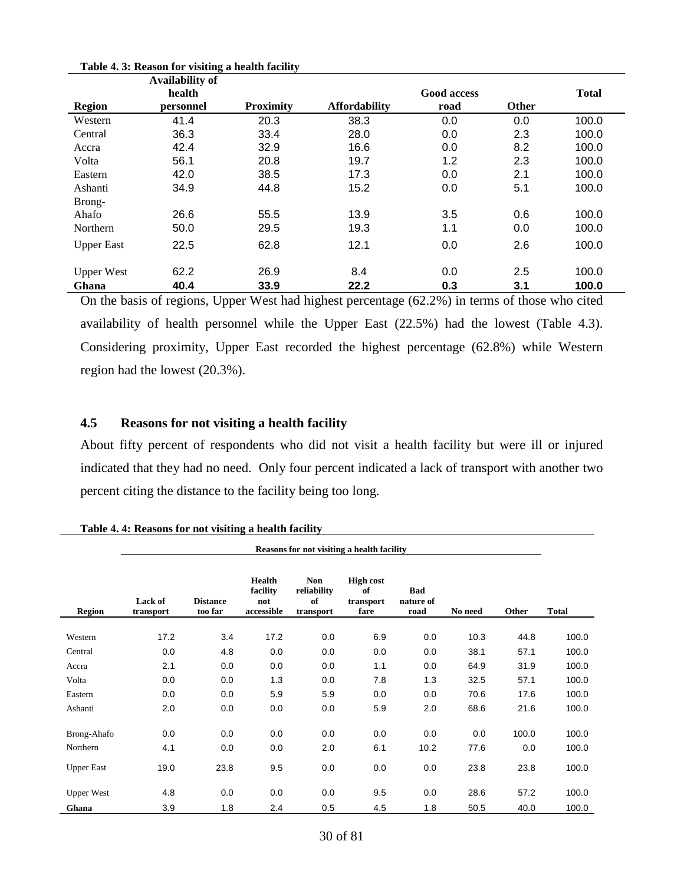|                   | Availability of |                  |                      |                    |              |              |
|-------------------|-----------------|------------------|----------------------|--------------------|--------------|--------------|
|                   | health          |                  |                      | <b>Good access</b> |              | <b>Total</b> |
| <b>Region</b>     | personnel       | <b>Proximity</b> | <b>Affordability</b> | road               | <b>Other</b> |              |
| Western           | 41.4            | 20.3             | 38.3                 | 0.0                | 0.0          | 100.0        |
| Central           | 36.3            | 33.4             | 28.0                 | 0.0                | 2.3          | 100.0        |
| Accra             | 42.4            | 32.9             | 16.6                 | 0.0                | 8.2          | 100.0        |
| Volta             | 56.1            | 20.8             | 19.7                 | 1.2                | 2.3          | 100.0        |
| Eastern           | 42.0            | 38.5             | 17.3                 | 0.0                | 2.1          | 100.0        |
| Ashanti           | 34.9            | 44.8             | 15.2                 | 0.0                | 5.1          | 100.0        |
| Brong-            |                 |                  |                      |                    |              |              |
| Ahafo             | 26.6            | 55.5             | 13.9                 | 3.5                | 0.6          | 100.0        |
| Northern          | 50.0            | 29.5             | 19.3                 | 1.1                | 0.0          | 100.0        |
| <b>Upper East</b> | 22.5            | 62.8             | 12.1                 | 0.0                | 2.6          | 100.0        |
| <b>Upper West</b> | 62.2            | 26.9             | 8.4                  | 0.0                | 2.5          | 100.0        |
| Ghana             | 40.4            | 33.9             | 22.2                 | 0.3                | 3.1          | 100.0        |

<span id="page-29-1"></span>**Table 4. 3: Reason for visiting a health facility**

On the basis of regions, Upper West had highest percentage (62.2%) in terms of those who cited availability of health personnel while the Upper East (22.5%) had the lowest (Table 4.3). Considering proximity, Upper East recorded the highest percentage (62.8%) while Western region had the lowest (20.3%).

# <span id="page-29-0"></span>**4.5 Reasons for not visiting a health facility**

About fifty percent of respondents who did not visit a health facility but were ill or injured indicated that they had no need. Only four percent indicated a lack of transport with another two percent citing the distance to the facility being too long.

|                   | Reasons for not visiting a health facility |                            |                                                |                                              |                                             |                                 |         |       |              |  |  |  |
|-------------------|--------------------------------------------|----------------------------|------------------------------------------------|----------------------------------------------|---------------------------------------------|---------------------------------|---------|-------|--------------|--|--|--|
| <b>Region</b>     | Lack of<br>transport                       | <b>Distance</b><br>too far | <b>Health</b><br>facility<br>not<br>accessible | <b>Non</b><br>reliability<br>of<br>transport | <b>High cost</b><br>of<br>transport<br>fare | <b>Bad</b><br>nature of<br>road | No need | Other | <b>Total</b> |  |  |  |
| Western           | 17.2                                       | 3.4                        | 17.2                                           | 0.0                                          | 6.9                                         | 0.0                             | 10.3    | 44.8  | 100.0        |  |  |  |
| Central           | 0.0                                        | 4.8                        | 0.0                                            | 0.0                                          | 0.0                                         | 0.0                             | 38.1    | 57.1  | 100.0        |  |  |  |
| Accra             | 2.1                                        | 0.0                        | 0.0                                            | 0.0                                          | 1.1                                         | 0.0                             | 64.9    | 31.9  | 100.0        |  |  |  |
| Volta             | 0.0                                        | 0.0                        | 1.3                                            | 0.0                                          | 7.8                                         | 1.3                             | 32.5    | 57.1  | 100.0        |  |  |  |
| Eastern           | 0.0                                        | 0.0                        | 5.9                                            | 5.9                                          | 0.0                                         | 0.0                             | 70.6    | 17.6  | 100.0        |  |  |  |
| Ashanti           | 2.0                                        | 0.0                        | 0.0                                            | 0.0                                          | 5.9                                         | 2.0                             | 68.6    | 21.6  | 100.0        |  |  |  |
|                   |                                            |                            |                                                |                                              |                                             |                                 |         |       |              |  |  |  |
| Brong-Ahafo       | 0.0                                        | 0.0                        | 0.0                                            | 0.0                                          | 0.0                                         | 0.0                             | 0.0     | 100.0 | 100.0        |  |  |  |
| Northern          | 4.1                                        | 0.0                        | 0.0                                            | 2.0                                          | 6.1                                         | 10.2                            | 77.6    | 0.0   | 100.0        |  |  |  |
| <b>Upper East</b> | 19.0                                       | 23.8                       | 9.5                                            | 0.0                                          | 0.0                                         | 0.0                             | 23.8    | 23.8  | 100.0        |  |  |  |
| <b>Upper West</b> | 4.8                                        | 0.0                        | 0.0                                            | 0.0                                          | 9.5                                         | 0.0                             | 28.6    | 57.2  | 100.0        |  |  |  |
| Ghana             | 3.9                                        | 1.8                        | 2.4                                            | 0.5                                          | 4.5                                         | 1.8                             | 50.5    | 40.0  | 100.0        |  |  |  |

<span id="page-29-2"></span>**Table 4. 4: Reasons for not visiting a health facility**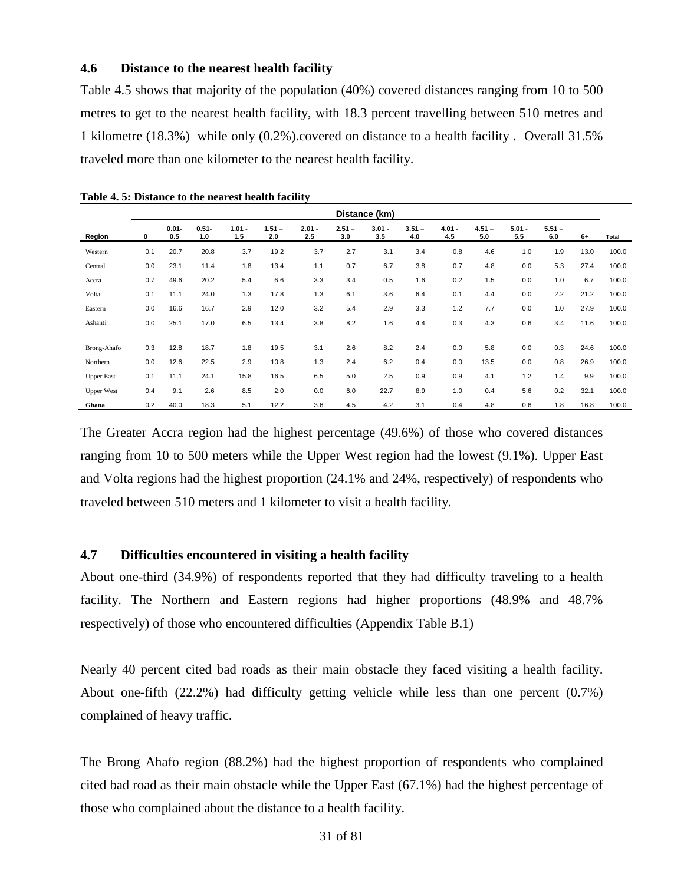#### <span id="page-30-0"></span>**4.6 Distance to the nearest health facility**

Table 4.5 shows that majority of the population (40%) covered distances ranging from 10 to 500 metres to get to the nearest health facility, with 18.3 percent travelling between 510 metres and 1 kilometre (18.3%) while only (0.2%).covered on distance to a health facility . Overall 31.5% traveled more than one kilometer to the nearest health facility.

|                   | Distance (km) |                 |                 |                 |                 |                 |                 |                 |                 |                 |                 |                 |                 |      |       |
|-------------------|---------------|-----------------|-----------------|-----------------|-----------------|-----------------|-----------------|-----------------|-----------------|-----------------|-----------------|-----------------|-----------------|------|-------|
| Region            | 0             | $0.01 -$<br>0.5 | $0.51 -$<br>1.0 | $1.01 -$<br>1.5 | $1.51 -$<br>2.0 | $2.01 -$<br>2.5 | $2.51 -$<br>3.0 | $3.01 -$<br>3.5 | $3.51 -$<br>4.0 | $4.01 -$<br>4.5 | $4.51 -$<br>5.0 | $5.01 -$<br>5.5 | $5.51 -$<br>6.0 | $6+$ | Total |
| Western           | 0.1           | 20.7            | 20.8            | 3.7             | 19.2            | 3.7             | 2.7             | 3.1             | 3.4             | 0.8             | 4.6             | 1.0             | 1.9             | 13.0 | 100.0 |
| Central           | 0.0           | 23.1            | 11.4            | 1.8             | 13.4            | 1.1             | 0.7             | 6.7             | 3.8             | 0.7             | 4.8             | 0.0             | 5.3             | 27.4 | 100.0 |
| Accra             | 0.7           | 49.6            | 20.2            | 5.4             | 6.6             | 3.3             | 3.4             | 0.5             | 1.6             | 0.2             | 1.5             | 0.0             | 1.0             | 6.7  | 100.0 |
| Volta             | 0.1           | 11.1            | 24.0            | 1.3             | 17.8            | 1.3             | 6.1             | 3.6             | 6.4             | 0.1             | 4.4             | 0.0             | 2.2             | 21.2 | 100.0 |
| Eastern           | 0.0           | 16.6            | 16.7            | 2.9             | 12.0            | 3.2             | 5.4             | 2.9             | 3.3             | 1.2             | 7.7             | 0.0             | 1.0             | 27.9 | 100.0 |
| Ashanti           | 0.0           | 25.1            | 17.0            | 6.5             | 13.4            | 3.8             | 8.2             | 1.6             | 4.4             | 0.3             | 4.3             | 0.6             | 3.4             | 11.6 | 100.0 |
|                   |               |                 |                 |                 |                 |                 |                 |                 |                 |                 |                 |                 |                 |      |       |
| Brong-Ahafo       | 0.3           | 12.8            | 18.7            | 1.8             | 19.5            | 3.1             | 2.6             | 8.2             | 2.4             | 0.0             | 5.8             | 0.0             | 0.3             | 24.6 | 100.0 |
| Northern          | 0.0           | 12.6            | 22.5            | 2.9             | 10.8            | 1.3             | 2.4             | 6.2             | 0.4             | 0.0             | 13.5            | 0.0             | 0.8             | 26.9 | 100.0 |
| <b>Upper East</b> | 0.1           | 11.1            | 24.1            | 15.8            | 16.5            | 6.5             | 5.0             | 2.5             | 0.9             | 0.9             | 4.1             | 1.2             | 1.4             | 9.9  | 100.0 |
| <b>Upper West</b> | 0.4           | 9.1             | 2.6             | 8.5             | 2.0             | 0.0             | 6.0             | 22.7            | 8.9             | 1.0             | 0.4             | 5.6             | 0.2             | 32.1 | 100.0 |
| Ghana             | 0.2           | 40.0            | 18.3            | 5.1             | 12.2            | 3.6             | 4.5             | 4.2             | 3.1             | 0.4             | 4.8             | 0.6             | 1.8             | 16.8 | 100.0 |

<span id="page-30-2"></span>**Table 4. 5: Distance to the nearest health facility**

The Greater Accra region had the highest percentage (49.6%) of those who covered distances ranging from 10 to 500 meters while the Upper West region had the lowest (9.1%). Upper East and Volta regions had the highest proportion (24.1% and 24%, respectively) of respondents who traveled between 510 meters and 1 kilometer to visit a health facility.

### <span id="page-30-1"></span>**4.7 Difficulties encountered in visiting a health facility**

About one-third (34.9%) of respondents reported that they had difficulty traveling to a health facility. The Northern and Eastern regions had higher proportions (48.9% and 48.7% respectively) of those who encountered difficulties (Appendix Table B.1)

Nearly 40 percent cited bad roads as their main obstacle they faced visiting a health facility. About one-fifth (22.2%) had difficulty getting vehicle while less than one percent (0.7%) complained of heavy traffic.

The Brong Ahafo region (88.2%) had the highest proportion of respondents who complained cited bad road as their main obstacle while the Upper East (67.1%) had the highest percentage of those who complained about the distance to a health facility.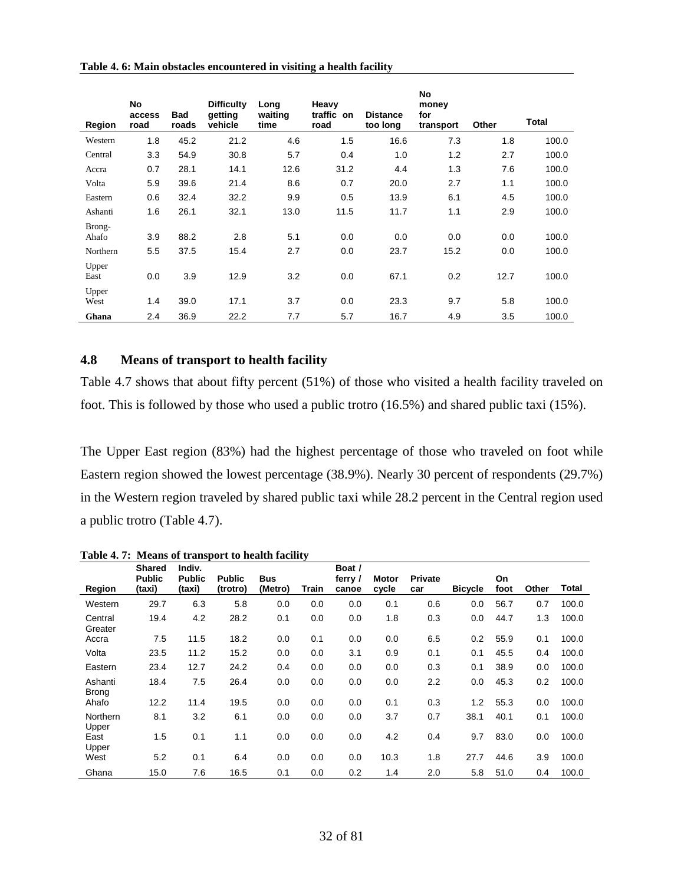<span id="page-31-1"></span>

| Table 4. 6: Main obstacles encountered in visiting a health facility |  |  |
|----------------------------------------------------------------------|--|--|
|----------------------------------------------------------------------|--|--|

| Region          | No<br>access<br>road | <b>Bad</b><br>roads | <b>Difficulty</b><br>qetting<br>vehicle | Long<br>waiting<br>time | Heavy<br>traffic on<br>road | <b>Distance</b><br>too long | No<br>money<br>for<br>transport | Other | <b>Total</b> |
|-----------------|----------------------|---------------------|-----------------------------------------|-------------------------|-----------------------------|-----------------------------|---------------------------------|-------|--------------|
| Western         | 1.8                  | 45.2                | 21.2                                    | 4.6                     | 1.5                         | 16.6                        | 7.3                             | 1.8   | 100.0        |
| Central         | 3.3                  | 54.9                | 30.8                                    | 5.7                     | 0.4                         | 1.0                         | 1.2                             | 2.7   | 100.0        |
| Accra           | 0.7                  | 28.1                | 14.1                                    | 12.6                    | 31.2                        | 4.4                         | 1.3                             | 7.6   | 100.0        |
| Volta           | 5.9                  | 39.6                | 21.4                                    | 8.6                     | 0.7                         | 20.0                        | 2.7                             | 1.1   | 100.0        |
| Eastern         | 0.6                  | 32.4                | 32.2                                    | 9.9                     | 0.5                         | 13.9                        | 6.1                             | 4.5   | 100.0        |
| Ashanti         | 1.6                  | 26.1                | 32.1                                    | 13.0                    | 11.5                        | 11.7                        | 1.1                             | 2.9   | 100.0        |
| Brong-<br>Ahafo | 3.9                  | 88.2                | 2.8                                     | 5.1                     | 0.0                         | 0.0                         | 0.0                             | 0.0   | 100.0        |
| Northern        | 5.5                  | 37.5                | 15.4                                    | 2.7                     | 0.0                         | 23.7                        | 15.2                            | 0.0   | 100.0        |
| Upper<br>East   | 0.0                  | 3.9                 | 12.9                                    | 3.2                     | 0.0                         | 67.1                        | 0.2                             | 12.7  | 100.0        |
| Upper<br>West   | 1.4                  | 39.0                | 17.1                                    | 3.7                     | 0.0                         | 23.3                        | 9.7                             | 5.8   | 100.0        |
| Ghana           | 2.4                  | 36.9                | 22.2                                    | 7.7                     | 5.7                         | 16.7                        | 4.9                             | 3.5   | 100.0        |

# <span id="page-31-0"></span>**4.8 Means of transport to health facility**

Table 4.7 shows that about fifty percent (51%) of those who visited a health facility traveled on foot. This is followed by those who used a public trotro (16.5%) and shared public taxi (15%).

The Upper East region (83%) had the highest percentage of those who traveled on foot while Eastern region showed the lowest percentage (38.9%). Nearly 30 percent of respondents (29.7%) in the Western region traveled by shared public taxi while 28.2 percent in the Central region used a public trotro (Table 4.7).

|                         | <b>Shared</b><br><b>Public</b> | Indiv.<br><b>Public</b> | <b>Public</b> | <b>Bus</b> |       | Boat /<br>ferry / | <b>Motor</b> | <b>Private</b> |                | On   |       |       |
|-------------------------|--------------------------------|-------------------------|---------------|------------|-------|-------------------|--------------|----------------|----------------|------|-------|-------|
| Region                  | (taxi)                         | (taxi)                  | (trotro)      | (Metro)    | Train | canoe             | cycle        | car            | <b>Bicycle</b> | foot | Other | Total |
| Western                 | 29.7                           | 6.3                     | 5.8           | 0.0        | 0.0   | 0.0               | 0.1          | 0.6            | 0.0            | 56.7 | 0.7   | 100.0 |
| Central<br>Greater      | 19.4                           | 4.2                     | 28.2          | 0.1        | 0.0   | 0.0               | 1.8          | 0.3            | 0.0            | 44.7 | 1.3   | 100.0 |
| Accra                   | 7.5                            | 11.5                    | 18.2          | 0.0        | 0.1   | 0.0               | 0.0          | 6.5            | 0.2            | 55.9 | 0.1   | 100.0 |
| Volta                   | 23.5                           | 11.2                    | 15.2          | 0.0        | 0.0   | 3.1               | 0.9          | 0.1            | 0.1            | 45.5 | 0.4   | 100.0 |
| Eastern                 | 23.4                           | 12.7                    | 24.2          | 0.4        | 0.0   | 0.0               | 0.0          | 0.3            | 0.1            | 38.9 | 0.0   | 100.0 |
| Ashanti<br><b>Brong</b> | 18.4                           | 7.5                     | 26.4          | 0.0        | 0.0   | 0.0               | 0.0          | 2.2            | 0.0            | 45.3 | 0.2   | 100.0 |
| Ahafo                   | 12.2                           | 11.4                    | 19.5          | 0.0        | 0.0   | 0.0               | 0.1          | 0.3            | 1.2            | 55.3 | 0.0   | 100.0 |
| Northern<br>Upper       | 8.1                            | 3.2                     | 6.1           | 0.0        | 0.0   | 0.0               | 3.7          | 0.7            | 38.1           | 40.1 | 0.1   | 100.0 |
| East<br>Upper           | 1.5                            | 0.1                     | 1.1           | 0.0        | 0.0   | 0.0               | 4.2          | 0.4            | 9.7            | 83.0 | 0.0   | 100.0 |
| West                    | 5.2                            | 0.1                     | 6.4           | 0.0        | 0.0   | 0.0               | 10.3         | 1.8            | 27.7           | 44.6 | 3.9   | 100.0 |
| Ghana                   | 15.0                           | 7.6                     | 16.5          | 0.1        | 0.0   | 0.2               | 1.4          | 2.0            | 5.8            | 51.0 | 0.4   | 100.0 |

<span id="page-31-2"></span>**Table 4. 7: Means of transport to health facility**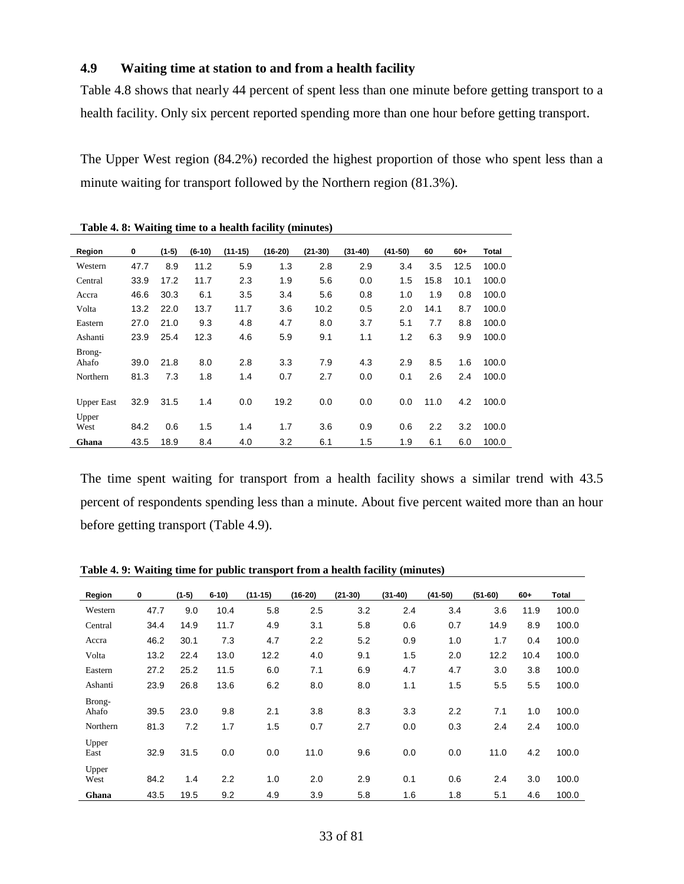# <span id="page-32-0"></span>**4.9 Waiting time at station to and from a health facility**

Table 4.8 shows that nearly 44 percent of spent less than one minute before getting transport to a health facility. Only six percent reported spending more than one hour before getting transport.

The Upper West region (84.2%) recorded the highest proportion of those who spent less than a minute waiting for transport followed by the Northern region (81.3%).

| Region            | 0    | $(1-5)$ | $(6-10)$ | $(11-15)$ | $(16-20)$ | $(21-30)$ | $(31-40)$ | $(41-50)$ | 60   | $60+$ | <b>Total</b> |
|-------------------|------|---------|----------|-----------|-----------|-----------|-----------|-----------|------|-------|--------------|
| Western           | 47.7 | 8.9     | 11.2     | 5.9       | 1.3       | 2.8       | 2.9       | 3.4       | 3.5  | 12.5  | 100.0        |
| Central           | 33.9 | 17.2    | 11.7     | 2.3       | 1.9       | 5.6       | 0.0       | 1.5       | 15.8 | 10.1  | 100.0        |
| Accra             | 46.6 | 30.3    | 6.1      | 3.5       | 3.4       | 5.6       | 0.8       | 1.0       | 1.9  | 0.8   | 100.0        |
| Volta             | 13.2 | 22.0    | 13.7     | 11.7      | 3.6       | 10.2      | 0.5       | 2.0       | 14.1 | 8.7   | 100.0        |
| Eastern           | 27.0 | 21.0    | 9.3      | 4.8       | 4.7       | 8.0       | 3.7       | 5.1       | 7.7  | 8.8   | 100.0        |
| Ashanti           | 23.9 | 25.4    | 12.3     | 4.6       | 5.9       | 9.1       | 1.1       | 1.2       | 6.3  | 9.9   | 100.0        |
| Brong-<br>Ahafo   | 39.0 | 21.8    | 8.0      | 2.8       | 3.3       | 7.9       | 4.3       | 2.9       | 8.5  | 1.6   | 100.0        |
| Northern          | 81.3 | 7.3     | 1.8      | 1.4       | 0.7       | 2.7       | 0.0       | 0.1       | 2.6  | 2.4   | 100.0        |
| <b>Upper East</b> | 32.9 | 31.5    | 1.4      | 0.0       | 19.2      | 0.0       | 0.0       | 0.0       | 11.0 | 4.2   | 100.0        |
| Upper<br>West     | 84.2 | 0.6     | 1.5      | 1.4       | 1.7       | 3.6       | 0.9       | 0.6       | 2.2  | 3.2   | 100.0        |
| Ghana             | 43.5 | 18.9    | 8.4      | 4.0       | 3.2       | 6.1       | 1.5       | 1.9       | 6.1  | 6.0   | 100.0        |

<span id="page-32-1"></span>**Table 4. 8: Waiting time to a health facility (minutes)**

The time spent waiting for transport from a health facility shows a similar trend with 43.5 percent of respondents spending less than a minute. About five percent waited more than an hour before getting transport (Table 4.9).

| Region                      | 0            | $(1-5)$     | $6-10$     | $(11-15)$  | $(16-20)$  | $(21-30)$  | $(31-40)$  | $(41-50)$  | $(51-60)$  | $60 +$     | Total          |
|-----------------------------|--------------|-------------|------------|------------|------------|------------|------------|------------|------------|------------|----------------|
| Western                     | 47.7         | 9.0         | 10.4       | 5.8        | 2.5        | 3.2        | 2.4        | 3.4        | 3.6        | 11.9       | 100.0          |
| Central                     | 34.4         | 14.9        | 11.7       | 4.9        | 3.1        | 5.8        | 0.6        | 0.7        | 14.9       | 8.9        | 100.0          |
| Accra                       | 46.2         | 30.1        | 7.3        | 4.7        | 2.2        | 5.2        | 0.9        | 1.0        | 1.7        | 0.4        | 100.0          |
| Volta                       | 13.2         | 22.4        | 13.0       | 12.2       | 4.0        | 9.1        | 1.5        | 2.0        | 12.2       | 10.4       | 100.0          |
| Eastern                     | 27.2         | 25.2        | 11.5       | 6.0        | 7.1        | 6.9        | 4.7        | 4.7        | 3.0        | 3.8        | 100.0          |
| Ashanti                     | 23.9         | 26.8        | 13.6       | 6.2        | 8.0        | 8.0        | 1.1        | 1.5        | 5.5        | 5.5        | 100.0          |
| Brong-<br>Ahafo<br>Northern | 39.5<br>81.3 | 23.0<br>7.2 | 9.8<br>1.7 | 2.1<br>1.5 | 3.8<br>0.7 | 8.3<br>2.7 | 3.3<br>0.0 | 2.2<br>0.3 | 7.1<br>2.4 | 1.0<br>2.4 | 100.0<br>100.0 |
| Upper<br>East               | 32.9         | 31.5        | 0.0        | 0.0        | 11.0       | 9.6        | 0.0        | 0.0        | 11.0       | 4.2        | 100.0          |
| Upper<br>West               | 84.2         | 1.4         | 2.2        | 1.0        | 2.0        | 2.9        | 0.1        | 0.6        | 2.4        | 3.0        | 100.0          |
| Ghana                       | 43.5         | 19.5        | 9.2        | 4.9        | 3.9        | 5.8        | 1.6        | 1.8        | 5.1        | 4.6        | 100.0          |

<span id="page-32-2"></span>**Table 4. 9: Waiting time for public transport from a health facility (minutes)**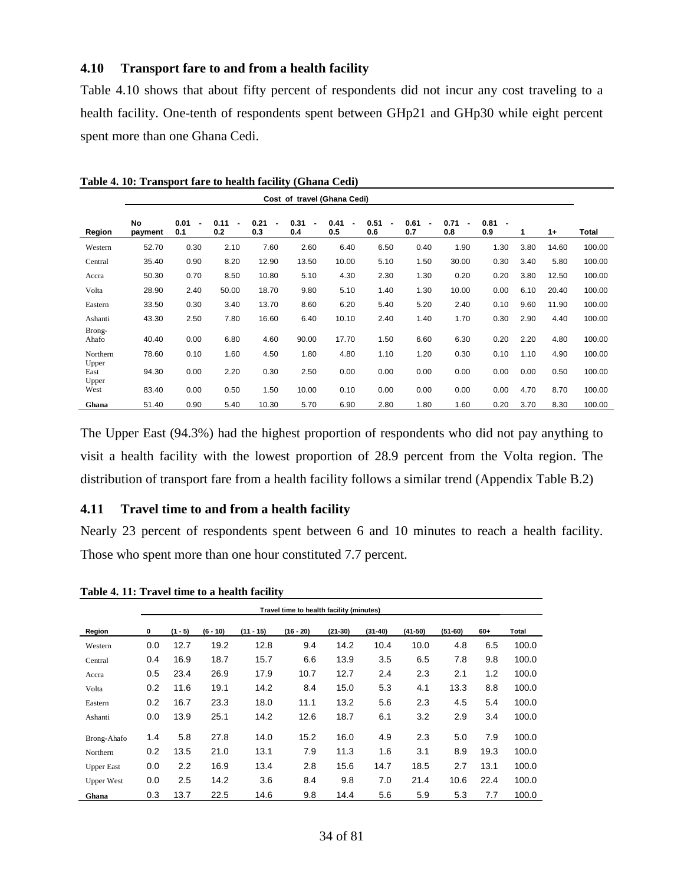#### <span id="page-33-0"></span>**4.10 Transport fare to and from a health facility**

Table 4.10 shows that about fifty percent of respondents did not incur any cost traveling to a health facility. One-tenth of respondents spent between GHp21 and GHp30 while eight percent spent more than one Ghana Cedi.

|                        | Cost of travel (Ghana Cedi) |             |             |                  |                  |                               |             |                               |                               |                                         |      |       |        |
|------------------------|-----------------------------|-------------|-------------|------------------|------------------|-------------------------------|-------------|-------------------------------|-------------------------------|-----------------------------------------|------|-------|--------|
| Region                 | <b>No</b><br>payment        | 0.01<br>0.1 | 0.11<br>0.2 | 0.21<br>٠<br>0.3 | 0.31<br>٠<br>0.4 | 0.41<br>$\blacksquare$<br>0.5 | 0.51<br>0.6 | 0.61<br>$\blacksquare$<br>0.7 | 0.71<br>$\blacksquare$<br>0.8 | 0.81<br>$\overline{\phantom{a}}$<br>0.9 | 1    | $1+$  | Total  |
| Western                | 52.70                       | 0.30        | 2.10        | 7.60             | 2.60             | 6.40                          | 6.50        | 0.40                          | 1.90                          | 1.30                                    | 3.80 | 14.60 | 100.00 |
| Central                | 35.40                       | 0.90        | 8.20        | 12.90            | 13.50            | 10.00                         | 5.10        | 1.50                          | 30.00                         | 0.30                                    | 3.40 | 5.80  | 100.00 |
| Accra                  | 50.30                       | 0.70        | 8.50        | 10.80            | 5.10             | 4.30                          | 2.30        | 1.30                          | 0.20                          | 0.20                                    | 3.80 | 12.50 | 100.00 |
| Volta                  | 28.90                       | 2.40        | 50.00       | 18.70            | 9.80             | 5.10                          | 1.40        | 1.30                          | 10.00                         | 0.00                                    | 6.10 | 20.40 | 100.00 |
| Eastern                | 33.50                       | 0.30        | 3.40        | 13.70            | 8.60             | 6.20                          | 5.40        | 5.20                          | 2.40                          | 0.10                                    | 9.60 | 11.90 | 100.00 |
| Ashanti                | 43.30                       | 2.50        | 7.80        | 16.60            | 6.40             | 10.10                         | 2.40        | 1.40                          | 1.70                          | 0.30                                    | 2.90 | 4.40  | 100.00 |
| Brong-<br>Ahafo        | 40.40                       | 0.00        | 6.80        | 4.60             | 90.00            | 17.70                         | 1.50        | 6.60                          | 6.30                          | 0.20                                    | 2.20 | 4.80  | 100.00 |
| Northern               | 78.60                       | 0.10        | 1.60        | 4.50             | 1.80             | 4.80                          | 1.10        | 1.20                          | 0.30                          | 0.10                                    | 1.10 | 4.90  | 100.00 |
| Upper<br>East<br>Upper | 94.30                       | 0.00        | 2.20        | 0.30             | 2.50             | 0.00                          | 0.00        | 0.00                          | 0.00                          | 0.00                                    | 0.00 | 0.50  | 100.00 |
| West                   | 83.40                       | 0.00        | 0.50        | 1.50             | 10.00            | 0.10                          | 0.00        | 0.00                          | 0.00                          | 0.00                                    | 4.70 | 8.70  | 100.00 |
| Ghana                  | 51.40                       | 0.90        | 5.40        | 10.30            | 5.70             | 6.90                          | 2.80        | 1.80                          | 1.60                          | 0.20                                    | 3.70 | 8.30  | 100.00 |

<span id="page-33-2"></span>**Table 4. 10: Transport fare to health facility (Ghana Cedi)**

The Upper East (94.3%) had the highest proportion of respondents who did not pay anything to visit a health facility with the lowest proportion of 28.9 percent from the Volta region. The distribution of transport fare from a health facility follows a similar trend (Appendix Table B.2)

#### <span id="page-33-1"></span>**4.11 Travel time to and from a health facility**

Nearly 23 percent of respondents spent between 6 and 10 minutes to reach a health facility. Those who spent more than one hour constituted 7.7 percent.

|                   | Travel time to health facility (minutes) |           |            |             |             |           |           |           |           |       |       |
|-------------------|------------------------------------------|-----------|------------|-------------|-------------|-----------|-----------|-----------|-----------|-------|-------|
| Region            | $\mathbf 0$                              | $(1 - 5)$ | $(6 - 10)$ | $(11 - 15)$ | $(16 - 20)$ | $(21-30)$ | $(31-40)$ | $(41-50)$ | $(51-60)$ | $60+$ | Total |
| Western           | 0.0                                      | 12.7      | 19.2       | 12.8        | 9.4         | 14.2      | 10.4      | 10.0      | 4.8       | 6.5   | 100.0 |
| Central           | 0.4                                      | 16.9      | 18.7       | 15.7        | 6.6         | 13.9      | 3.5       | 6.5       | 7.8       | 9.8   | 100.0 |
| Accra             | 0.5                                      | 23.4      | 26.9       | 17.9        | 10.7        | 12.7      | 2.4       | 2.3       | 2.1       | 1.2   | 100.0 |
| Volta             | 0.2                                      | 11.6      | 19.1       | 14.2        | 8.4         | 15.0      | 5.3       | 4.1       | 13.3      | 8.8   | 100.0 |
| Eastern           | 0.2                                      | 16.7      | 23.3       | 18.0        | 11.1        | 13.2      | 5.6       | 2.3       | 4.5       | 5.4   | 100.0 |
| Ashanti           | 0.0                                      | 13.9      | 25.1       | 14.2        | 12.6        | 18.7      | 6.1       | 3.2       | 2.9       | 3.4   | 100.0 |
| Brong-Ahafo       | 1.4                                      | 5.8       | 27.8       | 14.0        | 15.2        | 16.0      | 4.9       | 2.3       | 5.0       | 7.9   | 100.0 |
| Northern          | 0.2                                      | 13.5      | 21.0       | 13.1        | 7.9         | 11.3      | 1.6       | 3.1       | 8.9       | 19.3  | 100.0 |
| <b>Upper East</b> | 0.0                                      | 2.2       | 16.9       | 13.4        | 2.8         | 15.6      | 14.7      | 18.5      | 2.7       | 13.1  | 100.0 |
| <b>Upper West</b> | 0.0                                      | 2.5       | 14.2       | 3.6         | 8.4         | 9.8       | 7.0       | 21.4      | 10.6      | 22.4  | 100.0 |
| Ghana             | 0.3                                      | 13.7      | 22.5       | 14.6        | 9.8         | 14.4      | 5.6       | 5.9       | 5.3       | 7.7   | 100.0 |

<span id="page-33-3"></span>**Table 4. 11: Travel time to a health facility**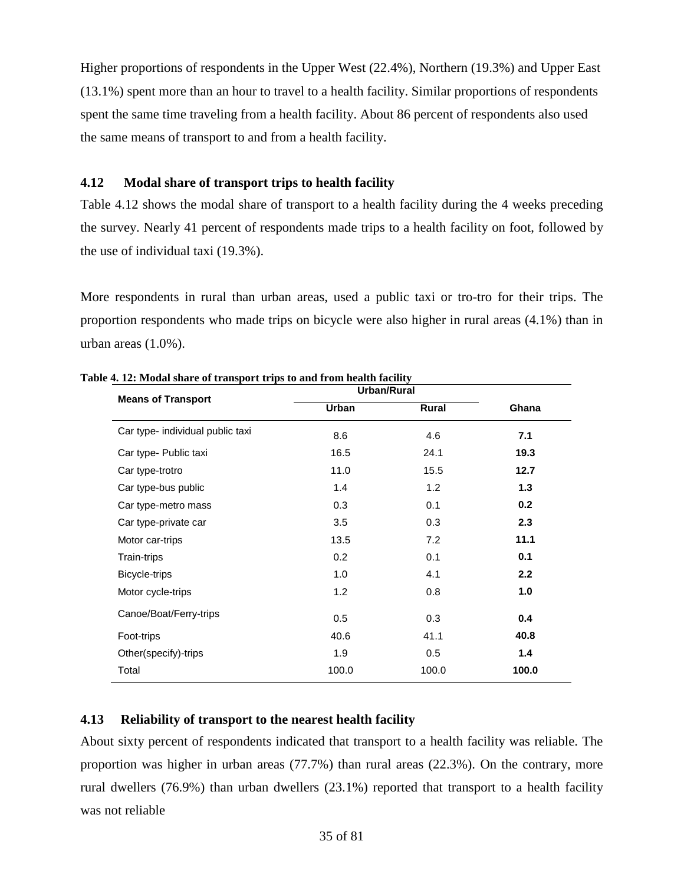Higher proportions of respondents in the Upper West (22.4%), Northern (19.3%) and Upper East (13.1%) spent more than an hour to travel to a health facility. Similar proportions of respondents spent the same time traveling from a health facility. About 86 percent of respondents also used the same means of transport to and from a health facility.

# <span id="page-34-0"></span>**4.12 Modal share of transport trips to health facility**

Table 4.12 shows the modal share of transport to a health facility during the 4 weeks preceding the survey. Nearly 41 percent of respondents made trips to a health facility on foot, followed by the use of individual taxi (19.3%).

More respondents in rural than urban areas, used a public taxi or tro-tro for their trips. The proportion respondents who made trips on bicycle were also higher in rural areas (4.1%) than in urban areas (1.0%).

|                                  | Urban/Rural  |       |       |
|----------------------------------|--------------|-------|-------|
| <b>Means of Transport</b>        | <b>Urban</b> | Rural | Ghana |
| Car type- individual public taxi | 8.6          | 4.6   | 7.1   |
| Car type- Public taxi            | 16.5         | 24.1  | 19.3  |
| Car type-trotro                  | 11.0         | 15.5  | 12.7  |
| Car type-bus public              | 1.4          | 1.2   | 1.3   |
| Car type-metro mass              | 0.3          | 0.1   | 0.2   |
| Car type-private car             | 3.5          | 0.3   | 2.3   |
| Motor car-trips                  | 13.5         | 7.2   | 11.1  |
| Train-trips                      | 0.2          | 0.1   | 0.1   |
| Bicycle-trips                    | 1.0          | 4.1   | 2.2   |
| Motor cycle-trips                | 1.2          | 0.8   | 1.0   |
| Canoe/Boat/Ferry-trips           | 0.5          | 0.3   | 0.4   |
| Foot-trips                       | 40.6         | 41.1  | 40.8  |
| Other(specify)-trips             | 1.9          | 0.5   | $1.4$ |
| Total                            | 100.0        | 100.0 | 100.0 |
|                                  |              |       |       |

<span id="page-34-2"></span>**Table 4. 12: Modal share of transport trips to and from health facility**

# <span id="page-34-1"></span>**4.13 Reliability of transport to the nearest health facility**

About sixty percent of respondents indicated that transport to a health facility was reliable. The proportion was higher in urban areas (77.7%) than rural areas (22.3%). On the contrary, more rural dwellers (76.9%) than urban dwellers (23.1%) reported that transport to a health facility was not reliable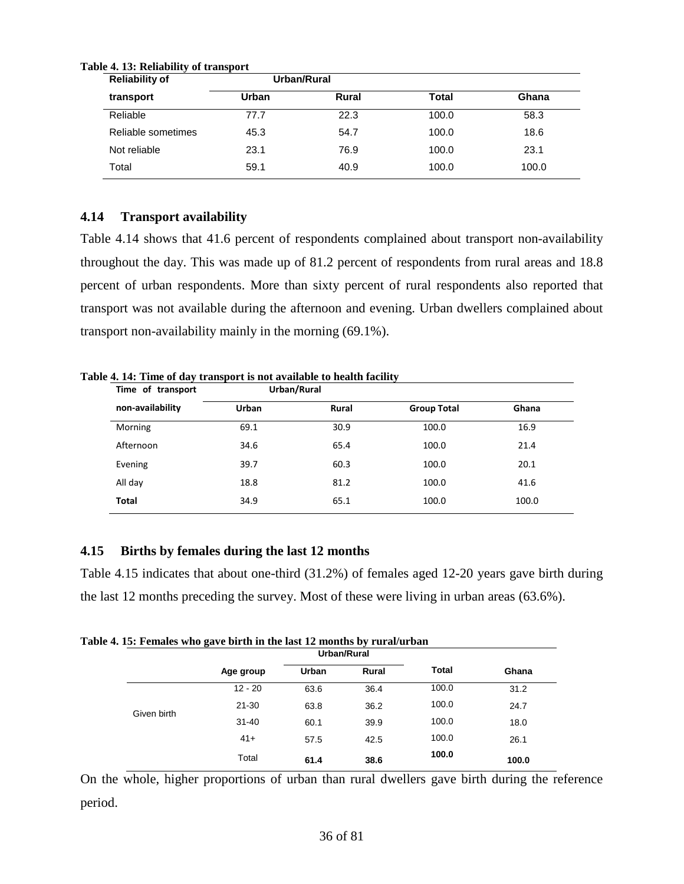| <b>Reliability of</b> |       | Urban/Rural |       |       |
|-----------------------|-------|-------------|-------|-------|
| transport             | Urban | Rural       | Total | Ghana |
| Reliable              | 77.7  | 22.3        | 100.0 | 58.3  |
| Reliable sometimes    | 45.3  | 54.7        | 100.0 | 18.6  |
| Not reliable          | 23.1  | 76.9        | 100.0 | 23.1  |
| Total                 | 59.1  | 40.9        | 100.0 | 100.0 |

#### <span id="page-35-2"></span>**Table 4. 13: Reliability of transport**

# <span id="page-35-0"></span>**4.14 Transport availability**

Table 4.14 shows that 41.6 percent of respondents complained about transport non-availability throughout the day. This was made up of 81.2 percent of respondents from rural areas and 18.8 percent of urban respondents. More than sixty percent of rural respondents also reported that transport was not available during the afternoon and evening. Urban dwellers complained about transport non-availability mainly in the morning (69.1%).

| <b>Urban</b> |       |                    |       |
|--------------|-------|--------------------|-------|
|              | Rural | <b>Group Total</b> | Ghana |
| 69.1         | 30.9  | 100.0              | 16.9  |
| 34.6         | 65.4  | 100.0              | 21.4  |
| 39.7         | 60.3  | 100.0              | 20.1  |
| 18.8         | 81.2  | 100.0              | 41.6  |
| 34.9         | 65.1  | 100.0              | 100.0 |
|              |       |                    |       |

<span id="page-35-3"></span>**Table 4. 14: Time of day transport is not available to health facility**

#### <span id="page-35-1"></span>**4.15 Births by females during the last 12 months**

Table 4.15 indicates that about one-third (31.2%) of females aged 12-20 years gave birth during the last 12 months preceding the survey. Most of these were living in urban areas (63.6%).

<span id="page-35-4"></span>

|  |  |  | Table 4. 15: Females who gave birth in the last 12 months by rural/urban |
|--|--|--|--------------------------------------------------------------------------|
|--|--|--|--------------------------------------------------------------------------|

|             |           | Urban/Rural  |               |              |       |
|-------------|-----------|--------------|---------------|--------------|-------|
|             | Age group | <b>Urban</b> | Rural         | <b>Total</b> | Ghana |
|             | $12 - 20$ | 63.6         | 36.4          | 100.0        | 31.2  |
|             | $21 - 30$ | 63.8         | 100.0<br>36.2 |              | 24.7  |
| Given birth | $31 - 40$ | 60.1         | 39.9          | 100.0        | 18.0  |
|             | $41+$     | 57.5         | 42.5          | 100.0        | 26.1  |
|             | Total     | 61.4         | 38.6          | 100.0        | 100.0 |

On the whole, higher proportions of urban than rural dwellers gave birth during the reference period.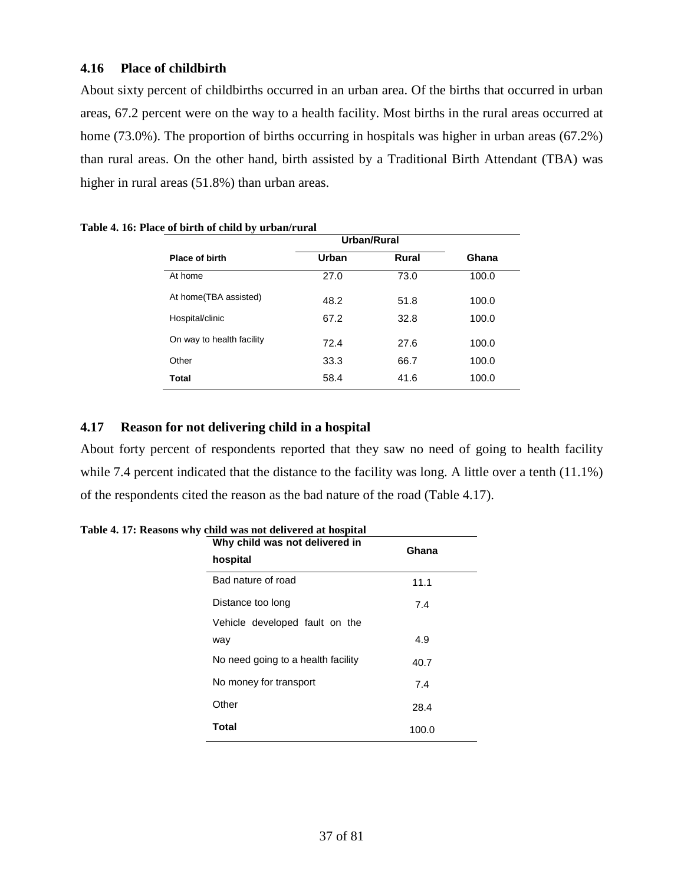# **4.16 Place of childbirth**

About sixty percent of childbirths occurred in an urban area. Of the births that occurred in urban areas, 67.2 percent were on the way to a health facility. Most births in the rural areas occurred at home (73.0%). The proportion of births occurring in hospitals was higher in urban areas (67.2%) than rural areas. On the other hand, birth assisted by a Traditional Birth Attendant (TBA) was higher in rural areas (51.8%) than urban areas.

| Urban | <b>Rural</b> | Ghana       |
|-------|--------------|-------------|
| 27.0  | 73.0         | 100.0       |
| 48.2  | 51.8         | 100.0       |
| 67.2  | 32.8         | 100.0       |
| 72.4  | 27.6         | 100.0       |
| 33.3  | 66.7         | 100.0       |
| 58.4  | 41.6         | 100.0       |
|       |              | Urban/Rural |

**Table 4. 16: Place of birth of child by urban/rural**

# **4.17 Reason for not delivering child in a hospital**

About forty percent of respondents reported that they saw no need of going to health facility while 7.4 percent indicated that the distance to the facility was long. A little over a tenth (11.1%) of the respondents cited the reason as the bad nature of the road (Table 4.17).

| Why child was not delivered in<br>hospital | Ghana |  |  |  |  |
|--------------------------------------------|-------|--|--|--|--|
| Bad nature of road                         | 11.1  |  |  |  |  |
| Distance too long                          | 7.4   |  |  |  |  |
| Vehicle developed fault on the             |       |  |  |  |  |
| way                                        | 4.9   |  |  |  |  |
| No need going to a health facility         | 40.7  |  |  |  |  |
| No money for transport                     | 7.4   |  |  |  |  |
| Other                                      | 28.4  |  |  |  |  |
| <b>Total</b>                               | 100.0 |  |  |  |  |

**Table 4. 17: Reasons why child was not delivered at hospital**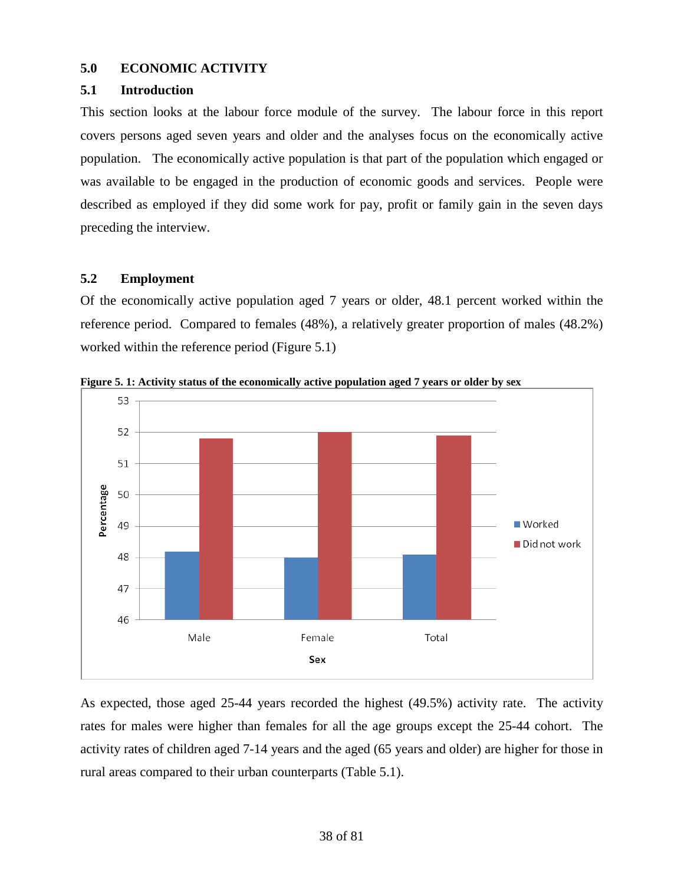# **5.0 ECONOMIC ACTIVITY**

## **5.1 Introduction**

This section looks at the labour force module of the survey. The labour force in this report covers persons aged seven years and older and the analyses focus on the economically active population. The economically active population is that part of the population which engaged or was available to be engaged in the production of economic goods and services. People were described as employed if they did some work for pay, profit or family gain in the seven days preceding the interview.

# **5.2 Employment**

Of the economically active population aged 7 years or older, 48.1 percent worked within the reference period. Compared to females (48%), a relatively greater proportion of males (48.2%) worked within the reference period (Figure 5.1)



**Figure 5. 1: Activity status of the economically active population aged 7 years or older by sex**

As expected, those aged 25-44 years recorded the highest (49.5%) activity rate. The activity rates for males were higher than females for all the age groups except the 25-44 cohort. The activity rates of children aged 7-14 years and the aged (65 years and older) are higher for those in rural areas compared to their urban counterparts (Table 5.1).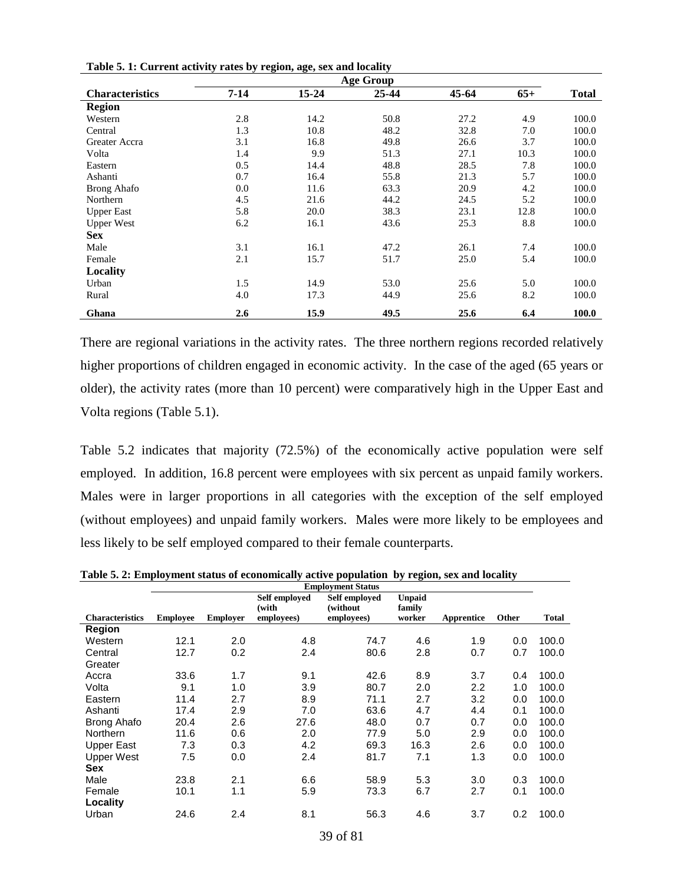|                        |          |       | <b>Age Group</b> |       |       |              |
|------------------------|----------|-------|------------------|-------|-------|--------------|
| <b>Characteristics</b> | $7 - 14$ | 15-24 | 25-44            | 45-64 | $65+$ | <b>Total</b> |
| <b>Region</b>          |          |       |                  |       |       |              |
| Western                | 2.8      | 14.2  | 50.8             | 27.2  | 4.9   | 100.0        |
| Central                | 1.3      | 10.8  | 48.2             | 32.8  | 7.0   | 100.0        |
| Greater Accra          | 3.1      | 16.8  | 49.8             | 26.6  | 3.7   | 100.0        |
| Volta                  | 1.4      | 9.9   | 51.3             | 27.1  | 10.3  | 100.0        |
| Eastern                | 0.5      | 14.4  | 48.8             | 28.5  | 7.8   | 100.0        |
| Ashanti                | 0.7      | 16.4  | 55.8             | 21.3  | 5.7   | 100.0        |
| <b>Brong Ahafo</b>     | $0.0\,$  | 11.6  | 63.3             | 20.9  | 4.2   | 100.0        |
| Northern               | 4.5      | 21.6  | 44.2             | 24.5  | 5.2   | 100.0        |
| <b>Upper East</b>      | 5.8      | 20.0  | 38.3             | 23.1  | 12.8  | 100.0        |
| <b>Upper West</b>      | 6.2      | 16.1  | 43.6             | 25.3  | 8.8   | 100.0        |
| <b>Sex</b>             |          |       |                  |       |       |              |
| Male                   | 3.1      | 16.1  | 47.2             | 26.1  | 7.4   | 100.0        |
| Female                 | 2.1      | 15.7  | 51.7             | 25.0  | 5.4   | 100.0        |
| Locality               |          |       |                  |       |       |              |
| Urban                  | 1.5      | 14.9  | 53.0             | 25.6  | 5.0   | 100.0        |
| Rural                  | 4.0      | 17.3  | 44.9             | 25.6  | 8.2   | 100.0        |
| Ghana                  | 2.6      | 15.9  | 49.5             | 25.6  | 6.4   | 100.0        |

There are regional variations in the activity rates. The three northern regions recorded relatively higher proportions of children engaged in economic activity. In the case of the aged (65 years or older), the activity rates (more than 10 percent) were comparatively high in the Upper East and Volta regions (Table 5.1).

Table 5.2 indicates that majority (72.5%) of the economically active population were self employed. In addition, 16.8 percent were employees with six percent as unpaid family workers. Males were in larger proportions in all categories with the exception of the self employed (without employees) and unpaid family workers. Males were more likely to be employees and less likely to be self employed compared to their female counterparts.

|                        | <b>Employment Status</b> |                 |               |                                |        |            |       |       |  |  |  |
|------------------------|--------------------------|-----------------|---------------|--------------------------------|--------|------------|-------|-------|--|--|--|
|                        |                          |                 | Self employed | Self employed<br><b>Unpaid</b> |        |            |       |       |  |  |  |
|                        |                          |                 | (with         | (without)                      | family |            |       |       |  |  |  |
| <b>Characteristics</b> | <b>Employee</b>          | <b>Employer</b> | employees)    | employees)                     | worker | Apprentice | Other | Total |  |  |  |
| Region                 |                          |                 |               |                                |        |            |       |       |  |  |  |
| Western                | 12.1                     | 2.0             | 4.8           | 74.7                           | 4.6    | 1.9        | 0.0   | 100.0 |  |  |  |
| Central                | 12.7                     | 0.2             | 2.4           | 80.6                           | 2.8    | 0.7        | 0.7   | 100.0 |  |  |  |
| Greater                |                          |                 |               |                                |        |            |       |       |  |  |  |
| Accra                  | 33.6                     | 1.7             | 9.1           | 42.6                           | 8.9    | 3.7        | 0.4   | 100.0 |  |  |  |
| Volta                  | 9.1                      | 1.0             | 3.9           | 80.7                           | 2.0    | 2.2        | 1.0   | 100.0 |  |  |  |
| Eastern                | 11.4                     | 2.7             | 8.9           | 71.1                           | 2.7    | 3.2        | 0.0   | 100.0 |  |  |  |
| Ashanti                | 17.4                     | 2.9             | 7.0           | 63.6                           | 4.7    | 4.4        | 0.1   | 100.0 |  |  |  |
| <b>Brong Ahafo</b>     | 20.4                     | 2.6             | 27.6          | 48.0                           | 0.7    | 0.7        | 0.0   | 100.0 |  |  |  |
| Northern               | 11.6                     | 0.6             | 2.0           | 77.9                           | 5.0    | 2.9        | 0.0   | 100.0 |  |  |  |
| Upper East             | 7.3                      | 0.3             | 4.2           | 69.3                           | 16.3   | 2.6        | 0.0   | 100.0 |  |  |  |
| <b>Upper West</b>      | 7.5                      | 0.0             | 2.4           | 81.7                           | 7.1    | 1.3        | 0.0   | 100.0 |  |  |  |
| <b>Sex</b>             |                          |                 |               |                                |        |            |       |       |  |  |  |
| Male                   | 23.8                     | 2.1             | 6.6           | 58.9                           | 5.3    | 3.0        | 0.3   | 100.0 |  |  |  |
| Female                 | 10.1                     | 1.1             | 5.9           | 73.3                           | 6.7    | 2.7        | 0.1   | 100.0 |  |  |  |
| Locality               |                          |                 |               |                                |        |            |       |       |  |  |  |
| Urban                  | 24.6                     | 2.4             | 8.1           | 56.3                           | 4.6    | 3.7        | 0.2   | 100.0 |  |  |  |

**Table 5. 2: Employment status of economically active population by region, sex and locality**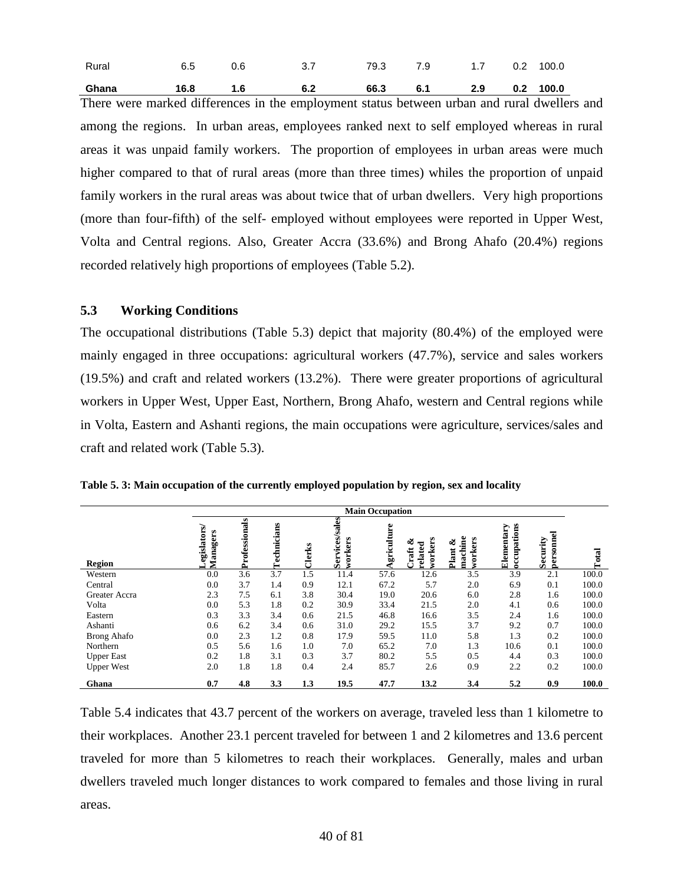| Ghana 16.8 1.6 6.2 66.3 6.1 2.9 0.2 100.0 |                                                     |  |  |  |
|-------------------------------------------|-----------------------------------------------------|--|--|--|
| Rural                                     | 6.5   0.6     3.7     79.3   7.9    1.7   0.2 100.0 |  |  |  |

There were marked differences in the employment status between urban and rural dwellers and among the regions. In urban areas, employees ranked next to self employed whereas in rural areas it was unpaid family workers. The proportion of employees in urban areas were much higher compared to that of rural areas (more than three times) whiles the proportion of unpaid family workers in the rural areas was about twice that of urban dwellers. Very high proportions (more than four-fifth) of the self- employed without employees were reported in Upper West, Volta and Central regions. Also, Greater Accra (33.6%) and Brong Ahafo (20.4%) regions recorded relatively high proportions of employees (Table 5.2).

## **5.3 Working Conditions**

The occupational distributions (Table 5.3) depict that majority (80.4%) of the employed were mainly engaged in three occupations: agricultural workers (47.7%), service and sales workers (19.5%) and craft and related workers (13.2%). There were greater proportions of agricultural workers in Upper West, Upper East, Northern, Brong Ahafo, western and Central regions while in Volta, Eastern and Ashanti regions, the main occupations were agriculture, services/sales and craft and related work (Table 5.3).

|                    |                         | <b>Main Occupation</b> |             |        |                           |            |                                 |                                  |                           |                       |       |  |  |
|--------------------|-------------------------|------------------------|-------------|--------|---------------------------|------------|---------------------------------|----------------------------------|---------------------------|-----------------------|-------|--|--|
| <b>Region</b>      | egislators/<br>Managers | Professionals          | Technicians | Clerks | Services/sales<br>workers | griculture | workers<br>త<br>related<br>raft | machine<br>workers<br>త<br>Plant | occupations<br>Elementary | personnel<br>Security | Total |  |  |
| Western            | 0.0                     | 3.6                    | 3.7         | 1.5    | 11.4                      | 57.6       | 12.6                            | 3.5                              | 3.9                       | 2.1                   | 100.0 |  |  |
| Central            | 0.0                     | 3.7                    | 1.4         | 0.9    | 12.1                      | 67.2       | 5.7                             | 2.0                              | 6.9                       | 0.1                   | 100.0 |  |  |
| Greater Accra      | 2.3                     | 7.5                    | 6.1         | 3.8    | 30.4                      | 19.0       | 20.6                            | 6.0                              | 2.8                       | 1.6                   | 100.0 |  |  |
| Volta              | 0.0                     | 5.3                    | 1.8         | 0.2    | 30.9                      | 33.4       | 21.5                            | 2.0                              | 4.1                       | 0.6                   | 100.0 |  |  |
| Eastern            | 0.3                     | 3.3                    | 3.4         | 0.6    | 21.5                      | 46.8       | 16.6                            | 3.5                              | 2.4                       | 1.6                   | 100.0 |  |  |
| Ashanti            | 0.6                     | 6.2                    | 3.4         | 0.6    | 31.0                      | 29.2       | 15.5                            | 3.7                              | 9.2                       | 0.7                   | 100.0 |  |  |
| <b>Brong Ahafo</b> | 0.0                     | 2.3                    | 1.2         | 0.8    | 17.9                      | 59.5       | 11.0                            | 5.8                              | 1.3                       | 0.2                   | 100.0 |  |  |
| Northern           | 0.5                     | 5.6                    | 1.6         | 1.0    | 7.0                       | 65.2       | 7.0                             | 1.3                              | 10.6                      | 0.1                   | 100.0 |  |  |
| <b>Upper East</b>  | 0.2                     | 1.8                    | 3.1         | 0.3    | 3.7                       | 80.2       | 5.5                             | 0.5                              | 4.4                       | 0.3                   | 100.0 |  |  |
| <b>Upper West</b>  | 2.0                     | 1.8                    | 1.8         | 0.4    | 2.4                       | 85.7       | 2.6                             | 0.9                              | 2.2                       | 0.2                   | 100.0 |  |  |
| Ghana              | 0.7                     | 4.8                    | 3.3         | 1.3    | 19.5                      | 47.7       | 13.2                            | 3.4                              | 5.2                       | 0.9                   | 100.0 |  |  |

**Table 5. 3: Main occupation of the currently employed population by region, sex and locality**

Table 5.4 indicates that 43.7 percent of the workers on average, traveled less than 1 kilometre to their workplaces. Another 23.1 percent traveled for between 1 and 2 kilometres and 13.6 percent traveled for more than 5 kilometres to reach their workplaces. Generally, males and urban dwellers traveled much longer distances to work compared to females and those living in rural areas.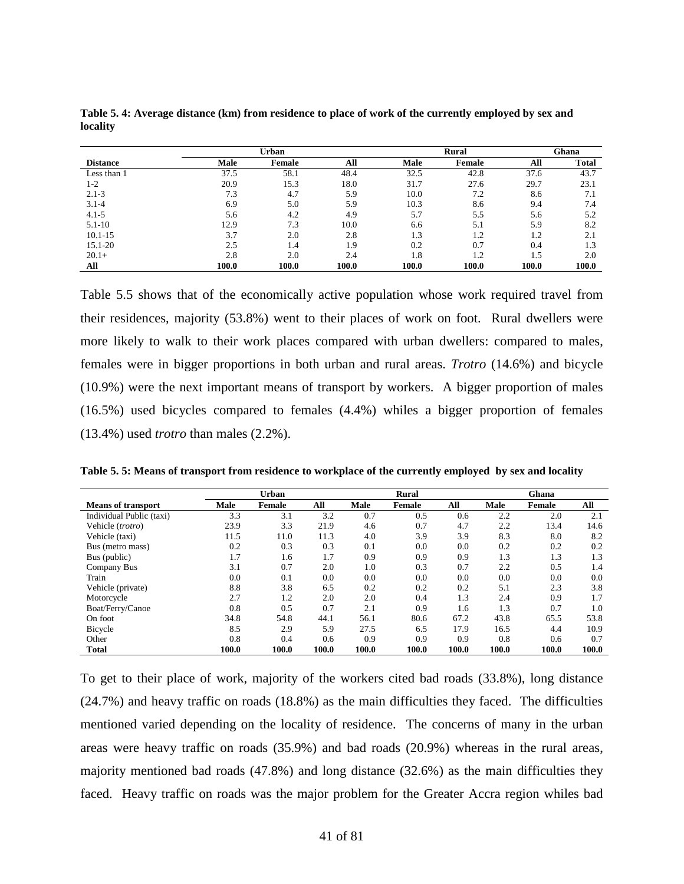|                 |       |        | Rural |             | Ghana  |       |              |
|-----------------|-------|--------|-------|-------------|--------|-------|--------------|
| <b>Distance</b> | Male  | Female | All   | <b>Male</b> | Female | All   | <b>Total</b> |
| Less than 1     | 37.5  | 58.1   | 48.4  | 32.5        | 42.8   | 37.6  | 43.7         |
| $1-2$           | 20.9  | 15.3   | 18.0  | 31.7        | 27.6   | 29.7  | 23.1         |
| $2.1 - 3$       | 7.3   | 4.7    | 5.9   | 10.0        | 7.2    | 8.6   | 7.1          |
| $3.1 - 4$       | 6.9   | 5.0    | 5.9   | 10.3        | 8.6    | 9.4   | 7.4          |
| $4.1 - 5$       | 5.6   | 4.2    | 4.9   | 5.7         | 5.5    | 5.6   | 5.2          |
| $5.1 - 10$      | 12.9  | 7.3    | 10.0  | 6.6         | 5.1    | 5.9   | 8.2          |
| $10.1 - 15$     | 3.7   | 2.0    | 2.8   | 1.3         | 1.2    | 1.2   | 2.1          |
| 15.1-20         | 2.5   | 1.4    | 1.9   | 0.2         | 0.7    | 0.4   | 1.3          |
| $20.1+$         | 2.8   | 2.0    | 2.4   | 1.8         | 1.2    | 1.5   | 2.0          |
| All             | 100.0 | 100.0  | 100.0 | 100.0       | 100.0  | 100.0 | 100.0        |

**Table 5. 4: Average distance (km) from residence to place of work of the currently employed by sex and locality**

Table 5.5 shows that of the economically active population whose work required travel from their residences, majority (53.8%) went to their places of work on foot. Rural dwellers were more likely to walk to their work places compared with urban dwellers: compared to males, females were in bigger proportions in both urban and rural areas. *Trotro* (14.6%) and bicycle (10.9%) were the next important means of transport by workers. A bigger proportion of males (16.5%) used bicycles compared to females (4.4%) whiles a bigger proportion of females (13.4%) used *trotro* than males (2.2%).

**Table 5. 5: Means of transport from residence to workplace of the currently employed by sex and locality**

|                           | Urban |        |       |             | Rural  |       |       | Ghana  |       |
|---------------------------|-------|--------|-------|-------------|--------|-------|-------|--------|-------|
| <b>Means of transport</b> | Male  | Female | All   | <b>Male</b> | Female | All   | Male  | Female | All   |
| Individual Public (taxi)  | 3.3   | 3.1    | 3.2   | 0.7         | 0.5    | 0.6   | 2.2   | 2.0    | 2.1   |
| Vehicle (trotro)          | 23.9  | 3.3    | 21.9  | 4.6         | 0.7    | 4.7   | 2.2   | 13.4   | 14.6  |
| Vehicle (taxi)            | 11.5  | 11.0   | 11.3  | 4.0         | 3.9    | 3.9   | 8.3   | 8.0    | 8.2   |
| Bus (metro mass)          | 0.2   | 0.3    | 0.3   | 0.1         | 0.0    | 0.0   | 0.2   | 0.2    | 0.2   |
| Bus (public)              | 1.7   | 1.6    | 1.7   | 0.9         | 0.9    | 0.9   | 1.3   | 1.3    | 1.3   |
| Company Bus               | 3.1   | 0.7    | 2.0   | 1.0         | 0.3    | 0.7   | 2.2   | 0.5    | 1.4   |
| Train                     | 0.0   | 0.1    | 0.0   | 0.0         | 0.0    | 0.0   | 0.0   | 0.0    | 0.0   |
| Vehicle (private)         | 8.8   | 3.8    | 6.5   | 0.2         | 0.2    | 0.2   | 5.1   | 2.3    | 3.8   |
| Motorcycle                | 2.7   | 1.2    | 2.0   | 2.0         | 0.4    | 1.3   | 2.4   | 0.9    | 1.7   |
| Boat/Ferry/Canoe          | 0.8   | 0.5    | 0.7   | 2.1         | 0.9    | 1.6   | 1.3   | 0.7    | 1.0   |
| On foot                   | 34.8  | 54.8   | 44.1  | 56.1        | 80.6   | 67.2  | 43.8  | 65.5   | 53.8  |
| Bicycle                   | 8.5   | 2.9    | 5.9   | 27.5        | 6.5    | 17.9  | 16.5  | 4.4    | 10.9  |
| Other                     | 0.8   | 0.4    | 0.6   | 0.9         | 0.9    | 0.9   | 0.8   | 0.6    | 0.7   |
| <b>Total</b>              | 100.0 | 100.0  | 100.0 | 100.0       | 100.0  | 100.0 | 100.0 | 100.0  | 100.0 |

To get to their place of work, majority of the workers cited bad roads (33.8%), long distance (24.7%) and heavy traffic on roads (18.8%) as the main difficulties they faced. The difficulties mentioned varied depending on the locality of residence. The concerns of many in the urban areas were heavy traffic on roads (35.9%) and bad roads (20.9%) whereas in the rural areas, majority mentioned bad roads (47.8%) and long distance (32.6%) as the main difficulties they faced. Heavy traffic on roads was the major problem for the Greater Accra region whiles bad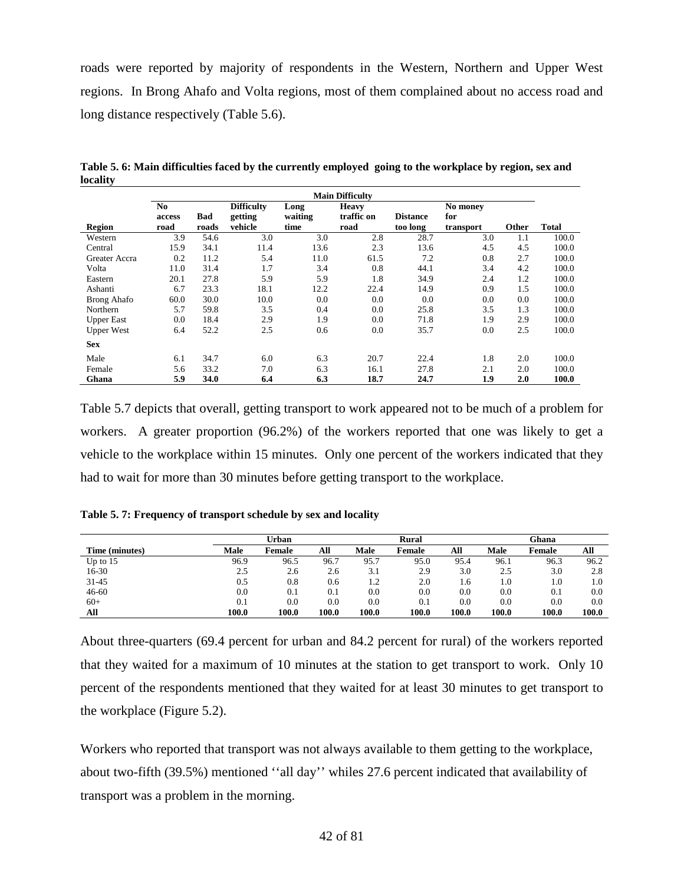roads were reported by majority of respondents in the Western, Northern and Upper West regions. In Brong Ahafo and Volta regions, most of them complained about no access road and long distance respectively (Table 5.6).

|                   |                |       |                   |         | <b>Main Difficulty</b> |                 |           |              |       |
|-------------------|----------------|-------|-------------------|---------|------------------------|-----------------|-----------|--------------|-------|
|                   | N <sub>0</sub> |       | <b>Difficulty</b> | Long    | <b>Heavy</b>           |                 | No money  |              |       |
|                   | access         | Bad   | getting           | waiting | traffic on             | <b>Distance</b> | for       |              |       |
| Region            | road           | roads | vehicle           | time    | road                   | too long        | transport | <b>Other</b> | Total |
| Western           | 3.9            | 54.6  | 3.0               | 3.0     | 2.8                    | 28.7            | 3.0       | 1.1          | 100.0 |
| Central           | 15.9           | 34.1  | 11.4              | 13.6    | 2.3                    | 13.6            | 4.5       | 4.5          | 100.0 |
| Greater Accra     | 0.2            | 11.2  | 5.4               | 11.0    | 61.5                   | 7.2             | 0.8       | 2.7          | 100.0 |
| Volta             | 11.0           | 31.4  | 1.7               | 3.4     | 0.8                    | 44.1            | 3.4       | 4.2          | 100.0 |
| Eastern           | 20.1           | 27.8  | 5.9               | 5.9     | 1.8                    | 34.9            | 2.4       | 1.2          | 100.0 |
| Ashanti           | 6.7            | 23.3  | 18.1              | 12.2    | 22.4                   | 14.9            | 0.9       | 1.5          | 100.0 |
| Brong Ahafo       | 60.0           | 30.0  | 10.0              | 0.0     | 0.0                    | 0.0             | 0.0       | 0.0          | 100.0 |
| Northern          | 5.7            | 59.8  | 3.5               | 0.4     | 0.0                    | 25.8            | 3.5       | 1.3          | 100.0 |
| <b>Upper East</b> | 0.0            | 18.4  | 2.9               | 1.9     | 0.0                    | 71.8            | 1.9       | 2.9          | 100.0 |
| <b>Upper West</b> | 6.4            | 52.2  | 2.5               | 0.6     | 0.0                    | 35.7            | 0.0       | 2.5          | 100.0 |
| <b>Sex</b>        |                |       |                   |         |                        |                 |           |              |       |
| Male              | 6.1            | 34.7  | 6.0               | 6.3     | 20.7                   | 22.4            | 1.8       | 2.0          | 100.0 |
| Female            | 5.6            | 33.2  | 7.0               | 6.3     | 16.1                   | 27.8            | 2.1       | 2.0          | 100.0 |
| Ghana             | 5.9            | 34.0  | 6.4               | 6.3     | 18.7                   | 24.7            | 1.9       | 2.0          | 100.0 |

**Table 5. 6: Main difficulties faced by the currently employed going to the workplace by region, sex and locality**

Table 5.7 depicts that overall, getting transport to work appeared not to be much of a problem for workers. A greater proportion (96.2%) of the workers reported that one was likely to get a vehicle to the workplace within 15 minutes. Only one percent of the workers indicated that they had to wait for more than 30 minutes before getting transport to the workplace.

|  |  | Table 5.7: Frequency of transport schedule by sex and locality |  |  |
|--|--|----------------------------------------------------------------|--|--|
|--|--|----------------------------------------------------------------|--|--|

|                |       | Urban    |           |       | Rural         |       |       | Ghana  |       |
|----------------|-------|----------|-----------|-------|---------------|-------|-------|--------|-------|
| Time (minutes) | Male  | Female   | All       | Male  | <b>Female</b> | All   | Male  | Female | All   |
| Up to $15$     | 96.9  | 96.5     | 96.7      | 95.7  | 95.0          | 95.4  | 96.1  | 96.3   | 96.2  |
| $16-30$        | 2.5   | 2.6      | 2.6       | 3.1   | 2.9           | 3.0   | 2.5   | 3.0    | 2.8   |
| 31-45          | 0.5   | $_{0.8}$ | 0.6       | 1.2   | 2.0           | 1.6   | 1.0   | 1.0    | 1.0   |
| $46 - 60$      | 0.0   | 0.1      | $\rm 0.1$ | 0.0   | 0.0           | 0.0   | 0.0   | 0.1    | 0.0   |
| $60+$          | 0.1   | $0.0\,$  | 0.0       | 0.0   | 0.1           | 0.0   | 0.0   | 0.0    | 0.0   |
| All            | 100.0 | 100.0    | 100.0     | 100.0 | 100.0         | 100.0 | 100.0 | 100.0  | 100.0 |

About three-quarters (69.4 percent for urban and 84.2 percent for rural) of the workers reported that they waited for a maximum of 10 minutes at the station to get transport to work. Only 10 percent of the respondents mentioned that they waited for at least 30 minutes to get transport to the workplace (Figure 5.2).

Workers who reported that transport was not always available to them getting to the workplace, about two-fifth (39.5%) mentioned ''all day'' whiles 27.6 percent indicated that availability of transport was a problem in the morning.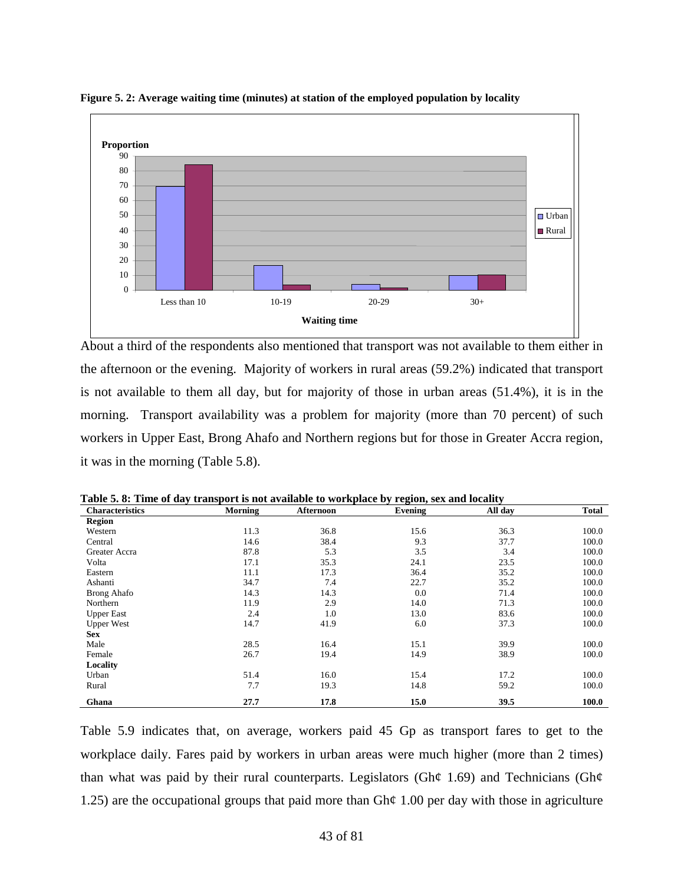

**Figure 5. 2: Average waiting time (minutes) at station of the employed population by locality**

About a third of the respondents also mentioned that transport was not available to them either in the afternoon or the evening. Majority of workers in rural areas (59.2%) indicated that transport is not available to them all day, but for majority of those in urban areas (51.4%), it is in the morning. Transport availability was a problem for majority (more than 70 percent) of such workers in Upper East, Brong Ahafo and Northern regions but for those in Greater Accra region, it was in the morning (Table 5.8).

| <b>Characteristics</b> | Morning | Afternoon | Evening | All day | Total |
|------------------------|---------|-----------|---------|---------|-------|
| <b>Region</b>          |         |           |         |         |       |
| Western                | 11.3    | 36.8      | 15.6    | 36.3    | 100.0 |
| Central                | 14.6    | 38.4      | 9.3     | 37.7    | 100.0 |
| Greater Accra          | 87.8    | 5.3       | 3.5     | 3.4     | 100.0 |
| Volta                  | 17.1    | 35.3      | 24.1    | 23.5    | 100.0 |
| Eastern                | 11.1    | 17.3      | 36.4    | 35.2    | 100.0 |
| Ashanti                | 34.7    | 7.4       | 22.7    | 35.2    | 100.0 |
| <b>Brong Ahafo</b>     | 14.3    | 14.3      | 0.0     | 71.4    | 100.0 |
| Northern               | 11.9    | 2.9       | 14.0    | 71.3    | 100.0 |
| <b>Upper East</b>      | 2.4     | 1.0       | 13.0    | 83.6    | 100.0 |
| <b>Upper West</b>      | 14.7    | 41.9      | 6.0     | 37.3    | 100.0 |
| <b>Sex</b>             |         |           |         |         |       |
| Male                   | 28.5    | 16.4      | 15.1    | 39.9    | 100.0 |
| Female                 | 26.7    | 19.4      | 14.9    | 38.9    | 100.0 |
| Locality               |         |           |         |         |       |
| Urban                  | 51.4    | 16.0      | 15.4    | 17.2    | 100.0 |
| Rural                  | 7.7     | 19.3      | 14.8    | 59.2    | 100.0 |
| Ghana                  | 27.7    | 17.8      | 15.0    | 39.5    | 100.0 |

**Table 5. 8: Time of day transport is not available to workplace by region, sex and locality**

Table 5.9 indicates that, on average, workers paid 45 Gp as transport fares to get to the workplace daily. Fares paid by workers in urban areas were much higher (more than 2 times) than what was paid by their rural counterparts. Legislators (Gh $\phi$  1.69) and Technicians (Gh $\phi$ 1.25) are the occupational groups that paid more than Gh¢ 1.00 per day with those in agriculture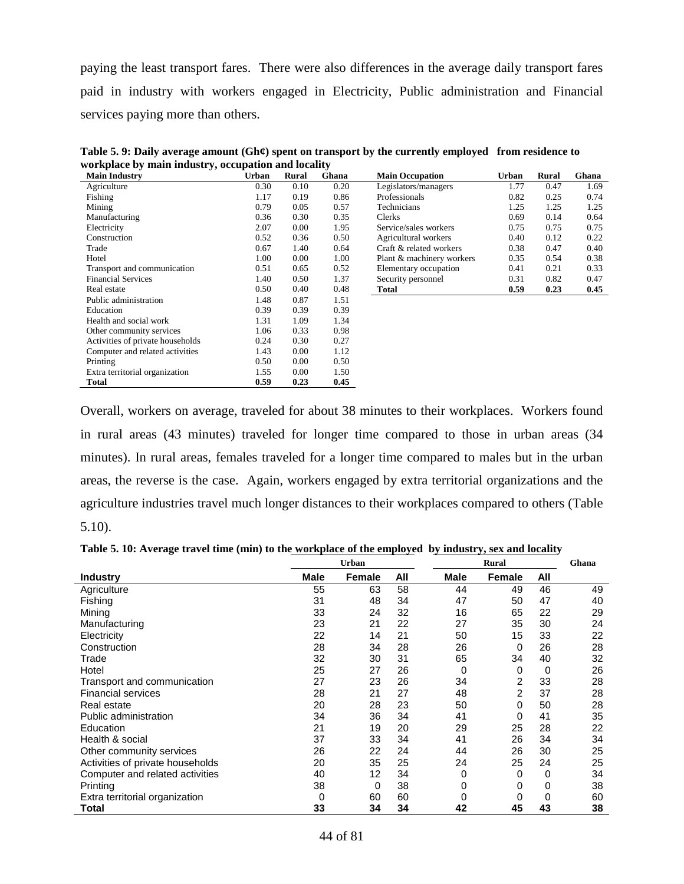paying the least transport fares. There were also differences in the average daily transport fares paid in industry with workers engaged in Electricity, Public administration and Financial services paying more than others.

| <b>Main Industry</b>             | <b>Urban</b> | Rural | Ghana | <b>Main Occupation</b>    | Urban | Rural | Ghana |
|----------------------------------|--------------|-------|-------|---------------------------|-------|-------|-------|
| Agriculture                      | 0.30         | 0.10  | 0.20  | Legislators/managers      | 1.77  | 0.47  | 1.69  |
| Fishing                          | 1.17         | 0.19  | 0.86  | Professionals             | 0.82  | 0.25  | 0.74  |
| Mining                           | 0.79         | 0.05  | 0.57  | Technicians               | 1.25  | 1.25  | 1.25  |
| Manufacturing                    | 0.36         | 0.30  | 0.35  | Clerks                    | 0.69  | 0.14  | 0.64  |
| Electricity                      | 2.07         | 0.00  | 1.95  | Service/sales workers     | 0.75  | 0.75  | 0.75  |
| Construction                     | 0.52         | 0.36  | 0.50  | Agricultural workers      | 0.40  | 0.12  | 0.22  |
| Trade                            | 0.67         | 1.40  | 0.64  | Craft & related workers   | 0.38  | 0.47  | 0.40  |
| Hotel                            | 1.00         | 0.00  | 1.00  | Plant & machinery workers | 0.35  | 0.54  | 0.38  |
| Transport and communication      | 0.51         | 0.65  | 0.52  | Elementary occupation     | 0.41  | 0.21  | 0.33  |
| <b>Financial Services</b>        | 1.40         | 0.50  | 1.37  | Security personnel        | 0.31  | 0.82  | 0.47  |
| Real estate                      | 0.50         | 0.40  | 0.48  | Total                     | 0.59  | 0.23  | 0.45  |
| Public administration            | 1.48         | 0.87  | 1.51  |                           |       |       |       |
| Education                        | 0.39         | 0.39  | 0.39  |                           |       |       |       |
| Health and social work           | 1.31         | 1.09  | 1.34  |                           |       |       |       |
| Other community services         | 1.06         | 0.33  | 0.98  |                           |       |       |       |
| Activities of private households | 0.24         | 0.30  | 0.27  |                           |       |       |       |
| Computer and related activities  | 1.43         | 0.00  | 1.12  |                           |       |       |       |
| Printing                         | 0.50         | 0.00  | 0.50  |                           |       |       |       |
| Extra territorial organization   | 1.55         | 0.00  | 1.50  |                           |       |       |       |
| Total                            | 0.59         | 0.23  | 0.45  |                           |       |       |       |

**Table 5. 9: Daily average amount (Gh¢) spent on transport by the currently employed from residence to workplace by main industry, occupation and locality**

Overall, workers on average, traveled for about 38 minutes to their workplaces. Workers found in rural areas (43 minutes) traveled for longer time compared to those in urban areas (34 minutes). In rural areas, females traveled for a longer time compared to males but in the urban areas, the reverse is the case. Again, workers engaged by extra territorial organizations and the agriculture industries travel much longer distances to their workplaces compared to others (Table 5.10).

| Table 5. 10: Average travel time (min) to the workplace of the employed by industry, sex and locality |  |  |
|-------------------------------------------------------------------------------------------------------|--|--|
|-------------------------------------------------------------------------------------------------------|--|--|

|                                  | <b>Urban</b> |        |     |             | <b>Rural</b>   |     | Ghana |  |
|----------------------------------|--------------|--------|-----|-------------|----------------|-----|-------|--|
| <b>Industry</b>                  | <b>Male</b>  | Female | All | <b>Male</b> | Female         | All |       |  |
| Agriculture                      | 55           | 63     | 58  | 44          | 49             | 46  | 49    |  |
| Fishing                          | 31           | 48     | 34  | 47          | 50             | 47  | 40    |  |
| Mining                           | 33           | 24     | 32  | 16          | 65             | 22  | 29    |  |
| Manufacturing                    | 23           | 21     | 22  | 27          | 35             | 30  | 24    |  |
| Electricity                      | 22           | 14     | 21  | 50          | 15             | 33  | 22    |  |
| Construction                     | 28           | 34     | 28  | 26          | 0              | 26  | 28    |  |
| Trade                            | 32           | 30     | 31  | 65          | 34             | 40  | 32    |  |
| Hotel                            | 25           | 27     | 26  | 0           | 0              | 0   | 26    |  |
| Transport and communication      | 27           | 23     | 26  | 34          | 2              | 33  | 28    |  |
| <b>Financial services</b>        | 28           | 21     | 27  | 48          | $\overline{2}$ | 37  | 28    |  |
| Real estate                      | 20           | 28     | 23  | 50          | 0              | 50  | 28    |  |
| Public administration            | 34           | 36     | 34  | 41          | 0              | 41  | 35    |  |
| Education                        | 21           | 19     | 20  | 29          | 25             | 28  | 22    |  |
| Health & social                  | 37           | 33     | 34  | 41          | 26             | 34  | 34    |  |
| Other community services         | 26           | 22     | 24  | 44          | 26             | 30  | 25    |  |
| Activities of private households | 20           | 35     | 25  | 24          | 25             | 24  | 25    |  |
| Computer and related activities  | 40           | 12     | 34  | 0           | 0              | 0   | 34    |  |
| Printing                         | 38           | 0      | 38  | 0           | 0              | 0   | 38    |  |
| Extra territorial organization   | 0            | 60     | 60  | 0           | 0              | 0   | 60    |  |
| Total                            | 33           | 34     | 34  | 42          | 45             | 43  | 38    |  |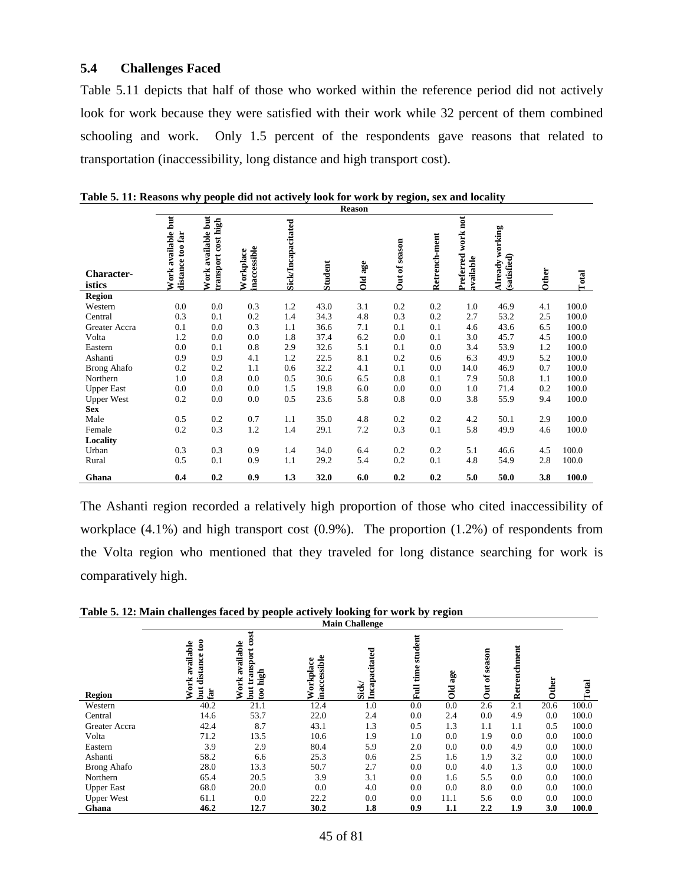## **5.4 Challenges Faced**

Table 5.11 depicts that half of those who worked within the reference period did not actively look for work because they were satisfied with their work while 32 percent of them combined schooling and work. Only 1.5 percent of the respondents gave reasons that related to transportation (inaccessibility, long distance and high transport cost).

|                             |                                           |                                           |                           |                    |                | <b>Reason</b> |               |               |                                 |                                   |       |       |
|-----------------------------|-------------------------------------------|-------------------------------------------|---------------------------|--------------------|----------------|---------------|---------------|---------------|---------------------------------|-----------------------------------|-------|-------|
| <b>Character-</b><br>istics | Work available but<br>too far<br>distance | Work available but<br>transport cost high | inaccessible<br>Workplace | Sick/Incapacitated | <b>Student</b> | Old age       | Out of season | Retrench-ment | Preferred work not<br>available | working<br>(satisfied)<br>Already | Other | Total |
| <b>Region</b>               |                                           |                                           |                           |                    |                |               |               |               |                                 |                                   |       |       |
| Western                     | 0.0                                       | 0.0                                       | 0.3                       | 1.2                | 43.0           | 3.1           | 0.2           | 0.2           | 1.0                             | 46.9                              | 4.1   | 100.0 |
| Central                     | 0.3                                       | 0.1                                       | 0.2                       | 1.4                | 34.3           | 4.8           | 0.3           | 0.2           | 2.7                             | 53.2                              | 2.5   | 100.0 |
| Greater Accra               | 0.1                                       | 0.0                                       | 0.3                       | 1.1                | 36.6           | 7.1           | 0.1           | 0.1           | 4.6                             | 43.6                              | 6.5   | 100.0 |
| Volta                       | 1.2                                       | 0.0                                       | 0.0                       | 1.8                | 37.4           | 6.2           | 0.0           | 0.1           | 3.0                             | 45.7                              | 4.5   | 100.0 |
| Eastern                     | 0.0                                       | 0.1                                       | 0.8                       | 2.9                | 32.6           | 5.1           | 0.1           | 0.0           | 3.4                             | 53.9                              | 1.2   | 100.0 |
| Ashanti                     | 0.9                                       | 0.9                                       | 4.1                       | 1.2                | 22.5           | 8.1           | 0.2           | 0.6           | 6.3                             | 49.9                              | 5.2   | 100.0 |
| <b>Brong Ahafo</b>          | 0.2                                       | 0.2                                       | 1.1                       | 0.6                | 32.2           | 4.1           | 0.1           | 0.0           | 14.0                            | 46.9                              | 0.7   | 100.0 |
| Northern                    | 1.0                                       | 0.8                                       | 0.0                       | 0.5                | 30.6           | 6.5           | 0.8           | 0.1           | 7.9                             | 50.8                              | 1.1   | 100.0 |
| <b>Upper East</b>           | 0.0                                       | 0.0                                       | 0.0                       | 1.5                | 19.8           | 6.0           | 0.0           | 0.0           | 1.0                             | 71.4                              | 0.2   | 100.0 |
| <b>Upper West</b>           | 0.2                                       | 0.0                                       | 0.0                       | 0.5                | 23.6           | 5.8           | 0.8           | 0.0           | 3.8                             | 55.9                              | 9.4   | 100.0 |
| <b>Sex</b>                  |                                           |                                           |                           |                    |                |               |               |               |                                 |                                   |       |       |
| Male                        | 0.5                                       | 0.2                                       | 0.7                       | 1.1                | 35.0           | 4.8           | 0.2           | 0.2           | 4.2                             | 50.1                              | 2.9   | 100.0 |
| Female                      | 0.2                                       | 0.3                                       | 1.2                       | 1.4                | 29.1           | 7.2           | 0.3           | 0.1           | 5.8                             | 49.9                              | 4.6   | 100.0 |
| Locality                    |                                           |                                           |                           |                    |                |               |               |               |                                 |                                   |       |       |
| Urban                       | 0.3                                       | 0.3                                       | 0.9                       | 1.4                | 34.0           | 6.4           | 0.2           | 0.2           | 5.1                             | 46.6                              | 4.5   | 100.0 |
| Rural                       | 0.5                                       | 0.1                                       | 0.9                       | 1.1                | 29.2           | 5.4           | 0.2           | 0.1           | 4.8                             | 54.9                              | 2.8   | 100.0 |
| Ghana                       | 0.4                                       | 0.2                                       | 0.9                       | 1.3                | 32.0           | 6.0           | 0.2           | 0.2           | 5.0                             | 50.0                              | 3.8   | 100.0 |

**Table 5. 11: Reasons why people did not actively look for work by region, sex and locality**

The Ashanti region recorded a relatively high proportion of those who cited inaccessibility of workplace (4.1%) and high transport cost (0.9%). The proportion (1.2%) of respondents from the Volta region who mentioned that they traveled for long distance searching for work is comparatively high.

|                    | <b>Main Challenge</b>                                       |                                                                         |                           |                        |                              |                   |                                              |              |       |       |
|--------------------|-------------------------------------------------------------|-------------------------------------------------------------------------|---------------------------|------------------------|------------------------------|-------------------|----------------------------------------------|--------------|-------|-------|
| <b>Region</b>      | ខេ<br>available<br>distance<br>Work<br>$_{\rm{but}}$<br>far | cost<br>available<br>transport<br>high<br>Work<br>Ħ<br>$\mathfrak{g}_0$ | inaccessible<br>Workplace | Incapacitated<br>Sick/ | student<br>time<br>$\bar{E}$ | age<br><b>DIC</b> | season<br>$\tilde{\sigma}$<br>$\overline{5}$ | Retrenchment | Other | Total |
| Western            | 40.2                                                        | 21.1                                                                    | 12.4                      | 1.0                    | 0.0                          | 0.0               | 2.6                                          | 2.1          | 20.6  | 100.0 |
| Central            | 14.6                                                        | 53.7                                                                    | 22.0                      | 2.4                    | 0.0                          | 2.4               | 0.0                                          | 4.9          | 0.0   | 100.0 |
| Greater Accra      | 42.4                                                        | 8.7                                                                     | 43.1                      | 1.3                    | 0.5                          | 1.3               | 1.1                                          | 1.1          | 0.5   | 100.0 |
| Volta              | 71.2                                                        | 13.5                                                                    | 10.6                      | 1.9                    | 1.0                          | 0.0               | 1.9                                          | 0.0          | 0.0   | 100.0 |
| Eastern            | 3.9                                                         | 2.9                                                                     | 80.4                      | 5.9                    | 2.0                          | 0.0               | 0.0                                          | 4.9          | 0.0   | 100.0 |
| Ashanti            | 58.2                                                        | 6.6                                                                     | 25.3                      | 0.6                    | 2.5                          | 1.6               | 1.9                                          | 3.2          | 0.0   | 100.0 |
| <b>Brong Ahafo</b> | 28.0                                                        | 13.3                                                                    | 50.7                      | 2.7                    | 0.0                          | 0.0               | 4.0                                          | 1.3          | 0.0   | 100.0 |
| Northern           | 65.4                                                        | 20.5                                                                    | 3.9                       | 3.1                    | 0.0                          | 1.6               | 5.5                                          | 0.0          | 0.0   | 100.0 |
| <b>Upper East</b>  | 68.0                                                        | 20.0                                                                    | 0.0                       | 4.0                    | 0.0                          | 0.0               | 8.0                                          | 0.0          | 0.0   | 100.0 |
| <b>Upper West</b>  | 61.1                                                        | 0.0                                                                     | 22.2                      | 0.0                    | 0.0                          | 11.1              | 5.6                                          | 0.0          | 0.0   | 100.0 |
| Ghana              | 46.2                                                        | 12.7                                                                    | 30.2                      | 1.8                    | 0.9                          | 1.1               | 2.2                                          | 1.9          | 3.0   | 100.0 |

**Table 5. 12: Main challenges faced by people actively looking for work by region**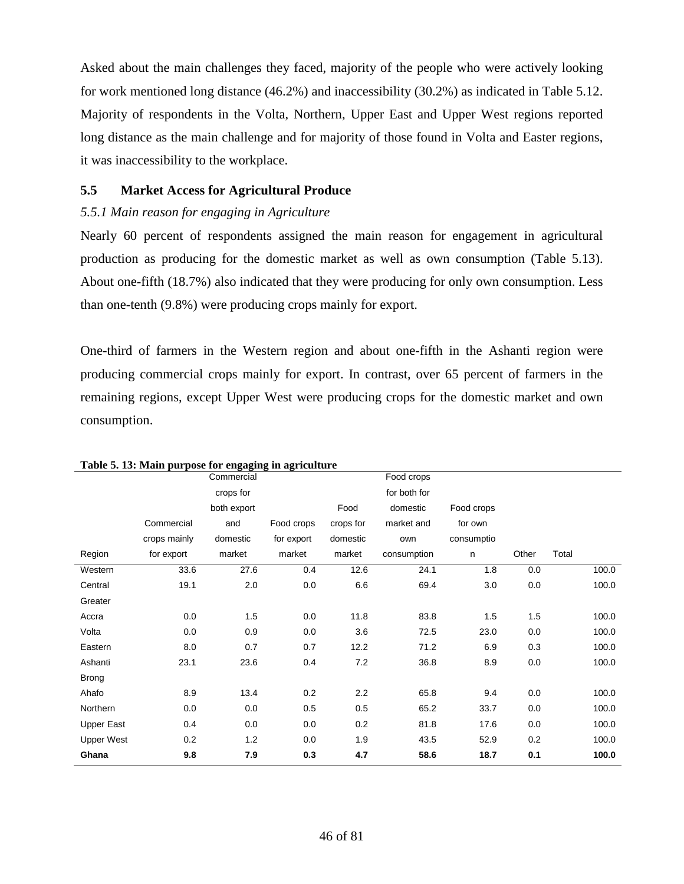Asked about the main challenges they faced, majority of the people who were actively looking for work mentioned long distance (46.2%) and inaccessibility (30.2%) as indicated in Table 5.12. Majority of respondents in the Volta, Northern, Upper East and Upper West regions reported long distance as the main challenge and for majority of those found in Volta and Easter regions, it was inaccessibility to the workplace.

# **5.5 Market Access for Agricultural Produce**

## *5.5.1 Main reason for engaging in Agriculture*

Nearly 60 percent of respondents assigned the main reason for engagement in agricultural production as producing for the domestic market as well as own consumption (Table 5.13). About one-fifth (18.7%) also indicated that they were producing for only own consumption. Less than one-tenth (9.8%) were producing crops mainly for export.

One-third of farmers in the Western region and about one-fifth in the Ashanti region were producing commercial crops mainly for export. In contrast, over 65 percent of farmers in the remaining regions, except Upper West were producing crops for the domestic market and own consumption.

|                   |              | Commercial  |            |           | Food crops   |            |       |       |       |
|-------------------|--------------|-------------|------------|-----------|--------------|------------|-------|-------|-------|
|                   |              | crops for   |            |           | for both for |            |       |       |       |
|                   |              | both export |            | Food      | domestic     | Food crops |       |       |       |
|                   | Commercial   | and         | Food crops | crops for | market and   | for own    |       |       |       |
|                   | crops mainly | domestic    | for export | domestic  | own          | consumptio |       |       |       |
| Region            | for export   | market      | market     | market    | consumption  | n          | Other | Total |       |
| Western           | 33.6         | 27.6        | 0.4        | 12.6      | 24.1         | 1.8        | 0.0   |       | 100.0 |
| Central           | 19.1         | 2.0         | 0.0        | 6.6       | 69.4         | 3.0        | 0.0   |       | 100.0 |
| Greater           |              |             |            |           |              |            |       |       |       |
| Accra             | 0.0          | 1.5         | 0.0        | 11.8      | 83.8         | 1.5        | 1.5   |       | 100.0 |
| Volta             | 0.0          | 0.9         | 0.0        | 3.6       | 72.5         | 23.0       | 0.0   |       | 100.0 |
| Eastern           | 8.0          | 0.7         | 0.7        | 12.2      | 71.2         | 6.9        | 0.3   |       | 100.0 |
| Ashanti           | 23.1         | 23.6        | 0.4        | 7.2       | 36.8         | 8.9        | 0.0   |       | 100.0 |
| <b>Brong</b>      |              |             |            |           |              |            |       |       |       |
| Ahafo             | 8.9          | 13.4        | 0.2        | 2.2       | 65.8         | 9.4        | 0.0   |       | 100.0 |
| Northern          | 0.0          | 0.0         | 0.5        | 0.5       | 65.2         | 33.7       | 0.0   |       | 100.0 |
| <b>Upper East</b> | 0.4          | 0.0         | 0.0        | 0.2       | 81.8         | 17.6       | 0.0   |       | 100.0 |
| <b>Upper West</b> | 0.2          | 1.2         | 0.0        | 1.9       | 43.5         | 52.9       | 0.2   |       | 100.0 |
| Ghana             | 9.8          | 7.9         | 0.3        | 4.7       | 58.6         | 18.7       | 0.1   |       | 100.0 |

**Table 5. 13: Main purpose for engaging in agriculture**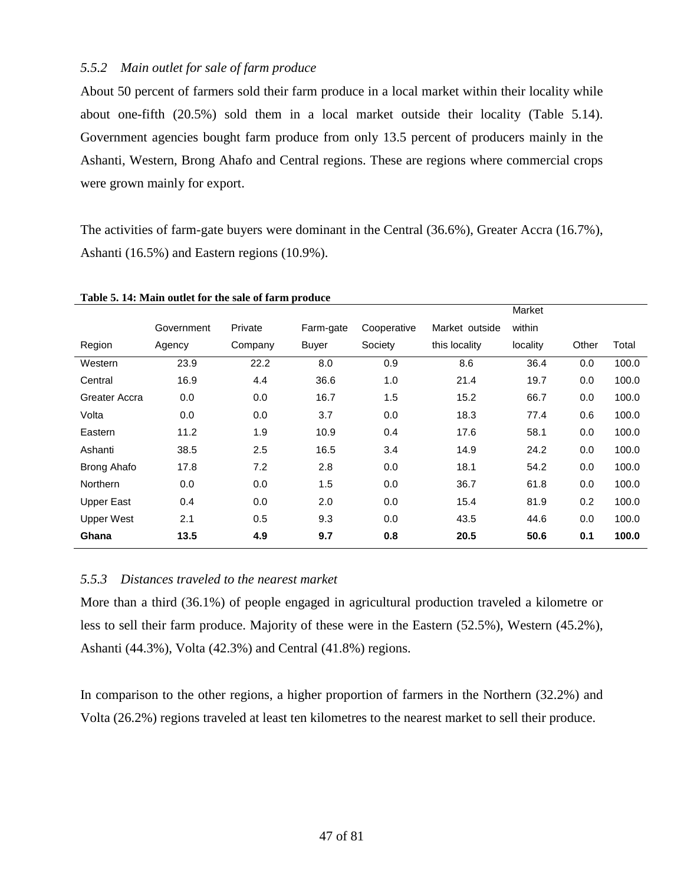## *5.5.2 Main outlet for sale of farm produce*

About 50 percent of farmers sold their farm produce in a local market within their locality while about one-fifth (20.5%) sold them in a local market outside their locality (Table 5.14). Government agencies bought farm produce from only 13.5 percent of producers mainly in the Ashanti, Western, Brong Ahafo and Central regions. These are regions where commercial crops were grown mainly for export.

The activities of farm-gate buyers were dominant in the Central (36.6%), Greater Accra (16.7%), Ashanti (16.5%) and Eastern regions (10.9%).

|                   |            |         |           |             |                | <b>Narket</b> |       |       |
|-------------------|------------|---------|-----------|-------------|----------------|---------------|-------|-------|
|                   | Government | Private | Farm-gate | Cooperative | Market outside | within        |       |       |
| Region            | Agency     | Company | Buyer     | Society     | this locality  | locality      | Other | Total |
| Western           | 23.9       | 22.2    | 8.0       | 0.9         | 8.6            | 36.4          | 0.0   | 100.0 |
| Central           | 16.9       | 4.4     | 36.6      | 1.0         | 21.4           | 19.7          | 0.0   | 100.0 |
| Greater Accra     | 0.0        | 0.0     | 16.7      | 1.5         | 15.2           | 66.7          | 0.0   | 100.0 |
| Volta             | 0.0        | 0.0     | 3.7       | 0.0         | 18.3           | 77.4          | 0.6   | 100.0 |
| Eastern           | 11.2       | 1.9     | 10.9      | 0.4         | 17.6           | 58.1          | 0.0   | 100.0 |
| Ashanti           | 38.5       | 2.5     | 16.5      | 3.4         | 14.9           | 24.2          | 0.0   | 100.0 |
| Brong Ahafo       | 17.8       | 7.2     | 2.8       | 0.0         | 18.1           | 54.2          | 0.0   | 100.0 |
| <b>Northern</b>   | 0.0        | 0.0     | 1.5       | 0.0         | 36.7           | 61.8          | 0.0   | 100.0 |
| <b>Upper East</b> | 0.4        | 0.0     | 2.0       | 0.0         | 15.4           | 81.9          | 0.2   | 100.0 |
| <b>Upper West</b> | 2.1        | 0.5     | 9.3       | 0.0         | 43.5           | 44.6          | 0.0   | 100.0 |
| Ghana             | 13.5       | 4.9     | 9.7       | 0.8         | 20.5           | 50.6          | 0.1   | 100.0 |

Market 1

#### **Table 5. 14: Main outlet for the sale of farm produce**

### *5.5.3 Distances traveled to the nearest market*

More than a third (36.1%) of people engaged in agricultural production traveled a kilometre or less to sell their farm produce. Majority of these were in the Eastern (52.5%), Western (45.2%), Ashanti (44.3%), Volta (42.3%) and Central (41.8%) regions.

In comparison to the other regions, a higher proportion of farmers in the Northern (32.2%) and Volta (26.2%) regions traveled at least ten kilometres to the nearest market to sell their produce.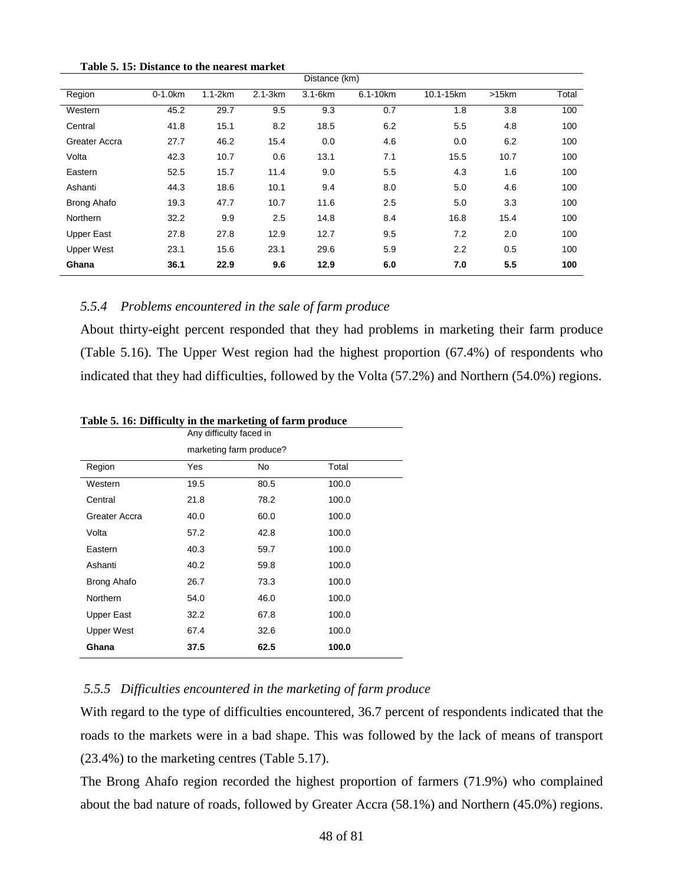|  |  |  | Table 5. 15: Distance to the nearest market |  |  |  |  |
|--|--|--|---------------------------------------------|--|--|--|--|
|--|--|--|---------------------------------------------|--|--|--|--|

| Distance (km)     |            |           |             |              |          |           |          |       |  |
|-------------------|------------|-----------|-------------|--------------|----------|-----------|----------|-------|--|
| Region            | $0-1.0$ km | $1.1-2km$ | $2.1 - 3km$ | $3.1 - 6$ km | 6.1-10km | 10.1-15km | $>15$ km | Total |  |
| Western           | 45.2       | 29.7      | 9.5         | 9.3          | 0.7      | 1.8       | 3.8      | 100   |  |
| Central           | 41.8       | 15.1      | 8.2         | 18.5         | 6.2      | 5.5       | 4.8      | 100   |  |
| Greater Accra     | 27.7       | 46.2      | 15.4        | 0.0          | 4.6      | 0.0       | 6.2      | 100   |  |
| Volta             | 42.3       | 10.7      | 0.6         | 13.1         | 7.1      | 15.5      | 10.7     | 100   |  |
| Eastern           | 52.5       | 15.7      | 11.4        | 9.0          | 5.5      | 4.3       | 1.6      | 100   |  |
| Ashanti           | 44.3       | 18.6      | 10.1        | 9.4          | 8.0      | 5.0       | 4.6      | 100   |  |
| Brong Ahafo       | 19.3       | 47.7      | 10.7        | 11.6         | 2.5      | 5.0       | 3.3      | 100   |  |
| <b>Northern</b>   | 32.2       | 9.9       | 2.5         | 14.8         | 8.4      | 16.8      | 15.4     | 100   |  |
| <b>Upper East</b> | 27.8       | 27.8      | 12.9        | 12.7         | 9.5      | 7.2       | 2.0      | 100   |  |
| <b>Upper West</b> | 23.1       | 15.6      | 23.1        | 29.6         | 5.9      | 2.2       | 0.5      | 100   |  |
| Ghana             | 36.1       | 22.9      | 9.6         | 12.9         | 6.0      | 7.0       | 5.5      | 100   |  |

## *5.5.4 Problems encountered in the sale of farm produce*

About thirty-eight percent responded that they had problems in marketing their farm produce (Table 5.16). The Upper West region had the highest proportion (67.4%) of respondents who indicated that they had difficulties, followed by the Volta (57.2%) and Northern (54.0%) regions.

|                   | Any difficulty faced in |                         |       |  |  |  |  |  |  |
|-------------------|-------------------------|-------------------------|-------|--|--|--|--|--|--|
|                   |                         | marketing farm produce? |       |  |  |  |  |  |  |
| Region            | Yes                     | No.                     | Total |  |  |  |  |  |  |
| Western           | 19.5                    | 80.5                    | 100.0 |  |  |  |  |  |  |
| Central           | 21.8                    | 78.2                    | 100.0 |  |  |  |  |  |  |
| Greater Accra     | 40.0                    | 60.0                    | 100.0 |  |  |  |  |  |  |
| Volta             | 57.2                    | 42.8                    | 100.0 |  |  |  |  |  |  |
| Eastern           | 40.3                    | 59.7                    | 100.0 |  |  |  |  |  |  |
| Ashanti           | 40.2                    | 59.8                    | 100.0 |  |  |  |  |  |  |
| Brong Ahafo       | 26.7                    | 73.3                    | 100.0 |  |  |  |  |  |  |
| Northern          | 54.0                    | 46.0                    | 100.0 |  |  |  |  |  |  |
| <b>Upper East</b> | 32.2                    | 67.8                    | 100.0 |  |  |  |  |  |  |
| <b>Upper West</b> | 67.4                    | 32.6                    | 100.0 |  |  |  |  |  |  |
| Ghana             | 37.5                    | 62.5                    | 100.0 |  |  |  |  |  |  |

**Table 5. 16: Difficulty in the marketing of farm produce**

# *5.5.5 Difficulties encountered in the marketing of farm produce*

With regard to the type of difficulties encountered, 36.7 percent of respondents indicated that the roads to the markets were in a bad shape. This was followed by the lack of means of transport (23.4%) to the marketing centres (Table 5.17).

The Brong Ahafo region recorded the highest proportion of farmers (71.9%) who complained about the bad nature of roads, followed by Greater Accra (58.1%) and Northern (45.0%) regions.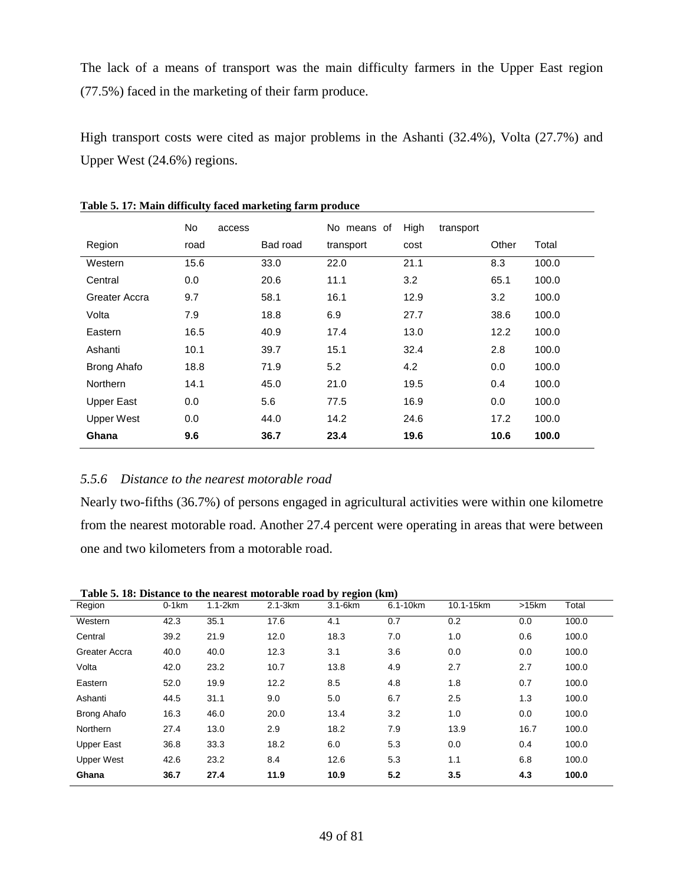The lack of a means of transport was the main difficulty farmers in the Upper East region (77.5%) faced in the marketing of their farm produce.

High transport costs were cited as major problems in the Ashanti (32.4%), Volta (27.7%) and Upper West (24.6%) regions.

|                   | No.  | access |          | No means of | High | transport |       |       |
|-------------------|------|--------|----------|-------------|------|-----------|-------|-------|
| Region            | road |        | Bad road | transport   | cost |           | Other | Total |
| Western           | 15.6 |        | 33.0     | 22.0        | 21.1 |           | 8.3   | 100.0 |
| Central           | 0.0  |        | 20.6     | 11.1        | 3.2  |           | 65.1  | 100.0 |
| Greater Accra     | 9.7  |        | 58.1     | 16.1        | 12.9 |           | 3.2   | 100.0 |
| Volta             | 7.9  |        | 18.8     | 6.9         | 27.7 |           | 38.6  | 100.0 |
| Eastern           | 16.5 |        | 40.9     | 17.4        | 13.0 |           | 12.2  | 100.0 |
| Ashanti           | 10.1 |        | 39.7     | 15.1        | 32.4 |           | 2.8   | 100.0 |
| Brong Ahafo       | 18.8 |        | 71.9     | 5.2         | 4.2  |           | 0.0   | 100.0 |
| <b>Northern</b>   | 14.1 |        | 45.0     | 21.0        | 19.5 |           | 0.4   | 100.0 |
| <b>Upper East</b> | 0.0  |        | 5.6      | 77.5        | 16.9 |           | 0.0   | 100.0 |
| <b>Upper West</b> | 0.0  |        | 44.0     | 14.2        | 24.6 |           | 17.2  | 100.0 |
| Ghana             | 9.6  |        | 36.7     | 23.4        | 19.6 |           | 10.6  | 100.0 |

**Table 5. 17: Main difficulty faced marketing farm produce**

### *5.5.6 Distance to the nearest motorable road*

Nearly two-fifths (36.7%) of persons engaged in agricultural activities were within one kilometre from the nearest motorable road. Another 27.4 percent were operating in areas that were between one and two kilometers from a motorable road.

|                    | Table 5. 18: Distance to the nearest motorable road by region (km) |             |             |              |          |           |       |       |  |
|--------------------|--------------------------------------------------------------------|-------------|-------------|--------------|----------|-----------|-------|-------|--|
| Region             | $0-1km$                                                            | $1.1 - 2km$ | $2.1 - 3km$ | $3.1 - 6$ km | 6.1-10km | 10.1-15km | >15km | Total |  |
| Western            | 42.3                                                               | 35.1        | 17.6        | 4.1          | 0.7      | 0.2       | 0.0   | 100.0 |  |
| Central            | 39.2                                                               | 21.9        | 12.0        | 18.3         | 7.0      | 1.0       | 0.6   | 100.0 |  |
| Greater Accra      | 40.0                                                               | 40.0        | 12.3        | 3.1          | 3.6      | 0.0       | 0.0   | 100.0 |  |
| Volta              | 42.0                                                               | 23.2        | 10.7        | 13.8         | 4.9      | 2.7       | 2.7   | 100.0 |  |
| Eastern            | 52.0                                                               | 19.9        | 12.2        | 8.5          | 4.8      | 1.8       | 0.7   | 100.0 |  |
| Ashanti            | 44.5                                                               | 31.1        | 9.0         | 5.0          | 6.7      | 2.5       | 1.3   | 100.0 |  |
| <b>Brong Ahafo</b> | 16.3                                                               | 46.0        | 20.0        | 13.4         | 3.2      | 1.0       | 0.0   | 100.0 |  |
| <b>Northern</b>    | 27.4                                                               | 13.0        | 2.9         | 18.2         | 7.9      | 13.9      | 16.7  | 100.0 |  |
| Upper East         | 36.8                                                               | 33.3        | 18.2        | 6.0          | 5.3      | 0.0       | 0.4   | 100.0 |  |
| <b>Upper West</b>  | 42.6                                                               | 23.2        | 8.4         | 12.6         | 5.3      | 1.1       | 6.8   | 100.0 |  |
| Ghana              | 36.7                                                               | 27.4        | 11.9        | 10.9         | 5.2      | 3.5       | 4.3   | 100.0 |  |

**Table 5. 18: Distance to the nearest motorable road by region (km)**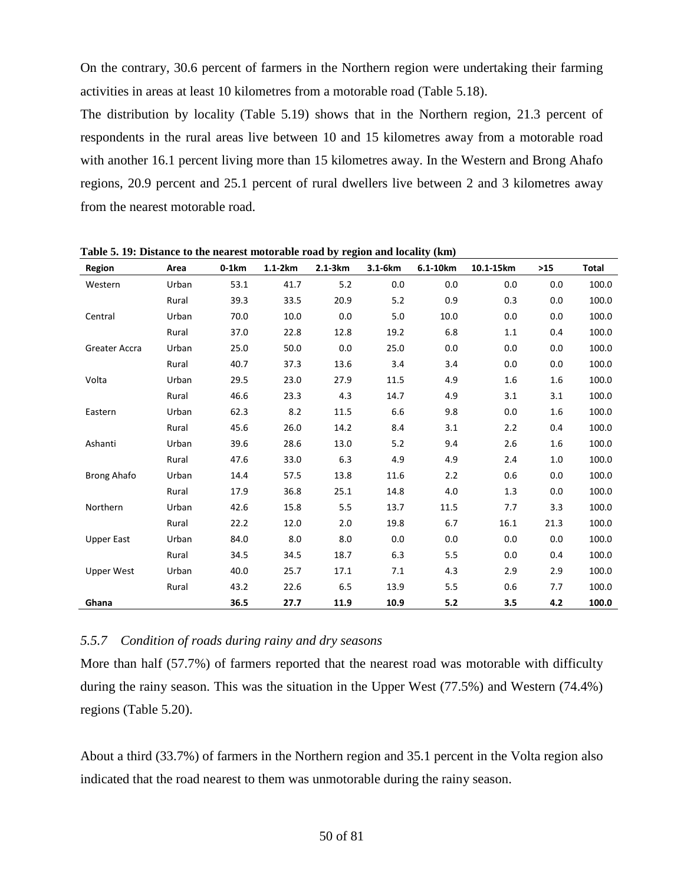On the contrary, 30.6 percent of farmers in the Northern region were undertaking their farming activities in areas at least 10 kilometres from a motorable road (Table 5.18).

The distribution by locality (Table 5.19) shows that in the Northern region, 21.3 percent of respondents in the rural areas live between 10 and 15 kilometres away from a motorable road with another 16.1 percent living more than 15 kilometres away. In the Western and Brong Ahafo regions, 20.9 percent and 25.1 percent of rural dwellers live between 2 and 3 kilometres away from the nearest motorable road.

| Region             | Area  | $0-1km$ | $1.1-2km$ | $2.1-3km$ | 3.1-6km | 6.1-10km | 10.1-15km | $>15$ | <b>Total</b> |
|--------------------|-------|---------|-----------|-----------|---------|----------|-----------|-------|--------------|
| Western            | Urban | 53.1    | 41.7      | 5.2       | 0.0     | 0.0      | 0.0       | 0.0   | 100.0        |
|                    | Rural | 39.3    | 33.5      | 20.9      | 5.2     | 0.9      | 0.3       | 0.0   | 100.0        |
| Central            | Urban | 70.0    | 10.0      | 0.0       | 5.0     | 10.0     | 0.0       | 0.0   | 100.0        |
|                    | Rural | 37.0    | 22.8      | 12.8      | 19.2    | 6.8      | 1.1       | 0.4   | 100.0        |
| Greater Accra      | Urban | 25.0    | 50.0      | 0.0       | 25.0    | 0.0      | 0.0       | 0.0   | 100.0        |
|                    | Rural | 40.7    | 37.3      | 13.6      | 3.4     | 3.4      | 0.0       | 0.0   | 100.0        |
| Volta              | Urban | 29.5    | 23.0      | 27.9      | 11.5    | 4.9      | 1.6       | 1.6   | 100.0        |
|                    | Rural | 46.6    | 23.3      | 4.3       | 14.7    | 4.9      | 3.1       | 3.1   | 100.0        |
| Eastern            | Urban | 62.3    | 8.2       | 11.5      | 6.6     | 9.8      | 0.0       | 1.6   | 100.0        |
|                    | Rural | 45.6    | 26.0      | 14.2      | 8.4     | 3.1      | 2.2       | 0.4   | 100.0        |
| Ashanti            | Urban | 39.6    | 28.6      | 13.0      | 5.2     | 9.4      | 2.6       | 1.6   | 100.0        |
|                    | Rural | 47.6    | 33.0      | 6.3       | 4.9     | 4.9      | 2.4       | 1.0   | 100.0        |
| <b>Brong Ahafo</b> | Urban | 14.4    | 57.5      | 13.8      | 11.6    | 2.2      | 0.6       | 0.0   | 100.0        |
|                    | Rural | 17.9    | 36.8      | 25.1      | 14.8    | 4.0      | 1.3       | 0.0   | 100.0        |
| Northern           | Urban | 42.6    | 15.8      | 5.5       | 13.7    | 11.5     | 7.7       | 3.3   | 100.0        |
|                    | Rural | 22.2    | 12.0      | 2.0       | 19.8    | 6.7      | 16.1      | 21.3  | 100.0        |
| <b>Upper East</b>  | Urban | 84.0    | 8.0       | 8.0       | 0.0     | 0.0      | 0.0       | 0.0   | 100.0        |
|                    | Rural | 34.5    | 34.5      | 18.7      | 6.3     | 5.5      | 0.0       | 0.4   | 100.0        |
| <b>Upper West</b>  | Urban | 40.0    | 25.7      | 17.1      | 7.1     | 4.3      | 2.9       | 2.9   | 100.0        |
|                    | Rural | 43.2    | 22.6      | 6.5       | 13.9    | 5.5      | 0.6       | 7.7   | 100.0        |
| Ghana              |       | 36.5    | 27.7      | 11.9      | 10.9    | 5.2      | 3.5       | 4.2   | 100.0        |

**Table 5. 19: Distance to the nearest motorable road by region and locality (km)**

# *5.5.7 Condition of roads during rainy and dry seasons*

More than half (57.7%) of farmers reported that the nearest road was motorable with difficulty during the rainy season. This was the situation in the Upper West (77.5%) and Western (74.4%) regions (Table 5.20).

About a third (33.7%) of farmers in the Northern region and 35.1 percent in the Volta region also indicated that the road nearest to them was unmotorable during the rainy season.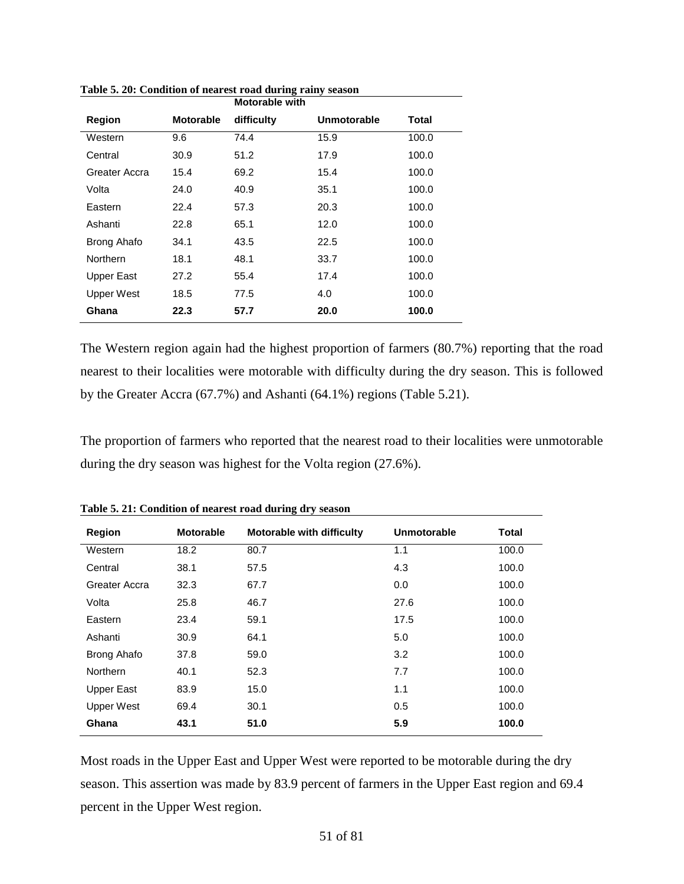|                   |           | <b>Motorable with</b> |                    |       |
|-------------------|-----------|-----------------------|--------------------|-------|
| <b>Region</b>     | Motorable | difficulty            | <b>Unmotorable</b> | Total |
| Western           | 9.6       | 74.4                  | 15.9               | 100.0 |
| Central           | 30.9      | 51.2                  | 17.9               | 100.0 |
| Greater Accra     | 15.4      | 69.2                  | 15.4               | 100.0 |
| Volta             | 24.0      | 40.9                  | 35.1               | 100.0 |
| Eastern           | 22.4      | 57.3                  | 20.3               | 100.0 |
| Ashanti           | 22.8      | 65.1                  | 12.0               | 100.0 |
| Brong Ahafo       | 34.1      | 43.5                  | 22.5               | 100.0 |
| Northern          | 18.1      | 48.1                  | 33.7               | 100.0 |
| <b>Upper East</b> | 27.2      | 55.4                  | 17.4               | 100.0 |
| <b>Upper West</b> | 18.5      | 77.5                  | 4.0                | 100.0 |
| Ghana             | 22.3      | 57.7                  | 20.0               | 100.0 |

**Table 5. 20: Condition of nearest road during rainy season**

The Western region again had the highest proportion of farmers (80.7%) reporting that the road nearest to their localities were motorable with difficulty during the dry season. This is followed by the Greater Accra (67.7%) and Ashanti (64.1%) regions (Table 5.21).

The proportion of farmers who reported that the nearest road to their localities were unmotorable during the dry season was highest for the Volta region (27.6%).

| Region            | <b>Motorable</b> | <b>Motorable with difficulty</b> | Unmotorable | Total |
|-------------------|------------------|----------------------------------|-------------|-------|
| Western           | 18.2             | 80.7                             | 1.1         | 100.0 |
| Central           | 38.1             | 57.5                             | 4.3         | 100.0 |
| Greater Accra     | 32.3             | 67.7                             | 0.0         | 100.0 |
| Volta             | 25.8             | 46.7                             | 27.6        | 100.0 |
| Eastern           | 23.4             | 59.1                             | 17.5        | 100.0 |
| Ashanti           | 30.9             | 64.1                             | 5.0         | 100.0 |
| Brong Ahafo       | 37.8             | 59.0                             | 3.2         | 100.0 |
| <b>Northern</b>   | 40.1             | 52.3                             | 7.7         | 100.0 |
| <b>Upper East</b> | 83.9             | 15.0                             | 1.1         | 100.0 |
| <b>Upper West</b> | 69.4             | 30.1                             | 0.5         | 100.0 |
| Ghana             | 43.1             | 51.0                             | 5.9         | 100.0 |

**Table 5. 21: Condition of nearest road during dry season**

Most roads in the Upper East and Upper West were reported to be motorable during the dry season. This assertion was made by 83.9 percent of farmers in the Upper East region and 69.4 percent in the Upper West region.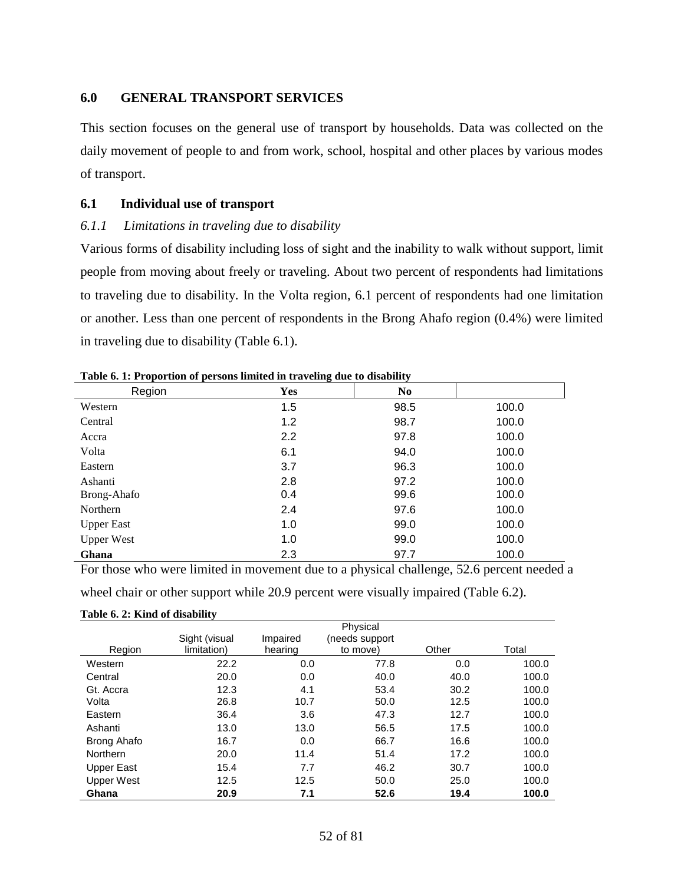### **6.0 GENERAL TRANSPORT SERVICES**

This section focuses on the general use of transport by households. Data was collected on the daily movement of people to and from work, school, hospital and other places by various modes of transport.

### **6.1 Individual use of transport**

### *6.1.1 Limitations in traveling due to disability*

Various forms of disability including loss of sight and the inability to walk without support, limit people from moving about freely or traveling. About two percent of respondents had limitations to traveling due to disability. In the Volta region, 6.1 percent of respondents had one limitation or another. Less than one percent of respondents in the Brong Ahafo region (0.4%) were limited in traveling due to disability (Table 6.1).

| Region            | Yes | N <sub>0</sub> |       |
|-------------------|-----|----------------|-------|
| Western           | 1.5 | 98.5           | 100.0 |
| Central           | 1.2 | 98.7           | 100.0 |
| Accra             | 2.2 | 97.8           | 100.0 |
| Volta             | 6.1 | 94.0           | 100.0 |
| Eastern           | 3.7 | 96.3           | 100.0 |
| Ashanti           | 2.8 | 97.2           | 100.0 |
| Brong-Ahafo       | 0.4 | 99.6           | 100.0 |
| Northern          | 2.4 | 97.6           | 100.0 |
| <b>Upper East</b> | 1.0 | 99.0           | 100.0 |
| <b>Upper West</b> | 1.0 | 99.0           | 100.0 |
| Ghana             | 2.3 | 97.7           | 100.0 |

**Table 6. 1: Proportion of persons limited in traveling due to disability**

For those who were limited in movement due to a physical challenge, 52.6 percent needed a

wheel chair or other support while 20.9 percent were visually impaired (Table 6.2).

|                   | $\cdot$<br>Sight (visual | Impaired | Physical<br>(needs support |       |       |
|-------------------|--------------------------|----------|----------------------------|-------|-------|
| Region            | limitation)              | hearing  | to move)                   | Other | Total |
| Western           | 22.2                     | 0.0      | 77.8                       | 0.0   | 100.0 |
| Central           | 20.0                     | 0.0      | 40.0                       | 40.0  | 100.0 |
| Gt. Accra         | 12.3                     | 4.1      | 53.4                       | 30.2  | 100.0 |
| Volta             | 26.8                     | 10.7     | 50.0                       | 12.5  | 100.0 |
| Eastern           | 36.4                     | 3.6      | 47.3                       | 12.7  | 100.0 |
| Ashanti           | 13.0                     | 13.0     | 56.5                       | 17.5  | 100.0 |
| Brong Ahafo       | 16.7                     | 0.0      | 66.7                       | 16.6  | 100.0 |
| <b>Northern</b>   | 20.0                     | 11.4     | 51.4                       | 17.2  | 100.0 |
| Upper East        | 15.4                     | 7.7      | 46.2                       | 30.7  | 100.0 |
| <b>Upper West</b> | 12.5                     | 12.5     | 50.0                       | 25.0  | 100.0 |
| Ghana             | 20.9                     | 7.1      | 52.6                       | 19.4  | 100.0 |

### **Table 6. 2: Kind of disability**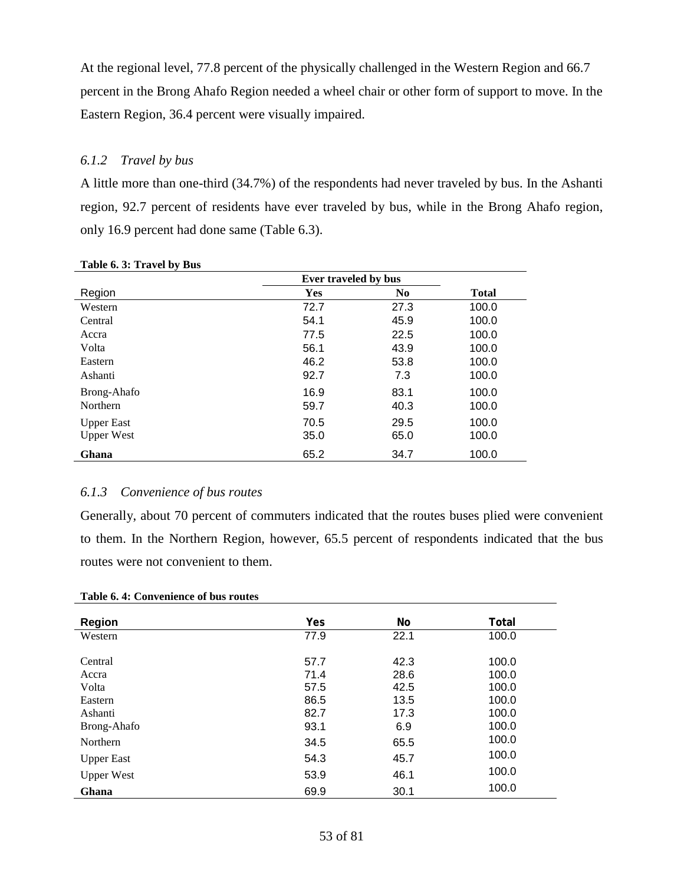At the regional level, 77.8 percent of the physically challenged in the Western Region and 66.7 percent in the Brong Ahafo Region needed a wheel chair or other form of support to move. In the Eastern Region, 36.4 percent were visually impaired.

### *6.1.2 Travel by bus*

A little more than one-third (34.7%) of the respondents had never traveled by bus. In the Ashanti region, 92.7 percent of residents have ever traveled by bus, while in the Brong Ahafo region, only 16.9 percent had done same (Table 6.3).

|                   | Ever traveled by bus |                |              |
|-------------------|----------------------|----------------|--------------|
| Region            | <b>Yes</b>           | N <sub>0</sub> | <b>Total</b> |
| Western           | 72.7                 | 27.3           | 100.0        |
| Central           | 54.1                 | 45.9           | 100.0        |
| Accra             | 77.5                 | 22.5           | 100.0        |
| Volta             | 56.1                 | 43.9           | 100.0        |
| Eastern           | 46.2                 | 53.8           | 100.0        |
| Ashanti           | 92.7                 | 7.3            | 100.0        |
| Brong-Ahafo       | 16.9                 | 83.1           | 100.0        |
| <b>Northern</b>   | 59.7                 | 40.3           | 100.0        |
| <b>Upper East</b> | 70.5                 | 29.5           | 100.0        |
| <b>Upper West</b> | 35.0                 | 65.0           | 100.0        |
| Ghana             | 65.2                 | 34.7           | 100.0        |

**Table 6. 3: Travel by Bus** 

### *6.1.3 Convenience of bus routes*

Generally, about 70 percent of commuters indicated that the routes buses plied were convenient to them. In the Northern Region, however, 65.5 percent of respondents indicated that the bus routes were not convenient to them.

| Table 6.4: Convenience of bus routes |  |
|--------------------------------------|--|
|--------------------------------------|--|

| <b>Region</b>     | Yes  | No   | Total |
|-------------------|------|------|-------|
| Western           | 77.9 | 22.1 | 100.0 |
|                   |      |      |       |
| Central           | 57.7 | 42.3 | 100.0 |
| Accra             | 71.4 | 28.6 | 100.0 |
| Volta             | 57.5 | 42.5 | 100.0 |
| Eastern           | 86.5 | 13.5 | 100.0 |
| Ashanti           | 82.7 | 17.3 | 100.0 |
| Brong-Ahafo       | 93.1 | 6.9  | 100.0 |
| Northern          | 34.5 | 65.5 | 100.0 |
| <b>Upper East</b> | 54.3 | 45.7 | 100.0 |
| <b>Upper West</b> | 53.9 | 46.1 | 100.0 |
| Ghana             | 69.9 | 30.1 | 100.0 |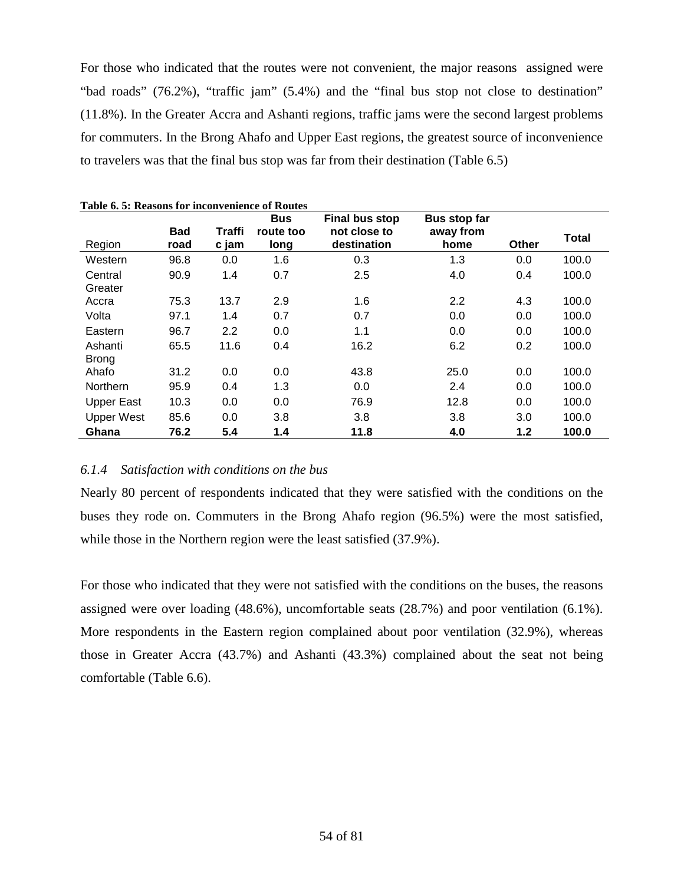For those who indicated that the routes were not convenient, the major reasons assigned were "bad roads" (76.2%), "traffic jam" (5.4%) and the "final bus stop not close to destination" (11.8%). In the Greater Accra and Ashanti regions, traffic jams were the second largest problems for commuters. In the Brong Ahafo and Upper East regions, the greatest source of inconvenience to travelers was that the final bus stop was far from their destination (Table 6.5)

|                         |                    |                 | <b>Bus</b>        | <b>Final bus stop</b>       | <b>Bus stop far</b> |       |              |
|-------------------------|--------------------|-----------------|-------------------|-----------------------------|---------------------|-------|--------------|
| Region                  | <b>Bad</b><br>road | Traffi<br>c jam | route too<br>long | not close to<br>destination | away from<br>home   | Other | <b>Total</b> |
| Western                 | 96.8               | 0.0             | 1.6               | 0.3                         | 1.3                 | 0.0   | 100.0        |
| Central<br>Greater      | 90.9               | 1.4             | 0.7               | 2.5                         | 4.0                 | 0.4   | 100.0        |
| Accra                   | 75.3               | 13.7            | 2.9               | 1.6                         | 2.2                 | 4.3   | 100.0        |
| Volta                   | 97.1               | 1.4             | 0.7               | 0.7                         | 0.0                 | 0.0   | 100.0        |
| Eastern                 | 96.7               | 2.2             | 0.0               | 1.1                         | 0.0                 | 0.0   | 100.0        |
| Ashanti<br><b>Brong</b> | 65.5               | 11.6            | 0.4               | 16.2                        | 6.2                 | 0.2   | 100.0        |
| Ahafo                   | 31.2               | 0.0             | 0.0               | 43.8                        | 25.0                | 0.0   | 100.0        |
| Northern                | 95.9               | 0.4             | 1.3               | 0.0                         | 2.4                 | 0.0   | 100.0        |
| <b>Upper East</b>       | 10.3               | 0.0             | 0.0               | 76.9                        | 12.8                | 0.0   | 100.0        |
| <b>Upper West</b>       | 85.6               | 0.0             | 3.8               | 3.8                         | 3.8                 | 3.0   | 100.0        |
| Ghana                   | 76.2               | 5.4             | 1.4               | 11.8                        | 4.0                 | 1.2   | 100.0        |

#### *6.1.4 Satisfaction with conditions on the bus*

Nearly 80 percent of respondents indicated that they were satisfied with the conditions on the buses they rode on. Commuters in the Brong Ahafo region (96.5%) were the most satisfied, while those in the Northern region were the least satisfied (37.9%).

For those who indicated that they were not satisfied with the conditions on the buses, the reasons assigned were over loading (48.6%), uncomfortable seats (28.7%) and poor ventilation (6.1%). More respondents in the Eastern region complained about poor ventilation (32.9%), whereas those in Greater Accra (43.7%) and Ashanti (43.3%) complained about the seat not being comfortable (Table 6.6).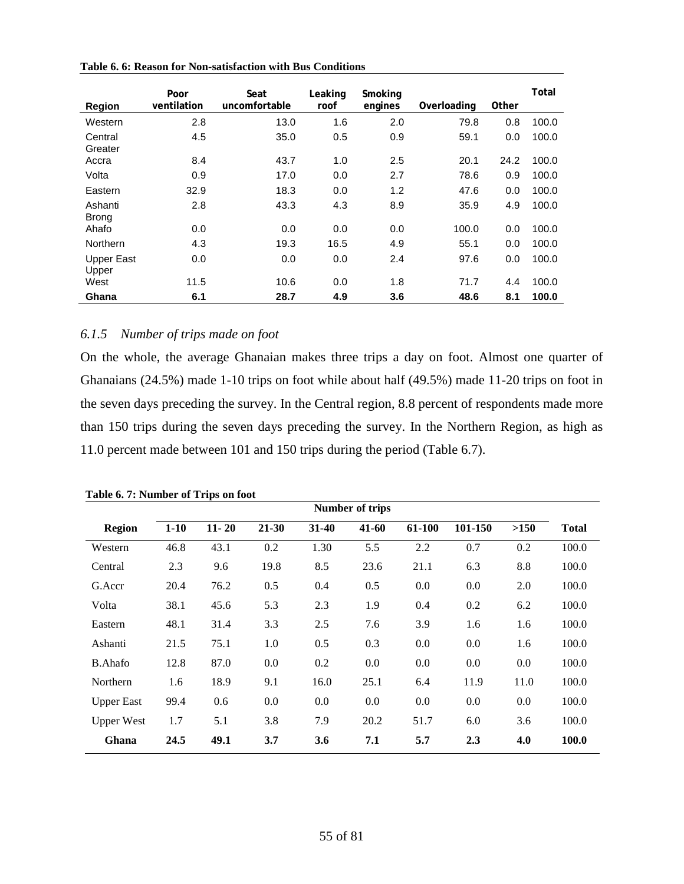| <b>Region</b>           | Poor<br>ventilation | Seat<br>uncomfortable | Leaking<br>roof | Smoking<br>engines | Overloading | Other | Total |
|-------------------------|---------------------|-----------------------|-----------------|--------------------|-------------|-------|-------|
| Western                 | 2.8                 | 13.0                  | 1.6             | 2.0                | 79.8        | 0.8   | 100.0 |
| Central<br>Greater      | 4.5                 | 35.0                  | 0.5             | 0.9                | 59.1        | 0.0   | 100.0 |
| Accra                   | 8.4                 | 43.7                  | 1.0             | 2.5                | 20.1        | 24.2  | 100.0 |
| Volta                   | 0.9                 | 17.0                  | 0.0             | 2.7                | 78.6        | 0.9   | 100.0 |
| Eastern                 | 32.9                | 18.3                  | 0.0             | 1.2                | 47.6        | 0.0   | 100.0 |
| Ashanti<br><b>Brong</b> | 2.8                 | 43.3                  | 4.3             | 8.9                | 35.9        | 4.9   | 100.0 |
| Ahafo                   | 0.0                 | 0.0                   | 0.0             | 0.0                | 100.0       | 0.0   | 100.0 |
| <b>Northern</b>         | 4.3                 | 19.3                  | 16.5            | 4.9                | 55.1        | 0.0   | 100.0 |
| Upper East<br>Upper     | 0.0                 | 0.0                   | 0.0             | 2.4                | 97.6        | 0.0   | 100.0 |
| West                    | 11.5                | 10.6                  | 0.0             | 1.8                | 71.7        | 4.4   | 100.0 |
| Ghana                   | 6.1                 | 28.7                  | 4.9             | 3.6                | 48.6        | 8.1   | 100.0 |

**Table 6. 6: Reason for Non-satisfaction with Bus Conditions** 

## *6.1.5 Number of trips made on foot*

On the whole, the average Ghanaian makes three trips a day on foot. Almost one quarter of Ghanaians (24.5%) made 1-10 trips on foot while about half (49.5%) made 11-20 trips on foot in the seven days preceding the survey. In the Central region, 8.8 percent of respondents made more than 150 trips during the seven days preceding the survey. In the Northern Region, as high as 11.0 percent made between 101 and 150 trips during the period (Table 6.7).

| <b>Number of trips</b> |        |           |       |         |       |        |         |         |              |
|------------------------|--------|-----------|-------|---------|-------|--------|---------|---------|--------------|
| <b>Region</b>          | $1-10$ | $11 - 20$ | 21-30 | $31-40$ | 41-60 | 61-100 | 101-150 | >150    | <b>Total</b> |
| Western                | 46.8   | 43.1      | 0.2   | 1.30    | 5.5   | 2.2    | 0.7     | 0.2     | 100.0        |
| Central                | 2.3    | 9.6       | 19.8  | 8.5     | 23.6  | 21.1   | 6.3     | 8.8     | 100.0        |
| G.Accr                 | 20.4   | 76.2      | 0.5   | 0.4     | 0.5   | 0.0    | 0.0     | 2.0     | 100.0        |
| Volta                  | 38.1   | 45.6      | 5.3   | 2.3     | 1.9   | 0.4    | 0.2     | 6.2     | 100.0        |
| Eastern                | 48.1   | 31.4      | 3.3   | 2.5     | 7.6   | 3.9    | 1.6     | 1.6     | 100.0        |
| Ashanti                | 21.5   | 75.1      | 1.0   | 0.5     | 0.3   | 0.0    | 0.0     | 1.6     | 100.0        |
| <b>B.Ahafo</b>         | 12.8   | 87.0      | 0.0   | 0.2     | 0.0   | 0.0    | 0.0     | $0.0\,$ | 100.0        |
| Northern               | 1.6    | 18.9      | 9.1   | 16.0    | 25.1  | 6.4    | 11.9    | 11.0    | 100.0        |
| <b>Upper East</b>      | 99.4   | 0.6       | 0.0   | 0.0     | 0.0   | 0.0    | 0.0     | 0.0     | 100.0        |
| <b>Upper West</b>      | 1.7    | 5.1       | 3.8   | 7.9     | 20.2  | 51.7   | 6.0     | 3.6     | 100.0        |
| Ghana                  | 24.5   | 49.1      | 3.7   | 3.6     | 7.1   | 5.7    | 2.3     | 4.0     | 100.0        |

**Table 6. 7: Number of Trips on foot**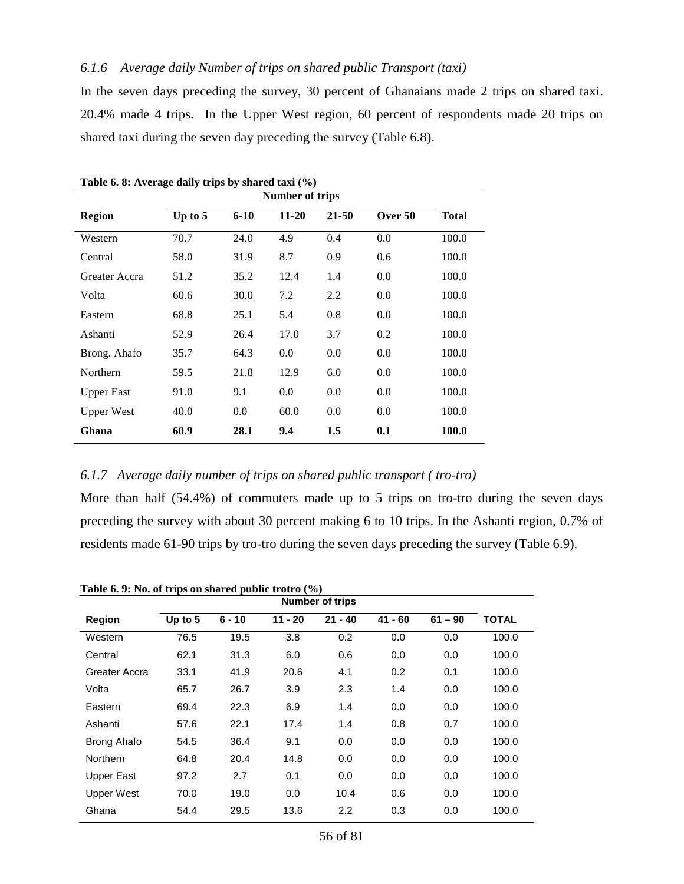## *6.1.6 Average daily Number of trips on shared public Transport (taxi)*

In the seven days preceding the survey, 30 percent of Ghanaians made 2 trips on shared taxi. 20.4% made 4 trips. In the Upper West region, 60 percent of respondents made 20 trips on shared taxi during the seven day preceding the survey (Table 6.8).

| Number of trips   |         |          |           |           |         |              |  |  |
|-------------------|---------|----------|-----------|-----------|---------|--------------|--|--|
| <b>Region</b>     | Up to 5 | $6 - 10$ | $11 - 20$ | $21 - 50$ | Over 50 | <b>Total</b> |  |  |
| Western           | 70.7    | 24.0     | 4.9       | 0.4       | 0.0     | 100.0        |  |  |
| Central           | 58.0    | 31.9     | 8.7       | 0.9       | 0.6     | 100.0        |  |  |
| Greater Accra     | 51.2    | 35.2     | 12.4      | 1.4       | 0.0     | 100.0        |  |  |
| Volta             | 60.6    | 30.0     | 7.2       | 2.2       | 0.0     | 100.0        |  |  |
| Eastern           | 68.8    | 25.1     | 5.4       | 0.8       | 0.0     | 100.0        |  |  |
| Ashanti           | 52.9    | 26.4     | 17.0      | 3.7       | 0.2     | 100.0        |  |  |
| Brong. Ahafo      | 35.7    | 64.3     | 0.0       | 0.0       | 0.0     | 100.0        |  |  |
| Northern          | 59.5    | 21.8     | 12.9      | 6.0       | 0.0     | 100.0        |  |  |
| <b>Upper East</b> | 91.0    | 9.1      | 0.0       | 0.0       | 0.0     | 100.0        |  |  |
| <b>Upper West</b> | 40.0    | 0.0      | 60.0      | 0.0       | 0.0     | 100.0        |  |  |
| Ghana             | 60.9    | 28.1     | 9.4       | 1.5       | 0.1     | 100.0        |  |  |

**Table 6. 8: Average daily trips by shared taxi (%)**

## *6.1.7 Average daily number of trips on shared public transport ( tro-tro)*

More than half (54.4%) of commuters made up to 5 trips on tro-tro during the seven days preceding the survey with about 30 percent making 6 to 10 trips. In the Ashanti region, 0.7% of residents made 61-90 trips by tro-tro during the seven days preceding the survey (Table 6.9).

| Table 0. 9: 180. Of trips on shared public trotro (70) |           |          |           | Number of trips |           |           |              |
|--------------------------------------------------------|-----------|----------|-----------|-----------------|-----------|-----------|--------------|
| <b>Region</b>                                          | Up to $5$ | $6 - 10$ | $11 - 20$ | $21 - 40$       | $41 - 60$ | $61 - 90$ | <b>TOTAL</b> |
| Western                                                | 76.5      | 19.5     | 3.8       | 0.2             | 0.0       | 0.0       | 100.0        |
| Central                                                | 62.1      | 31.3     | 6.0       | 0.6             | 0.0       | 0.0       | 100.0        |
| Greater Accra                                          | 33.1      | 41.9     | 20.6      | 4.1             | 0.2       | 0.1       | 100.0        |
| Volta                                                  | 65.7      | 26.7     | 3.9       | 2.3             | 1.4       | 0.0       | 100.0        |
| Eastern                                                | 69.4      | 22.3     | 6.9       | 1.4             | 0.0       | 0.0       | 100.0        |
| Ashanti                                                | 57.6      | 22.1     | 17.4      | 1.4             | 0.8       | 0.7       | 100.0        |
| <b>Brong Ahafo</b>                                     | 54.5      | 36.4     | 9.1       | 0.0             | 0.0       | 0.0       | 100.0        |
| Northern                                               | 64.8      | 20.4     | 14.8      | 0.0             | 0.0       | 0.0       | 100.0        |
| Upper East                                             | 97.2      | 2.7      | 0.1       | 0.0             | 0.0       | 0.0       | 100.0        |
| <b>Upper West</b>                                      | 70.0      | 19.0     | 0.0       | 10.4            | 0.6       | 0.0       | 100.0        |
| Ghana                                                  | 54.4      | 29.5     | 13.6      | 2.2             | 0.3       | 0.0       | 100.0        |

**Table 6. 9: No. of trips on shared public trotro (%)**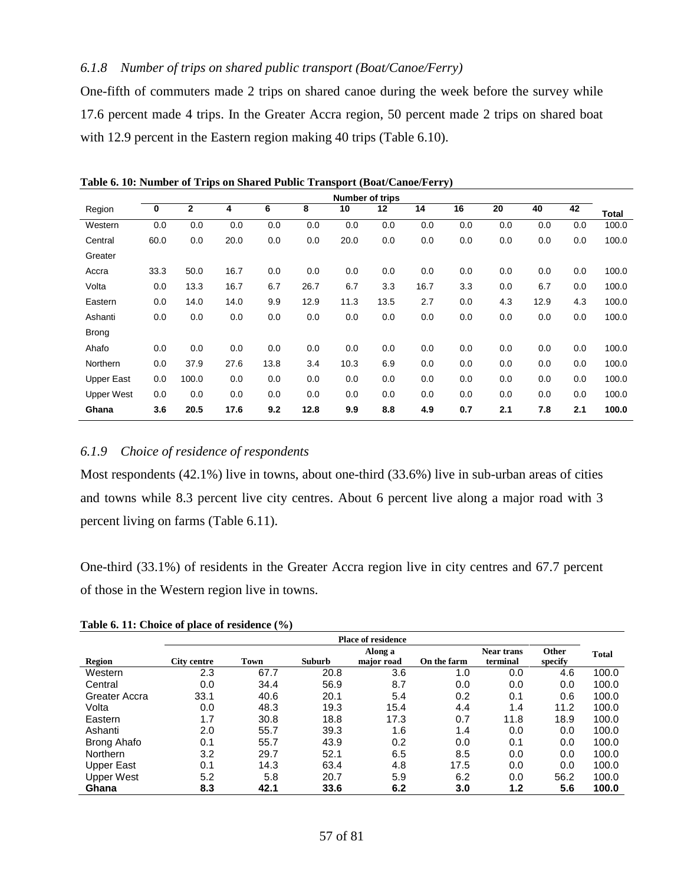## *6.1.8 Number of trips on shared public transport (Boat/Canoe/Ferry)*

One-fifth of commuters made 2 trips on shared canoe during the week before the survey while 17.6 percent made 4 trips. In the Greater Accra region, 50 percent made 2 trips on shared boat with 12.9 percent in the Eastern region making 40 trips (Table 6.10).

|                   | <b>Number of trips</b> |       |      |      |      |      |      |      |     |     |      |     |       |
|-------------------|------------------------|-------|------|------|------|------|------|------|-----|-----|------|-----|-------|
| Region            | $\bf{0}$               | 2     | 4    | 6    | 8    | 10   | 12   | 14   | 16  | 20  | 40   | 42  | Total |
| Western           | 0.0                    | 0.0   | 0.0  | 0.0  | 0.0  | 0.0  | 0.0  | 0.0  | 0.0 | 0.0 | 0.0  | 0.0 | 100.0 |
| Central           | 60.0                   | 0.0   | 20.0 | 0.0  | 0.0  | 20.0 | 0.0  | 0.0  | 0.0 | 0.0 | 0.0  | 0.0 | 100.0 |
| Greater           |                        |       |      |      |      |      |      |      |     |     |      |     |       |
| Accra             | 33.3                   | 50.0  | 16.7 | 0.0  | 0.0  | 0.0  | 0.0  | 0.0  | 0.0 | 0.0 | 0.0  | 0.0 | 100.0 |
| Volta             | 0.0                    | 13.3  | 16.7 | 6.7  | 26.7 | 6.7  | 3.3  | 16.7 | 3.3 | 0.0 | 6.7  | 0.0 | 100.0 |
| Eastern           | 0.0                    | 14.0  | 14.0 | 9.9  | 12.9 | 11.3 | 13.5 | 2.7  | 0.0 | 4.3 | 12.9 | 4.3 | 100.0 |
| Ashanti           | 0.0                    | 0.0   | 0.0  | 0.0  | 0.0  | 0.0  | 0.0  | 0.0  | 0.0 | 0.0 | 0.0  | 0.0 | 100.0 |
| <b>Brong</b>      |                        |       |      |      |      |      |      |      |     |     |      |     |       |
| Ahafo             | 0.0                    | 0.0   | 0.0  | 0.0  | 0.0  | 0.0  | 0.0  | 0.0  | 0.0 | 0.0 | 0.0  | 0.0 | 100.0 |
| Northern          | 0.0                    | 37.9  | 27.6 | 13.8 | 3.4  | 10.3 | 6.9  | 0.0  | 0.0 | 0.0 | 0.0  | 0.0 | 100.0 |
| <b>Upper East</b> | 0.0                    | 100.0 | 0.0  | 0.0  | 0.0  | 0.0  | 0.0  | 0.0  | 0.0 | 0.0 | 0.0  | 0.0 | 100.0 |
| <b>Upper West</b> | 0.0                    | 0.0   | 0.0  | 0.0  | 0.0  | 0.0  | 0.0  | 0.0  | 0.0 | 0.0 | 0.0  | 0.0 | 100.0 |
| Ghana             | 3.6                    | 20.5  | 17.6 | 9.2  | 12.8 | 9.9  | 8.8  | 4.9  | 0.7 | 2.1 | 7.8  | 2.1 | 100.0 |

**Table 6. 10: Number of Trips on Shared Public Transport (Boat/Canoe/Ferry)**

### *6.1.9 Choice of residence of respondents*

Most respondents (42.1%) live in towns, about one-third (33.6%) live in sub-urban areas of cities and towns while 8.3 percent live city centres. About 6 percent live along a major road with 3 percent living on farms (Table 6.11).

One-third (33.1%) of residents in the Greater Accra region live in city centres and 67.7 percent of those in the Western region live in towns.

| Table 6. 11: Choice of place of residence $(\% )$ |  |
|---------------------------------------------------|--|
|                                                   |  |

|                   | <b>Place of residence</b> |      |        |            |                   |          |              |       |  |
|-------------------|---------------------------|------|--------|------------|-------------------|----------|--------------|-------|--|
|                   |                           |      |        | Along a    | <b>Near trans</b> | Other    | <b>Total</b> |       |  |
| Region            | <b>City centre</b>        | Town | Suburb | major road | On the farm       | terminal | specify      |       |  |
| Western           | 2.3                       | 67.7 | 20.8   | 3.6        | 1.0               | 0.0      | 4.6          | 100.0 |  |
| Central           | 0.0                       | 34.4 | 56.9   | 8.7        | 0.0               | 0.0      | 0.0          | 100.0 |  |
| Greater Accra     | 33.1                      | 40.6 | 20.1   | 5.4        | 0.2               | 0.1      | 0.6          | 100.0 |  |
| Volta             | 0.0                       | 48.3 | 19.3   | 15.4       | 4.4               | 1.4      | 11.2         | 100.0 |  |
| Eastern           | 1.7                       | 30.8 | 18.8   | 17.3       | 0.7               | 11.8     | 18.9         | 100.0 |  |
| Ashanti           | 2.0                       | 55.7 | 39.3   | 1.6        | 1.4               | 0.0      | 0.0          | 100.0 |  |
| Brong Ahafo       | 0.1                       | 55.7 | 43.9   | 0.2        | 0.0               | 0.1      | 0.0          | 100.0 |  |
| <b>Northern</b>   | 3.2                       | 29.7 | 52.1   | 6.5        | 8.5               | 0.0      | 0.0          | 100.0 |  |
| <b>Upper East</b> | 0.1                       | 14.3 | 63.4   | 4.8        | 17.5              | 0.0      | 0.0          | 100.0 |  |
| <b>Upper West</b> | 5.2                       | 5.8  | 20.7   | 5.9        | 6.2               | 0.0      | 56.2         | 100.0 |  |
| Ghana             | 8.3                       | 42.1 | 33.6   | 6.2        | 3.0               | 1.2      | 5.6          | 100.0 |  |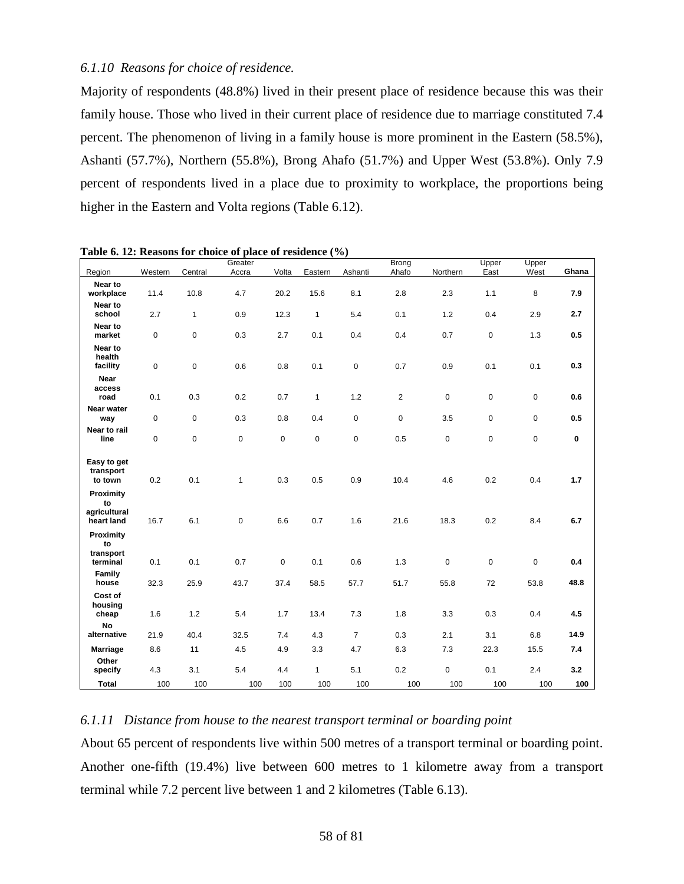### *6.1.10 Reasons for choice of residence.*

Majority of respondents (48.8%) lived in their present place of residence because this was their family house. Those who lived in their current place of residence due to marriage constituted 7.4 percent. The phenomenon of living in a family house is more prominent in the Eastern (58.5%), Ashanti (57.7%), Northern (55.8%), Brong Ahafo (51.7%) and Upper West (53.8%). Only 7.9 percent of respondents lived in a place due to proximity to workplace, the proportions being higher in the Eastern and Volta regions (Table 6.12).

| Region                                        | Western     | Central      | Greater<br>Accra | Volta       | Eastern      | Ashanti        | <b>Brong</b><br>Ahafo | Northern    | Upper<br>East | Upper<br>West | Ghana       |
|-----------------------------------------------|-------------|--------------|------------------|-------------|--------------|----------------|-----------------------|-------------|---------------|---------------|-------------|
| Near to                                       |             |              |                  |             |              |                |                       |             |               |               |             |
| workplace<br>Near to                          | 11.4        | 10.8         | 4.7              | 20.2        | 15.6         | 8.1            | 2.8                   | 2.3         | 1.1           | 8             | 7.9         |
| school                                        | 2.7         | $\mathbf{1}$ | 0.9              | 12.3        | $\mathbf{1}$ | 5.4            | 0.1                   | 1.2         | 0.4           | 2.9           | 2.7         |
| Near to<br>market                             | 0           | $\pmb{0}$    | 0.3              | 2.7         | 0.1          | 0.4            | 0.4                   | 0.7         | $\mathbf 0$   | 1.3           | 0.5         |
| Near to<br>health<br>facility                 | $\mathsf 0$ | $\pmb{0}$    | 0.6              | 0.8         | 0.1          | $\pmb{0}$      | 0.7                   | 0.9         | 0.1           | 0.1           | 0.3         |
| Near<br>access<br>road                        | 0.1         | 0.3          | 0.2              | 0.7         | $\mathbf{1}$ | 1.2            | $\overline{2}$        | $\mathbf 0$ | $\mathbf 0$   | $\mathbf 0$   | 0.6         |
| Near water<br>way                             | $\mathbf 0$ | $\pmb{0}$    | 0.3              | 0.8         | 0.4          | 0              | 0                     | 3.5         | 0             | 0             | 0.5         |
| Near to rail<br>line                          | 0           | $\mathbf 0$  | 0                | $\pmb{0}$   | $\pmb{0}$    | $\mathbf 0$    | 0.5                   | $\pmb{0}$   | $\pmb{0}$     | 0             | $\mathbf 0$ |
| Easy to get<br>transport<br>to town           | 0.2         | 0.1          | $\mathbf{1}$     | 0.3         | 0.5          | 0.9            | 10.4                  | 4.6         | 0.2           | 0.4           | 1.7         |
| Proximity<br>to<br>agricultural<br>heart land | 16.7        | 6.1          | 0                | 6.6         | 0.7          | 1.6            | 21.6                  | 18.3        | 0.2           | 8.4           | 6.7         |
| Proximity<br>to<br>transport                  |             |              |                  |             |              |                |                       |             |               |               |             |
| terminal                                      | 0.1         | 0.1          | 0.7              | $\mathsf 0$ | 0.1          | 0.6            | 1.3                   | $\pmb{0}$   | $\pmb{0}$     | $\mathsf 0$   | 0.4         |
| Family<br>house                               | 32.3        | 25.9         | 43.7             | 37.4        | 58.5         | 57.7           | 51.7                  | 55.8        | 72            | 53.8          | 48.8        |
| Cost of<br>housing<br>cheap                   | 1.6         | 1.2          | 5.4              | 1.7         | 13.4         | 7.3            | 1.8                   | 3.3         | 0.3           | 0.4           | 4.5         |
| No<br>alternative                             | 21.9        | 40.4         | 32.5             | 7.4         | 4.3          | $\overline{7}$ | 0.3                   | 2.1         | 3.1           | 6.8           | 14.9        |
| <b>Marriage</b>                               | 8.6         | 11           | 4.5              | 4.9         | 3.3          | 4.7            | 6.3                   | 7.3         | 22.3          | 15.5          | 7.4         |
| Other<br>specify                              | 4.3         | 3.1          | 5.4              | 4.4         | $\mathbf{1}$ | 5.1            | 0.2                   | $\mathbf 0$ | 0.1           | 2.4           | 3.2         |
| <b>Total</b>                                  | 100         | 100          | 100              | 100         | 100          | 100            | 100                   | 100         | 100           | 100           | 100         |

**Table 6. 12: Reasons for choice of place of residence (%)**

## *6.1.11 Distance from house to the nearest transport terminal or boarding point*

About 65 percent of respondents live within 500 metres of a transport terminal or boarding point. Another one-fifth (19.4%) live between 600 metres to 1 kilometre away from a transport terminal while 7.2 percent live between 1 and 2 kilometres (Table 6.13).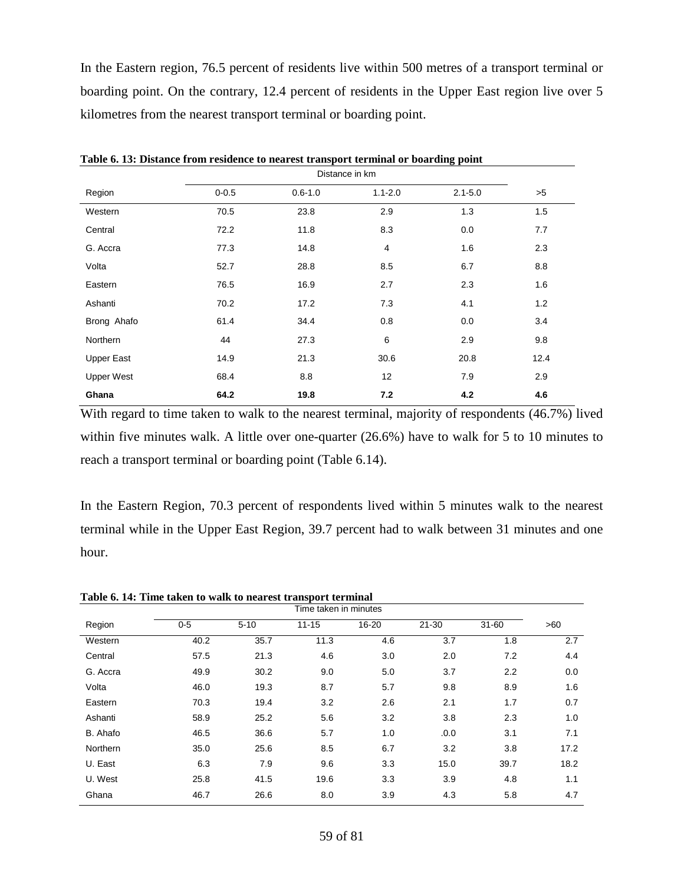In the Eastern region, 76.5 percent of residents live within 500 metres of a transport terminal or boarding point. On the contrary, 12.4 percent of residents in the Upper East region live over 5 kilometres from the nearest transport terminal or boarding point.

| Region            | $0 - 0.5$ | $0.6 - 1.0$ | $1.1 - 2.0$ | $2.1 - 5.0$ | >5   |
|-------------------|-----------|-------------|-------------|-------------|------|
| Western           | 70.5      | 23.8        | 2.9         | 1.3         | 1.5  |
| Central           | 72.2      | 11.8        | 8.3         | 0.0         | 7.7  |
| G. Accra          | 77.3      | 14.8        | 4           | 1.6         | 2.3  |
| Volta             | 52.7      | 28.8        | 8.5         | 6.7         | 8.8  |
| Eastern           | 76.5      | 16.9        | 2.7         | 2.3         | 1.6  |
| Ashanti           | 70.2      | 17.2        | 7.3         | 4.1         | 1.2  |
| Brong Ahafo       | 61.4      | 34.4        | 0.8         | 0.0         | 3.4  |
| <b>Northern</b>   | 44        | 27.3        | 6           | 2.9         | 9.8  |
| <b>Upper East</b> | 14.9      | 21.3        | 30.6        | 20.8        | 12.4 |
| <b>Upper West</b> | 68.4      | 8.8         | 12          | 7.9         | 2.9  |
| Ghana             | 64.2      | 19.8        | 7.2         | 4.2         | 4.6  |

**Table 6. 13: Distance from residence to nearest transport terminal or boarding point**

With regard to time taken to walk to the nearest terminal, majority of respondents (46.7%) lived within five minutes walk. A little over one-quarter (26.6%) have to walk for 5 to 10 minutes to reach a transport terminal or boarding point (Table 6.14).

In the Eastern Region, 70.3 percent of respondents lived within 5 minutes walk to the nearest terminal while in the Upper East Region, 39.7 percent had to walk between 31 minutes and one hour.

|                 | Time taken in minutes |          |           |       |           |           |      |  |  |  |
|-----------------|-----------------------|----------|-----------|-------|-----------|-----------|------|--|--|--|
| Region          | $0-5$                 | $5 - 10$ | $11 - 15$ | 16-20 | $21 - 30$ | $31 - 60$ | >60  |  |  |  |
| Western         | 40.2                  | 35.7     | 11.3      | 4.6   | 3.7       | 1.8       | 2.7  |  |  |  |
| Central         | 57.5                  | 21.3     | 4.6       | 3.0   | 2.0       | 7.2       | 4.4  |  |  |  |
| G. Accra        | 49.9                  | 30.2     | 9.0       | 5.0   | 3.7       | 2.2       | 0.0  |  |  |  |
| Volta           | 46.0                  | 19.3     | 8.7       | 5.7   | 9.8       | 8.9       | 1.6  |  |  |  |
| Eastern         | 70.3                  | 19.4     | 3.2       | 2.6   | 2.1       | 1.7       | 0.7  |  |  |  |
| Ashanti         | 58.9                  | 25.2     | 5.6       | 3.2   | 3.8       | 2.3       | 1.0  |  |  |  |
| B. Ahafo        | 46.5                  | 36.6     | 5.7       | 1.0   | .0.0      | 3.1       | 7.1  |  |  |  |
| <b>Northern</b> | 35.0                  | 25.6     | 8.5       | 6.7   | 3.2       | 3.8       | 17.2 |  |  |  |
| U. East         | 6.3                   | 7.9      | 9.6       | 3.3   | 15.0      | 39.7      | 18.2 |  |  |  |
| U. West         | 25.8                  | 41.5     | 19.6      | 3.3   | 3.9       | 4.8       | 1.1  |  |  |  |
| Ghana           | 46.7                  | 26.6     | 8.0       | 3.9   | 4.3       | 5.8       | 4.7  |  |  |  |

**Table 6. 14: Time taken to walk to nearest transport terminal**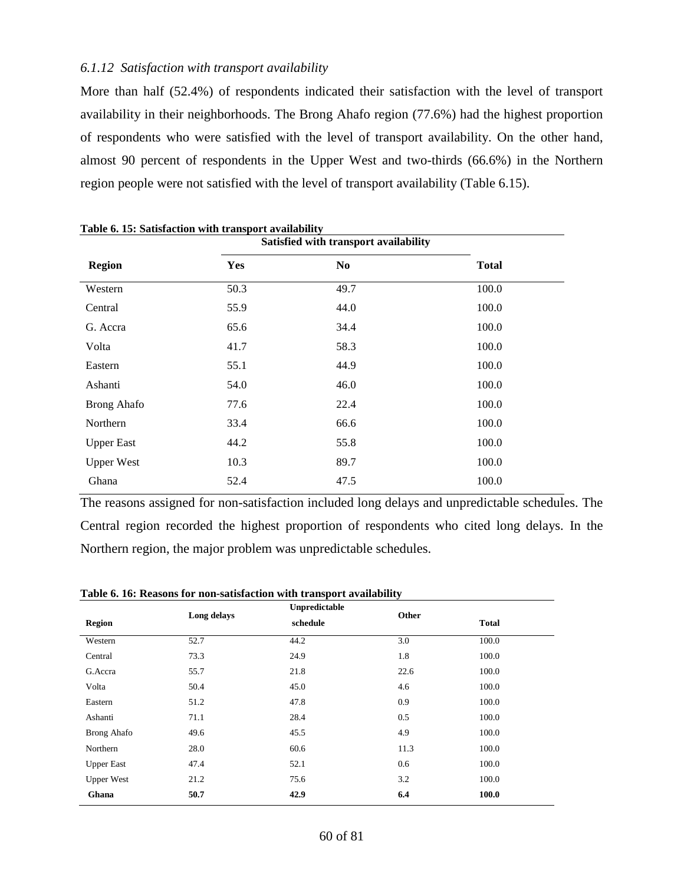#### *6.1.12 Satisfaction with transport availability*

More than half (52.4%) of respondents indicated their satisfaction with the level of transport availability in their neighborhoods. The Brong Ahafo region (77.6%) had the highest proportion of respondents who were satisfied with the level of transport availability. On the other hand, almost 90 percent of respondents in the Upper West and two-thirds (66.6%) in the Northern region people were not satisfied with the level of transport availability (Table 6.15).

| таріс о. т. райзнісцоп мин папэрогі атапарші, |      | Satisfied with transport availability |              |
|-----------------------------------------------|------|---------------------------------------|--------------|
| <b>Region</b>                                 | Yes  | N <sub>0</sub>                        | <b>Total</b> |
| Western                                       | 50.3 | 49.7                                  | 100.0        |
| Central                                       | 55.9 | 44.0                                  | 100.0        |
| G. Accra                                      | 65.6 | 34.4                                  | 100.0        |
| Volta                                         | 41.7 | 58.3                                  | 100.0        |
| Eastern                                       | 55.1 | 44.9                                  | 100.0        |
| Ashanti                                       | 54.0 | 46.0                                  | 100.0        |
| <b>Brong Ahafo</b>                            | 77.6 | 22.4                                  | 100.0        |
| Northern                                      | 33.4 | 66.6                                  | 100.0        |
| <b>Upper East</b>                             | 44.2 | 55.8                                  | 100.0        |
| <b>Upper West</b>                             | 10.3 | 89.7                                  | 100.0        |
| Ghana                                         | 52.4 | 47.5                                  | 100.0        |

**Table 6. 15: Satisfaction with transport availability**

The reasons assigned for non-satisfaction included long delays and unpredictable schedules. The Central region recorded the highest proportion of respondents who cited long delays. In the Northern region, the major problem was unpredictable schedules.

| <b>Region</b>     | Long delays | Unpredictable<br>schedule | Other | <b>Total</b> |
|-------------------|-------------|---------------------------|-------|--------------|
|                   |             |                           |       |              |
| Western           | 52.7        | 44.2                      | 3.0   | 100.0        |
| Central           | 73.3        | 24.9                      | 1.8   | 100.0        |
| G.Accra           | 55.7        | 21.8                      | 22.6  | 100.0        |
| Volta             | 50.4        | 45.0                      | 4.6   | 100.0        |
| Eastern           | 51.2        | 47.8                      | 0.9   | 100.0        |
| Ashanti           | 71.1        | 28.4                      | 0.5   | 100.0        |
| Brong Ahafo       | 49.6        | 45.5                      | 4.9   | 100.0        |
| Northern          | 28.0        | 60.6                      | 11.3  | 100.0        |
| <b>Upper East</b> | 47.4        | 52.1                      | 0.6   | 100.0        |
| <b>Upper West</b> | 21.2        | 75.6                      | 3.2   | 100.0        |
| Ghana             | 50.7        | 42.9                      | 6.4   | 100.0        |

**Table 6. 16: Reasons for non-satisfaction with transport availability**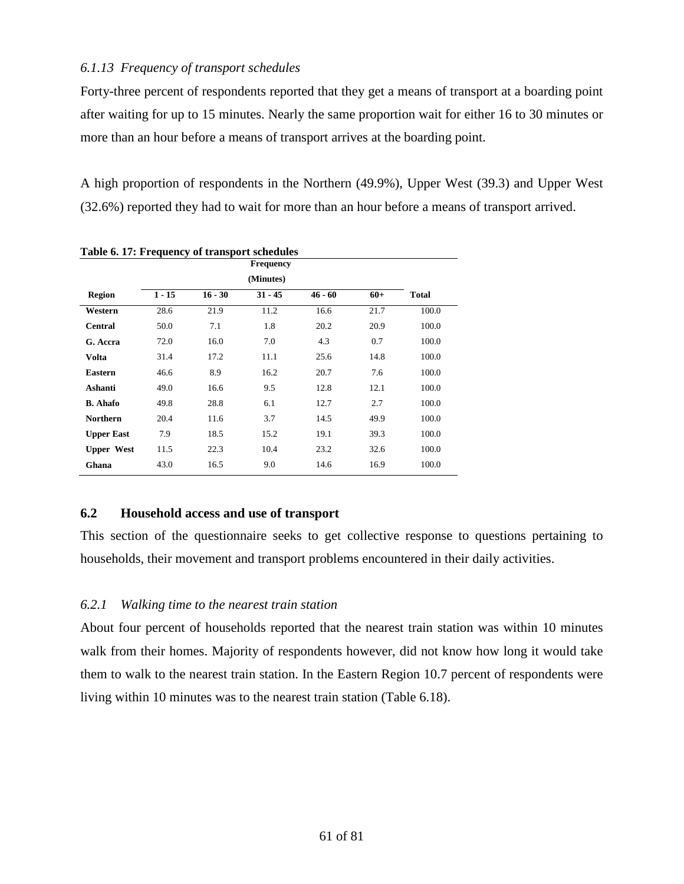# *6.1.13 Frequency of transport schedules*

Forty-three percent of respondents reported that they get a means of transport at a boarding point after waiting for up to 15 minutes. Nearly the same proportion wait for either 16 to 30 minutes or more than an hour before a means of transport arrives at the boarding point.

A high proportion of respondents in the Northern (49.9%), Upper West (39.3) and Upper West (32.6%) reported they had to wait for more than an hour before a means of transport arrived.

|                   |          |           | <b>Frequency</b> |           |       |              |
|-------------------|----------|-----------|------------------|-----------|-------|--------------|
|                   |          |           | (Minutes)        |           |       |              |
| <b>Region</b>     | $1 - 15$ | $16 - 30$ | $31 - 45$        | $46 - 60$ | $60+$ | <b>Total</b> |
| Western           | 28.6     | 21.9      | 11.2             | 16.6      | 21.7  | 100.0        |
| <b>Central</b>    | 50.0     | 7.1       | 1.8              | 20.2      | 20.9  | 100.0        |
| G. Accra          | 72.0     | 16.0      | 7.0              | 4.3       | 0.7   | 100.0        |
| Volta             | 31.4     | 17.2      | 11.1             | 25.6      | 14.8  | 100.0        |
| <b>Eastern</b>    | 46.6     | 8.9       | 16.2             | 20.7      | 7.6   | 100.0        |
| Ashanti           | 49.0     | 16.6      | 9.5              | 12.8      | 12.1  | 100.0        |
| <b>B.</b> Ahafo   | 49.8     | 28.8      | 6.1              | 12.7      | 2.7   | 100.0        |
| <b>Northern</b>   | 20.4     | 11.6      | 3.7              | 14.5      | 49.9  | 100.0        |
| <b>Upper East</b> | 7.9      | 18.5      | 15.2             | 19.1      | 39.3  | 100.0        |
| <b>Upper West</b> | 11.5     | 22.3      | 10.4             | 23.2      | 32.6  | 100.0        |
| Ghana             | 43.0     | 16.5      | 9.0              | 14.6      | 16.9  | 100.0        |
|                   |          |           |                  |           |       |              |

**Table 6. 17: Frequency of transport schedules**

## **6.2 Household access and use of transport**

This section of the questionnaire seeks to get collective response to questions pertaining to households, their movement and transport problems encountered in their daily activities.

## *6.2.1 Walking time to the nearest train station*

About four percent of households reported that the nearest train station was within 10 minutes walk from their homes. Majority of respondents however, did not know how long it would take them to walk to the nearest train station. In the Eastern Region 10.7 percent of respondents were living within 10 minutes was to the nearest train station (Table 6.18).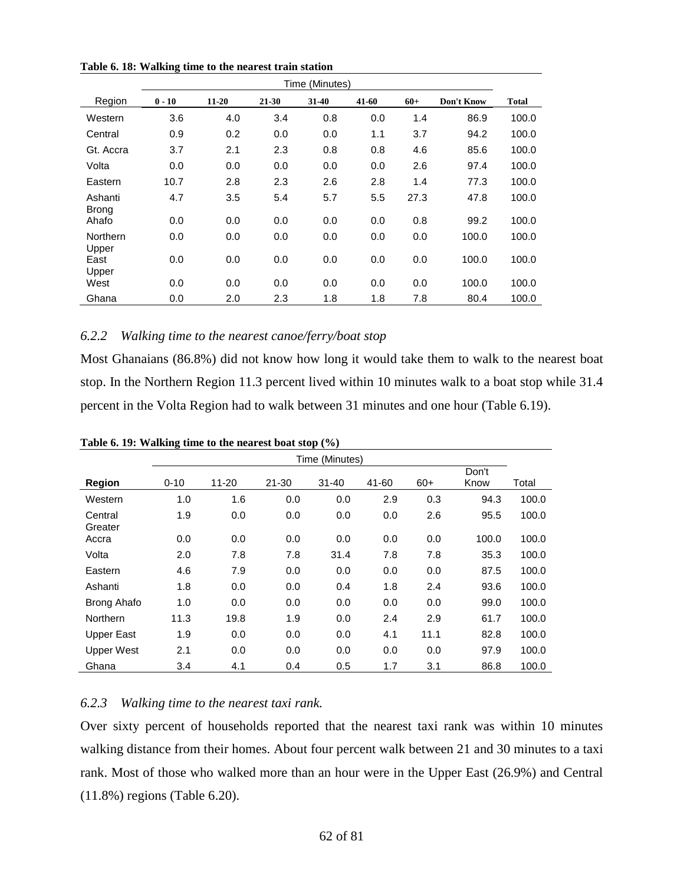|                         | Time (Minutes) |           |       |         |       |       |            |              |  |  |
|-------------------------|----------------|-----------|-------|---------|-------|-------|------------|--------------|--|--|
| Region                  | $0 - 10$       | $11 - 20$ | 21-30 | $31-40$ | 41-60 | $60+$ | Don't Know | <b>Total</b> |  |  |
| Western                 | 3.6            | 4.0       | 3.4   | 0.8     | 0.0   | 1.4   | 86.9       | 100.0        |  |  |
| Central                 | 0.9            | 0.2       | 0.0   | 0.0     | 1.1   | 3.7   | 94.2       | 100.0        |  |  |
| Gt. Accra               | 3.7            | 2.1       | 2.3   | 0.8     | 0.8   | 4.6   | 85.6       | 100.0        |  |  |
| Volta                   | 0.0            | 0.0       | 0.0   | 0.0     | 0.0   | 2.6   | 97.4       | 100.0        |  |  |
| Eastern                 | 10.7           | 2.8       | 2.3   | 2.6     | 2.8   | 1.4   | 77.3       | 100.0        |  |  |
| Ashanti<br><b>Brong</b> | 4.7            | 3.5       | 5.4   | 5.7     | 5.5   | 27.3  | 47.8       | 100.0        |  |  |
| Ahafo                   | 0.0            | 0.0       | 0.0   | 0.0     | 0.0   | 0.8   | 99.2       | 100.0        |  |  |
| Northern<br>Upper       | 0.0            | 0.0       | 0.0   | 0.0     | 0.0   | 0.0   | 100.0      | 100.0        |  |  |
| East<br>Upper           | 0.0            | 0.0       | 0.0   | 0.0     | 0.0   | 0.0   | 100.0      | 100.0        |  |  |
| West                    | 0.0            | 0.0       | 0.0   | 0.0     | 0.0   | 0.0   | 100.0      | 100.0        |  |  |
| Ghana                   | 0.0            | 2.0       | 2.3   | 1.8     | 1.8   | 7.8   | 80.4       | 100.0        |  |  |

**Table 6. 18: Walking time to the nearest train station**

### *6.2.2 Walking time to the nearest canoe/ferry/boat stop*

Most Ghanaians (86.8%) did not know how long it would take them to walk to the nearest boat stop. In the Northern Region 11.3 percent lived within 10 minutes walk to a boat stop while 31.4 percent in the Volta Region had to walk between 31 minutes and one hour (Table 6.19).

|                    | Time (Minutes) |           |           |           |       |       |               |       |  |
|--------------------|----------------|-----------|-----------|-----------|-------|-------|---------------|-------|--|
| <b>Region</b>      | $0 - 10$       | $11 - 20$ | $21 - 30$ | $31 - 40$ | 41-60 | $60+$ | Don't<br>Know | Total |  |
| Western            | 1.0            | 1.6       | 0.0       | 0.0       | 2.9   | 0.3   | 94.3          | 100.0 |  |
| Central            | 1.9            | 0.0       | 0.0       | 0.0       | 0.0   | 2.6   | 95.5          | 100.0 |  |
| Greater<br>Accra   | 0.0            | 0.0       | 0.0       | 0.0       | 0.0   | 0.0   | 100.0         | 100.0 |  |
| Volta              | 2.0            | 7.8       | 7.8       | 31.4      | 7.8   | 7.8   | 35.3          | 100.0 |  |
| Eastern            | 4.6            | 7.9       | 0.0       | 0.0       | 0.0   | 0.0   | 87.5          | 100.0 |  |
| Ashanti            | 1.8            | 0.0       | 0.0       | 0.4       | 1.8   | 2.4   | 93.6          | 100.0 |  |
| <b>Brong Ahafo</b> | 1.0            | 0.0       | 0.0       | 0.0       | 0.0   | 0.0   | 99.0          | 100.0 |  |
| Northern           | 11.3           | 19.8      | 1.9       | 0.0       | 2.4   | 2.9   | 61.7          | 100.0 |  |
| <b>Upper East</b>  | 1.9            | 0.0       | 0.0       | 0.0       | 4.1   | 11.1  | 82.8          | 100.0 |  |
| <b>Upper West</b>  | 2.1            | 0.0       | 0.0       | 0.0       | 0.0   | 0.0   | 97.9          | 100.0 |  |
| Ghana              | 3.4            | 4.1       | 0.4       | 0.5       | 1.7   | 3.1   | 86.8          | 100.0 |  |

**Table 6. 19: Walking time to the nearest boat stop (%)**

## *6.2.3 Walking time to the nearest taxi rank.*

Over sixty percent of households reported that the nearest taxi rank was within 10 minutes walking distance from their homes. About four percent walk between 21 and 30 minutes to a taxi rank. Most of those who walked more than an hour were in the Upper East (26.9%) and Central (11.8%) regions (Table 6.20).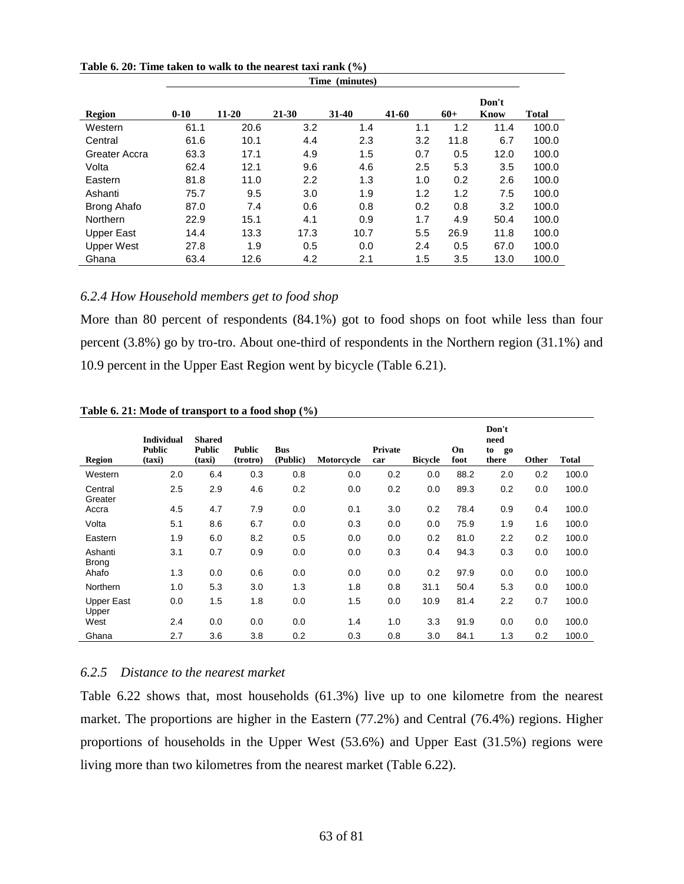|                    | Time (minutes) |           |           |         |       |       |               |              |  |  |
|--------------------|----------------|-----------|-----------|---------|-------|-------|---------------|--------------|--|--|
| Region             | $0 - 10$       | $11 - 20$ | $21 - 30$ | $31-40$ | 41-60 | $60+$ | Don't<br>Know | <b>Total</b> |  |  |
| Western            | 61.1           | 20.6      | 3.2       | 1.4     | 1.1   | 1.2   | 11.4          | 100.0        |  |  |
| Central            | 61.6           | 10.1      | 4.4       | 2.3     | 3.2   | 11.8  | 6.7           | 100.0        |  |  |
| Greater Accra      | 63.3           | 17.1      | 4.9       | 1.5     | 0.7   | 0.5   | 12.0          | 100.0        |  |  |
| Volta              | 62.4           | 12.1      | 9.6       | 4.6     | 2.5   | 5.3   | 3.5           | 100.0        |  |  |
| Eastern            | 81.8           | 11.0      | 2.2       | 1.3     | 1.0   | 0.2   | 2.6           | 100.0        |  |  |
| Ashanti            | 75.7           | 9.5       | 3.0       | 1.9     | 1.2   | 1.2   | 7.5           | 100.0        |  |  |
| <b>Brong Ahafo</b> | 87.0           | 7.4       | 0.6       | 0.8     | 0.2   | 0.8   | 3.2           | 100.0        |  |  |
| Northern           | 22.9           | 15.1      | 4.1       | 0.9     | 1.7   | 4.9   | 50.4          | 100.0        |  |  |
| Upper East         | 14.4           | 13.3      | 17.3      | 10.7    | 5.5   | 26.9  | 11.8          | 100.0        |  |  |
| <b>Upper West</b>  | 27.8           | 1.9       | 0.5       | 0.0     | 2.4   | 0.5   | 67.0          | 100.0        |  |  |
| Ghana              | 63.4           | 12.6      | 4.2       | 2.1     | 1.5   | 3.5   | 13.0          | 100.0        |  |  |

**Table 6. 20: Time taken to walk to the nearest taxi rank (%)**

## *6.2.4 How Household members get to food shop*

More than 80 percent of respondents (84.1%) got to food shops on foot while less than four percent (3.8%) go by tro-tro. About one-third of respondents in the Northern region (31.1%) and 10.9 percent in the Upper East Region went by bicycle (Table 6.21).

|                            | <b>Individual</b>       | <b>Shared</b>           |                           |                        |            |                       |                |            | Don't<br>need     |       |              |
|----------------------------|-------------------------|-------------------------|---------------------------|------------------------|------------|-----------------------|----------------|------------|-------------------|-------|--------------|
| <b>Region</b>              | <b>Public</b><br>(taxi) | <b>Public</b><br>(taxi) | <b>Public</b><br>(trotro) | <b>Bus</b><br>(Public) | Motorcycle | <b>Private</b><br>car | <b>Bicycle</b> | On<br>foot | to<br>go<br>there | Other | <b>Total</b> |
| Western                    | 2.0                     | 6.4                     | 0.3                       | 0.8                    | 0.0        | 0.2                   | 0.0            | 88.2       | 2.0               | 0.2   | 100.0        |
| Central<br>Greater         | 2.5                     | 2.9                     | 4.6                       | 0.2                    | 0.0        | 0.2                   | 0.0            | 89.3       | 0.2               | 0.0   | 100.0        |
| Accra                      | 4.5                     | 4.7                     | 7.9                       | 0.0                    | 0.1        | 3.0                   | 0.2            | 78.4       | 0.9               | 0.4   | 100.0        |
| Volta                      | 5.1                     | 8.6                     | 6.7                       | 0.0                    | 0.3        | 0.0                   | 0.0            | 75.9       | 1.9               | 1.6   | 100.0        |
| Eastern                    | 1.9                     | 6.0                     | 8.2                       | 0.5                    | 0.0        | 0.0                   | 0.2            | 81.0       | 2.2               | 0.2   | 100.0        |
| Ashanti<br><b>Brong</b>    | 3.1                     | 0.7                     | 0.9                       | 0.0                    | 0.0        | 0.3                   | 0.4            | 94.3       | 0.3               | 0.0   | 100.0        |
| Ahafo                      | 1.3                     | 0.0                     | 0.6                       | 0.0                    | 0.0        | 0.0                   | 0.2            | 97.9       | 0.0               | 0.0   | 100.0        |
| Northern                   | 1.0                     | 5.3                     | 3.0                       | 1.3                    | 1.8        | 0.8                   | 31.1           | 50.4       | 5.3               | 0.0   | 100.0        |
| <b>Upper East</b><br>Upper | 0.0                     | 1.5                     | 1.8                       | 0.0                    | 1.5        | 0.0                   | 10.9           | 81.4       | 2.2               | 0.7   | 100.0        |
| West                       | 2.4                     | 0.0                     | 0.0                       | 0.0                    | 1.4        | 1.0                   | 3.3            | 91.9       | 0.0               | 0.0   | 100.0        |
| Ghana                      | 2.7                     | 3.6                     | 3.8                       | 0.2                    | 0.3        | 0.8                   | 3.0            | 84.1       | 1.3               | 0.2   | 100.0        |

**Table 6. 21: Mode of transport to a food shop (%)**

#### *6.2.5 Distance to the nearest market*

Table 6.22 shows that, most households (61.3%) live up to one kilometre from the nearest market. The proportions are higher in the Eastern (77.2%) and Central (76.4%) regions. Higher proportions of households in the Upper West (53.6%) and Upper East (31.5%) regions were living more than two kilometres from the nearest market (Table 6.22).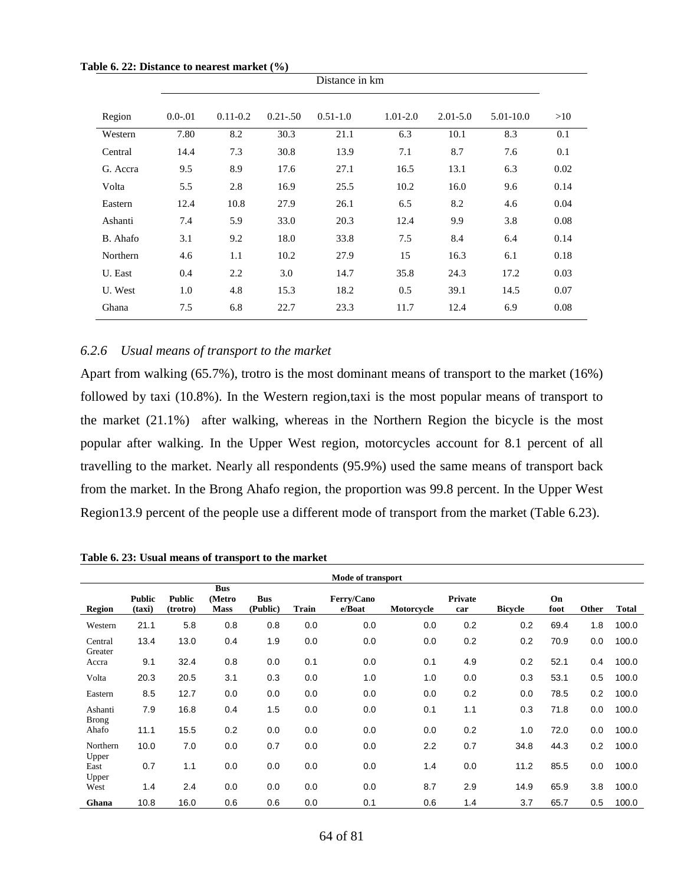|          | Distance in km |              |             |              |              |              |           |      |  |
|----------|----------------|--------------|-------------|--------------|--------------|--------------|-----------|------|--|
| Region   | $0.0 - 01$     | $0.11 - 0.2$ | $0.21 - 50$ | $0.51 - 1.0$ | $1.01 - 2.0$ | $2.01 - 5.0$ | 5.01-10.0 | >10  |  |
| Western  | 7.80           | 8.2          | 30.3        | 21.1         | 6.3          | 10.1         | 8.3       | 0.1  |  |
| Central  | 14.4           | 7.3          | 30.8        | 13.9         | 7.1          | 8.7          | 7.6       | 0.1  |  |
| G. Accra | 9.5            | 8.9          | 17.6        | 27.1         | 16.5         | 13.1         | 6.3       | 0.02 |  |
| Volta    | 5.5            | 2.8          | 16.9        | 25.5         | 10.2         | 16.0         | 9.6       | 0.14 |  |
| Eastern  | 12.4           | 10.8         | 27.9        | 26.1         | 6.5          | 8.2          | 4.6       | 0.04 |  |
| Ashanti  | 7.4            | 5.9          | 33.0        | 20.3         | 12.4         | 9.9          | 3.8       | 0.08 |  |
| B. Ahafo | 3.1            | 9.2          | 18.0        | 33.8         | 7.5          | 8.4          | 6.4       | 0.14 |  |
| Northern | 4.6            | 1.1          | 10.2        | 27.9         | 15           | 16.3         | 6.1       | 0.18 |  |
| U. East  | 0.4            | 2.2          | 3.0         | 14.7         | 35.8         | 24.3         | 17.2      | 0.03 |  |
| U. West  | 1.0            | 4.8          | 15.3        | 18.2         | 0.5          | 39.1         | 14.5      | 0.07 |  |
| Ghana    | 7.5            | 6.8          | 22.7        | 23.3         | 11.7         | 12.4         | 6.9       | 0.08 |  |

**Table 6. 22: Distance to nearest market (%)**

#### *6.2.6 Usual means of transport to the market*

Apart from walking (65.7%), trotro is the most dominant means of transport to the market (16%) followed by taxi (10.8%). In the Western region,taxi is the most popular means of transport to the market (21.1%) after walking, whereas in the Northern Region the bicycle is the most popular after walking. In the Upper West region, motorcycles account for 8.1 percent of all travelling to the market. Nearly all respondents (95.9%) used the same means of transport back from the market. In the Brong Ahafo region, the proportion was 99.8 percent. In the Upper West Region13.9 percent of the people use a different mode of transport from the market (Table 6.23).

**Table 6. 23: Usual means of transport to the market**

|                         | Mode of transport       |                           |                                     |                        |              |                      |            |                       |                |            |       |              |
|-------------------------|-------------------------|---------------------------|-------------------------------------|------------------------|--------------|----------------------|------------|-----------------------|----------------|------------|-------|--------------|
| <b>Region</b>           | <b>Public</b><br>(taxi) | <b>Public</b><br>(trotro) | <b>Bus</b><br>(Metro<br><b>Mass</b> | <b>Bus</b><br>(Public) | <b>Train</b> | Ferry/Cano<br>e/Boat | Motorcycle | <b>Private</b><br>car | <b>Bicycle</b> | On<br>foot | Other | <b>Total</b> |
| Western                 | 21.1                    | 5.8                       | 0.8                                 | 0.8                    | 0.0          | 0.0                  | 0.0        | 0.2                   | 0.2            | 69.4       | 1.8   | 100.0        |
| Central<br>Greater      | 13.4                    | 13.0                      | 0.4                                 | 1.9                    | 0.0          | 0.0                  | 0.0        | 0.2                   | 0.2            | 70.9       | 0.0   | 100.0        |
| Accra                   | 9.1                     | 32.4                      | 0.8                                 | 0.0                    | 0.1          | 0.0                  | 0.1        | 4.9                   | 0.2            | 52.1       | 0.4   | 100.0        |
| Volta                   | 20.3                    | 20.5                      | 3.1                                 | 0.3                    | 0.0          | 1.0                  | 1.0        | 0.0                   | 0.3            | 53.1       | 0.5   | 100.0        |
| Eastern                 | 8.5                     | 12.7                      | 0.0                                 | 0.0                    | 0.0          | 0.0                  | 0.0        | 0.2                   | 0.0            | 78.5       | 0.2   | 100.0        |
| Ashanti<br><b>Brong</b> | 7.9                     | 16.8                      | 0.4                                 | 1.5                    | 0.0          | 0.0                  | 0.1        | 1.1                   | 0.3            | 71.8       | 0.0   | 100.0        |
| Ahafo                   | 11.1                    | 15.5                      | 0.2                                 | 0.0                    | 0.0          | 0.0                  | 0.0        | 0.2                   | 1.0            | 72.0       | 0.0   | 100.0        |
| Northern<br>Upper       | 10.0                    | 7.0                       | 0.0                                 | 0.7                    | 0.0          | 0.0                  | 2.2        | 0.7                   | 34.8           | 44.3       | 0.2   | 100.0        |
| East<br>Upper           | 0.7                     | 1.1                       | 0.0                                 | 0.0                    | 0.0          | 0.0                  | 1.4        | 0.0                   | 11.2           | 85.5       | 0.0   | 100.0        |
| West                    | 1.4                     | 2.4                       | 0.0                                 | 0.0                    | 0.0          | 0.0                  | 8.7        | 2.9                   | 14.9           | 65.9       | 3.8   | 100.0        |
| Ghana                   | 10.8                    | 16.0                      | 0.6                                 | 0.6                    | 0.0          | 0.1                  | 0.6        | 1.4                   | 3.7            | 65.7       | 0.5   | 100.0        |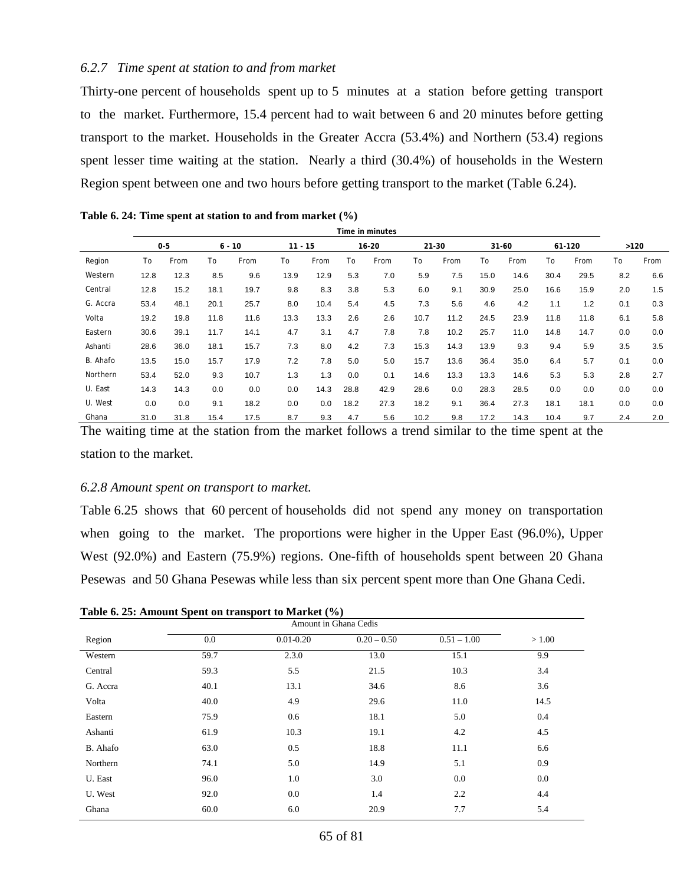#### *6.2.7 Time spent at station to and from market*

Thirty-one percent of households spent up to 5 minutes at a station before getting transport to the market. Furthermore, 15.4 percent had to wait between 6 and 20 minutes before getting transport to the market. Households in the Greater Accra (53.4%) and Northern (53.4) regions spent lesser time waiting at the station. Nearly a third (30.4%) of households in the Western Region spent between one and two hours before getting transport to the market (Table 6.24).

|          | Time in minutes |         |      |          |           |      |      |           |      |       |      |           |      |        |      |      |
|----------|-----------------|---------|------|----------|-----------|------|------|-----------|------|-------|------|-----------|------|--------|------|------|
|          |                 | $0 - 5$ |      | $6 - 10$ | $11 - 15$ |      |      | $16 - 20$ |      | 21-30 |      | $31 - 60$ |      | 61-120 | >120 |      |
| Region   | To              | From    | To   | From     | To        | From | To   | From      | To   | From  | To   | From      | To   | From   | To   | From |
| Western  | 12.8            | 12.3    | 8.5  | 9.6      | 13.9      | 12.9 | 5.3  | 7.0       | 5.9  | 7.5   | 15.0 | 14.6      | 30.4 | 29.5   | 8.2  | 6.6  |
| Central  | 12.8            | 15.2    | 18.1 | 19.7     | 9.8       | 8.3  | 3.8  | 5.3       | 6.0  | 9.1   | 30.9 | 25.0      | 16.6 | 15.9   | 2.0  | 1.5  |
| G. Accra | 53.4            | 48.1    | 20.1 | 25.7     | 8.0       | 10.4 | 5.4  | 4.5       | 7.3  | 5.6   | 4.6  | 4.2       | 1.1  | 1.2    | 0.1  | 0.3  |
| Volta    | 19.2            | 19.8    | 11.8 | 11.6     | 13.3      | 13.3 | 2.6  | 2.6       | 10.7 | 11.2  | 24.5 | 23.9      | 11.8 | 11.8   | 6.1  | 5.8  |
| Eastern  | 30.6            | 39.1    | 11.7 | 14.1     | 4.7       | 3.1  | 4.7  | 7.8       | 7.8  | 10.2  | 25.7 | 11.0      | 14.8 | 14.7   | 0.0  | 0.0  |
| Ashanti  | 28.6            | 36.0    | 18.1 | 15.7     | 7.3       | 8.0  | 4.2  | 7.3       | 15.3 | 14.3  | 13.9 | 9.3       | 9.4  | 5.9    | 3.5  | 3.5  |
| B. Ahafo | 13.5            | 15.0    | 15.7 | 17.9     | 7.2       | 7.8  | 5.0  | 5.0       | 15.7 | 13.6  | 36.4 | 35.0      | 6.4  | 5.7    | 0.1  | 0.0  |
| Northern | 53.4            | 52.0    | 9.3  | 10.7     | 1.3       | 1.3  | 0.0  | 0.1       | 14.6 | 13.3  | 13.3 | 14.6      | 5.3  | 5.3    | 2.8  | 2.7  |
| U. East  | 14.3            | 14.3    | 0.0  | 0.0      | 0.0       | 14.3 | 28.8 | 42.9      | 28.6 | 0.0   | 28.3 | 28.5      | 0.0  | 0.0    | 0.0  | 0.0  |
| U. West  | 0.0             | 0.0     | 9.1  | 18.2     | 0.0       | 0.0  | 18.2 | 27.3      | 18.2 | 9.1   | 36.4 | 27.3      | 18.1 | 18.1   | 0.0  | 0.0  |
| Ghana    | 31.0            | 31.8    | 15.4 | 17.5     | 8.7       | 9.3  | 4.7  | 5.6       | 10.2 | 9.8   | 17.2 | 14.3      | 10.4 | 9.7    | 2.4  | 2.0  |

**Table 6. 24: Time spent at station to and from market (%)**

The waiting time at the station from the market follows a trend similar to the time spent at the station to the market.

#### *6.2.8 Amount spent on transport to market.*

Table 6.25 shows that 60 percent of households did not spend any money on transportation when going to the market. The proportions were higher in the Upper East (96.0%), Upper West (92.0%) and Eastern (75.9%) regions. One-fifth of households spent between 20 Ghana Pesewas and 50 Ghana Pesewas while less than six percent spent more than One Ghana Cedi.

| Region   | 0.0  | $0.01 - 0.20$ | $0.20 - 0.50$ | $0.51 - 1.00$ | > 1.00 |
|----------|------|---------------|---------------|---------------|--------|
| Western  | 59.7 | 2.3.0         | 13.0          | 15.1          | 9.9    |
| Central  | 59.3 | 5.5           | 21.5          | 10.3          | 3.4    |
| G. Accra | 40.1 | 13.1          | 34.6          | 8.6           | 3.6    |
| Volta    | 40.0 | 4.9           | 29.6          | 11.0          | 14.5   |
| Eastern  | 75.9 | 0.6           | 18.1          | 5.0           | 0.4    |
| Ashanti  | 61.9 | 10.3          | 19.1          | 4.2           | 4.5    |
| B. Ahafo | 63.0 | 0.5           | 18.8          | 11.1          | 6.6    |
| Northern | 74.1 | 5.0           | 14.9          | 5.1           | 0.9    |
| U. East  | 96.0 | 1.0           | 3.0           | 0.0           | 0.0    |
| U. West  | 92.0 | 0.0           | 1.4           | 2.2           | 4.4    |
| Ghana    | 60.0 | 6.0           | 20.9          | 7.7           | 5.4    |

**Table 6. 25: Amount Spent on transport to Market (%)**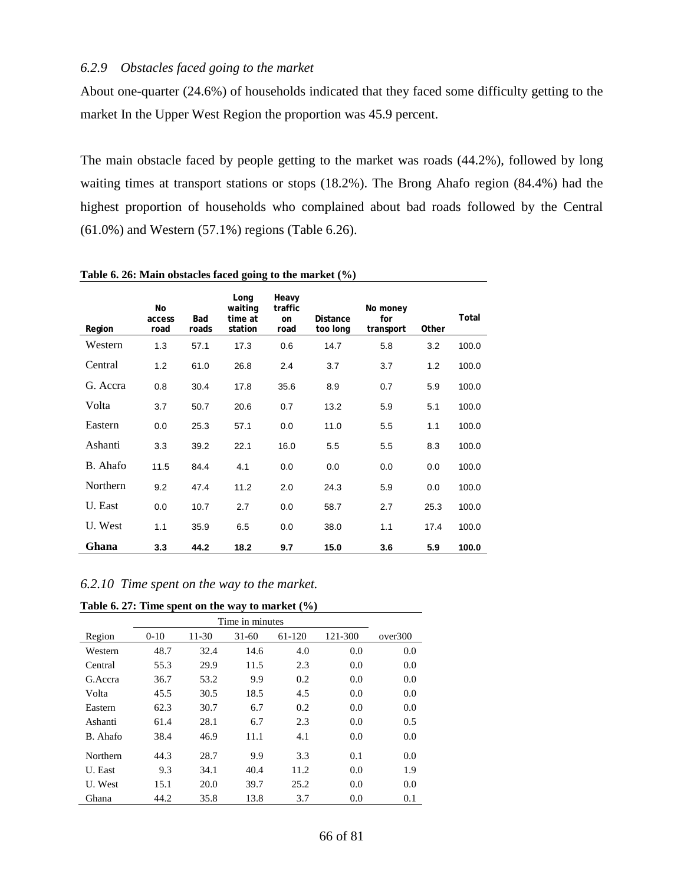### *6.2.9 Obstacles faced going to the market*

About one-quarter (24.6%) of households indicated that they faced some difficulty getting to the market In the Upper West Region the proportion was 45.9 percent.

The main obstacle faced by people getting to the market was roads (44.2%), followed by long waiting times at transport stations or stops (18.2%). The Brong Ahafo region (84.4%) had the highest proportion of households who complained about bad roads followed by the Central (61.0%) and Western (57.1%) regions (Table 6.26).

| Region   | No<br>access<br>road | Bad<br>roads | Long<br>waiting<br>time at<br>station | Heavy<br>traffic<br>on<br>road | <b>Distance</b><br>too long | No money<br>for<br>transport | Other | Total |
|----------|----------------------|--------------|---------------------------------------|--------------------------------|-----------------------------|------------------------------|-------|-------|
| Western  | 1.3                  | 57.1         | 17.3                                  | 0.6                            | 14.7                        | 5.8                          | 3.2   | 100.0 |
| Central  | 1.2                  | 61.0         | 26.8                                  | 2.4                            | 3.7                         | 3.7                          | 1.2   | 100.0 |
| G. Accra | 0.8                  | 30.4         | 17.8                                  | 35.6                           | 8.9                         | 0.7                          | 5.9   | 100.0 |
| Volta    | 3.7                  | 50.7         | 20.6                                  | 0.7                            | 13.2                        | 5.9                          | 5.1   | 100.0 |
| Eastern  | 0.0                  | 25.3         | 57.1                                  | 0.0                            | 11.0                        | 5.5                          | 1.1   | 100.0 |
| Ashanti  | 3.3                  | 39.2         | 22.1                                  | 16.0                           | 5.5                         | 5.5                          | 8.3   | 100.0 |
| B. Ahafo | 11.5                 | 84.4         | 4.1                                   | 0.0                            | 0.0                         | 0.0                          | 0.0   | 100.0 |
| Northern | 9.2                  | 47.4         | 11.2                                  | 2.0                            | 24.3                        | 5.9                          | 0.0   | 100.0 |
| U. East  | 0.0                  | 10.7         | 2.7                                   | 0.0                            | 58.7                        | 2.7                          | 25.3  | 100.0 |
| U. West  | 1.1                  | 35.9         | 6.5                                   | 0.0                            | 38.0                        | 1.1                          | 17.4  | 100.0 |
| Ghana    | 3.3                  | 44.2         | 18.2                                  | 9.7                            | 15.0                        | 3.6                          | 5.9   | 100.0 |

**Table 6. 26: Main obstacles faced going to the market (%)**

*6.2.10 Time spent on the way to the market.*

**Table 6. 27: Time spent on the way to market (%)**

| Region   | $0 - 10$ | 11-30 | $31-60$ | 61-120 | 121-300 | over300 |
|----------|----------|-------|---------|--------|---------|---------|
| Western  | 48.7     | 32.4  | 14.6    | 4.0    | 0.0     | 0.0     |
| Central  | 55.3     | 29.9  | 11.5    | 2.3    | 0.0     | 0.0     |
| G. Accra | 36.7     | 53.2  | 9.9     | 0.2    | 0.0     | 0.0     |
| Volta    | 45.5     | 30.5  | 18.5    | 4.5    | 0.0     | 0.0     |
| Eastern  | 62.3     | 30.7  | 6.7     | 0.2    | 0.0     | 0.0     |
| Ashanti  | 61.4     | 28.1  | 6.7     | 2.3    | 0.0     | 0.5     |
| B. Ahafo | 38.4     | 46.9  | 11.1    | 4.1    | 0.0     | 0.0     |
| Northern | 44.3     | 28.7  | 9.9     | 3.3    | 0.1     | 0.0     |
| U. East  | 9.3      | 34.1  | 40.4    | 11.2   | 0.0     | 1.9     |
| U. West  | 15.1     | 20.0  | 39.7    | 25.2   | 0.0     | 0.0     |
| Ghana    | 44.2     | 35.8  | 13.8    | 3.7    | 0.0     | 0.1     |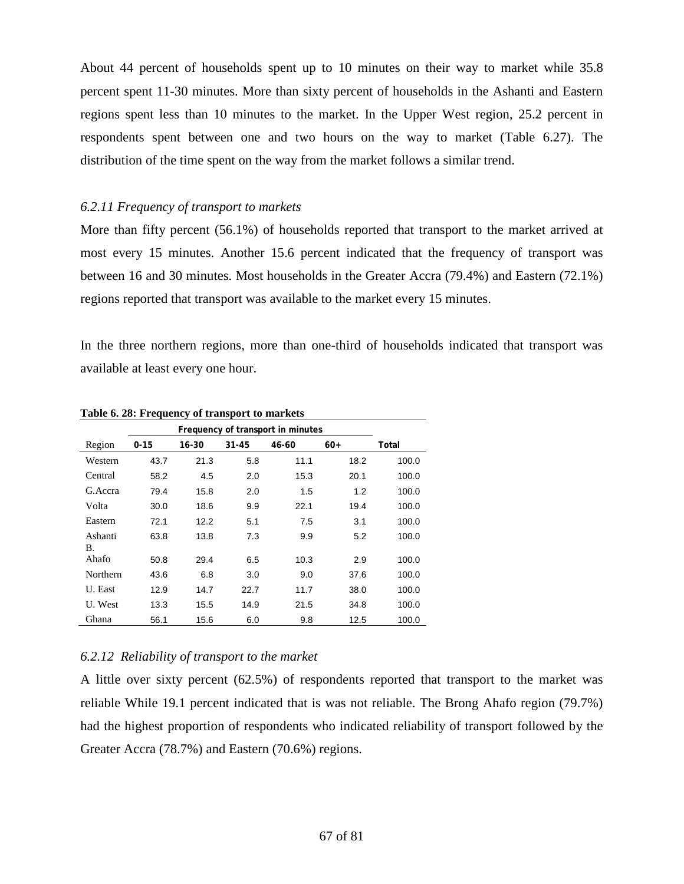About 44 percent of households spent up to 10 minutes on their way to market while 35.8 percent spent 11-30 minutes. More than sixty percent of households in the Ashanti and Eastern regions spent less than 10 minutes to the market. In the Upper West region, 25.2 percent in respondents spent between one and two hours on the way to market (Table 6.27). The distribution of the time spent on the way from the market follows a similar trend.

### *6.2.11 Frequency of transport to markets*

More than fifty percent (56.1%) of households reported that transport to the market arrived at most every 15 minutes. Another 15.6 percent indicated that the frequency of transport was between 16 and 30 minutes. Most households in the Greater Accra (79.4%) and Eastern (72.1%) regions reported that transport was available to the market every 15 minutes.

In the three northern regions, more than one-third of households indicated that transport was available at least every one hour.

|                 | Frequency of transport in minutes |       |           |       |       |       |  |  |  |
|-----------------|-----------------------------------|-------|-----------|-------|-------|-------|--|--|--|
| Region          | $0 - 15$                          | 16-30 | $31 - 45$ | 46-60 | $60+$ | Total |  |  |  |
| Western         | 43.7                              | 21.3  | 5.8       | 11.1  | 18.2  | 100.0 |  |  |  |
| Central         | 58.2                              | 4.5   | 2.0       | 15.3  | 20.1  | 100.0 |  |  |  |
| G. Accra        | 79.4                              | 15.8  | 2.0       | 1.5   | 1.2   | 100.0 |  |  |  |
| Volta           | 30.0                              | 18.6  | 9.9       | 22.1  | 19.4  | 100.0 |  |  |  |
| Eastern         | 72.1                              | 12.2  | 5.1       | 7.5   | 3.1   | 100.0 |  |  |  |
| Ashanti<br>В.   | 63.8                              | 13.8  | 7.3       | 9.9   | 5.2   | 100.0 |  |  |  |
| Ahafo           | 50.8                              | 29.4  | 6.5       | 10.3  | 2.9   | 100.0 |  |  |  |
| <b>Northern</b> | 43.6                              | 6.8   | 3.0       | 9.0   | 37.6  | 100.0 |  |  |  |
| U. East         | 12.9                              | 14.7  | 22.7      | 11.7  | 38.0  | 100.0 |  |  |  |
| U. West         | 13.3                              | 15.5  | 14.9      | 21.5  | 34.8  | 100.0 |  |  |  |
| Ghana           | 56.1                              | 15.6  | 6.0       | 9.8   | 12.5  | 100.0 |  |  |  |

**Table 6. 28: Frequency of transport to markets**

#### *6.2.12 Reliability of transport to the market*

A little over sixty percent (62.5%) of respondents reported that transport to the market was reliable While 19.1 percent indicated that is was not reliable. The Brong Ahafo region (79.7%) had the highest proportion of respondents who indicated reliability of transport followed by the Greater Accra (78.7%) and Eastern (70.6%) regions.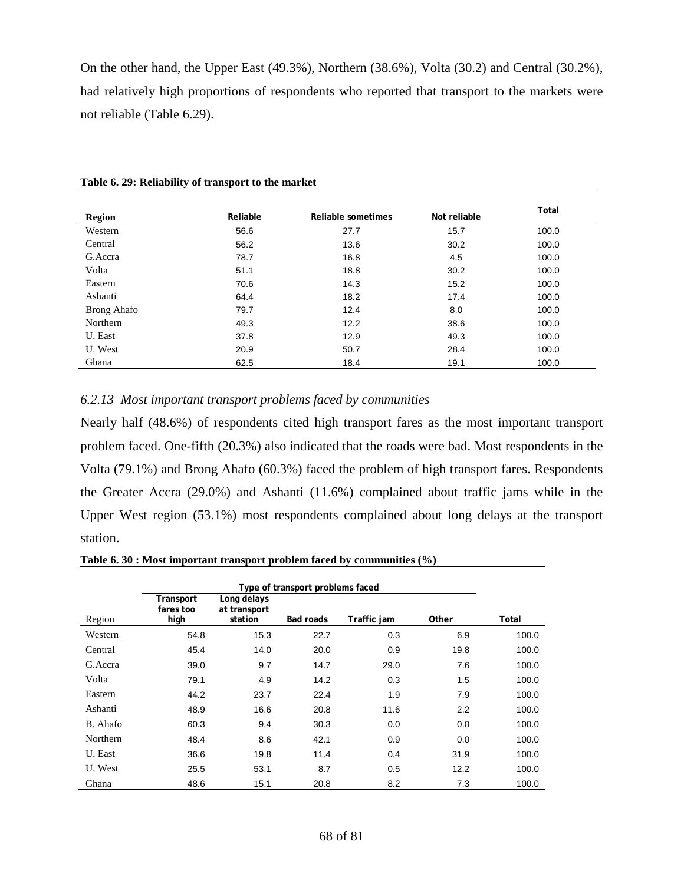On the other hand, the Upper East (49.3%), Northern (38.6%), Volta (30.2) and Central (30.2%), had relatively high proportions of respondents who reported that transport to the markets were not reliable (Table 6.29).

| <b>Region</b> | Reliable | Reliable sometimes | Not reliable | Total |
|---------------|----------|--------------------|--------------|-------|
| Western       | 56.6     | 27.7               | 15.7         | 100.0 |
| Central       | 56.2     | 13.6               | 30.2         | 100.0 |
| G.Accra       | 78.7     | 16.8               | 4.5          | 100.0 |
| Volta         | 51.1     | 18.8               | 30.2         | 100.0 |
| Eastern       | 70.6     | 14.3               | 15.2         | 100.0 |
| Ashanti       | 64.4     | 18.2               | 17.4         | 100.0 |
| Brong Ahafo   | 79.7     | 12.4               | 8.0          | 100.0 |
| Northern      | 49.3     | 12.2               | 38.6         | 100.0 |
| U. East       | 37.8     | 12.9               | 49.3         | 100.0 |
| U. West       | 20.9     | 50.7               | 28.4         | 100.0 |
| Ghana         | 62.5     | 18.4               | 19.1         | 100.0 |

**Table 6. 29: Reliability of transport to the market**

### *6.2.13 Most important transport problems faced by communities*

Nearly half (48.6%) of respondents cited high transport fares as the most important transport problem faced. One-fifth (20.3%) also indicated that the roads were bad. Most respondents in the Volta (79.1%) and Brong Ahafo (60.3%) faced the problem of high transport fares. Respondents the Greater Accra (29.0%) and Ashanti (11.6%) complained about traffic jams while in the Upper West region (53.1%) most respondents complained about long delays at the transport station.

**Table 6. 30 : Most important transport problem faced by communities (%)**

|          | Type of transport problems faced |                                        |           |             |       |       |  |  |
|----------|----------------------------------|----------------------------------------|-----------|-------------|-------|-------|--|--|
| Region   | Transport<br>fares too<br>high   | Long delays<br>at transport<br>station | Bad roads | Traffic jam | Other | Total |  |  |
| Western  | 54.8                             | 15.3                                   | 22.7      | 0.3         | 6.9   | 100.0 |  |  |
| Central  | 45.4                             | 14.0                                   | 20.0      | 0.9         | 19.8  | 100.0 |  |  |
| G. Accra | 39.0                             | 9.7                                    | 14.7      | 29.0        | 7.6   | 100.0 |  |  |
| Volta    | 79.1                             | 4.9                                    | 14.2      | 0.3         | 1.5   | 100.0 |  |  |
| Eastern  | 44.2                             | 23.7                                   | 22.4      | 1.9         | 7.9   | 100.0 |  |  |
| Ashanti  | 48.9                             | 16.6                                   | 20.8      | 11.6        | 2.2   | 100.0 |  |  |
| B. Ahafo | 60.3                             | 9.4                                    | 30.3      | 0.0         | 0.0   | 100.0 |  |  |
| Northern | 48.4                             | 8.6                                    | 42.1      | 0.9         | 0.0   | 100.0 |  |  |
| U. East  | 36.6                             | 19.8                                   | 11.4      | 0.4         | 31.9  | 100.0 |  |  |
| U. West  | 25.5                             | 53.1                                   | 8.7       | 0.5         | 12.2  | 100.0 |  |  |
| Ghana    | 48.6                             | 15.1                                   | 20.8      | 8.2         | 7.3   | 100.0 |  |  |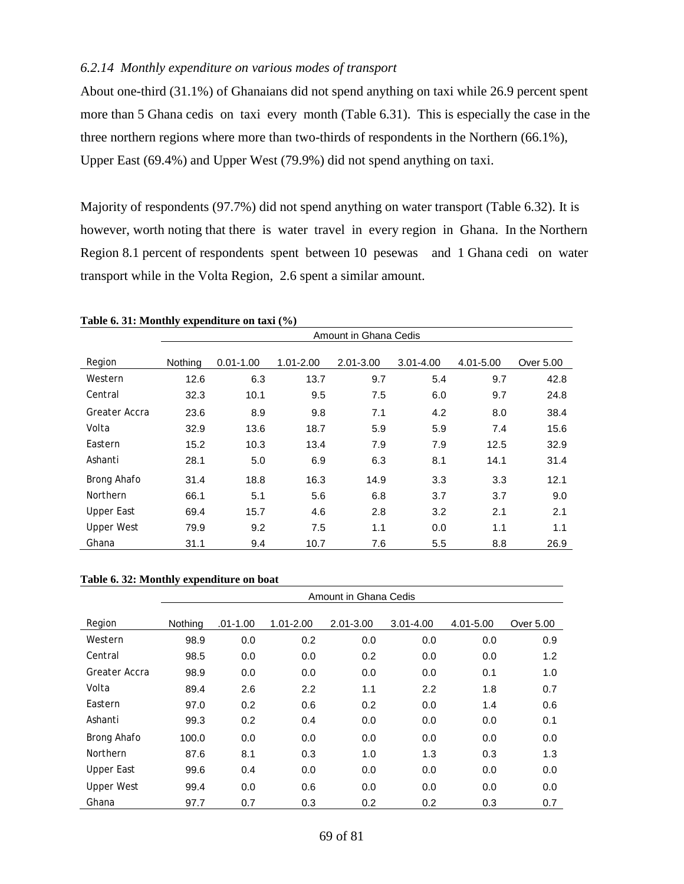#### *6.2.14 Monthly expenditure on various modes of transport*

About one-third (31.1%) of Ghanaians did not spend anything on taxi while 26.9 percent spent more than 5 Ghana cedis on taxi every month (Table 6.31). This is especially the case in the three northern regions where more than two-thirds of respondents in the Northern (66.1%), Upper East (69.4%) and Upper West (79.9%) did not spend anything on taxi.

Majority of respondents (97.7%) did not spend anything on water transport (Table 6.32). It is however, worth noting that there is water travel in every region in Ghana. In the Northern Region 8.1 percent of respondents spent between 10 pesewas and 1 Ghana cedi on water transport while in the Volta Region, 2.6 spent a similar amount.

|                   | Amount in Ghana Cedis |               |           |           |           |           |           |  |  |  |
|-------------------|-----------------------|---------------|-----------|-----------|-----------|-----------|-----------|--|--|--|
| Region            | Nothing               | $0.01 - 1.00$ | 1.01-2.00 | 2.01-3.00 | 3.01-4.00 | 4.01-5.00 | Over 5.00 |  |  |  |
| Western           | 12.6                  | 6.3           | 13.7      | 9.7       | 5.4       | 9.7       | 42.8      |  |  |  |
| Central           | 32.3                  | 10.1          | 9.5       | 7.5       | 6.0       | 9.7       | 24.8      |  |  |  |
| Greater Accra     | 23.6                  | 8.9           | 9.8       | 7.1       | 4.2       | 8.0       | 38.4      |  |  |  |
| Volta             | 32.9                  | 13.6          | 18.7      | 5.9       | 5.9       | 7.4       | 15.6      |  |  |  |
| Eastern           | 15.2                  | 10.3          | 13.4      | 7.9       | 7.9       | 12.5      | 32.9      |  |  |  |
| Ashanti           | 28.1                  | 5.0           | 6.9       | 6.3       | 8.1       | 14.1      | 31.4      |  |  |  |
| Brong Ahafo       | 31.4                  | 18.8          | 16.3      | 14.9      | 3.3       | 3.3       | 12.1      |  |  |  |
| Northern          | 66.1                  | 5.1           | 5.6       | 6.8       | 3.7       | 3.7       | 9.0       |  |  |  |
| Upper East        | 69.4                  | 15.7          | 4.6       | 2.8       | 3.2       | 2.1       | 2.1       |  |  |  |
| <b>Upper West</b> | 79.9                  | 9.2           | 7.5       | 1.1       | 0.0       | 1.1       | 1.1       |  |  |  |
| Ghana             | 31.1                  | 9.4           | 10.7      | 7.6       | 5.5       | 8.8       | 26.9      |  |  |  |

**Table 6. 31: Monthly expenditure on taxi (%)**

#### **Table 6. 32: Monthly expenditure on boat**

|                   | Amount in Ghana Cedis |              |               |               |               |           |           |  |  |
|-------------------|-----------------------|--------------|---------------|---------------|---------------|-----------|-----------|--|--|
| Region            | Nothing               | $.01 - 1.00$ | $1.01 - 2.00$ | $2.01 - 3.00$ | $3.01 - 4.00$ | 4.01-5.00 | Over 5.00 |  |  |
| Western           | 98.9                  | 0.0          | 0.2           | 0.0           | 0.0           | 0.0       | 0.9       |  |  |
| Central           | 98.5                  | 0.0          | 0.0           | 0.2           | 0.0           | 0.0       | 1.2       |  |  |
| Greater Accra     | 98.9                  | 0.0          | 0.0           | 0.0           | 0.0           | 0.1       | 1.0       |  |  |
| Volta             | 89.4                  | 2.6          | 2.2           | 1.1           | 2.2           | 1.8       | 0.7       |  |  |
| Eastern           | 97.0                  | 0.2          | 0.6           | 0.2           | 0.0           | 1.4       | 0.6       |  |  |
| Ashanti           | 99.3                  | 0.2          | 0.4           | 0.0           | 0.0           | 0.0       | 0.1       |  |  |
| Brong Ahafo       | 100.0                 | 0.0          | 0.0           | 0.0           | 0.0           | 0.0       | 0.0       |  |  |
| Northern          | 87.6                  | 8.1          | 0.3           | 1.0           | 1.3           | 0.3       | 1.3       |  |  |
| <b>Upper East</b> | 99.6                  | 0.4          | 0.0           | 0.0           | 0.0           | 0.0       | 0.0       |  |  |
| <b>Upper West</b> | 99.4                  | 0.0          | 0.6           | 0.0           | 0.0           | 0.0       | 0.0       |  |  |
| Ghana             | 97.7                  | 0.7          | 0.3           | 0.2           | 0.2           | 0.3       | 0.7       |  |  |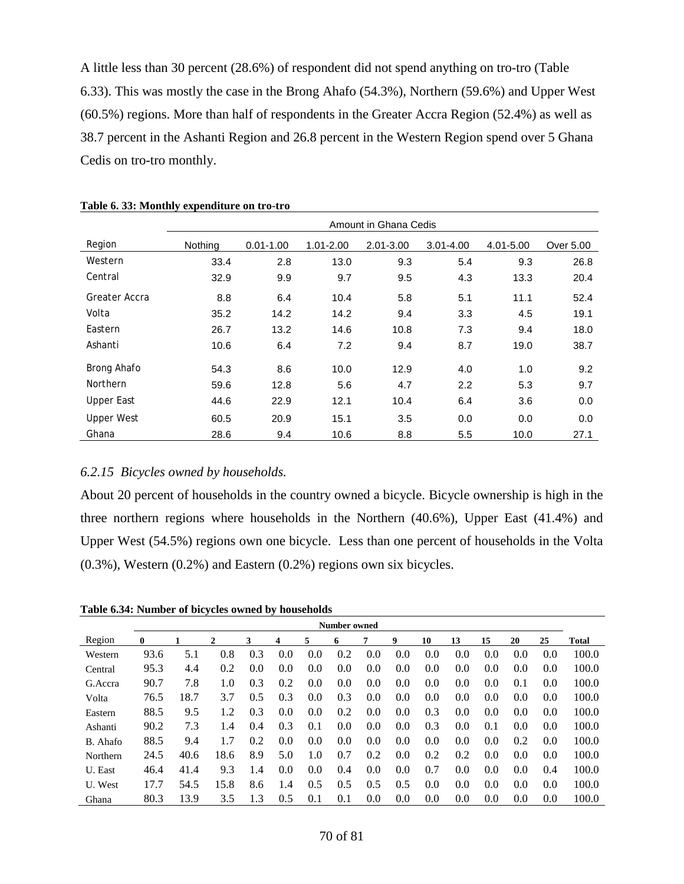A little less than 30 percent (28.6%) of respondent did not spend anything on tro-tro (Table 6.33). This was mostly the case in the Brong Ahafo (54.3%), Northern (59.6%) and Upper West (60.5%) regions. More than half of respondents in the Greater Accra Region (52.4%) as well as 38.7 percent in the Ashanti Region and 26.8 percent in the Western Region spend over 5 Ghana Cedis on tro-tro monthly.

|                   | Amount in Ghana Cedis |               |               |               |               |           |           |  |  |  |
|-------------------|-----------------------|---------------|---------------|---------------|---------------|-----------|-----------|--|--|--|
| Region            | Nothing               | $0.01 - 1.00$ | $1.01 - 2.00$ | $2.01 - 3.00$ | $3.01 - 4.00$ | 4.01-5.00 | Over 5.00 |  |  |  |
| Western           | 33.4                  | 2.8           | 13.0          | 9.3           | 5.4           | 9.3       | 26.8      |  |  |  |
| Central           | 32.9                  | 9.9           | 9.7           | 9.5           | 4.3           | 13.3      | 20.4      |  |  |  |
| Greater Accra     | 8.8                   | 6.4           | 10.4          | 5.8           | 5.1           | 11.1      | 52.4      |  |  |  |
| Volta             | 35.2                  | 14.2          | 14.2          | 9.4           | 3.3           | 4.5       | 19.1      |  |  |  |
| Eastern           | 26.7                  | 13.2          | 14.6          | 10.8          | 7.3           | 9.4       | 18.0      |  |  |  |
| Ashanti           | 10.6                  | 6.4           | 7.2           | 9.4           | 8.7           | 19.0      | 38.7      |  |  |  |
| Brong Ahafo       | 54.3                  | 8.6           | 10.0          | 12.9          | 4.0           | 1.0       | 9.2       |  |  |  |
| Northern          | 59.6                  | 12.8          | 5.6           | 4.7           | 2.2           | 5.3       | 9.7       |  |  |  |
| <b>Upper East</b> | 44.6                  | 22.9          | 12.1          | 10.4          | 6.4           | 3.6       | 0.0       |  |  |  |
| <b>Upper West</b> | 60.5                  | 20.9          | 15.1          | 3.5           | 0.0           | 0.0       | 0.0       |  |  |  |
| Ghana             | 28.6                  | 9.4           | 10.6          | 8.8           | 5.5           | 10.0      | 27.1      |  |  |  |

|  |  |  | Table 6. 33: Monthly expenditure on tro-tro |  |  |
|--|--|--|---------------------------------------------|--|--|
|--|--|--|---------------------------------------------|--|--|

#### *6.2.15 Bicycles owned by households.*

About 20 percent of households in the country owned a bicycle. Bicycle ownership is high in the three northern regions where households in the Northern (40.6%), Upper East (41.4%) and Upper West (54.5%) regions own one bicycle. Less than one percent of households in the Volta (0.3%), Western (0.2%) and Eastern (0.2%) regions own six bicycles.

**Table 6.34: Number of bicycles owned by households**

|          | <b>Number owned</b> |      |      |     |     |     |     |     |     |     |     |     |     |     |              |
|----------|---------------------|------|------|-----|-----|-----|-----|-----|-----|-----|-----|-----|-----|-----|--------------|
| Region   | $\bf{0}$            |      | 2    | 3   | 4   | 5   | 6   |     | 9   | 10  | 13  | 15  | 20  | 25  | <b>Total</b> |
| Western  | 93.6                | 5.1  | 0.8  | 0.3 | 0.0 | 0.0 | 0.2 | 0.0 | 0.0 | 0.0 | 0.0 | 0.0 | 0.0 | 0.0 | 100.0        |
| Central  | 95.3                | 4.4  | 0.2  | 0.0 | 0.0 | 0.0 | 0.0 | 0.0 | 0.0 | 0.0 | 0.0 | 0.0 | 0.0 | 0.0 | 100.0        |
| G.Accra  | 90.7                | 7.8  | 1.0  | 0.3 | 0.2 | 0.0 | 0.0 | 0.0 | 0.0 | 0.0 | 0.0 | 0.0 | 0.1 | 0.0 | 100.0        |
| Volta    | 76.5                | 18.7 | 3.7  | 0.5 | 0.3 | 0.0 | 0.3 | 0.0 | 0.0 | 0.0 | 0.0 | 0.0 | 0.0 | 0.0 | 100.0        |
| Eastern  | 88.5                | 9.5  | 1.2  | 0.3 | 0.0 | 0.0 | 0.2 | 0.0 | 0.0 | 0.3 | 0.0 | 0.0 | 0.0 | 0.0 | 100.0        |
| Ashanti  | 90.2                | 7.3  | 1.4  | 0.4 | 0.3 | 0.1 | 0.0 | 0.0 | 0.0 | 0.3 | 0.0 | 0.1 | 0.0 | 0.0 | 100.0        |
| B. Ahafo | 88.5                | 9.4  | 1.7  | 0.2 | 0.0 | 0.0 | 0.0 | 0.0 | 0.0 | 0.0 | 0.0 | 0.0 | 0.2 | 0.0 | 100.0        |
| Northern | 24.5                | 40.6 | 18.6 | 8.9 | 5.0 | 1.0 | 0.7 | 0.2 | 0.0 | 0.2 | 0.2 | 0.0 | 0.0 | 0.0 | 100.0        |
| U. East  | 46.4                | 41.4 | 9.3  | 1.4 | 0.0 | 0.0 | 0.4 | 0.0 | 0.0 | 0.7 | 0.0 | 0.0 | 0.0 | 0.4 | 100.0        |
| U. West  | 17.7                | 54.5 | 15.8 | 8.6 | 1.4 | 0.5 | 0.5 | 0.5 | 0.5 | 0.0 | 0.0 | 0.0 | 0.0 | 0.0 | 100.0        |
| Ghana    | 80.3                | 13.9 | 3.5  | 1.3 | 0.5 | 0.1 | 0.1 | 0.0 | 0.0 | 0.0 | 0.0 | 0.0 | 0.0 | 0.0 | 100.0        |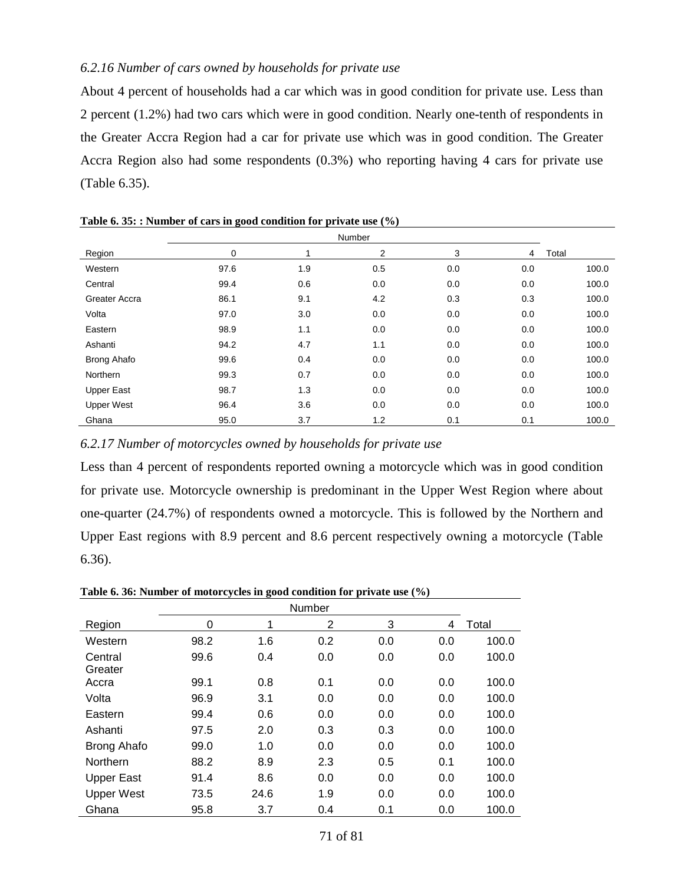## *6.2.16 Number of cars owned by households for private use*

About 4 percent of households had a car which was in good condition for private use. Less than 2 percent (1.2%) had two cars which were in good condition. Nearly one-tenth of respondents in the Greater Accra Region had a car for private use which was in good condition. The Greater Accra Region also had some respondents (0.3%) who reporting having 4 cars for private use (Table 6.35).

|                    |      |     | <b>Number</b>  |     |     |       |
|--------------------|------|-----|----------------|-----|-----|-------|
| Region             | 0    |     | $\overline{2}$ | 3   | 4   | Total |
| Western            | 97.6 | 1.9 | 0.5            | 0.0 | 0.0 | 100.0 |
| Central            | 99.4 | 0.6 | 0.0            | 0.0 | 0.0 | 100.0 |
| Greater Accra      | 86.1 | 9.1 | 4.2            | 0.3 | 0.3 | 100.0 |
| Volta              | 97.0 | 3.0 | 0.0            | 0.0 | 0.0 | 100.0 |
| Eastern            | 98.9 | 1.1 | 0.0            | 0.0 | 0.0 | 100.0 |
| Ashanti            | 94.2 | 4.7 | 1.1            | 0.0 | 0.0 | 100.0 |
| <b>Brong Ahafo</b> | 99.6 | 0.4 | 0.0            | 0.0 | 0.0 | 100.0 |
| Northern           | 99.3 | 0.7 | 0.0            | 0.0 | 0.0 | 100.0 |
| <b>Upper East</b>  | 98.7 | 1.3 | 0.0            | 0.0 | 0.0 | 100.0 |
| <b>Upper West</b>  | 96.4 | 3.6 | 0.0            | 0.0 | 0.0 | 100.0 |
| Ghana              | 95.0 | 3.7 | 1.2            | 0.1 | 0.1 | 100.0 |

**Table 6. 35: : Number of cars in good condition for private use (%)**

### *6.2.17 Number of motorcycles owned by households for private use*

Less than 4 percent of respondents reported owning a motorcycle which was in good condition for private use. Motorcycle ownership is predominant in the Upper West Region where about one-quarter (24.7%) of respondents owned a motorcycle. This is followed by the Northern and Upper East regions with 8.9 percent and 8.6 percent respectively owning a motorcycle (Table 6.36).

| Table 0. 50. Pulliber of highor cycles in good condition for private use (70) |      |      |        |     |     |       |
|-------------------------------------------------------------------------------|------|------|--------|-----|-----|-------|
|                                                                               |      |      | Number |     |     |       |
| Region                                                                        | 0    | 1    | 2      | 3   | 4   | Total |
| Western                                                                       | 98.2 | 1.6  | 0.2    | 0.0 | 0.0 | 100.0 |
| Central                                                                       | 99.6 | 0.4  | 0.0    | 0.0 | 0.0 | 100.0 |
| Greater                                                                       |      |      |        |     |     |       |
| Accra                                                                         | 99.1 | 0.8  | 0.1    | 0.0 | 0.0 | 100.0 |
| Volta                                                                         | 96.9 | 3.1  | 0.0    | 0.0 | 0.0 | 100.0 |
| Eastern                                                                       | 99.4 | 0.6  | 0.0    | 0.0 | 0.0 | 100.0 |
| Ashanti                                                                       | 97.5 | 2.0  | 0.3    | 0.3 | 0.0 | 100.0 |
| <b>Brong Ahafo</b>                                                            | 99.0 | 1.0  | 0.0    | 0.0 | 0.0 | 100.0 |
| Northern                                                                      | 88.2 | 8.9  | 2.3    | 0.5 | 0.1 | 100.0 |
| Upper East                                                                    | 91.4 | 8.6  | 0.0    | 0.0 | 0.0 | 100.0 |
| <b>Upper West</b>                                                             | 73.5 | 24.6 | 1.9    | 0.0 | 0.0 | 100.0 |
| Ghana                                                                         | 95.8 | 3.7  | 0.4    | 0.1 | 0.0 | 100.0 |

**Table 6. 36: Number of motorcycles in good condition for private use (%)**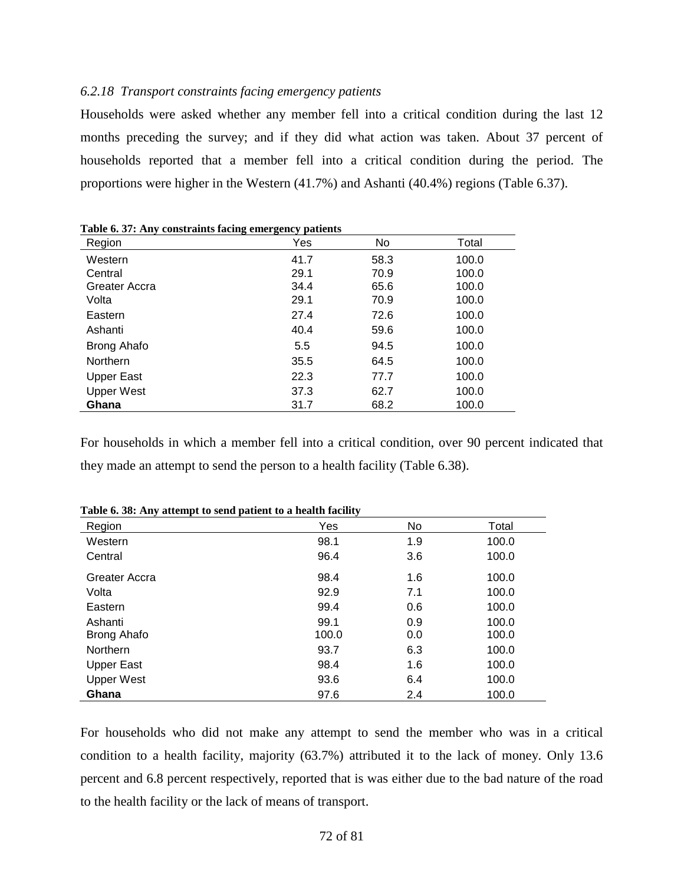#### *6.2.18 Transport constraints facing emergency patients*

Households were asked whether any member fell into a critical condition during the last 12 months preceding the survey; and if they did what action was taken. About 37 percent of households reported that a member fell into a critical condition during the period. The proportions were higher in the Western (41.7%) and Ashanti (40.4%) regions (Table 6.37).

| Region            | Yes  | No   | Total |
|-------------------|------|------|-------|
| Western           | 41.7 | 58.3 | 100.0 |
| Central           | 29.1 | 70.9 | 100.0 |
| Greater Accra     | 34.4 | 65.6 | 100.0 |
| Volta             | 29.1 | 70.9 | 100.0 |
| Eastern           | 27.4 | 72.6 | 100.0 |
| Ashanti           | 40.4 | 59.6 | 100.0 |
| Brong Ahafo       | 5.5  | 94.5 | 100.0 |
| <b>Northern</b>   | 35.5 | 64.5 | 100.0 |
| <b>Upper East</b> | 22.3 | 77.7 | 100.0 |
| <b>Upper West</b> | 37.3 | 62.7 | 100.0 |
| Ghana             | 31.7 | 68.2 | 100.0 |

**Table 6. 37: Any constraints facing emergency patients**

For households in which a member fell into a critical condition, over 90 percent indicated that they made an attempt to send the person to a health facility (Table 6.38).

| Region            | Yes   | No  | Total |
|-------------------|-------|-----|-------|
| Western           | 98.1  | 1.9 | 100.0 |
| Central           | 96.4  | 3.6 | 100.0 |
| Greater Accra     | 98.4  | 1.6 | 100.0 |
| Volta             | 92.9  | 7.1 | 100.0 |
| Eastern           | 99.4  | 0.6 | 100.0 |
| Ashanti           | 99.1  | 0.9 | 100.0 |
| Brong Ahafo       | 100.0 | 0.0 | 100.0 |
| Northern          | 93.7  | 6.3 | 100.0 |
| <b>Upper East</b> | 98.4  | 1.6 | 100.0 |
| <b>Upper West</b> | 93.6  | 6.4 | 100.0 |
| Ghana             | 97.6  | 2.4 | 100.0 |

**Table 6. 38: Any attempt to send patient to a health facility**

For households who did not make any attempt to send the member who was in a critical condition to a health facility, majority (63.7%) attributed it to the lack of money. Only 13.6 percent and 6.8 percent respectively, reported that is was either due to the bad nature of the road to the health facility or the lack of means of transport.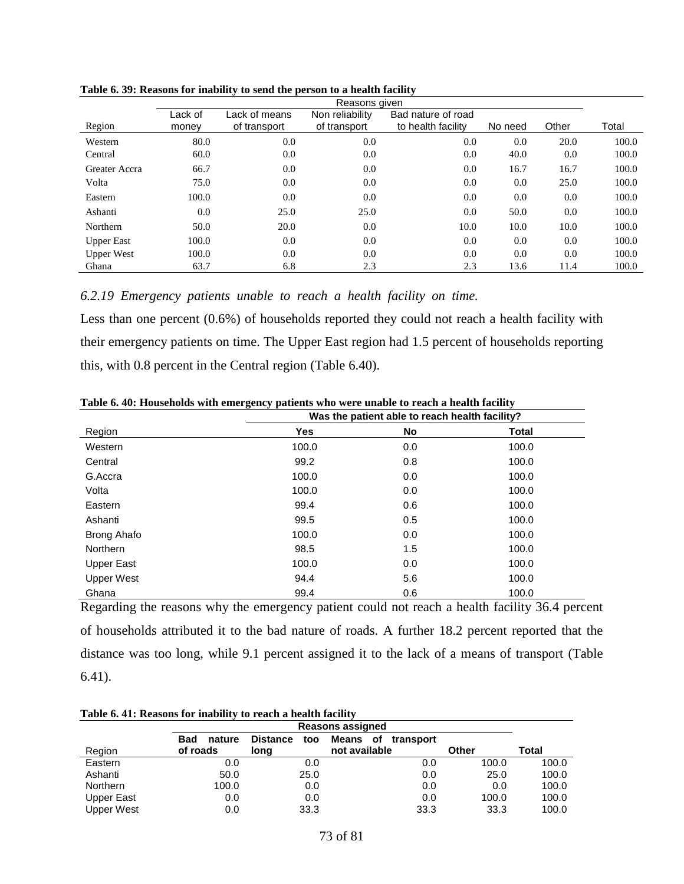| Reasons given     |                  |                               |                                 |                                          |         |       |       |
|-------------------|------------------|-------------------------------|---------------------------------|------------------------------------------|---------|-------|-------|
| Region            | Lack of<br>money | Lack of means<br>of transport | Non reliability<br>of transport | Bad nature of road<br>to health facility | No need | Other | Total |
| Western           | 80.0             | 0.0                           | 0.0                             | 0.0                                      | 0.0     | 20.0  | 100.0 |
| Central           | 60.0             | 0.0                           | 0.0                             | 0.0                                      | 40.0    | 0.0   | 100.0 |
| Greater Accra     | 66.7             | 0.0                           | 0.0                             | 0.0                                      | 16.7    | 16.7  | 100.0 |
| Volta             | 75.0             | 0.0                           | 0.0                             | 0.0                                      | 0.0     | 25.0  | 100.0 |
| Eastern           | 100.0            | 0.0                           | 0.0                             | 0.0                                      | 0.0     | 0.0   | 100.0 |
| Ashanti           | 0.0              | 25.0                          | 25.0                            | 0.0                                      | 50.0    | 0.0   | 100.0 |
| Northern          | 50.0             | 20.0                          | 0.0                             | 10.0                                     | 10.0    | 10.0  | 100.0 |
| <b>Upper East</b> | 100.0            | 0.0                           | 0.0                             | 0.0                                      | 0.0     | 0.0   | 100.0 |
| <b>Upper West</b> | 100.0            | 0.0                           | 0.0                             | 0.0                                      | 0.0     | 0.0   | 100.0 |
| Ghana             | 63.7             | 6.8                           | 2.3                             | 2.3                                      | 13.6    | 11.4  | 100.0 |

**Table 6. 39: Reasons for inability to send the person to a health facility**

#### *6.2.19 Emergency patients unable to reach a health facility on time.*

Less than one percent (0.6%) of households reported they could not reach a health facility with their emergency patients on time. The Upper East region had 1.5 percent of households reporting this, with 0.8 percent in the Central region (Table 6.40).

|                   |            | Was the patient able to reach health facility? |              |
|-------------------|------------|------------------------------------------------|--------------|
| Region            | <b>Yes</b> | <b>No</b>                                      | <b>Total</b> |
| Western           | 100.0      | 0.0                                            | 100.0        |
| Central           | 99.2       | 0.8                                            | 100.0        |
| G.Accra           | 100.0      | 0.0                                            | 100.0        |
| Volta             | 100.0      | 0.0                                            | 100.0        |
| Eastern           | 99.4       | 0.6                                            | 100.0        |
| Ashanti           | 99.5       | 0.5                                            | 100.0        |
| Brong Ahafo       | 100.0      | 0.0                                            | 100.0        |
| <b>Northern</b>   | 98.5       | 1.5                                            | 100.0        |
| <b>Upper East</b> | 100.0      | 0.0                                            | 100.0        |
| <b>Upper West</b> | 94.4       | 5.6                                            | 100.0        |
| Ghana             | 99.4       | 0.6                                            | 100.0        |

**Table 6. 40: Households with emergency patients who were unable to reach a health facility**

Regarding the reasons why the emergency patient could not reach a health facility 36.4 percent of households attributed it to the bad nature of roads. A further 18.2 percent reported that the distance was too long, while 9.1 percent assigned it to the lack of a means of transport (Table 6.41).

| Table 6.41: Reasons for inability to reach a health facility |                      |                         |                          |       |       |  |  |
|--------------------------------------------------------------|----------------------|-------------------------|--------------------------|-------|-------|--|--|
|                                                              |                      | <b>Reasons assigned</b> |                          |       |       |  |  |
|                                                              | <b>Bad</b><br>nature | <b>Distance</b><br>too  | Means<br>оf<br>transport |       |       |  |  |
| Region                                                       | of roads             | long                    | not available            | Other | Total |  |  |
| Eastern                                                      | 0.0                  | 0.0                     | 0.0                      | 100.0 | 100.0 |  |  |
| Ashanti                                                      | 50.0                 | 25.0                    | 0.0                      | 25.0  | 100.0 |  |  |
| <b>Northern</b>                                              | 100.0                | 0.0                     | 0.0                      | 0.0   | 100.0 |  |  |
| Upper East                                                   | 0.0                  | 0.0                     | 0.0                      | 100.0 | 100.0 |  |  |
| <b>Upper West</b>                                            | 0.0                  | 33.3                    | 33.3                     | 33.3  | 100.0 |  |  |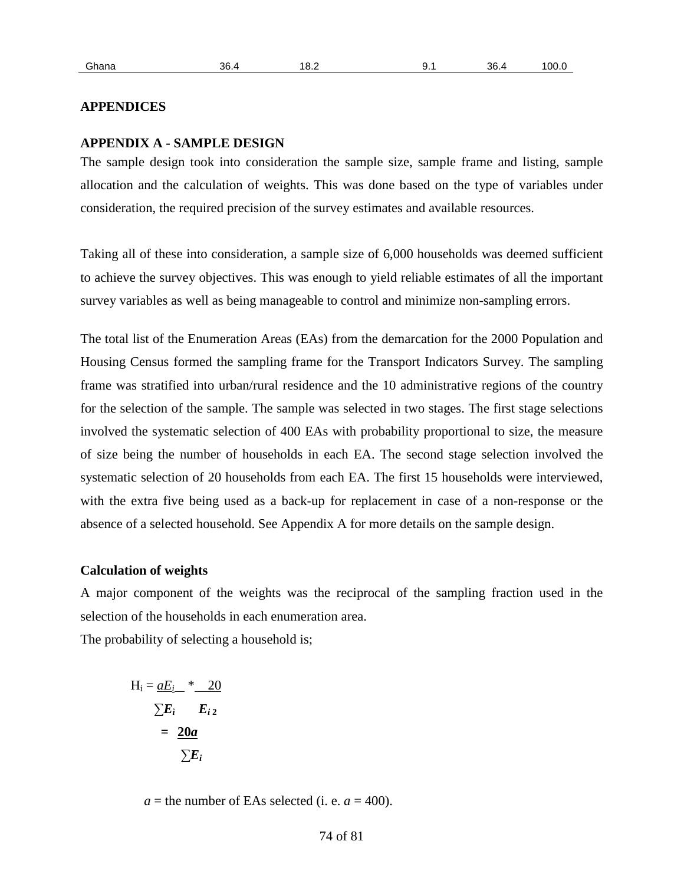| <u>ан</u><br>- |
|----------------|
|----------------|

#### **APPENDICES**

#### **APPENDIX A - SAMPLE DESIGN**

The sample design took into consideration the sample size, sample frame and listing, sample allocation and the calculation of weights. This was done based on the type of variables under consideration, the required precision of the survey estimates and available resources.

Taking all of these into consideration, a sample size of 6,000 households was deemed sufficient to achieve the survey objectives. This was enough to yield reliable estimates of all the important survey variables as well as being manageable to control and minimize non-sampling errors.

The total list of the Enumeration Areas (EAs) from the demarcation for the 2000 Population and Housing Census formed the sampling frame for the Transport Indicators Survey. The sampling frame was stratified into urban/rural residence and the 10 administrative regions of the country for the selection of the sample. The sample was selected in two stages. The first stage selections involved the systematic selection of 400 EAs with probability proportional to size, the measure of size being the number of households in each EA. The second stage selection involved the systematic selection of 20 households from each EA. The first 15 households were interviewed, with the extra five being used as a back-up for replacement in case of a non-response or the absence of a selected household. See Appendix A for more details on the sample design.

#### **Calculation of weights**

A major component of the weights was the reciprocal of the sampling fraction used in the selection of the households in each enumeration area.

The probability of selecting a household is;

$$
H_i = \underbrace{aE_i}_{\text{sum i}} \cdot \underbrace{20}_{\text{sum 20a}} \\
= \underbrace{20a}_{\text{sum}}
$$

 $a =$  the number of EAs selected (i. e.  $a = 400$ ).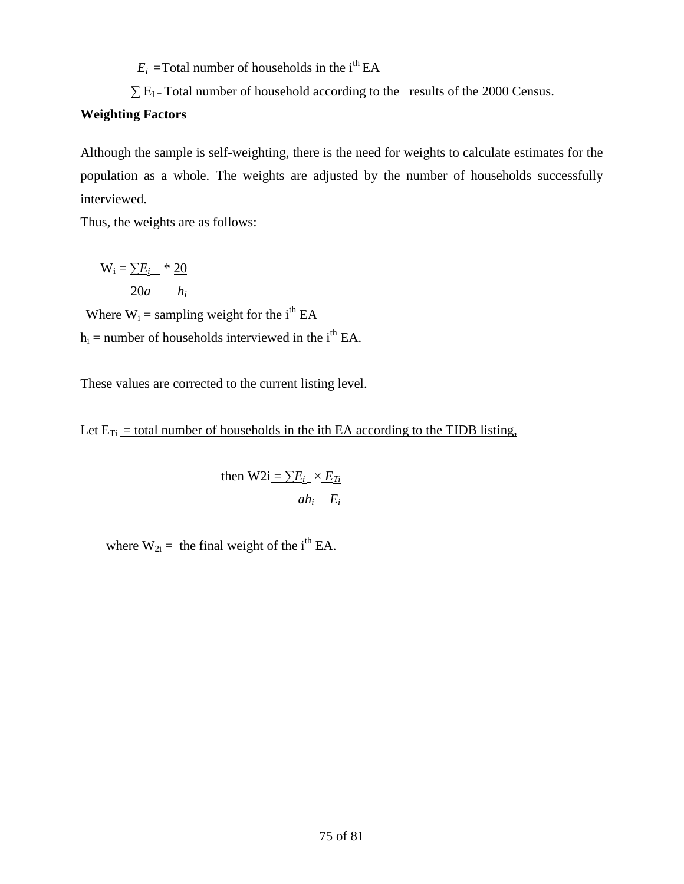$E_i$  = Total number of households in the i<sup>th</sup> EA

 $\sum E_{I}$  = Total number of household according to the results of the 2000 Census.

### **Weighting Factors**

Although the sample is self-weighting, there is the need for weights to calculate estimates for the population as a whole. The weights are adjusted by the number of households successfully interviewed.

Thus, the weights are as follows:

 $W_i = \sum E_i$  \* 20 20*a hi*

Where  $W_i$  = sampling weight for the i<sup>th</sup> EA  $h_i$  = number of households interviewed in the i<sup>th</sup> EA.

These values are corrected to the current listing level.

Let  $E_{Ti}$  = total number of households in the ith EA according to the TIDB listing,

then 
$$
W2i = \sum E_i \times E_{Ti}
$$
  
 $ah_i \quad E_i$ 

where  $W_{2i}$  = the final weight of the i<sup>th</sup> EA.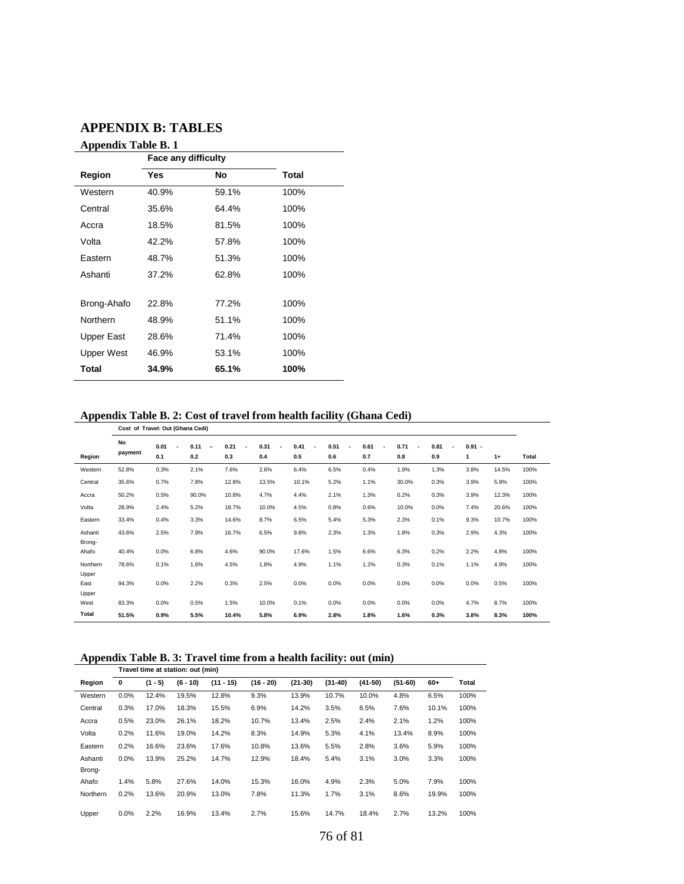#### **APPENDIX B: TABLES**

| <b>Appendix Table B. 1</b> |  |  |
|----------------------------|--|--|
|----------------------------|--|--|

|                   | дррения таме в. т   |       |       |  |  |  |
|-------------------|---------------------|-------|-------|--|--|--|
|                   | Face any difficulty |       |       |  |  |  |
| Region            | Yes                 | No    | Total |  |  |  |
| Western           | 40.9%               | 59.1% | 100%  |  |  |  |
| Central           | 35.6%               | 64.4% | 100%  |  |  |  |
| Accra             | 18.5%               | 81.5% | 100%  |  |  |  |
| Volta             | 42.2%               | 57.8% | 100%  |  |  |  |
| Eastern           | 48.7%               | 51.3% | 100%  |  |  |  |
| Ashanti           | 37.2%               | 62.8% | 100%  |  |  |  |
|                   |                     |       |       |  |  |  |
| Brong-Ahafo       | 22.8%               | 77.2% | 100%  |  |  |  |
| Northern          | 48.9%               | 51.1% | 100%  |  |  |  |
| Upper East        | 28.6%               | 71.4% | 100%  |  |  |  |
| <b>Upper West</b> | 46.9%               | 53.1% | 100%  |  |  |  |
| Total             | 34.9%               | 65.1% | 100%  |  |  |  |
|                   |                     |       |       |  |  |  |

#### **Appendix Table B. 2: Cost of travel from health facility (Ghana Cedi)**

|                   | Cost of Travel: Out (Ghana Cedi) |                                         |                                         |             |                               |             |                  |                                         |                                         |             |               |       |       |
|-------------------|----------------------------------|-----------------------------------------|-----------------------------------------|-------------|-------------------------------|-------------|------------------|-----------------------------------------|-----------------------------------------|-------------|---------------|-------|-------|
| Region            | No<br>payment                    | 0.01<br>$\overline{\phantom{a}}$<br>0.1 | 0.11<br>$\overline{\phantom{a}}$<br>0.2 | 0.21<br>0.3 | 0.31<br>$\blacksquare$<br>0.4 | 0.41<br>0.5 | 0.51<br>٠<br>0.6 | 0.61<br>$\overline{\phantom{a}}$<br>0.7 | 0.71<br>$\overline{\phantom{a}}$<br>0.8 | 0.81<br>0.9 | $0.91 -$<br>1 | $1+$  | Total |
| Western           | 52.8%                            | 0.3%                                    | 2.1%                                    | 7.6%        | 2.6%                          | 6.4%        | 6.5%             | 0.4%                                    | 1.9%                                    | 1.3%        | 3.8%          | 14.5% | 100%  |
| Central           | 35.6%                            | 0.7%                                    | 7.8%                                    | 12.8%       | 13.5%                         | 10.1%       | 5.2%             | 1.1%                                    | 30.0%                                   | 0.3%        | 3.9%          | 5.9%  | 100%  |
| Accra             | 50.2%                            | 0.5%                                    | 90.0%                                   | 10.8%       | 4.7%                          | 4.4%        | 2.1%             | 1.3%                                    | 0.2%                                    | 0.3%        | 3.9%          | 12.3% | 100%  |
| Volta             | 28.9%                            | 2.4%                                    | 5.2%                                    | 18.7%       | 10.0%                         | 4.5%        | 0.8%             | 0.6%                                    | 10.0%                                   | 0.0%        | 7.4%          | 20.6% | 100%  |
| Eastern           | 33.4%                            | 0.4%                                    | 3.3%                                    | 14.6%       | 8.7%                          | 6.5%        | 5.4%             | 5.3%                                    | 2.3%                                    | 0.1%        | 9.3%          | 10.7% | 100%  |
| Ashanti<br>Brong- | 43.6%                            | 2.5%                                    | 7.9%                                    | 16.7%       | 6.5%                          | 9.8%        | 2.3%             | 1.3%                                    | 1.8%                                    | 0.3%        | 2.9%          | 4.3%  | 100%  |
| Ahafo             | 40.4%                            | 0.0%                                    | 6.8%                                    | 4.6%        | 90.0%                         | 17.6%       | 1.5%             | 6.6%                                    | 6.3%                                    | 0.2%        | 2.2%          | 4.8%  | 100%  |
| Northern<br>Upper | 78.6%                            | 0.1%                                    | 1.6%                                    | 4.5%        | 1.8%                          | 4.9%        | 1.1%             | 1.2%                                    | 0.3%                                    | 0.1%        | 1.1%          | 4.9%  | 100%  |
| East<br>Upper     | 94.3%                            | 0.0%                                    | 2.2%                                    | 0.3%        | 2.5%                          | 0.0%        | 0.0%             | 0.0%                                    | 0.0%                                    | 0.0%        | 0.0%          | 0.5%  | 100%  |
| West              | 83.3%                            | 0.0%                                    | 0.5%                                    | 1.5%        | 10.0%                         | 0.1%        | 0.0%             | 0.0%                                    | 0.0%                                    | 0.0%        | 4.7%          | 8.7%  | 100%  |
| Total             | 51.5%                            | 0.9%                                    | 5.5%                                    | 10.4%       | 5.8%                          | 6.9%        | 2.8%             | 1.8%                                    | 1.6%                                    | 0.3%        | 3.8%          | 8.3%  | 100%  |

#### **Appendix Table B. 3: Travel time from a health facility: out (min)**

|          | Travel time at station: out (min) |           |            |             |             |           |           |           |           |       |       |
|----------|-----------------------------------|-----------|------------|-------------|-------------|-----------|-----------|-----------|-----------|-------|-------|
| Region   | 0                                 | $(1 - 5)$ | $(6 - 10)$ | $(11 - 15)$ | $(16 - 20)$ | $(21-30)$ | $(31-40)$ | $(41-50)$ | $(51-60)$ | $60+$ | Total |
| Western  | 0.0%                              | 12.4%     | 19.5%      | 12.8%       | 9.3%        | 13.9%     | 10.7%     | 10.0%     | 4.8%      | 6.5%  | 100%  |
| Central  | 0.3%                              | 17.0%     | 18.3%      | 15.5%       | 6.9%        | 14.2%     | 3.5%      | 6.5%      | 7.6%      | 10.1% | 100%  |
| Accra    | 0.5%                              | 23.0%     | 26.1%      | 18.2%       | 10.7%       | 13.4%     | 2.5%      | 2.4%      | 2.1%      | 1.2%  | 100%  |
| Volta    | 0.2%                              | 11.6%     | 19.0%      | 14.2%       | 8.3%        | 14.9%     | 5.3%      | 4.1%      | 13.4%     | 8.9%  | 100%  |
| Eastern  | 0.2%                              | 16.6%     | 23.6%      | 17.6%       | 10.8%       | 13.6%     | 5.5%      | 2.8%      | 3.6%      | 5.9%  | 100%  |
| Ashanti  | 0.0%                              | 13.9%     | 25.2%      | 14.7%       | 12.9%       | 18.4%     | 5.4%      | 3.1%      | 3.0%      | 3.3%  | 100%  |
| Brong-   |                                   |           |            |             |             |           |           |           |           |       |       |
| Ahafo    | 1.4%                              | 5.8%      | 27.6%      | 14.0%       | 15.3%       | 16.0%     | 4.9%      | 2.3%      | 5.0%      | 7.9%  | 100%  |
| Northern | 0.2%                              | 13.6%     | 20.9%      | 13.0%       | 7.8%        | 11.3%     | 1.7%      | 3.1%      | 8.6%      | 19.9% | 100%  |
| Upper    | 0.0%                              | 2.2%      | 16.9%      | 13.4%       | 2.7%        | 15.6%     | 14.7%     | 18.4%     | 2.7%      | 13.2% | 100%  |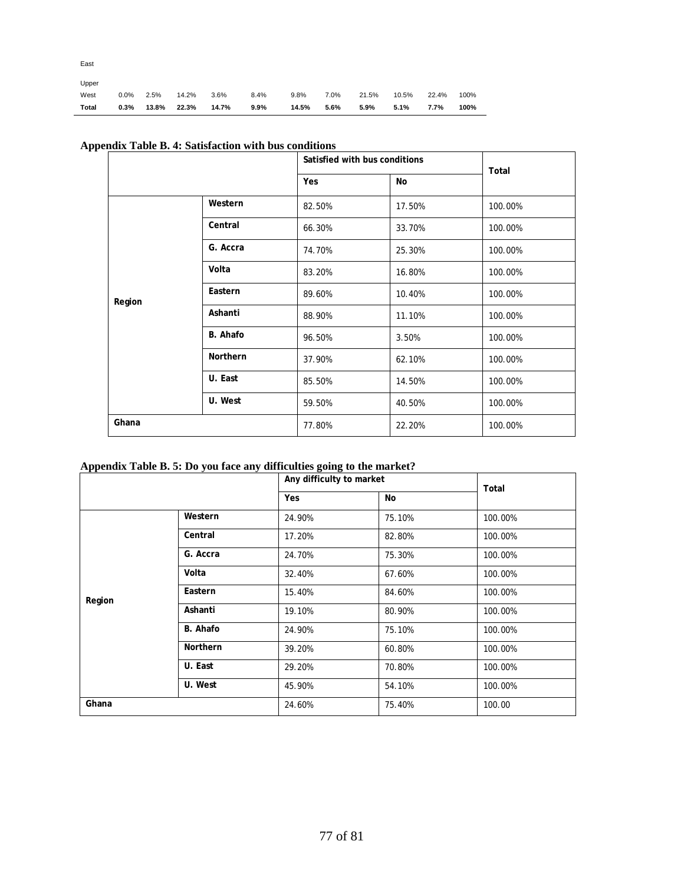| East          |         |       |       |       |         |       |      |       |       |       |      |
|---------------|---------|-------|-------|-------|---------|-------|------|-------|-------|-------|------|
| Upper<br>West | $0.0\%$ | 2.5%  | 14.2% | 3.6%  | 8.4%    | 9.8%  | 7.0% | 21.5% | 10.5% | 22.4% | 100% |
| Total         | 0.3%    | 13.8% | 22.3% | 14.7% | $9.9\%$ | 14.5% | 5.6% | 5.9%  | 5.1%  | 7.7%  | 100% |

|        |          | Satisfied with bus conditions |        | Total   |  |
|--------|----------|-------------------------------|--------|---------|--|
|        |          | Yes                           | No     |         |  |
|        | Western  | 82.50%                        | 17.50% | 100.00% |  |
|        | Central  | 66.30%                        | 33.70% | 100.00% |  |
|        | G. Accra | 74.70%                        | 25.30% | 100.00% |  |
|        | Volta    | 83.20%                        | 16.80% | 100.00% |  |
| Region | Eastern  | 89.60%                        | 10.40% | 100.00% |  |
|        | Ashanti  | 88.90%                        | 11.10% | 100.00% |  |
|        | B. Ahafo | 96.50%                        | 3.50%  | 100.00% |  |
|        | Northern | 37.90%                        | 62.10% | 100.00% |  |
|        | U. East  | 85.50%                        | 14.50% | 100.00% |  |
|        | U. West  | 59.50%                        | 40.50% | 100.00% |  |
| Ghana  |          | 77.80%                        | 22.20% | 100.00% |  |

## **Appendix Table B. 4: Satisfaction with bus conditions**

#### **Appendix Table B. 5: Do you face any difficulties going to the market?**

| .      | Yes             |        | Any difficulty to market |         |  |
|--------|-----------------|--------|--------------------------|---------|--|
|        |                 |        | No                       | Total   |  |
|        | Western         | 24.90% | 75.10%                   | 100.00% |  |
|        | Central         | 17.20% | 82.80%                   | 100.00% |  |
|        | G. Accra        | 24.70% | 75.30%                   | 100.00% |  |
|        | Volta           | 32.40% | 67.60%                   | 100.00% |  |
| Region | Eastern         | 15.40% | 84.60%                   | 100.00% |  |
|        | Ashanti         | 19.10% | 80.90%                   | 100.00% |  |
|        | B. Ahafo        | 24.90% | 75.10%                   | 100.00% |  |
|        | <b>Northern</b> | 39.20% | 60.80%                   | 100.00% |  |
|        | U. East         | 29.20% | 70.80%                   | 100.00% |  |
|        | U. West         | 45.90% | 54.10%                   | 100.00% |  |
| Ghana  |                 | 24.60% | 75.40%                   | 100.00  |  |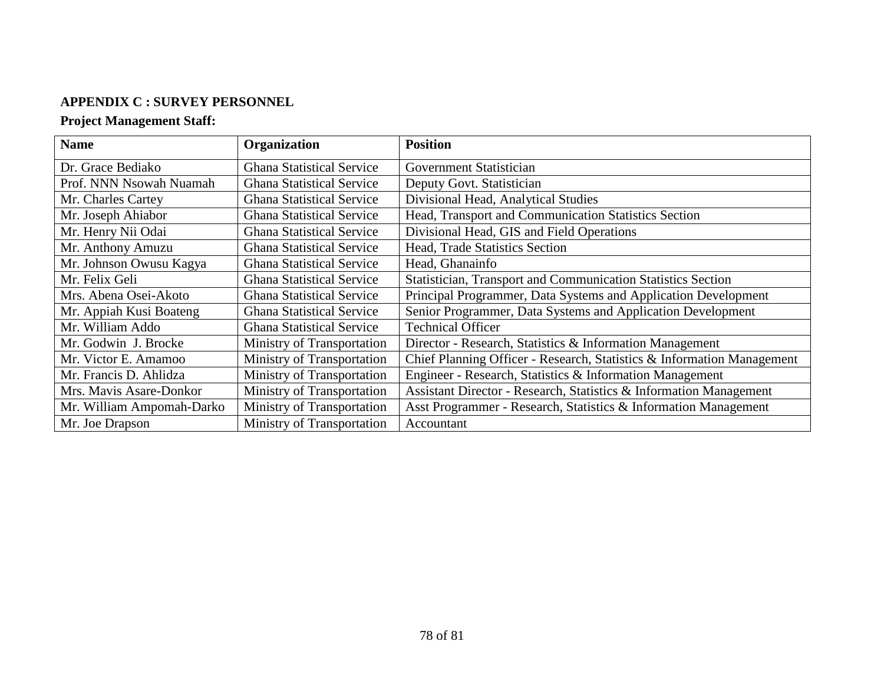### **APPENDIX C : SURVEY PERSONNEL**

# **Project Management Staff:**

| <b>Name</b>               | Organization                     | <b>Position</b>                                                        |
|---------------------------|----------------------------------|------------------------------------------------------------------------|
| Dr. Grace Bediako         | <b>Ghana Statistical Service</b> | <b>Government Statistician</b>                                         |
| Prof. NNN Nsowah Nuamah   | <b>Ghana Statistical Service</b> | Deputy Govt. Statistician                                              |
| Mr. Charles Cartey        | <b>Ghana Statistical Service</b> | Divisional Head, Analytical Studies                                    |
| Mr. Joseph Ahiabor        | <b>Ghana Statistical Service</b> | Head, Transport and Communication Statistics Section                   |
| Mr. Henry Nii Odai        | <b>Ghana Statistical Service</b> | Divisional Head, GIS and Field Operations                              |
| Mr. Anthony Amuzu         | <b>Ghana Statistical Service</b> | Head, Trade Statistics Section                                         |
| Mr. Johnson Owusu Kagya   | <b>Ghana Statistical Service</b> | Head, Ghanainfo                                                        |
| Mr. Felix Geli            | <b>Ghana Statistical Service</b> | Statistician, Transport and Communication Statistics Section           |
| Mrs. Abena Osei-Akoto     | <b>Ghana Statistical Service</b> | Principal Programmer, Data Systems and Application Development         |
| Mr. Appiah Kusi Boateng   | <b>Ghana Statistical Service</b> | Senior Programmer, Data Systems and Application Development            |
| Mr. William Addo          | <b>Ghana Statistical Service</b> | <b>Technical Officer</b>                                               |
| Mr. Godwin J. Brocke      | Ministry of Transportation       | Director - Research, Statistics & Information Management               |
| Mr. Victor E. Amamoo      | Ministry of Transportation       | Chief Planning Officer - Research, Statistics & Information Management |
| Mr. Francis D. Ahlidza    | Ministry of Transportation       | Engineer - Research, Statistics & Information Management               |
| Mrs. Mavis Asare-Donkor   | Ministry of Transportation       | Assistant Director - Research, Statistics & Information Management     |
| Mr. William Ampomah-Darko | Ministry of Transportation       | Asst Programmer - Research, Statistics & Information Management        |
| Mr. Joe Drapson           | Ministry of Transportation       | Accountant                                                             |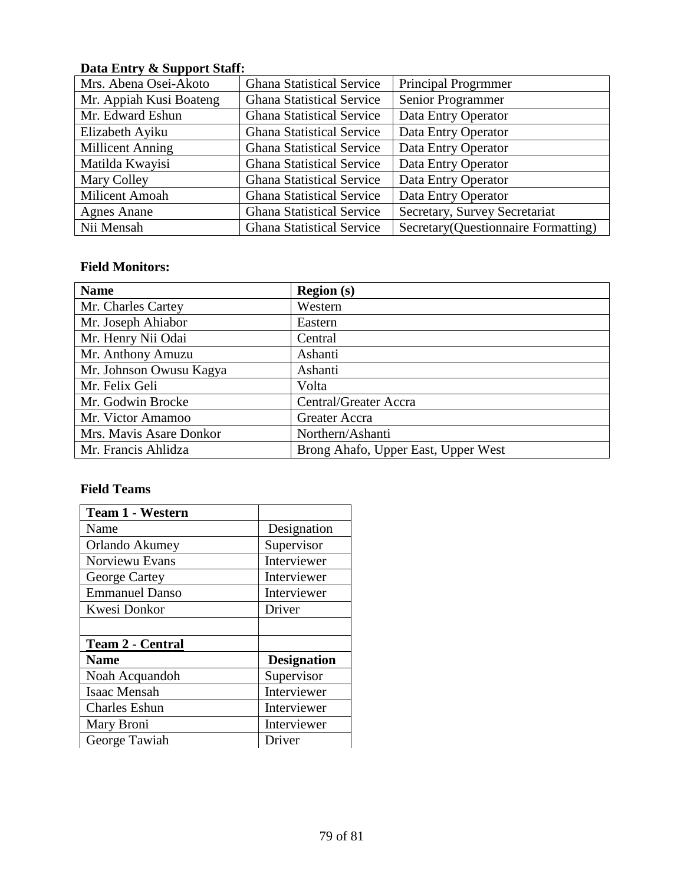# **Data Entry & Support Staff:**

| Mrs. Abena Osei-Akoto   | <b>Ghana Statistical Service</b> | <b>Principal Progrmmer</b>           |
|-------------------------|----------------------------------|--------------------------------------|
| Mr. Appiah Kusi Boateng | <b>Ghana Statistical Service</b> | Senior Programmer                    |
| Mr. Edward Eshun        | <b>Ghana Statistical Service</b> | Data Entry Operator                  |
| Elizabeth Ayiku         | <b>Ghana Statistical Service</b> | Data Entry Operator                  |
| <b>Millicent Anning</b> | <b>Ghana Statistical Service</b> | Data Entry Operator                  |
| Matilda Kwayisi         | <b>Ghana Statistical Service</b> | Data Entry Operator                  |
| Mary Colley             | <b>Ghana Statistical Service</b> | Data Entry Operator                  |
| Milicent Amoah          | <b>Ghana Statistical Service</b> | Data Entry Operator                  |
| <b>Agnes Anane</b>      | <b>Ghana Statistical Service</b> | Secretary, Survey Secretariat        |
| Nii Mensah              | <b>Ghana Statistical Service</b> | Secretary (Questionnaire Formatting) |

### **Field Monitors:**

| <b>Name</b>             | <b>Region</b> (s)                   |
|-------------------------|-------------------------------------|
| Mr. Charles Cartey      | Western                             |
| Mr. Joseph Ahiabor      | Eastern                             |
| Mr. Henry Nii Odai      | Central                             |
| Mr. Anthony Amuzu       | Ashanti                             |
| Mr. Johnson Owusu Kagya | Ashanti                             |
| Mr. Felix Geli          | Volta                               |
| Mr. Godwin Brocke       | Central/Greater Accra               |
| Mr. Victor Amamoo       | Greater Accra                       |
| Mrs. Mavis Asare Donkor | Northern/Ashanti                    |
| Mr. Francis Ahlidza     | Brong Ahafo, Upper East, Upper West |

## **Field Teams**

| <b>Team 1 - Western</b> |                    |
|-------------------------|--------------------|
| Name                    | Designation        |
| Orlando Akumey          | Supervisor         |
| Norviewu Evans          | Interviewer        |
| George Cartey           | Interviewer        |
| <b>Emmanuel Danso</b>   | Interviewer        |
| Kwesi Donkor            | Driver             |
|                         |                    |
| <b>Team 2 - Central</b> |                    |
| Name                    | <b>Designation</b> |
| Noah Acquandoh          | Supervisor         |
| Isaac Mensah            | Interviewer        |
| <b>Charles Eshun</b>    | Interviewer        |
| Mary Broni              | Interviewer        |
| George Tawiah           | Driver             |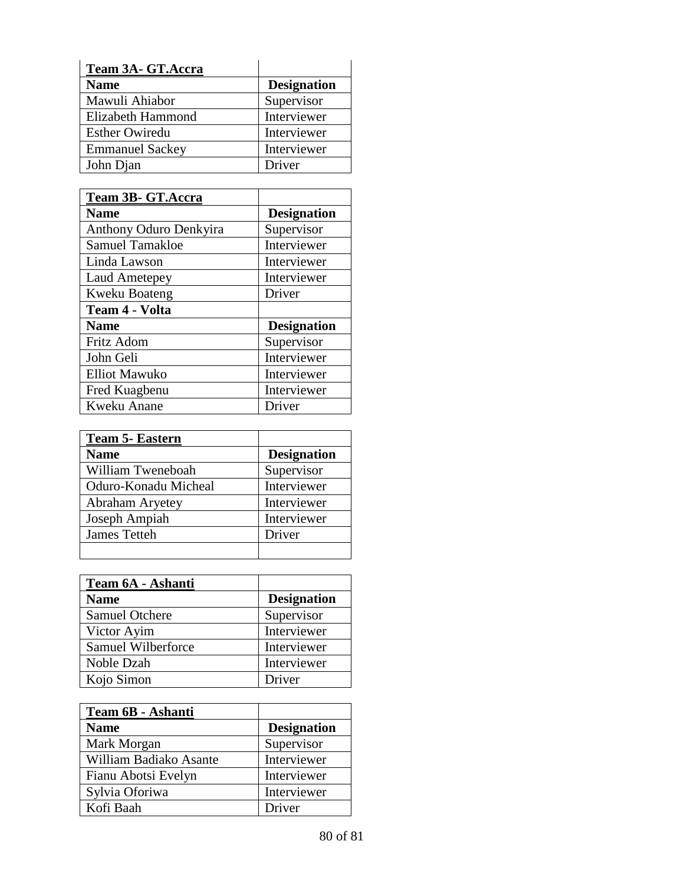| Team 3A- GT.Accra      |                    |
|------------------------|--------------------|
| <b>Name</b>            | <b>Designation</b> |
| Mawuli Ahiabor         | Supervisor         |
| Elizabeth Hammond      | Interviewer        |
| <b>Esther Owiredu</b>  | Interviewer        |
| <b>Emmanuel Sackey</b> | Interviewer        |
| John Djan              | Driver             |

| Team 3B- GT.Accra             |                    |
|-------------------------------|--------------------|
| <b>Name</b>                   | <b>Designation</b> |
| <b>Anthony Oduro Denkyira</b> | Supervisor         |
| <b>Samuel Tamakloe</b>        | Interviewer        |
| Linda Lawson                  | Interviewer        |
| <b>Laud Ametepey</b>          | Interviewer        |
| <b>Kweku Boateng</b>          | Driver             |
| <b>Team 4 - Volta</b>         |                    |
| <b>Name</b>                   | <b>Designation</b> |
| Fritz Adom                    | Supervisor         |
| John Geli                     | Interviewer        |
| <b>Elliot Mawuko</b>          | Interviewer        |
| Fred Kuagbenu                 | Interviewer        |
| Kweku Anane                   | Driver             |

| <b>Team 5- Eastern</b> |                    |
|------------------------|--------------------|
| <b>Name</b>            | <b>Designation</b> |
| William Tweneboah      | Supervisor         |
| Oduro-Konadu Micheal   | Interviewer        |
| Abraham Aryetey        | Interviewer        |
| Joseph Ampiah          | Interviewer        |
| James Tetteh           | Driver             |
|                        |                    |

| Team 6A - Ashanti  |                    |
|--------------------|--------------------|
| <b>Name</b>        | <b>Designation</b> |
| Samuel Otchere     | Supervisor         |
| Victor Ayim        | Interviewer        |
| Samuel Wilberforce | Interviewer        |
| Noble Dzah         | Interviewer        |
| Kojo Simon         | Driver             |

| <b>Team 6B - Ashanti</b> |                    |
|--------------------------|--------------------|
| <b>Name</b>              | <b>Designation</b> |
| Mark Morgan              | Supervisor         |
| William Badiako Asante   | Interviewer        |
| Fianu Abotsi Evelyn      | Interviewer        |
| Sylvia Oforiwa           | Interviewer        |
| Kofi Baah                | Driver             |